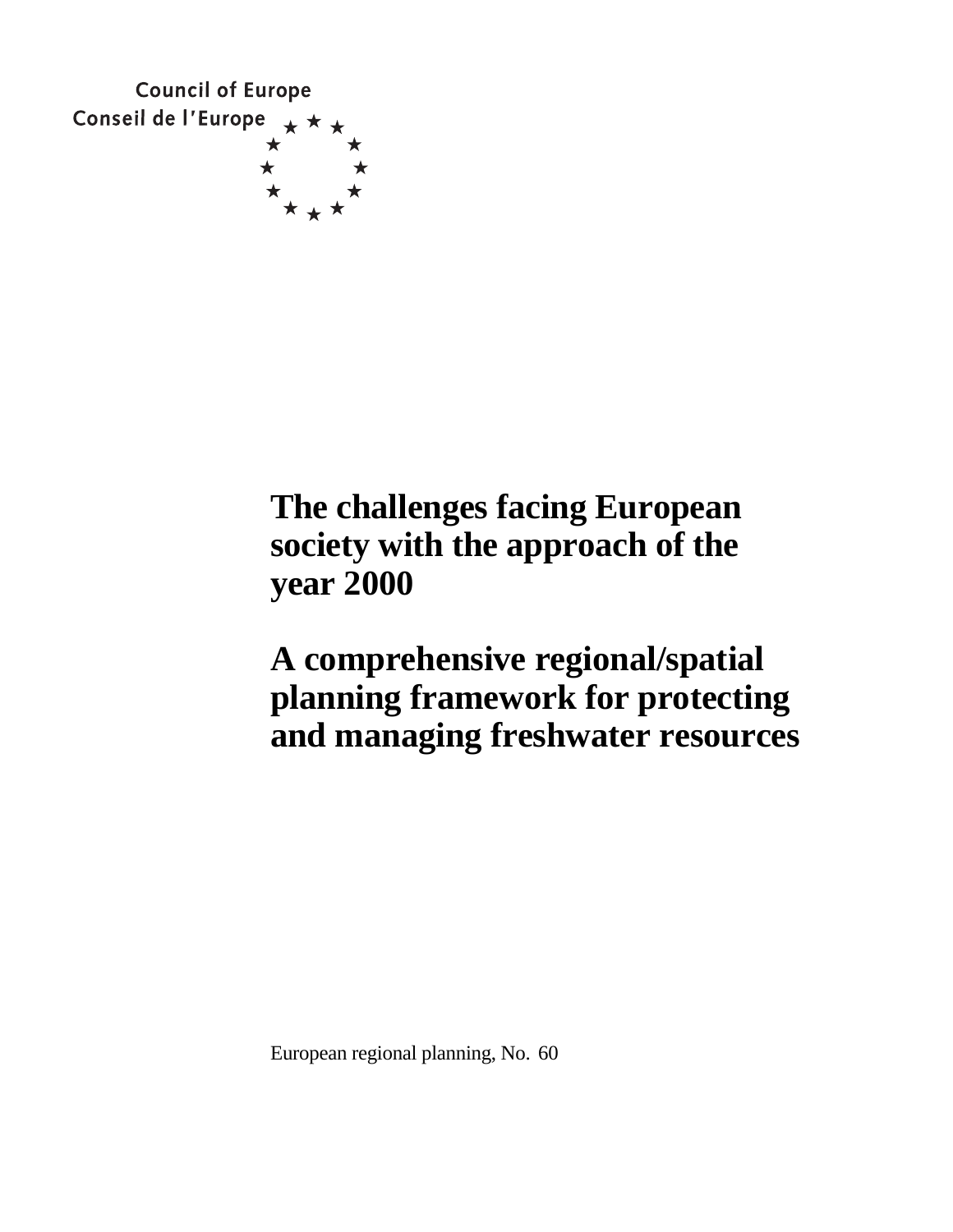

# **The challenges facing European society with the approach of the year 2000**

**A comprehensive regional/spatial planning framework for protecting and managing freshwater resources**

European regional planning, No. 60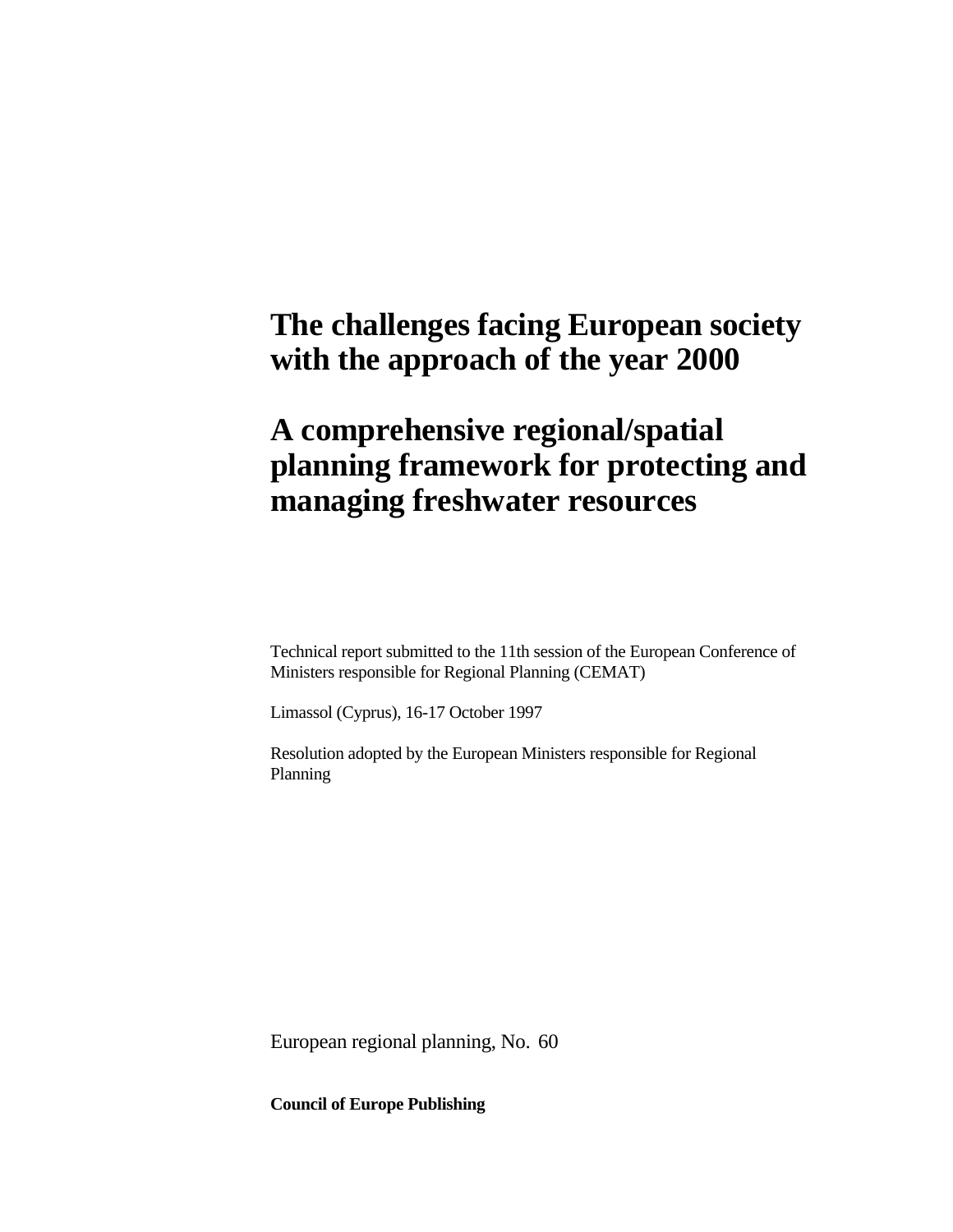## **The challenges facing European society with the approach of the year 2000**

## **A comprehensive regional/spatial planning framework for protecting and managing freshwater resources**

Technical report submitted to the 11th session of the European Conference of Ministers responsible for Regional Planning (CEMAT)

Limassol (Cyprus), 16-17 October 1997

Resolution adopted by the European Ministers responsible for Regional Planning

European regional planning, No. 60

**Council of Europe Publishing**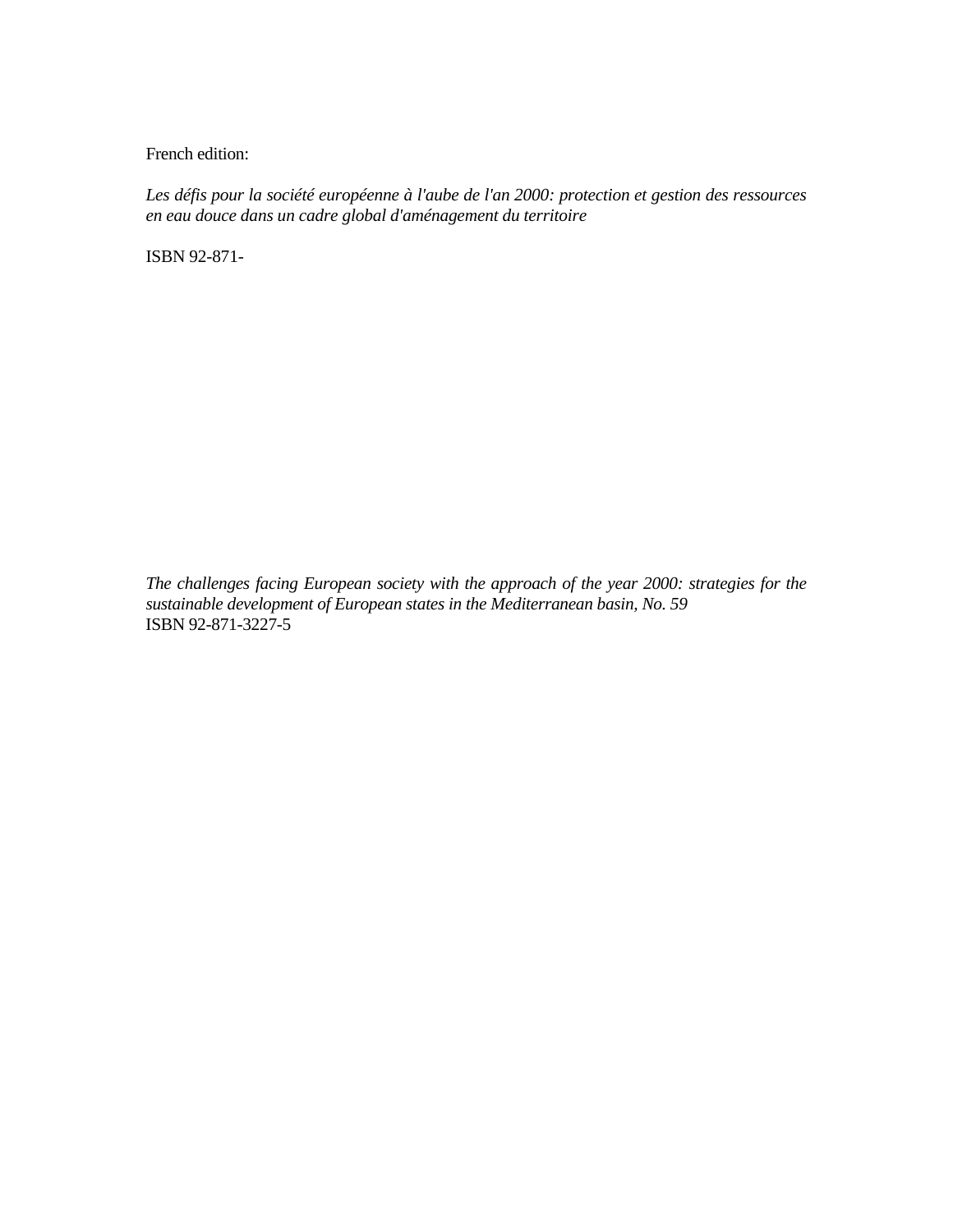French edition:

*Les défis pour la société européenne à l'aube de l'an 2000: protection et gestion des ressources en eau douce dans un cadre global d'aménagement du territoire*

ISBN 92-871-

*The challenges facing European society with the approach of the year 2000: strategies for the sustainable development of European states in the Mediterranean basin, No. 59*  ISBN 92-871-3227-5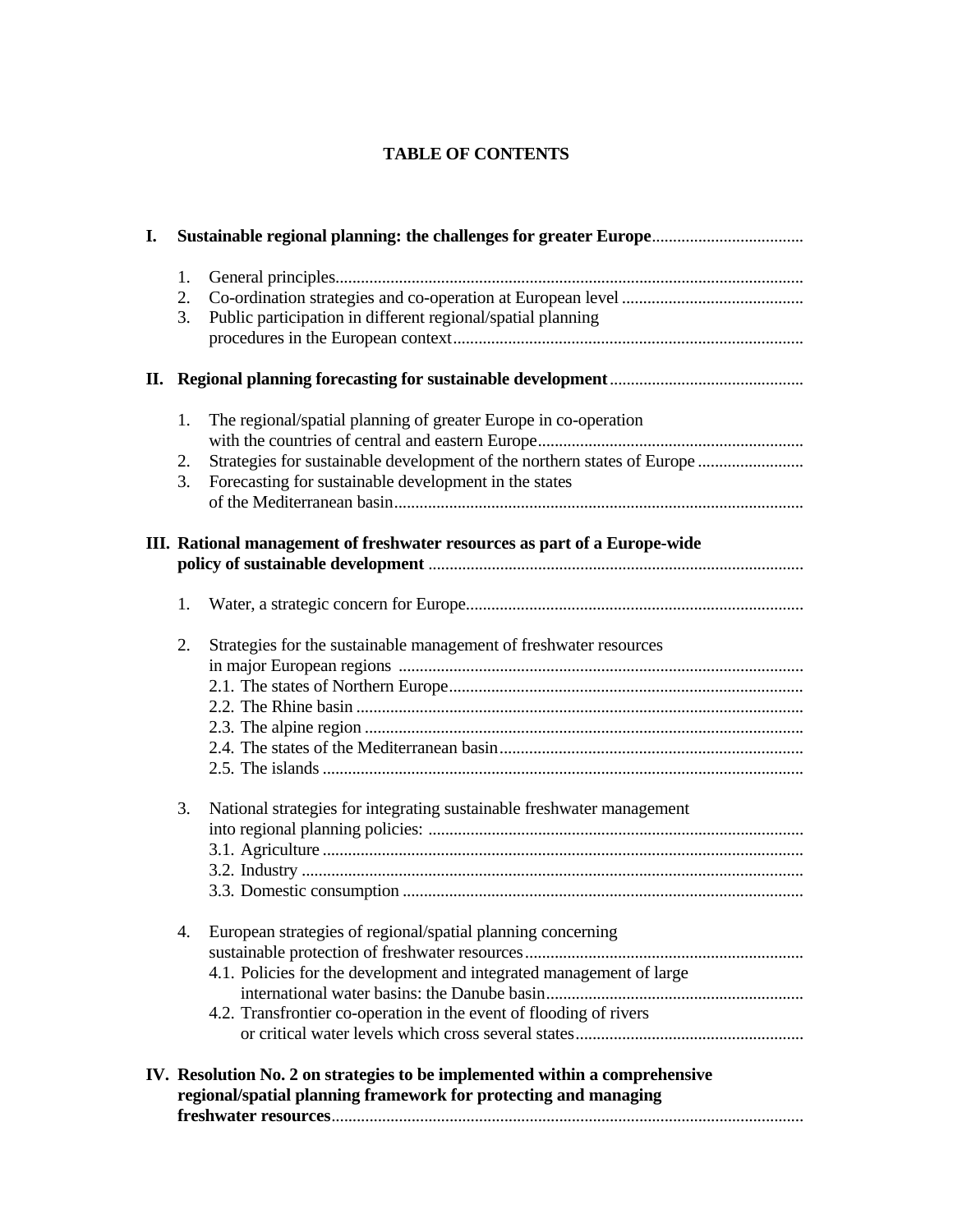## **TABLE OF CONTENTS**

| I. |                                                                                                                                                |                                                                                                                                                                                                           |  |
|----|------------------------------------------------------------------------------------------------------------------------------------------------|-----------------------------------------------------------------------------------------------------------------------------------------------------------------------------------------------------------|--|
|    | 1.<br>2.<br>3.                                                                                                                                 | Public participation in different regional/spatial planning                                                                                                                                               |  |
|    |                                                                                                                                                |                                                                                                                                                                                                           |  |
|    | 1.<br>2.<br>3.                                                                                                                                 | The regional/spatial planning of greater Europe in co-operation<br>Strategies for sustainable development of the northern states of Europe<br>Forecasting for sustainable development in the states       |  |
|    | III. Rational management of freshwater resources as part of a Europe-wide                                                                      |                                                                                                                                                                                                           |  |
|    | 1.                                                                                                                                             |                                                                                                                                                                                                           |  |
|    | 2.                                                                                                                                             | Strategies for the sustainable management of freshwater resources                                                                                                                                         |  |
|    | 3.                                                                                                                                             | National strategies for integrating sustainable freshwater management                                                                                                                                     |  |
|    | 4.                                                                                                                                             | European strategies of regional/spatial planning concerning<br>4.1. Policies for the development and integrated management of large<br>4.2. Transfrontier co-operation in the event of flooding of rivers |  |
|    | IV. Resolution No. 2 on strategies to be implemented within a comprehensive<br>regional/spatial planning framework for protecting and managing |                                                                                                                                                                                                           |  |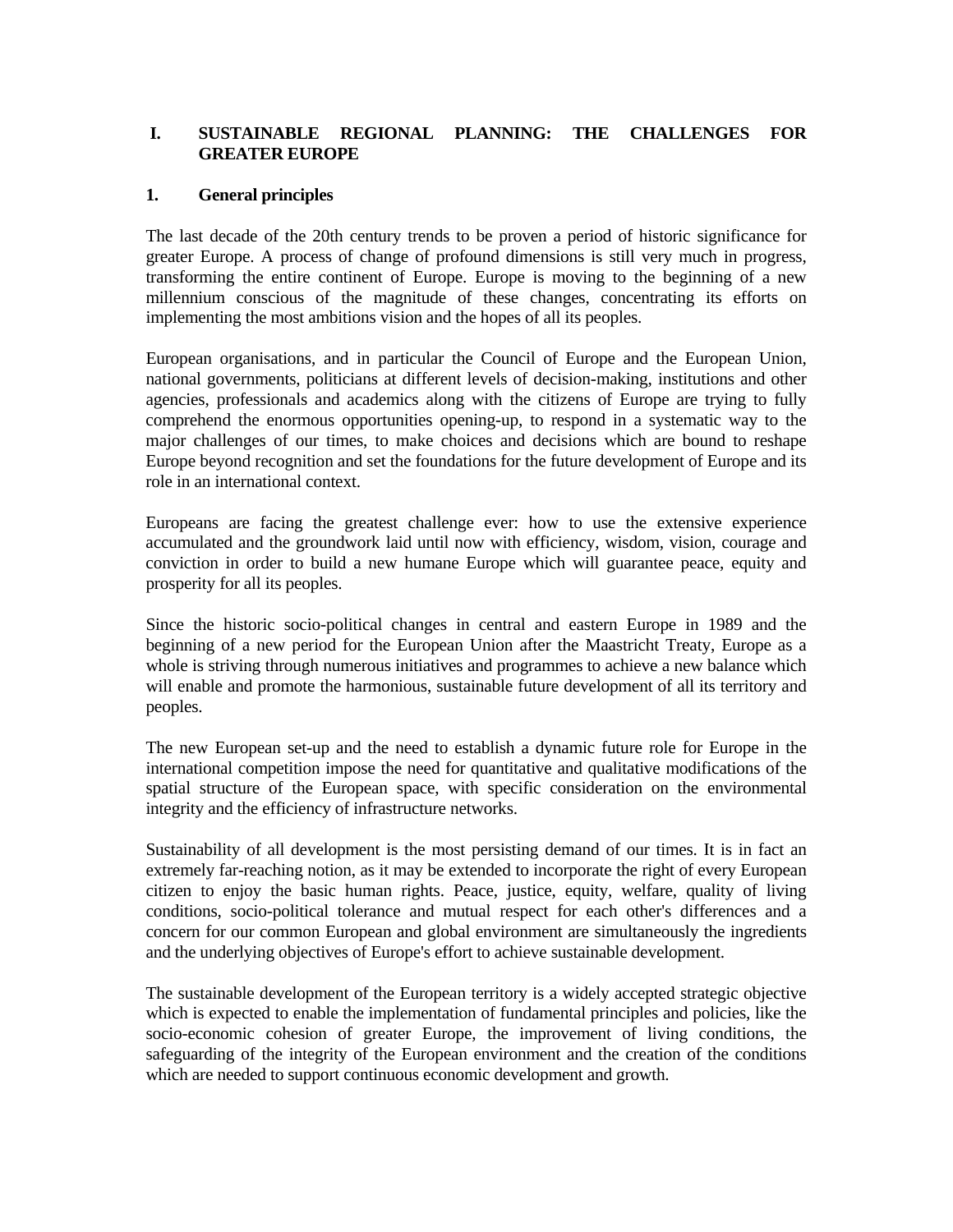### **I. SUSTAINABLE REGIONAL PLANNING: THE CHALLENGES FOR GREATER EUROPE**

#### **1. General principles**

The last decade of the 20th century trends to be proven a period of historic significance for greater Europe. A process of change of profound dimensions is still very much in progress, transforming the entire continent of Europe. Europe is moving to the beginning of a new millennium conscious of the magnitude of these changes, concentrating its efforts on implementing the most ambitions vision and the hopes of all its peoples.

European organisations, and in particular the Council of Europe and the European Union, national governments, politicians at different levels of decision-making, institutions and other agencies, professionals and academics along with the citizens of Europe are trying to fully comprehend the enormous opportunities opening-up, to respond in a systematic way to the major challenges of our times, to make choices and decisions which are bound to reshape Europe beyond recognition and set the foundations for the future development of Europe and its role in an international context.

Europeans are facing the greatest challenge ever: how to use the extensive experience accumulated and the groundwork laid until now with efficiency, wisdom, vision, courage and conviction in order to build a new humane Europe which will guarantee peace, equity and prosperity for all its peoples.

Since the historic socio-political changes in central and eastern Europe in 1989 and the beginning of a new period for the European Union after the Maastricht Treaty, Europe as a whole is striving through numerous initiatives and programmes to achieve a new balance which will enable and promote the harmonious, sustainable future development of all its territory and peoples.

The new European set-up and the need to establish a dynamic future role for Europe in the international competition impose the need for quantitative and qualitative modifications of the spatial structure of the European space, with specific consideration on the environmental integrity and the efficiency of infrastructure networks.

Sustainability of all development is the most persisting demand of our times. It is in fact an extremely far-reaching notion, as it may be extended to incorporate the right of every European citizen to enjoy the basic human rights. Peace, justice, equity, welfare, quality of living conditions, socio-political tolerance and mutual respect for each other's differences and a concern for our common European and global environment are simultaneously the ingredients and the underlying objectives of Europe's effort to achieve sustainable development.

The sustainable development of the European territory is a widely accepted strategic objective which is expected to enable the implementation of fundamental principles and policies, like the socio-economic cohesion of greater Europe, the improvement of living conditions, the safeguarding of the integrity of the European environment and the creation of the conditions which are needed to support continuous economic development and growth.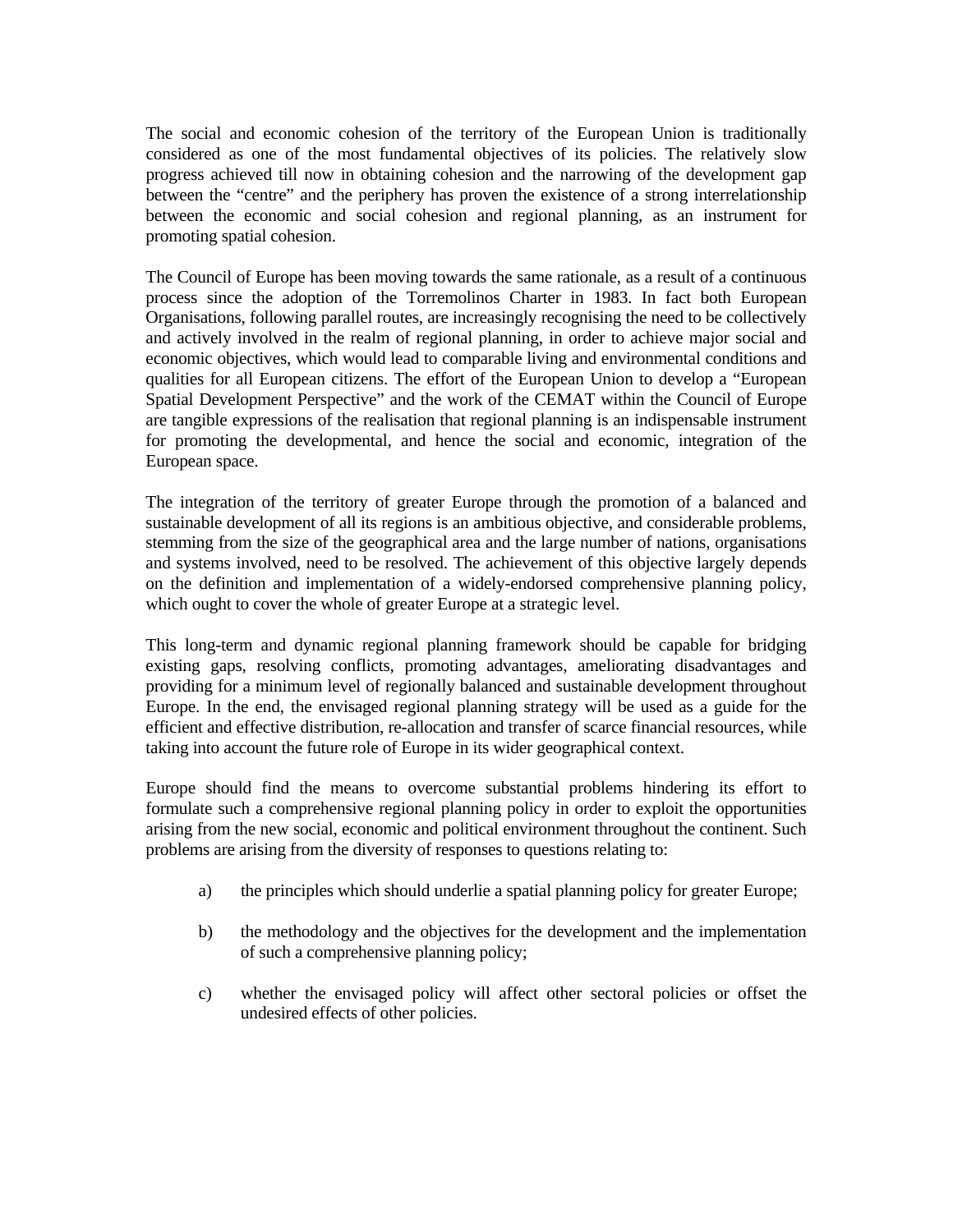The social and economic cohesion of the territory of the European Union is traditionally considered as one of the most fundamental objectives of its policies. The relatively slow progress achieved till now in obtaining cohesion and the narrowing of the development gap between the "centre" and the periphery has proven the existence of a strong interrelationship between the economic and social cohesion and regional planning, as an instrument for promoting spatial cohesion.

The Council of Europe has been moving towards the same rationale, as a result of a continuous process since the adoption of the Torremolinos Charter in 1983. In fact both European Organisations, following parallel routes, are increasingly recognising the need to be collectively and actively involved in the realm of regional planning, in order to achieve major social and economic objectives, which would lead to comparable living and environmental conditions and qualities for all European citizens. The effort of the European Union to develop a "European Spatial Development Perspective" and the work of the CEMAT within the Council of Europe are tangible expressions of the realisation that regional planning is an indispensable instrument for promoting the developmental, and hence the social and economic, integration of the European space.

The integration of the territory of greater Europe through the promotion of a balanced and sustainable development of all its regions is an ambitious objective, and considerable problems, stemming from the size of the geographical area and the large number of nations, organisations and systems involved, need to be resolved. The achievement of this objective largely depends on the definition and implementation of a widely-endorsed comprehensive planning policy, which ought to cover the whole of greater Europe at a strategic level.

This long-term and dynamic regional planning framework should be capable for bridging existing gaps, resolving conflicts, promoting advantages, ameliorating disadvantages and providing for a minimum level of regionally balanced and sustainable development throughout Europe. In the end, the envisaged regional planning strategy will be used as a guide for the efficient and effective distribution, re-allocation and transfer of scarce financial resources, while taking into account the future role of Europe in its wider geographical context.

Europe should find the means to overcome substantial problems hindering its effort to formulate such a comprehensive regional planning policy in order to exploit the opportunities arising from the new social, economic and political environment throughout the continent. Such problems are arising from the diversity of responses to questions relating to:

- a) the principles which should underlie a spatial planning policy for greater Europe;
- b) the methodology and the objectives for the development and the implementation of such a comprehensive planning policy;
- c) whether the envisaged policy will affect other sectoral policies or offset the undesired effects of other policies.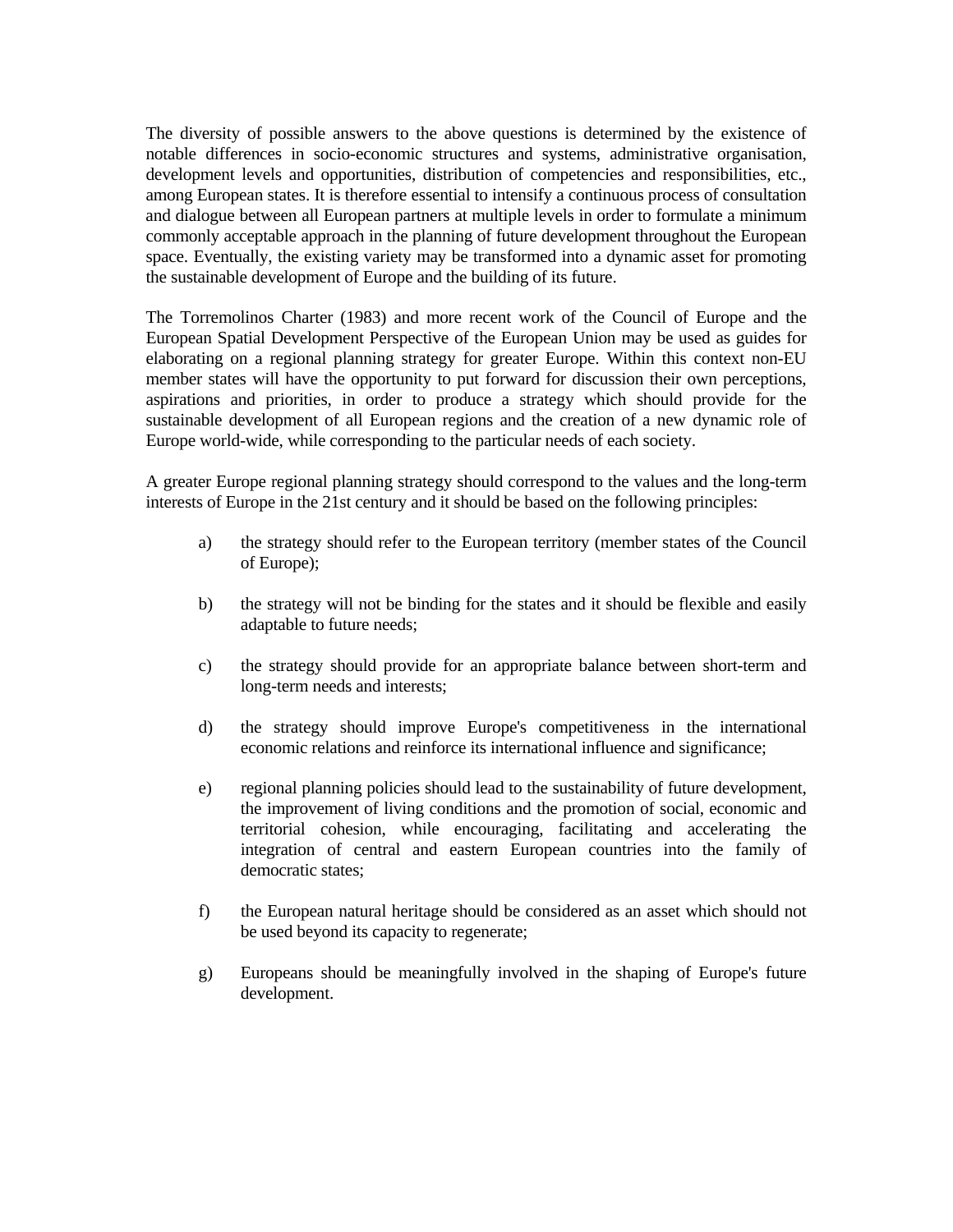The diversity of possible answers to the above questions is determined by the existence of notable differences in socio-economic structures and systems, administrative organisation, development levels and opportunities, distribution of competencies and responsibilities, etc., among European states. It is therefore essential to intensify a continuous process of consultation and dialogue between all European partners at multiple levels in order to formulate a minimum commonly acceptable approach in the planning of future development throughout the European space. Eventually, the existing variety may be transformed into a dynamic asset for promoting the sustainable development of Europe and the building of its future.

The Torremolinos Charter (1983) and more recent work of the Council of Europe and the European Spatial Development Perspective of the European Union may be used as guides for elaborating on a regional planning strategy for greater Europe. Within this context non-EU member states will have the opportunity to put forward for discussion their own perceptions, aspirations and priorities, in order to produce a strategy which should provide for the sustainable development of all European regions and the creation of a new dynamic role of Europe world-wide, while corresponding to the particular needs of each society.

A greater Europe regional planning strategy should correspond to the values and the long-term interests of Europe in the 21st century and it should be based on the following principles:

- a) the strategy should refer to the European territory (member states of the Council of Europe);
- b) the strategy will not be binding for the states and it should be flexible and easily adaptable to future needs;
- c) the strategy should provide for an appropriate balance between short-term and long-term needs and interests;
- d) the strategy should improve Europe's competitiveness in the international economic relations and reinforce its international influence and significance;
- e) regional planning policies should lead to the sustainability of future development, the improvement of living conditions and the promotion of social, economic and territorial cohesion, while encouraging, facilitating and accelerating the integration of central and eastern European countries into the family of democratic states;
- f) the European natural heritage should be considered as an asset which should not be used beyond its capacity to regenerate;
- g) Europeans should be meaningfully involved in the shaping of Europe's future development.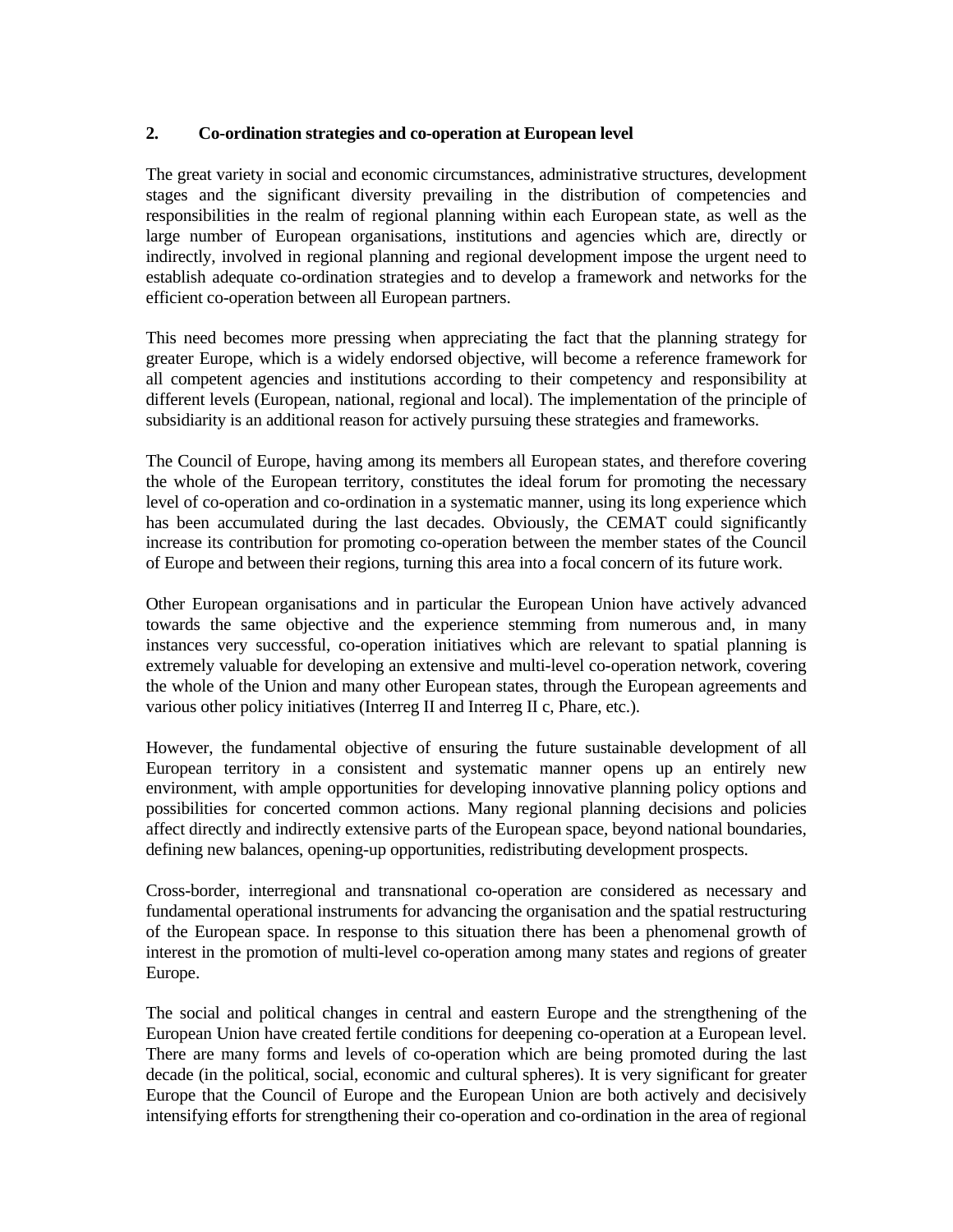#### **2. Co-ordination strategies and co-operation at European level**

The great variety in social and economic circumstances, administrative structures, development stages and the significant diversity prevailing in the distribution of competencies and responsibilities in the realm of regional planning within each European state, as well as the large number of European organisations, institutions and agencies which are, directly or indirectly, involved in regional planning and regional development impose the urgent need to establish adequate co-ordination strategies and to develop a framework and networks for the efficient co-operation between all European partners.

This need becomes more pressing when appreciating the fact that the planning strategy for greater Europe, which is a widely endorsed objective, will become a reference framework for all competent agencies and institutions according to their competency and responsibility at different levels (European, national, regional and local). The implementation of the principle of subsidiarity is an additional reason for actively pursuing these strategies and frameworks.

The Council of Europe, having among its members all European states, and therefore covering the whole of the European territory, constitutes the ideal forum for promoting the necessary level of co-operation and co-ordination in a systematic manner, using its long experience which has been accumulated during the last decades. Obviously, the CEMAT could significantly increase its contribution for promoting co-operation between the member states of the Council of Europe and between their regions, turning this area into a focal concern of its future work.

Other European organisations and in particular the European Union have actively advanced towards the same objective and the experience stemming from numerous and, in many instances very successful, co-operation initiatives which are relevant to spatial planning is extremely valuable for developing an extensive and multi-level co-operation network, covering the whole of the Union and many other European states, through the European agreements and various other policy initiatives (Interreg II and Interreg II c, Phare, etc.).

However, the fundamental objective of ensuring the future sustainable development of all European territory in a consistent and systematic manner opens up an entirely new environment, with ample opportunities for developing innovative planning policy options and possibilities for concerted common actions. Many regional planning decisions and policies affect directly and indirectly extensive parts of the European space, beyond national boundaries, defining new balances, opening-up opportunities, redistributing development prospects.

Cross-border, interregional and transnational co-operation are considered as necessary and fundamental operational instruments for advancing the organisation and the spatial restructuring of the European space. In response to this situation there has been a phenomenal growth of interest in the promotion of multi-level co-operation among many states and regions of greater Europe.

The social and political changes in central and eastern Europe and the strengthening of the European Union have created fertile conditions for deepening co-operation at a European level. There are many forms and levels of co-operation which are being promoted during the last decade (in the political, social, economic and cultural spheres). It is very significant for greater Europe that the Council of Europe and the European Union are both actively and decisively intensifying efforts for strengthening their co-operation and co-ordination in the area of regional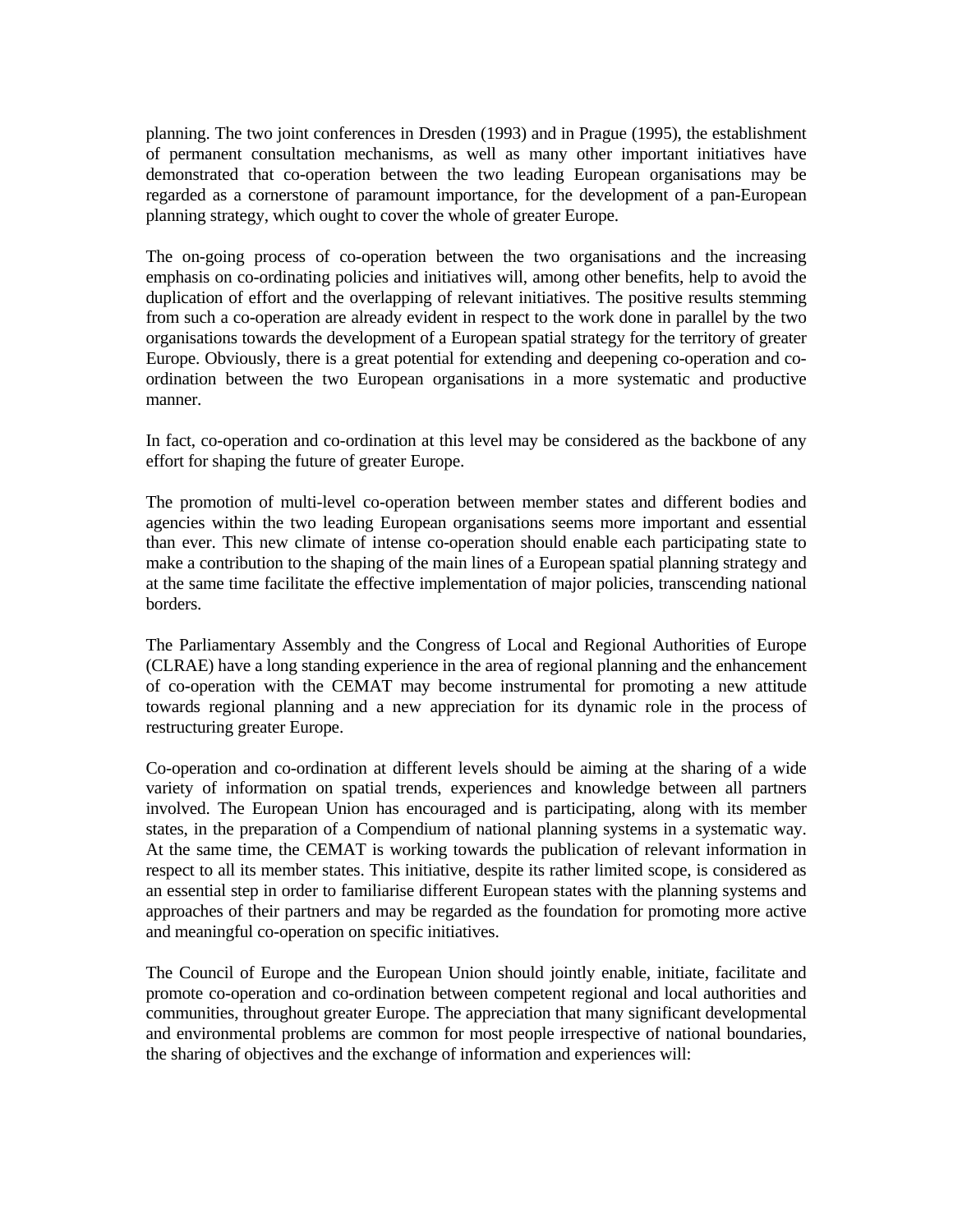planning. The two joint conferences in Dresden (1993) and in Prague (1995), the establishment of permanent consultation mechanisms, as well as many other important initiatives have demonstrated that co-operation between the two leading European organisations may be regarded as a cornerstone of paramount importance, for the development of a pan-European planning strategy, which ought to cover the whole of greater Europe.

The on-going process of co-operation between the two organisations and the increasing emphasis on co-ordinating policies and initiatives will, among other benefits, help to avoid the duplication of effort and the overlapping of relevant initiatives. The positive results stemming from such a co-operation are already evident in respect to the work done in parallel by the two organisations towards the development of a European spatial strategy for the territory of greater Europe. Obviously, there is a great potential for extending and deepening co-operation and coordination between the two European organisations in a more systematic and productive manner.

In fact, co-operation and co-ordination at this level may be considered as the backbone of any effort for shaping the future of greater Europe.

The promotion of multi-level co-operation between member states and different bodies and agencies within the two leading European organisations seems more important and essential than ever. This new climate of intense co-operation should enable each participating state to make a contribution to the shaping of the main lines of a European spatial planning strategy and at the same time facilitate the effective implementation of major policies, transcending national borders.

The Parliamentary Assembly and the Congress of Local and Regional Authorities of Europe (CLRAE) have a long standing experience in the area of regional planning and the enhancement of co-operation with the CEMAT may become instrumental for promoting a new attitude towards regional planning and a new appreciation for its dynamic role in the process of restructuring greater Europe.

Co-operation and co-ordination at different levels should be aiming at the sharing of a wide variety of information on spatial trends, experiences and knowledge between all partners involved. The European Union has encouraged and is participating, along with its member states, in the preparation of a Compendium of national planning systems in a systematic way. At the same time, the CEMAT is working towards the publication of relevant information in respect to all its member states. This initiative, despite its rather limited scope, is considered as an essential step in order to familiarise different European states with the planning systems and approaches of their partners and may be regarded as the foundation for promoting more active and meaningful co-operation on specific initiatives.

The Council of Europe and the European Union should jointly enable, initiate, facilitate and promote co-operation and co-ordination between competent regional and local authorities and communities, throughout greater Europe. The appreciation that many significant developmental and environmental problems are common for most people irrespective of national boundaries, the sharing of objectives and the exchange of information and experiences will: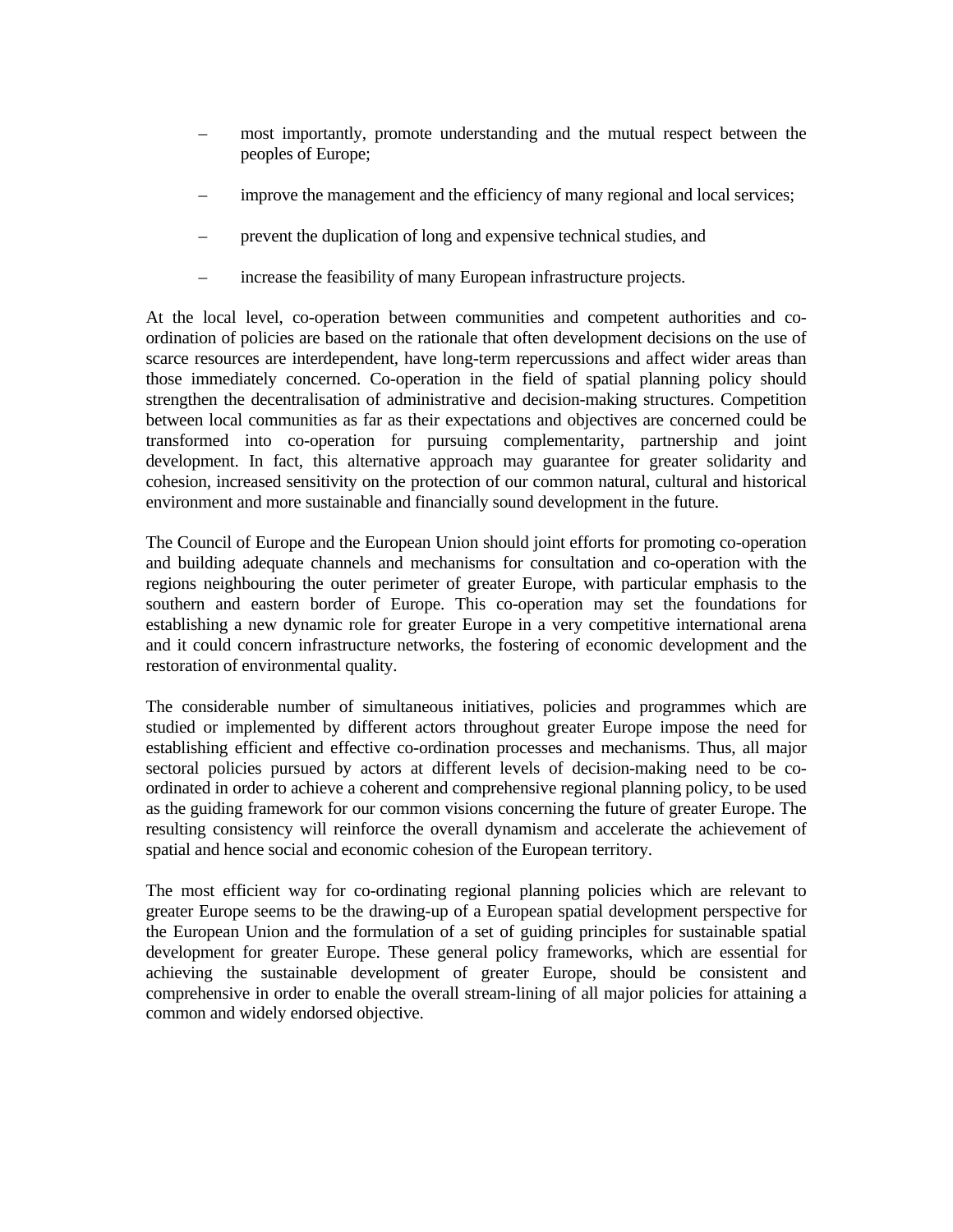- most importantly, promote understanding and the mutual respect between the peoples of Europe;
- improve the management and the efficiency of many regional and local services;
- prevent the duplication of long and expensive technical studies, and
- increase the feasibility of many European infrastructure projects.

At the local level, co-operation between communities and competent authorities and coordination of policies are based on the rationale that often development decisions on the use of scarce resources are interdependent, have long-term repercussions and affect wider areas than those immediately concerned. Co-operation in the field of spatial planning policy should strengthen the decentralisation of administrative and decision-making structures. Competition between local communities as far as their expectations and objectives are concerned could be transformed into co-operation for pursuing complementarity, partnership and joint development. In fact, this alternative approach may guarantee for greater solidarity and cohesion, increased sensitivity on the protection of our common natural, cultural and historical environment and more sustainable and financially sound development in the future.

The Council of Europe and the European Union should joint efforts for promoting co-operation and building adequate channels and mechanisms for consultation and co-operation with the regions neighbouring the outer perimeter of greater Europe, with particular emphasis to the southern and eastern border of Europe. This co-operation may set the foundations for establishing a new dynamic role for greater Europe in a very competitive international arena and it could concern infrastructure networks, the fostering of economic development and the restoration of environmental quality.

The considerable number of simultaneous initiatives, policies and programmes which are studied or implemented by different actors throughout greater Europe impose the need for establishing efficient and effective co-ordination processes and mechanisms. Thus, all major sectoral policies pursued by actors at different levels of decision-making need to be coordinated in order to achieve a coherent and comprehensive regional planning policy, to be used as the guiding framework for our common visions concerning the future of greater Europe. The resulting consistency will reinforce the overall dynamism and accelerate the achievement of spatial and hence social and economic cohesion of the European territory.

The most efficient way for co-ordinating regional planning policies which are relevant to greater Europe seems to be the drawing-up of a European spatial development perspective for the European Union and the formulation of a set of guiding principles for sustainable spatial development for greater Europe. These general policy frameworks, which are essential for achieving the sustainable development of greater Europe, should be consistent and comprehensive in order to enable the overall stream-lining of all major policies for attaining a common and widely endorsed objective.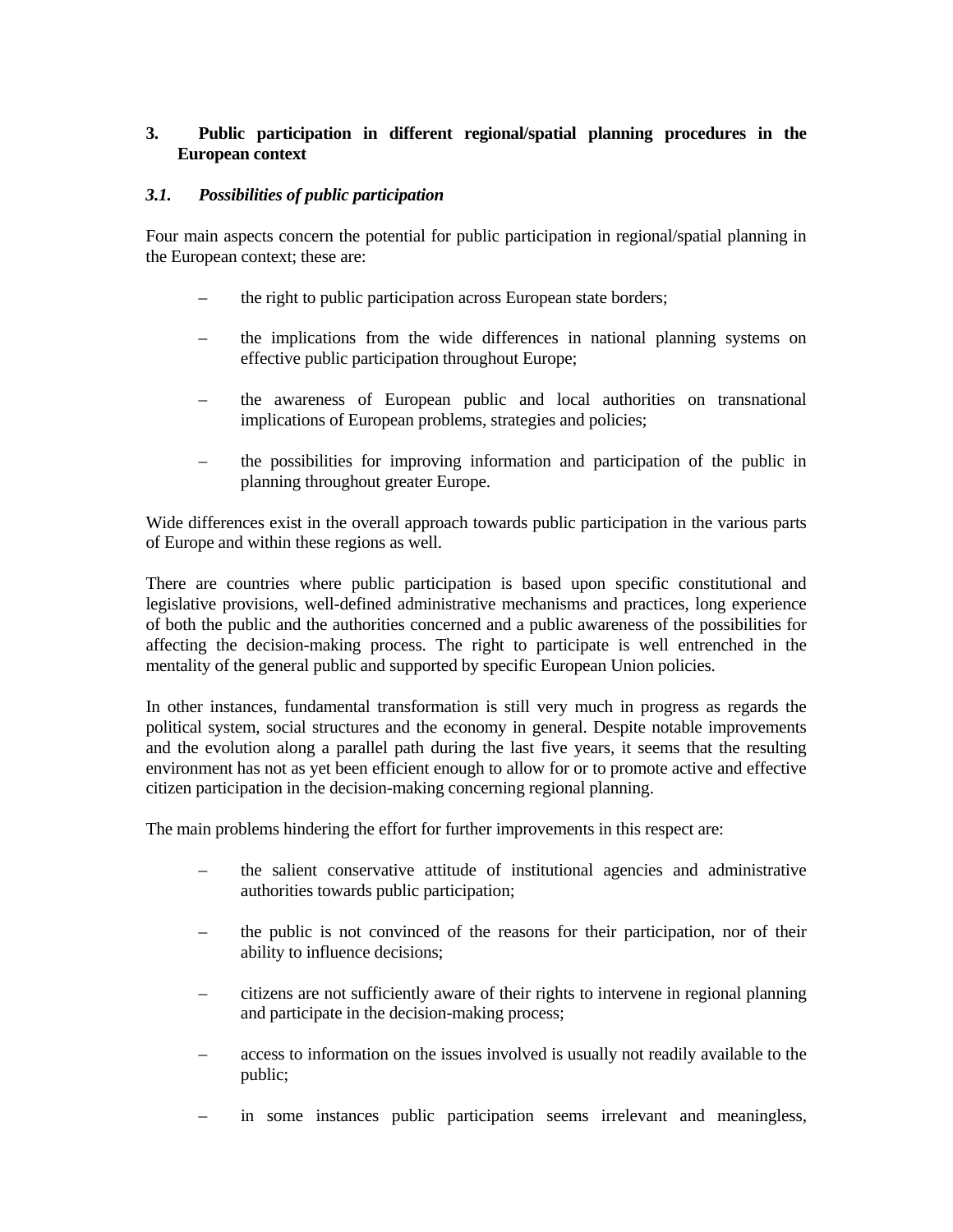## **3. Public participation in different regional/spatial planning procedures in the European context**

#### *3.1. Possibilities of public participation*

Four main aspects concern the potential for public participation in regional/spatial planning in the European context; these are:

- the right to public participation across European state borders;
- the implications from the wide differences in national planning systems on effective public participation throughout Europe;
- the awareness of European public and local authorities on transnational implications of European problems, strategies and policies;
- the possibilities for improving information and participation of the public in planning throughout greater Europe.

Wide differences exist in the overall approach towards public participation in the various parts of Europe and within these regions as well.

There are countries where public participation is based upon specific constitutional and legislative provisions, well-defined administrative mechanisms and practices, long experience of both the public and the authorities concerned and a public awareness of the possibilities for affecting the decision-making process. The right to participate is well entrenched in the mentality of the general public and supported by specific European Union policies.

In other instances, fundamental transformation is still very much in progress as regards the political system, social structures and the economy in general. Despite notable improvements and the evolution along a parallel path during the last five years, it seems that the resulting environment has not as yet been efficient enough to allow for or to promote active and effective citizen participation in the decision-making concerning regional planning.

The main problems hindering the effort for further improvements in this respect are:

- the salient conservative attitude of institutional agencies and administrative authorities towards public participation;
- the public is not convinced of the reasons for their participation, nor of their ability to influence decisions;
- citizens are not sufficiently aware of their rights to intervene in regional planning and participate in the decision-making process;
- access to information on the issues involved is usually not readily available to the public;
- in some instances public participation seems irrelevant and meaningless,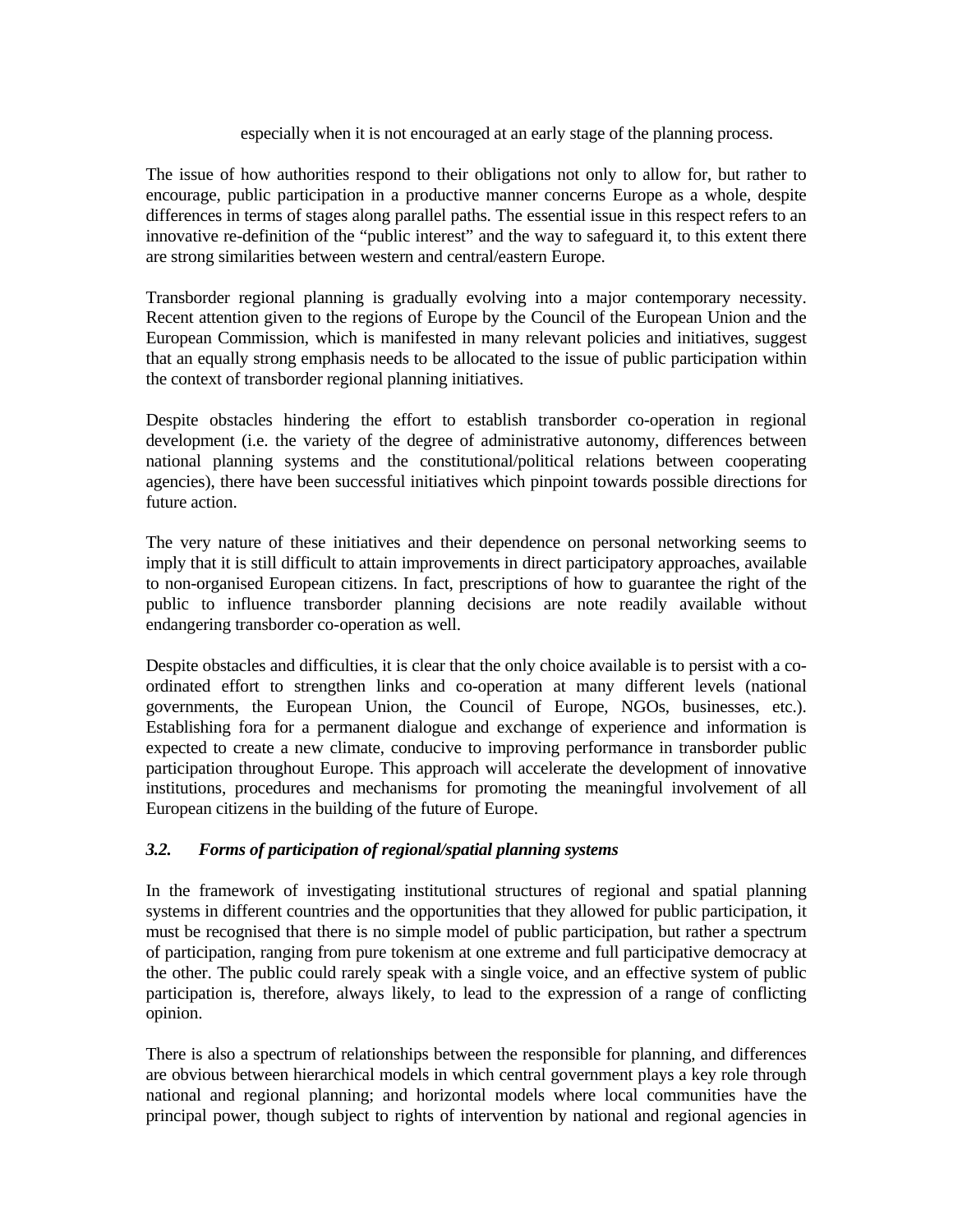#### especially when it is not encouraged at an early stage of the planning process.

The issue of how authorities respond to their obligations not only to allow for, but rather to encourage, public participation in a productive manner concerns Europe as a whole, despite differences in terms of stages along parallel paths. The essential issue in this respect refers to an innovative re-definition of the "public interest" and the way to safeguard it, to this extent there are strong similarities between western and central/eastern Europe.

Transborder regional planning is gradually evolving into a major contemporary necessity. Recent attention given to the regions of Europe by the Council of the European Union and the European Commission, which is manifested in many relevant policies and initiatives, suggest that an equally strong emphasis needs to be allocated to the issue of public participation within the context of transborder regional planning initiatives.

Despite obstacles hindering the effort to establish transborder co-operation in regional development (i.e. the variety of the degree of administrative autonomy, differences between national planning systems and the constitutional/political relations between cooperating agencies), there have been successful initiatives which pinpoint towards possible directions for future action.

The very nature of these initiatives and their dependence on personal networking seems to imply that it is still difficult to attain improvements in direct participatory approaches, available to non-organised European citizens. In fact, prescriptions of how to guarantee the right of the public to influence transborder planning decisions are note readily available without endangering transborder co-operation as well.

Despite obstacles and difficulties, it is clear that the only choice available is to persist with a coordinated effort to strengthen links and co-operation at many different levels (national governments, the European Union, the Council of Europe, NGOs, businesses, etc.). Establishing fora for a permanent dialogue and exchange of experience and information is expected to create a new climate, conducive to improving performance in transborder public participation throughout Europe. This approach will accelerate the development of innovative institutions, procedures and mechanisms for promoting the meaningful involvement of all European citizens in the building of the future of Europe.

## *3.2. Forms of participation of regional/spatial planning systems*

In the framework of investigating institutional structures of regional and spatial planning systems in different countries and the opportunities that they allowed for public participation, it must be recognised that there is no simple model of public participation, but rather a spectrum of participation, ranging from pure tokenism at one extreme and full participative democracy at the other. The public could rarely speak with a single voice, and an effective system of public participation is, therefore, always likely, to lead to the expression of a range of conflicting opinion.

There is also a spectrum of relationships between the responsible for planning, and differences are obvious between hierarchical models in which central government plays a key role through national and regional planning; and horizontal models where local communities have the principal power, though subject to rights of intervention by national and regional agencies in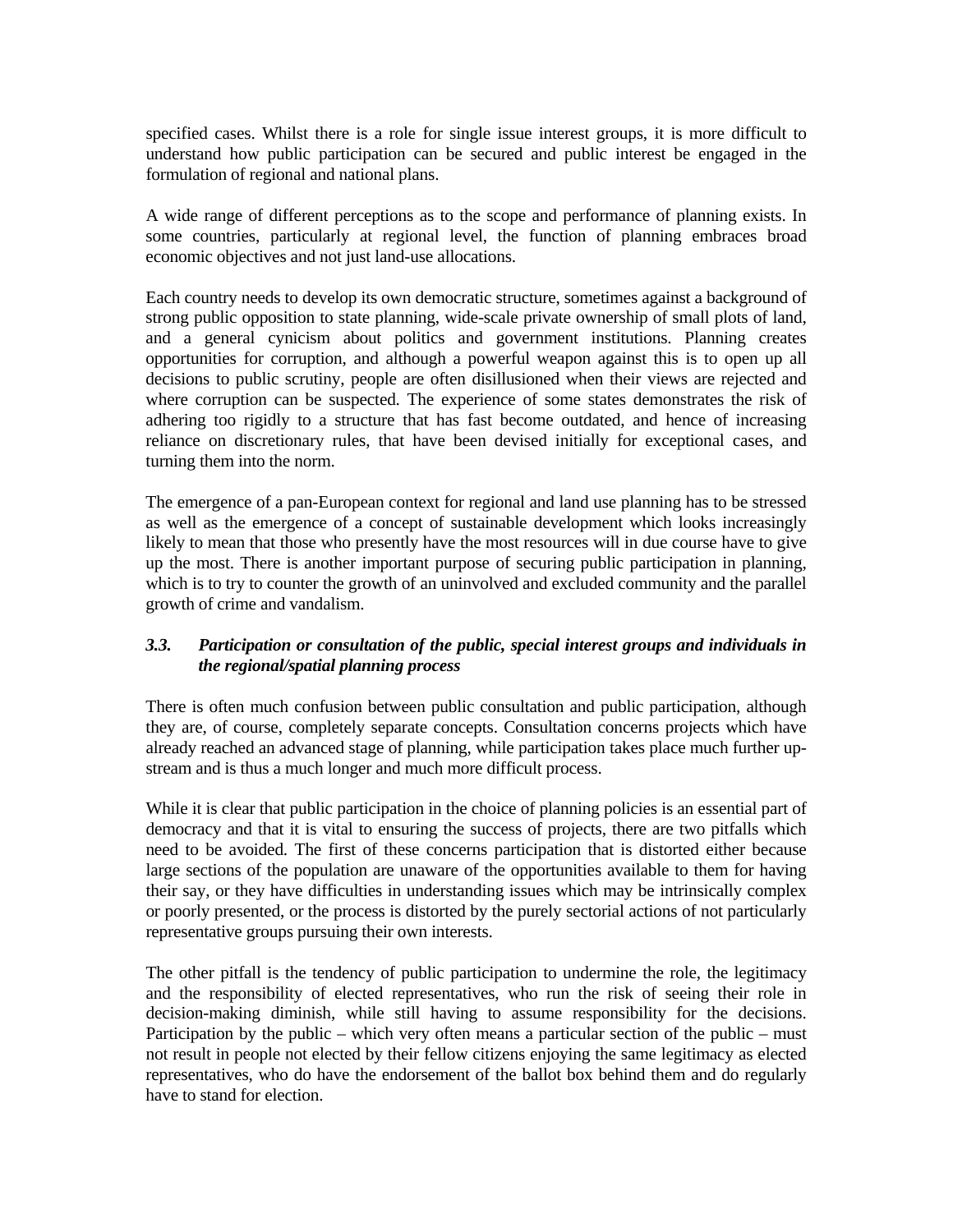specified cases. Whilst there is a role for single issue interest groups, it is more difficult to understand how public participation can be secured and public interest be engaged in the formulation of regional and national plans.

A wide range of different perceptions as to the scope and performance of planning exists. In some countries, particularly at regional level, the function of planning embraces broad economic objectives and not just land-use allocations.

Each country needs to develop its own democratic structure, sometimes against a background of strong public opposition to state planning, wide-scale private ownership of small plots of land, and a general cynicism about politics and government institutions. Planning creates opportunities for corruption, and although a powerful weapon against this is to open up all decisions to public scrutiny, people are often disillusioned when their views are rejected and where corruption can be suspected. The experience of some states demonstrates the risk of adhering too rigidly to a structure that has fast become outdated, and hence of increasing reliance on discretionary rules, that have been devised initially for exceptional cases, and turning them into the norm.

The emergence of a pan-European context for regional and land use planning has to be stressed as well as the emergence of a concept of sustainable development which looks increasingly likely to mean that those who presently have the most resources will in due course have to give up the most. There is another important purpose of securing public participation in planning, which is to try to counter the growth of an uninvolved and excluded community and the parallel growth of crime and vandalism.

## *3.3. Participation or consultation of the public, special interest groups and individuals in the regional/spatial planning process*

There is often much confusion between public consultation and public participation, although they are, of course, completely separate concepts. Consultation concerns projects which have already reached an advanced stage of planning, while participation takes place much further upstream and is thus a much longer and much more difficult process.

While it is clear that public participation in the choice of planning policies is an essential part of democracy and that it is vital to ensuring the success of projects, there are two pitfalls which need to be avoided. The first of these concerns participation that is distorted either because large sections of the population are unaware of the opportunities available to them for having their say, or they have difficulties in understanding issues which may be intrinsically complex or poorly presented, or the process is distorted by the purely sectorial actions of not particularly representative groups pursuing their own interests.

The other pitfall is the tendency of public participation to undermine the role, the legitimacy and the responsibility of elected representatives, who run the risk of seeing their role in decision-making diminish, while still having to assume responsibility for the decisions. Participation by the public – which very often means a particular section of the public – must not result in people not elected by their fellow citizens enjoying the same legitimacy as elected representatives, who do have the endorsement of the ballot box behind them and do regularly have to stand for election.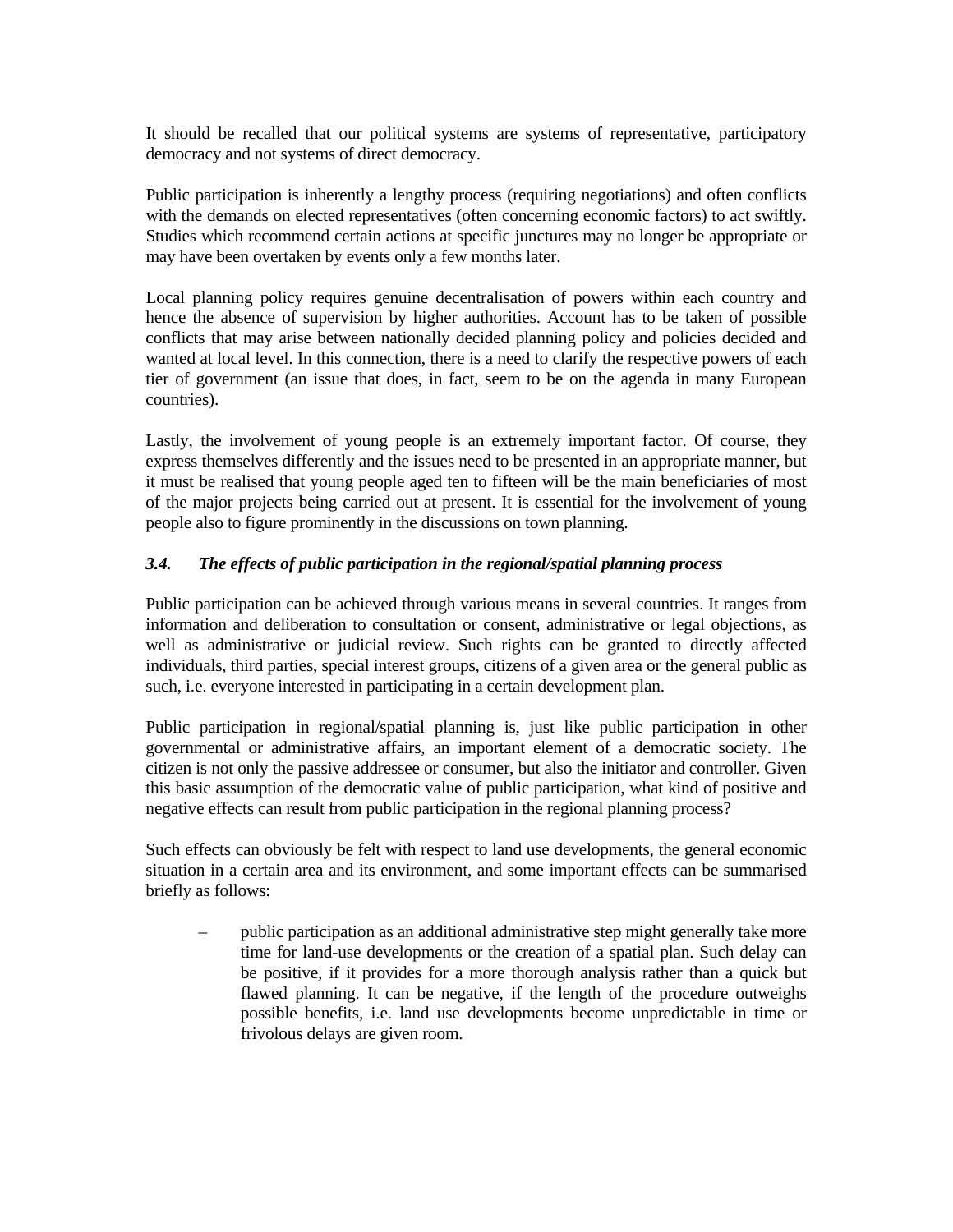It should be recalled that our political systems are systems of representative, participatory democracy and not systems of direct democracy.

Public participation is inherently a lengthy process (requiring negotiations) and often conflicts with the demands on elected representatives (often concerning economic factors) to act swiftly. Studies which recommend certain actions at specific junctures may no longer be appropriate or may have been overtaken by events only a few months later.

Local planning policy requires genuine decentralisation of powers within each country and hence the absence of supervision by higher authorities. Account has to be taken of possible conflicts that may arise between nationally decided planning policy and policies decided and wanted at local level. In this connection, there is a need to clarify the respective powers of each tier of government (an issue that does, in fact, seem to be on the agenda in many European countries).

Lastly, the involvement of young people is an extremely important factor. Of course, they express themselves differently and the issues need to be presented in an appropriate manner, but it must be realised that young people aged ten to fifteen will be the main beneficiaries of most of the major projects being carried out at present. It is essential for the involvement of young people also to figure prominently in the discussions on town planning.

## *3.4. The effects of public participation in the regional/spatial planning process*

Public participation can be achieved through various means in several countries. It ranges from information and deliberation to consultation or consent, administrative or legal objections, as well as administrative or judicial review. Such rights can be granted to directly affected individuals, third parties, special interest groups, citizens of a given area or the general public as such, i.e. everyone interested in participating in a certain development plan.

Public participation in regional/spatial planning is, just like public participation in other governmental or administrative affairs, an important element of a democratic society. The citizen is not only the passive addressee or consumer, but also the initiator and controller. Given this basic assumption of the democratic value of public participation, what kind of positive and negative effects can result from public participation in the regional planning process?

Such effects can obviously be felt with respect to land use developments, the general economic situation in a certain area and its environment, and some important effects can be summarised briefly as follows:

 – public participation as an additional administrative step might generally take more time for land-use developments or the creation of a spatial plan. Such delay can be positive, if it provides for a more thorough analysis rather than a quick but flawed planning. It can be negative, if the length of the procedure outweighs possible benefits, i.e. land use developments become unpredictable in time or frivolous delays are given room.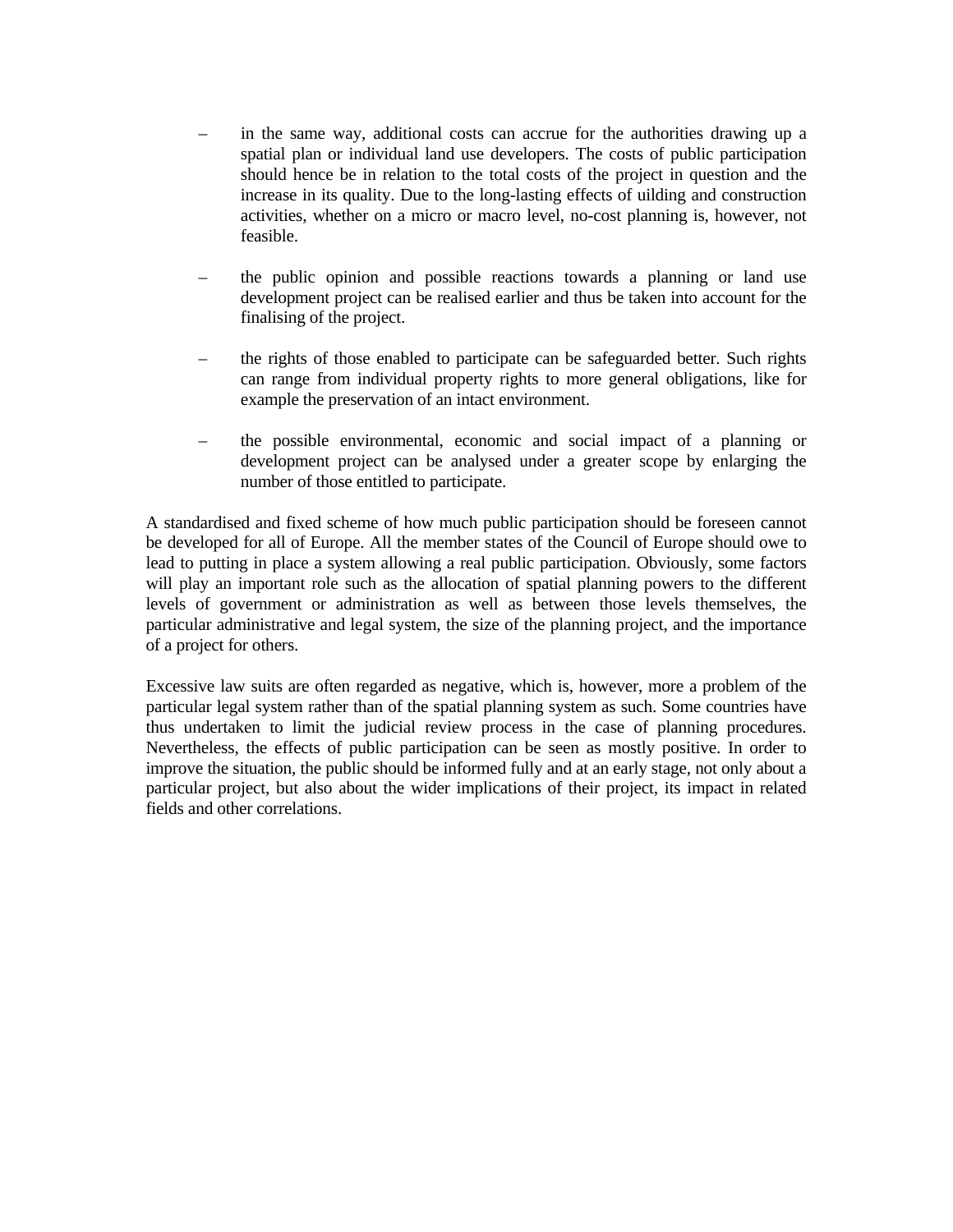- in the same way, additional costs can accrue for the authorities drawing up a spatial plan or individual land use developers. The costs of public participation should hence be in relation to the total costs of the project in question and the increase in its quality. Due to the long-lasting effects of uilding and construction activities, whether on a micro or macro level, no-cost planning is, however, not feasible.
- the public opinion and possible reactions towards a planning or land use development project can be realised earlier and thus be taken into account for the finalising of the project.
- the rights of those enabled to participate can be safeguarded better. Such rights can range from individual property rights to more general obligations, like for example the preservation of an intact environment.
- the possible environmental, economic and social impact of a planning or development project can be analysed under a greater scope by enlarging the number of those entitled to participate.

A standardised and fixed scheme of how much public participation should be foreseen cannot be developed for all of Europe. All the member states of the Council of Europe should owe to lead to putting in place a system allowing a real public participation. Obviously, some factors will play an important role such as the allocation of spatial planning powers to the different levels of government or administration as well as between those levels themselves, the particular administrative and legal system, the size of the planning project, and the importance of a project for others.

Excessive law suits are often regarded as negative, which is, however, more a problem of the particular legal system rather than of the spatial planning system as such. Some countries have thus undertaken to limit the judicial review process in the case of planning procedures. Nevertheless, the effects of public participation can be seen as mostly positive. In order to improve the situation, the public should be informed fully and at an early stage, not only about a particular project, but also about the wider implications of their project, its impact in related fields and other correlations.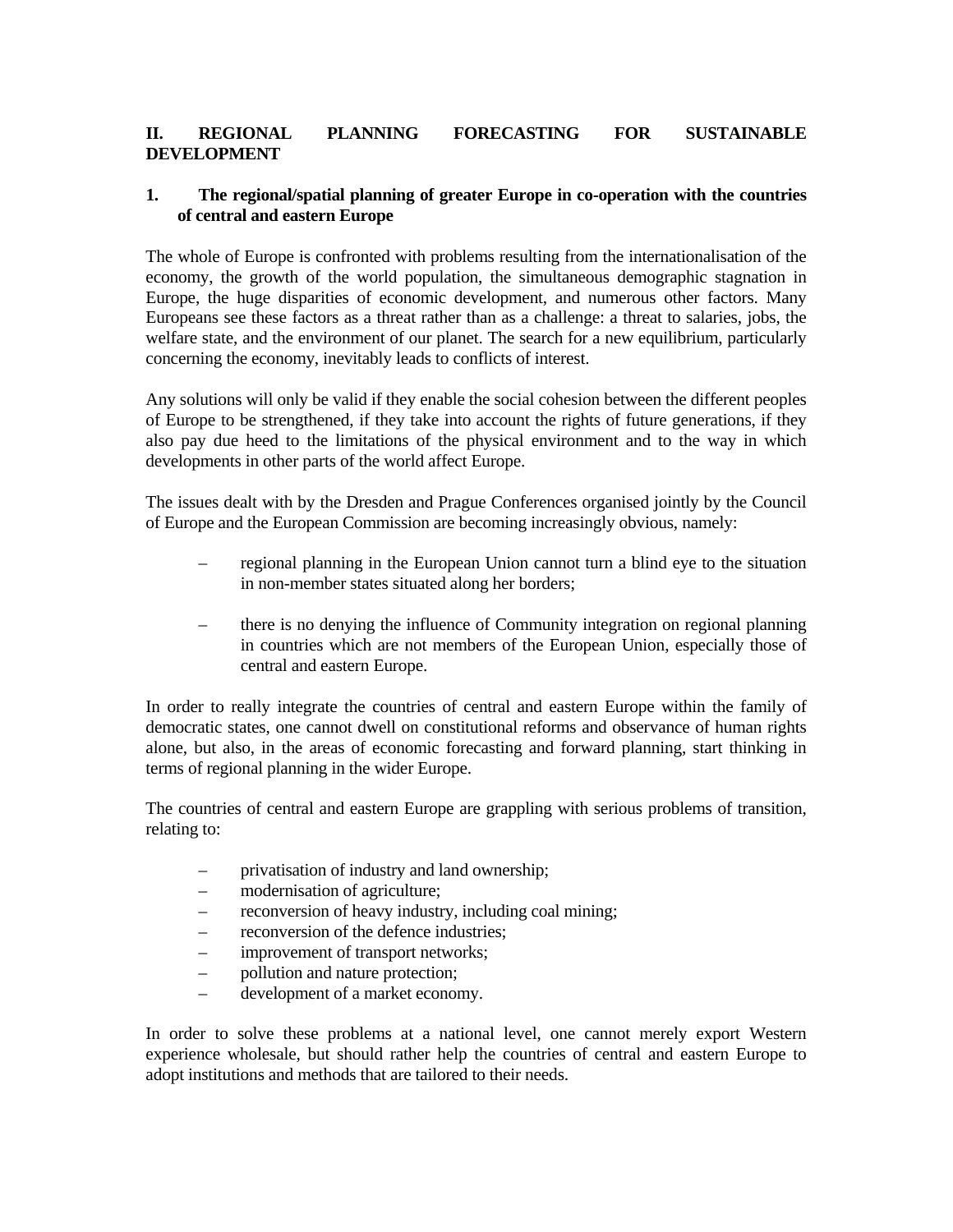## **II. REGIONAL PLANNING FORECASTING FOR SUSTAINABLE DEVELOPMENT**

### **1. The regional/spatial planning of greater Europe in co-operation with the countries of central and eastern Europe**

The whole of Europe is confronted with problems resulting from the internationalisation of the economy, the growth of the world population, the simultaneous demographic stagnation in Europe, the huge disparities of economic development, and numerous other factors. Many Europeans see these factors as a threat rather than as a challenge: a threat to salaries, jobs, the welfare state, and the environment of our planet. The search for a new equilibrium, particularly concerning the economy, inevitably leads to conflicts of interest.

Any solutions will only be valid if they enable the social cohesion between the different peoples of Europe to be strengthened, if they take into account the rights of future generations, if they also pay due heed to the limitations of the physical environment and to the way in which developments in other parts of the world affect Europe.

The issues dealt with by the Dresden and Prague Conferences organised jointly by the Council of Europe and the European Commission are becoming increasingly obvious, namely:

- regional planning in the European Union cannot turn a blind eye to the situation in non-member states situated along her borders;
- there is no denying the influence of Community integration on regional planning in countries which are not members of the European Union, especially those of central and eastern Europe.

In order to really integrate the countries of central and eastern Europe within the family of democratic states, one cannot dwell on constitutional reforms and observance of human rights alone, but also, in the areas of economic forecasting and forward planning, start thinking in terms of regional planning in the wider Europe.

The countries of central and eastern Europe are grappling with serious problems of transition, relating to:

- privatisation of industry and land ownership;
- modernisation of agriculture;
- reconversion of heavy industry, including coal mining;
- reconversion of the defence industries;
- improvement of transport networks:
- pollution and nature protection;
- development of a market economy.

In order to solve these problems at a national level, one cannot merely export Western experience wholesale, but should rather help the countries of central and eastern Europe to adopt institutions and methods that are tailored to their needs.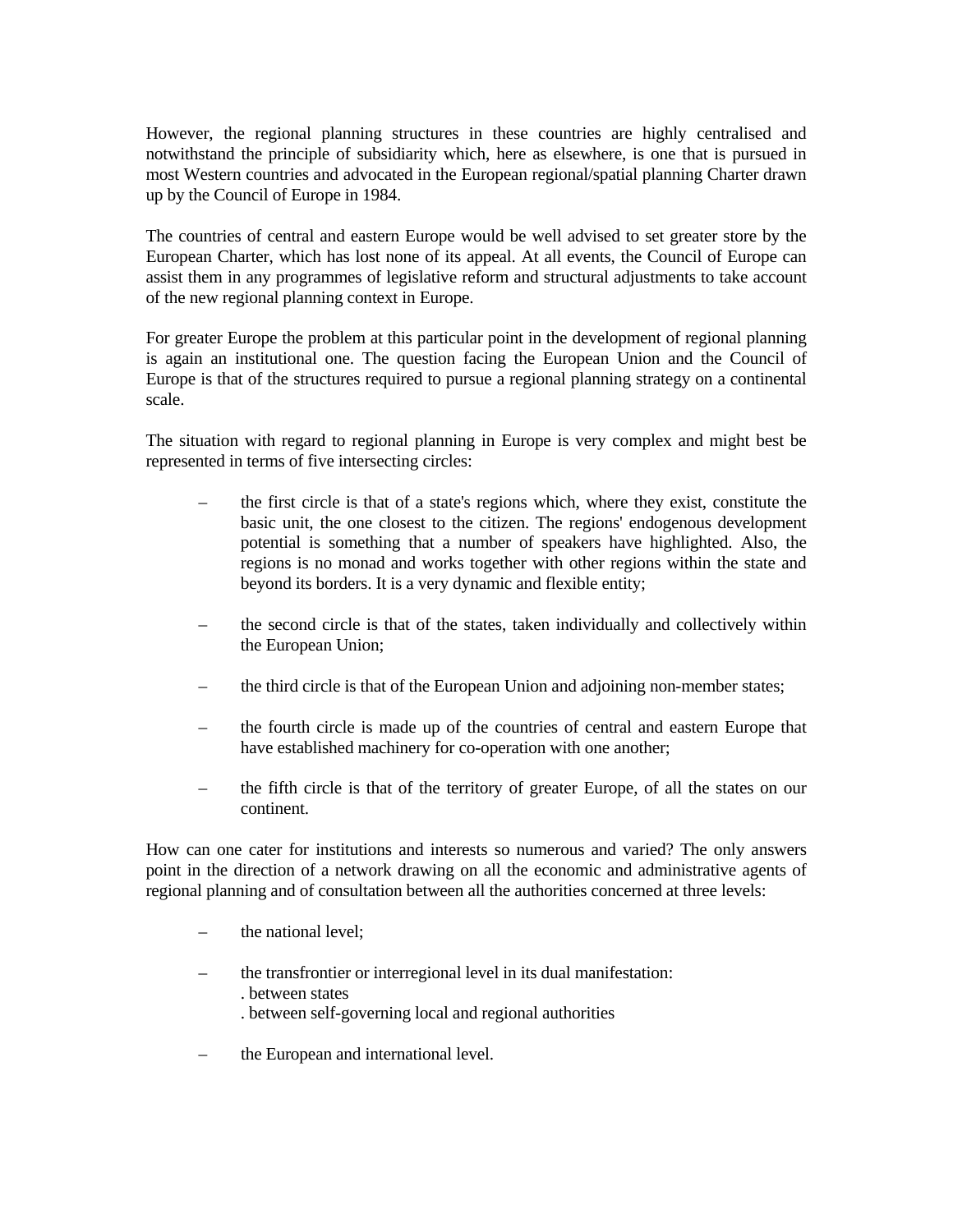However, the regional planning structures in these countries are highly centralised and notwithstand the principle of subsidiarity which, here as elsewhere, is one that is pursued in most Western countries and advocated in the European regional/spatial planning Charter drawn up by the Council of Europe in 1984.

The countries of central and eastern Europe would be well advised to set greater store by the European Charter, which has lost none of its appeal. At all events, the Council of Europe can assist them in any programmes of legislative reform and structural adjustments to take account of the new regional planning context in Europe.

For greater Europe the problem at this particular point in the development of regional planning is again an institutional one. The question facing the European Union and the Council of Europe is that of the structures required to pursue a regional planning strategy on a continental scale.

The situation with regard to regional planning in Europe is very complex and might best be represented in terms of five intersecting circles:

- the first circle is that of a state's regions which, where they exist, constitute the basic unit, the one closest to the citizen. The regions' endogenous development potential is something that a number of speakers have highlighted. Also, the regions is no monad and works together with other regions within the state and beyond its borders. It is a very dynamic and flexible entity;
- the second circle is that of the states, taken individually and collectively within the European Union;
- the third circle is that of the European Union and adjoining non-member states;
- the fourth circle is made up of the countries of central and eastern Europe that have established machinery for co-operation with one another;
- the fifth circle is that of the territory of greater Europe, of all the states on our continent.

How can one cater for institutions and interests so numerous and varied? The only answers point in the direction of a network drawing on all the economic and administrative agents of regional planning and of consultation between all the authorities concerned at three levels:

- the national level;
- the transfrontier or interregional level in its dual manifestation: . between states . between self-governing local and regional authorities
- the European and international level.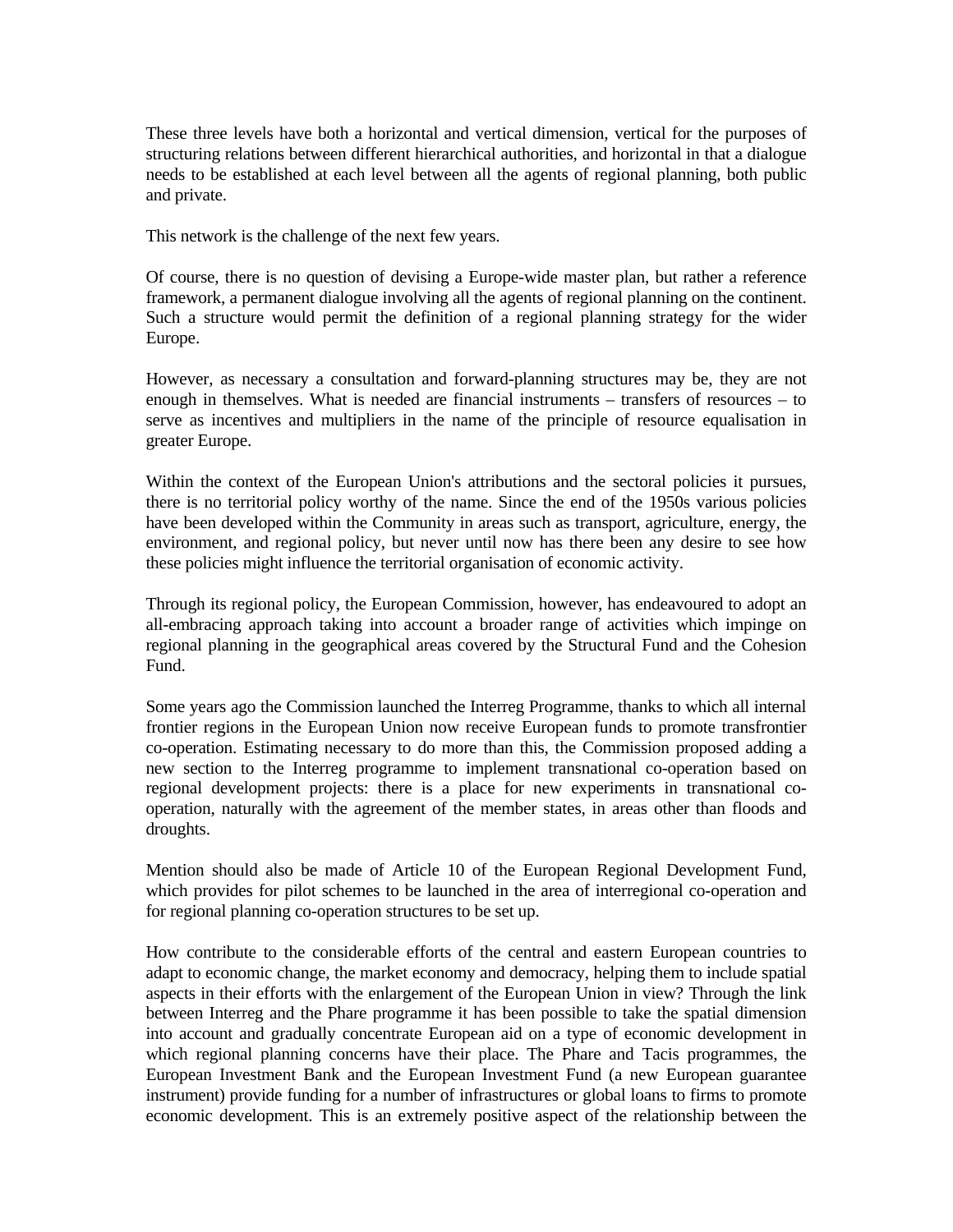These three levels have both a horizontal and vertical dimension, vertical for the purposes of structuring relations between different hierarchical authorities, and horizontal in that a dialogue needs to be established at each level between all the agents of regional planning, both public and private.

This network is the challenge of the next few years.

Of course, there is no question of devising a Europe-wide master plan, but rather a reference framework, a permanent dialogue involving all the agents of regional planning on the continent. Such a structure would permit the definition of a regional planning strategy for the wider Europe.

However, as necessary a consultation and forward-planning structures may be, they are not enough in themselves. What is needed are financial instruments – transfers of resources – to serve as incentives and multipliers in the name of the principle of resource equalisation in greater Europe.

Within the context of the European Union's attributions and the sectoral policies it pursues, there is no territorial policy worthy of the name. Since the end of the 1950s various policies have been developed within the Community in areas such as transport, agriculture, energy, the environment, and regional policy, but never until now has there been any desire to see how these policies might influence the territorial organisation of economic activity.

Through its regional policy, the European Commission, however, has endeavoured to adopt an all-embracing approach taking into account a broader range of activities which impinge on regional planning in the geographical areas covered by the Structural Fund and the Cohesion Fund.

Some years ago the Commission launched the Interreg Programme, thanks to which all internal frontier regions in the European Union now receive European funds to promote transfrontier co-operation. Estimating necessary to do more than this, the Commission proposed adding a new section to the Interreg programme to implement transnational co-operation based on regional development projects: there is a place for new experiments in transnational cooperation, naturally with the agreement of the member states, in areas other than floods and droughts.

Mention should also be made of Article 10 of the European Regional Development Fund, which provides for pilot schemes to be launched in the area of interregional co-operation and for regional planning co-operation structures to be set up.

How contribute to the considerable efforts of the central and eastern European countries to adapt to economic change, the market economy and democracy, helping them to include spatial aspects in their efforts with the enlargement of the European Union in view? Through the link between Interreg and the Phare programme it has been possible to take the spatial dimension into account and gradually concentrate European aid on a type of economic development in which regional planning concerns have their place. The Phare and Tacis programmes, the European Investment Bank and the European Investment Fund (a new European guarantee instrument) provide funding for a number of infrastructures or global loans to firms to promote economic development. This is an extremely positive aspect of the relationship between the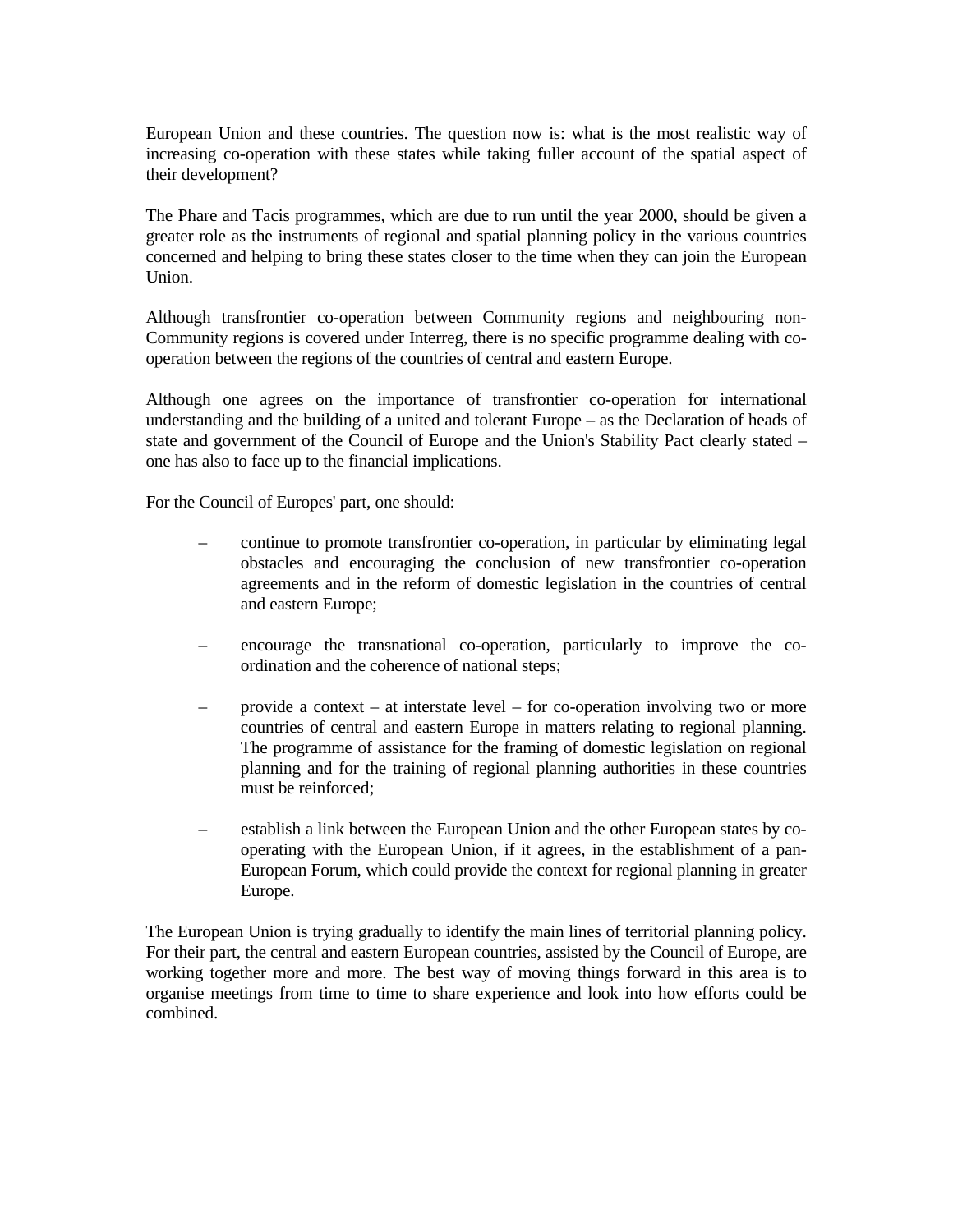European Union and these countries. The question now is: what is the most realistic way of increasing co-operation with these states while taking fuller account of the spatial aspect of their development?

The Phare and Tacis programmes, which are due to run until the year 2000, should be given a greater role as the instruments of regional and spatial planning policy in the various countries concerned and helping to bring these states closer to the time when they can join the European Union.

Although transfrontier co-operation between Community regions and neighbouring non-Community regions is covered under Interreg, there is no specific programme dealing with cooperation between the regions of the countries of central and eastern Europe.

Although one agrees on the importance of transfrontier co-operation for international understanding and the building of a united and tolerant Europe – as the Declaration of heads of state and government of the Council of Europe and the Union's Stability Pact clearly stated – one has also to face up to the financial implications.

For the Council of Europes' part, one should:

- continue to promote transfrontier co-operation, in particular by eliminating legal obstacles and encouraging the conclusion of new transfrontier co-operation agreements and in the reform of domestic legislation in the countries of central and eastern Europe;
- encourage the transnational co-operation, particularly to improve the co ordination and the coherence of national steps;
- provide a context at interstate level for co-operation involving two or more countries of central and eastern Europe in matters relating to regional planning. The programme of assistance for the framing of domestic legislation on regional planning and for the training of regional planning authorities in these countries must be reinforced;
- establish a link between the European Union and the other European states by co operating with the European Union, if it agrees, in the establishment of a pan- European Forum, which could provide the context for regional planning in greater Europe.

The European Union is trying gradually to identify the main lines of territorial planning policy. For their part, the central and eastern European countries, assisted by the Council of Europe, are working together more and more. The best way of moving things forward in this area is to organise meetings from time to time to share experience and look into how efforts could be combined.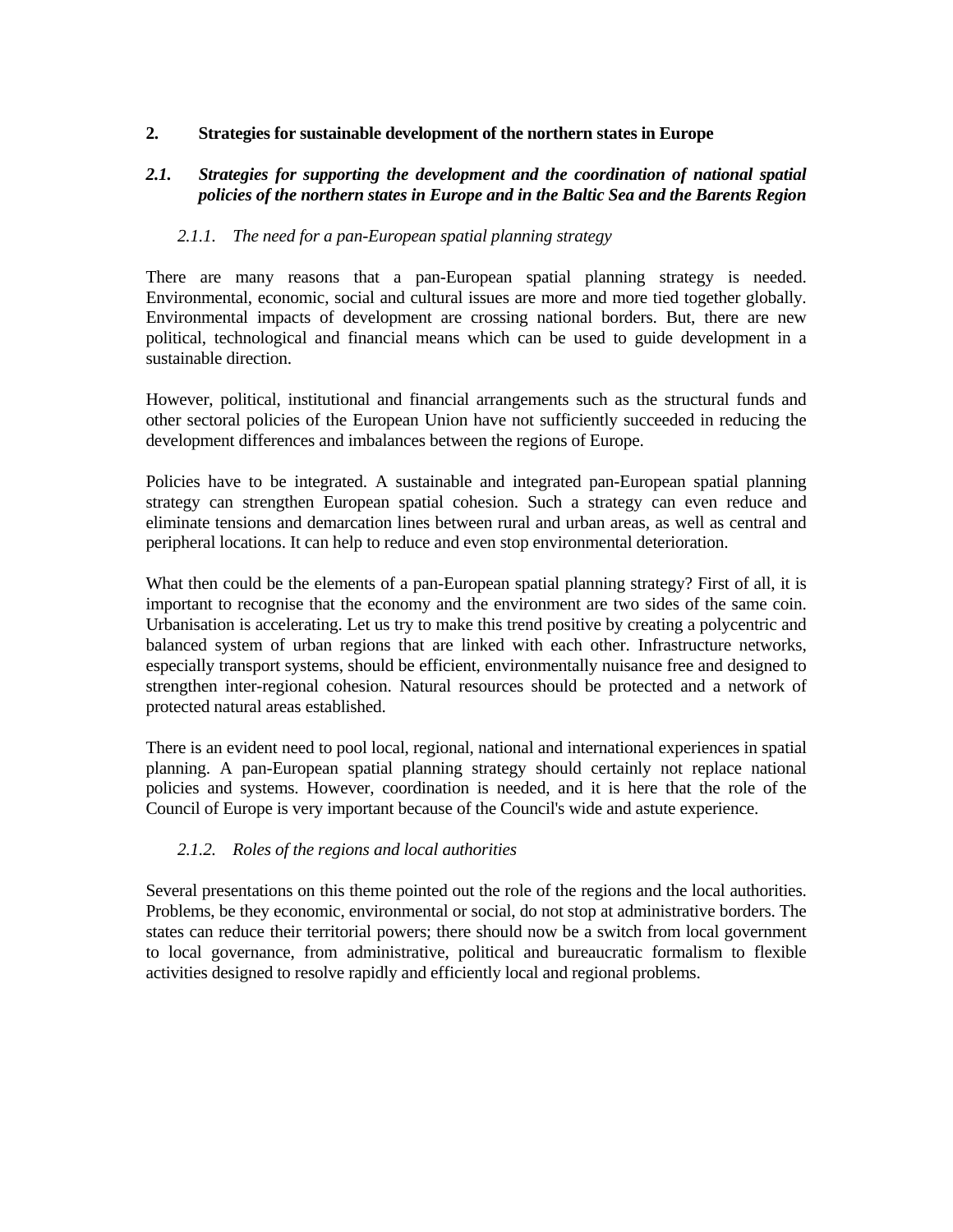#### **2. Strategies for sustainable development of the northern states in Europe**

### *2.1. Strategies for supporting the development and the coordination of national spatial policies of the northern states in Europe and in the Baltic Sea and the Barents Region*

#### *2.1.1. The need for a pan-European spatial planning strategy*

There are many reasons that a pan-European spatial planning strategy is needed. Environmental, economic, social and cultural issues are more and more tied together globally. Environmental impacts of development are crossing national borders. But, there are new political, technological and financial means which can be used to guide development in a sustainable direction.

However, political, institutional and financial arrangements such as the structural funds and other sectoral policies of the European Union have not sufficiently succeeded in reducing the development differences and imbalances between the regions of Europe.

Policies have to be integrated. A sustainable and integrated pan-European spatial planning strategy can strengthen European spatial cohesion. Such a strategy can even reduce and eliminate tensions and demarcation lines between rural and urban areas, as well as central and peripheral locations. It can help to reduce and even stop environmental deterioration.

What then could be the elements of a pan-European spatial planning strategy? First of all, it is important to recognise that the economy and the environment are two sides of the same coin. Urbanisation is accelerating. Let us try to make this trend positive by creating a polycentric and balanced system of urban regions that are linked with each other. Infrastructure networks, especially transport systems, should be efficient, environmentally nuisance free and designed to strengthen inter-regional cohesion. Natural resources should be protected and a network of protected natural areas established.

There is an evident need to pool local, regional, national and international experiences in spatial planning. A pan-European spatial planning strategy should certainly not replace national policies and systems. However, coordination is needed, and it is here that the role of the Council of Europe is very important because of the Council's wide and astute experience.

#### *2.1.2. Roles of the regions and local authorities*

Several presentations on this theme pointed out the role of the regions and the local authorities. Problems, be they economic, environmental or social, do not stop at administrative borders. The states can reduce their territorial powers; there should now be a switch from local government to local governance, from administrative, political and bureaucratic formalism to flexible activities designed to resolve rapidly and efficiently local and regional problems.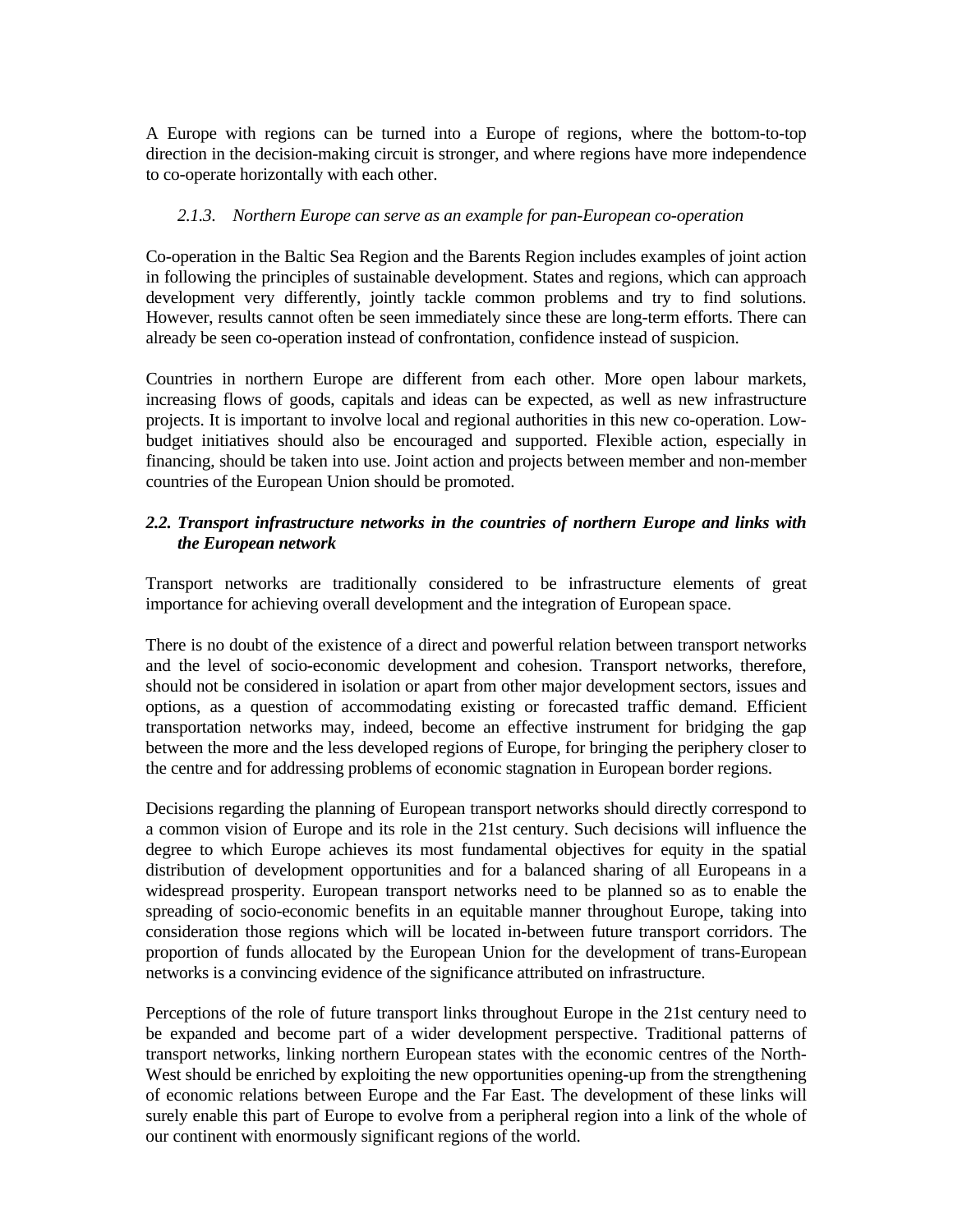A Europe with regions can be turned into a Europe of regions, where the bottom-to-top direction in the decision-making circuit is stronger, and where regions have more independence to co-operate horizontally with each other.

#### *2.1.3. Northern Europe can serve as an example for pan-European co-operation*

Co-operation in the Baltic Sea Region and the Barents Region includes examples of joint action in following the principles of sustainable development. States and regions, which can approach development very differently, jointly tackle common problems and try to find solutions. However, results cannot often be seen immediately since these are long-term efforts. There can already be seen co-operation instead of confrontation, confidence instead of suspicion.

Countries in northern Europe are different from each other. More open labour markets, increasing flows of goods, capitals and ideas can be expected, as well as new infrastructure projects. It is important to involve local and regional authorities in this new co-operation. Lowbudget initiatives should also be encouraged and supported. Flexible action, especially in financing, should be taken into use. Joint action and projects between member and non-member countries of the European Union should be promoted.

## *2.2. Transport infrastructure networks in the countries of northern Europe and links with the European network*

Transport networks are traditionally considered to be infrastructure elements of great importance for achieving overall development and the integration of European space.

There is no doubt of the existence of a direct and powerful relation between transport networks and the level of socio-economic development and cohesion. Transport networks, therefore, should not be considered in isolation or apart from other major development sectors, issues and options, as a question of accommodating existing or forecasted traffic demand. Efficient transportation networks may, indeed, become an effective instrument for bridging the gap between the more and the less developed regions of Europe, for bringing the periphery closer to the centre and for addressing problems of economic stagnation in European border regions.

Decisions regarding the planning of European transport networks should directly correspond to a common vision of Europe and its role in the 21st century. Such decisions will influence the degree to which Europe achieves its most fundamental objectives for equity in the spatial distribution of development opportunities and for a balanced sharing of all Europeans in a widespread prosperity. European transport networks need to be planned so as to enable the spreading of socio-economic benefits in an equitable manner throughout Europe, taking into consideration those regions which will be located in-between future transport corridors. The proportion of funds allocated by the European Union for the development of trans-European networks is a convincing evidence of the significance attributed on infrastructure.

Perceptions of the role of future transport links throughout Europe in the 21st century need to be expanded and become part of a wider development perspective. Traditional patterns of transport networks, linking northern European states with the economic centres of the North-West should be enriched by exploiting the new opportunities opening-up from the strengthening of economic relations between Europe and the Far East. The development of these links will surely enable this part of Europe to evolve from a peripheral region into a link of the whole of our continent with enormously significant regions of the world.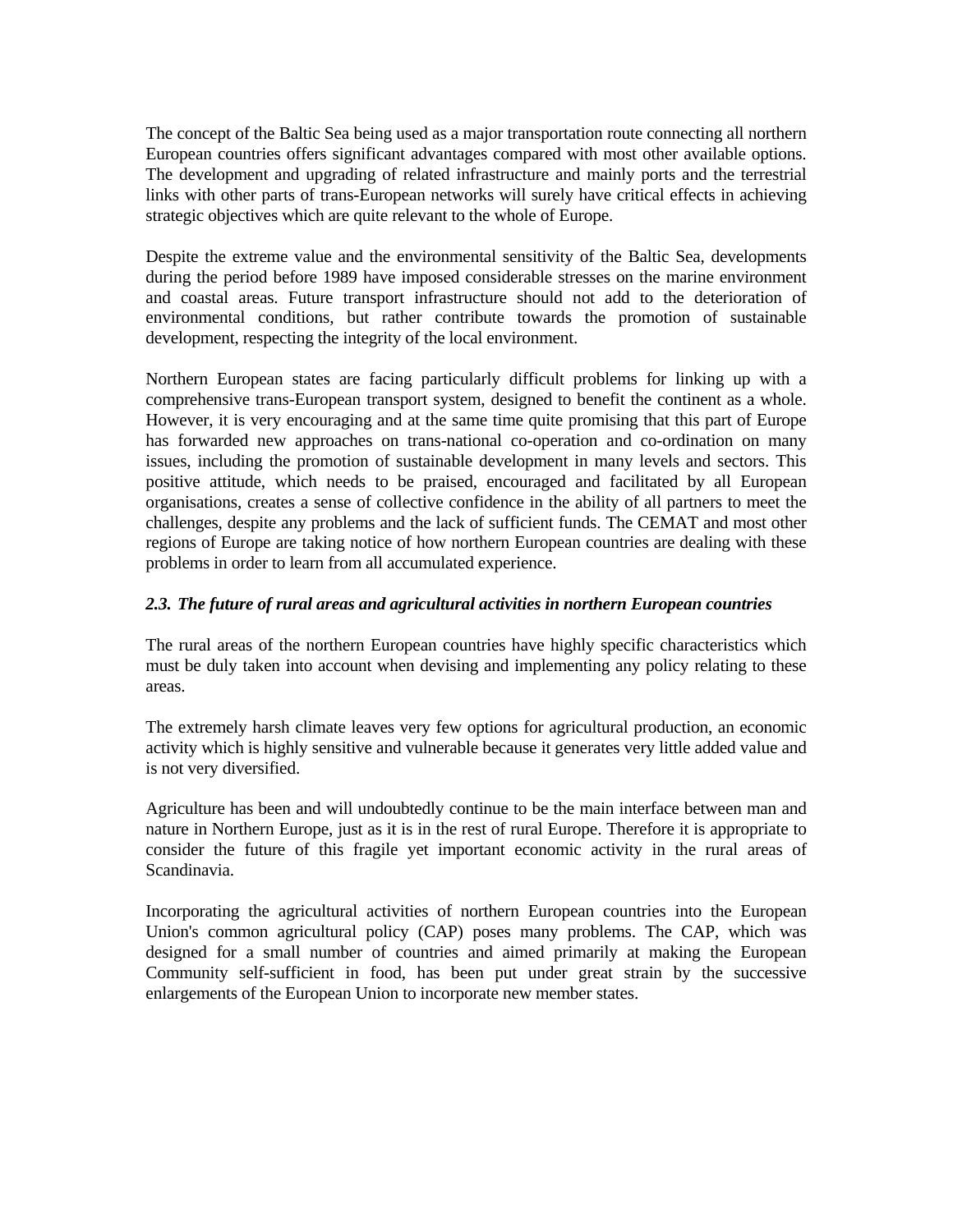The concept of the Baltic Sea being used as a major transportation route connecting all northern European countries offers significant advantages compared with most other available options. The development and upgrading of related infrastructure and mainly ports and the terrestrial links with other parts of trans-European networks will surely have critical effects in achieving strategic objectives which are quite relevant to the whole of Europe.

Despite the extreme value and the environmental sensitivity of the Baltic Sea, developments during the period before 1989 have imposed considerable stresses on the marine environment and coastal areas. Future transport infrastructure should not add to the deterioration of environmental conditions, but rather contribute towards the promotion of sustainable development, respecting the integrity of the local environment.

Northern European states are facing particularly difficult problems for linking up with a comprehensive trans-European transport system, designed to benefit the continent as a whole. However, it is very encouraging and at the same time quite promising that this part of Europe has forwarded new approaches on trans-national co-operation and co-ordination on many issues, including the promotion of sustainable development in many levels and sectors. This positive attitude, which needs to be praised, encouraged and facilitated by all European organisations, creates a sense of collective confidence in the ability of all partners to meet the challenges, despite any problems and the lack of sufficient funds. The CEMAT and most other regions of Europe are taking notice of how northern European countries are dealing with these problems in order to learn from all accumulated experience.

## *2.3. The future of rural areas and agricultural activities in northern European countries*

The rural areas of the northern European countries have highly specific characteristics which must be duly taken into account when devising and implementing any policy relating to these areas.

The extremely harsh climate leaves very few options for agricultural production, an economic activity which is highly sensitive and vulnerable because it generates very little added value and is not very diversified.

Agriculture has been and will undoubtedly continue to be the main interface between man and nature in Northern Europe, just as it is in the rest of rural Europe. Therefore it is appropriate to consider the future of this fragile yet important economic activity in the rural areas of Scandinavia.

Incorporating the agricultural activities of northern European countries into the European Union's common agricultural policy (CAP) poses many problems. The CAP, which was designed for a small number of countries and aimed primarily at making the European Community self-sufficient in food, has been put under great strain by the successive enlargements of the European Union to incorporate new member states.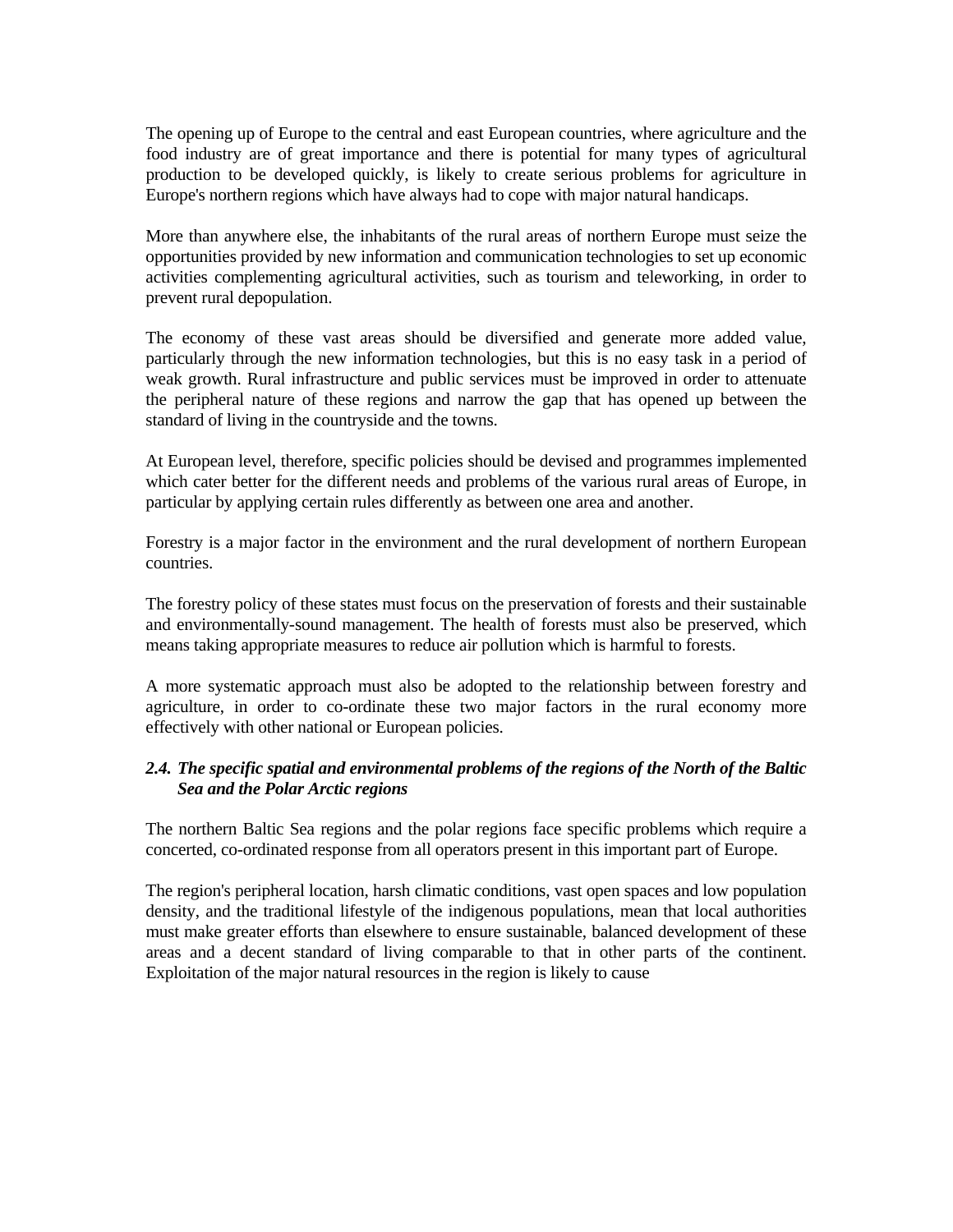The opening up of Europe to the central and east European countries, where agriculture and the food industry are of great importance and there is potential for many types of agricultural production to be developed quickly, is likely to create serious problems for agriculture in Europe's northern regions which have always had to cope with major natural handicaps.

More than anywhere else, the inhabitants of the rural areas of northern Europe must seize the opportunities provided by new information and communication technologies to set up economic activities complementing agricultural activities, such as tourism and teleworking, in order to prevent rural depopulation.

The economy of these vast areas should be diversified and generate more added value, particularly through the new information technologies, but this is no easy task in a period of weak growth. Rural infrastructure and public services must be improved in order to attenuate the peripheral nature of these regions and narrow the gap that has opened up between the standard of living in the countryside and the towns.

At European level, therefore, specific policies should be devised and programmes implemented which cater better for the different needs and problems of the various rural areas of Europe, in particular by applying certain rules differently as between one area and another.

Forestry is a major factor in the environment and the rural development of northern European countries.

The forestry policy of these states must focus on the preservation of forests and their sustainable and environmentally-sound management. The health of forests must also be preserved, which means taking appropriate measures to reduce air pollution which is harmful to forests.

A more systematic approach must also be adopted to the relationship between forestry and agriculture, in order to co-ordinate these two major factors in the rural economy more effectively with other national or European policies.

## *2.4. The specific spatial and environmental problems of the regions of the North of the Baltic Sea and the Polar Arctic regions*

The northern Baltic Sea regions and the polar regions face specific problems which require a concerted, co-ordinated response from all operators present in this important part of Europe.

The region's peripheral location, harsh climatic conditions, vast open spaces and low population density, and the traditional lifestyle of the indigenous populations, mean that local authorities must make greater efforts than elsewhere to ensure sustainable, balanced development of these areas and a decent standard of living comparable to that in other parts of the continent. Exploitation of the major natural resources in the region is likely to cause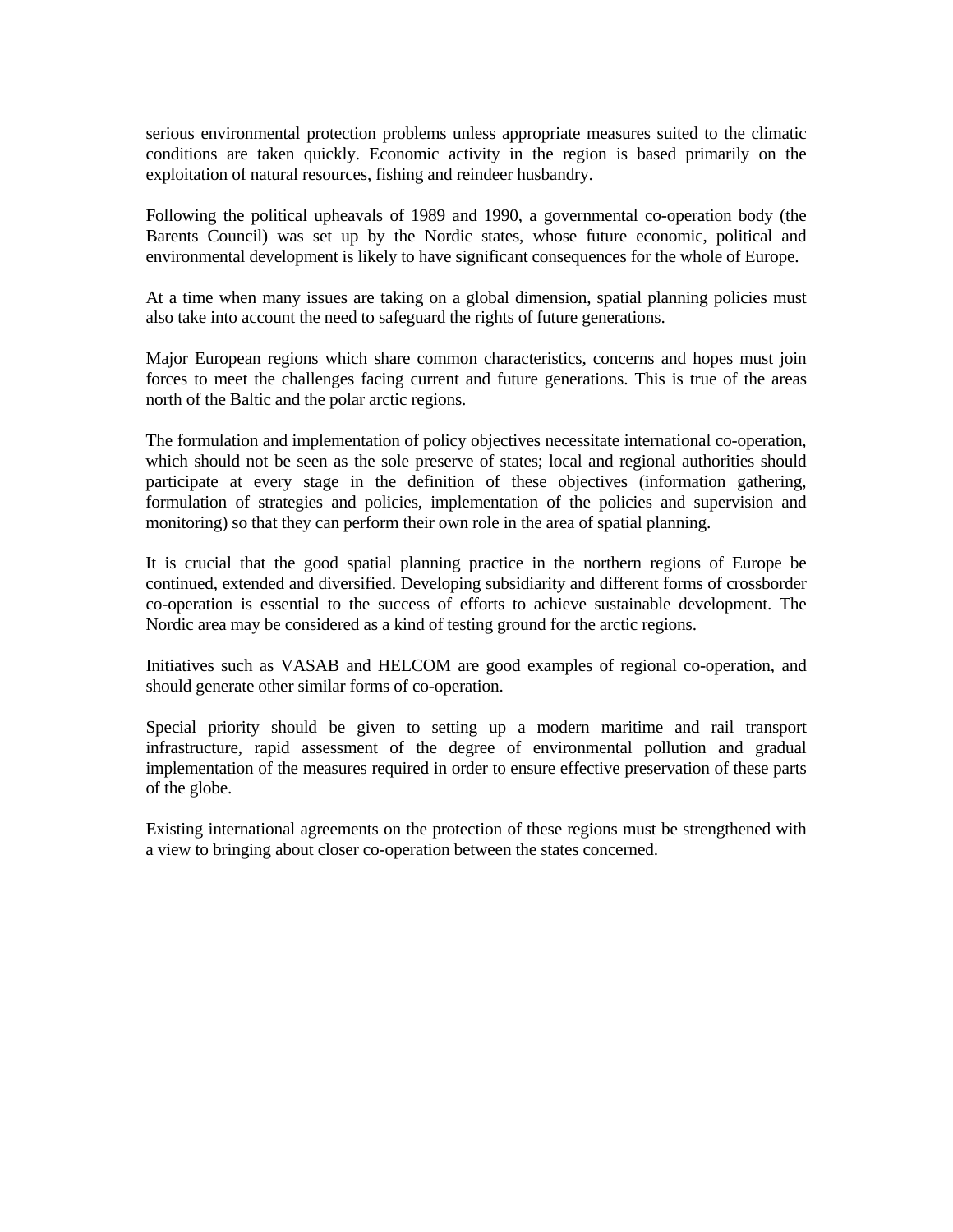serious environmental protection problems unless appropriate measures suited to the climatic conditions are taken quickly. Economic activity in the region is based primarily on the exploitation of natural resources, fishing and reindeer husbandry.

Following the political upheavals of 1989 and 1990, a governmental co-operation body (the Barents Council) was set up by the Nordic states, whose future economic, political and environmental development is likely to have significant consequences for the whole of Europe.

At a time when many issues are taking on a global dimension, spatial planning policies must also take into account the need to safeguard the rights of future generations.

Major European regions which share common characteristics, concerns and hopes must join forces to meet the challenges facing current and future generations. This is true of the areas north of the Baltic and the polar arctic regions.

The formulation and implementation of policy objectives necessitate international co-operation, which should not be seen as the sole preserve of states; local and regional authorities should participate at every stage in the definition of these objectives (information gathering, formulation of strategies and policies, implementation of the policies and supervision and monitoring) so that they can perform their own role in the area of spatial planning.

It is crucial that the good spatial planning practice in the northern regions of Europe be continued, extended and diversified. Developing subsidiarity and different forms of crossborder co-operation is essential to the success of efforts to achieve sustainable development. The Nordic area may be considered as a kind of testing ground for the arctic regions.

Initiatives such as VASAB and HELCOM are good examples of regional co-operation, and should generate other similar forms of co-operation.

Special priority should be given to setting up a modern maritime and rail transport infrastructure, rapid assessment of the degree of environmental pollution and gradual implementation of the measures required in order to ensure effective preservation of these parts of the globe.

Existing international agreements on the protection of these regions must be strengthened with a view to bringing about closer co-operation between the states concerned.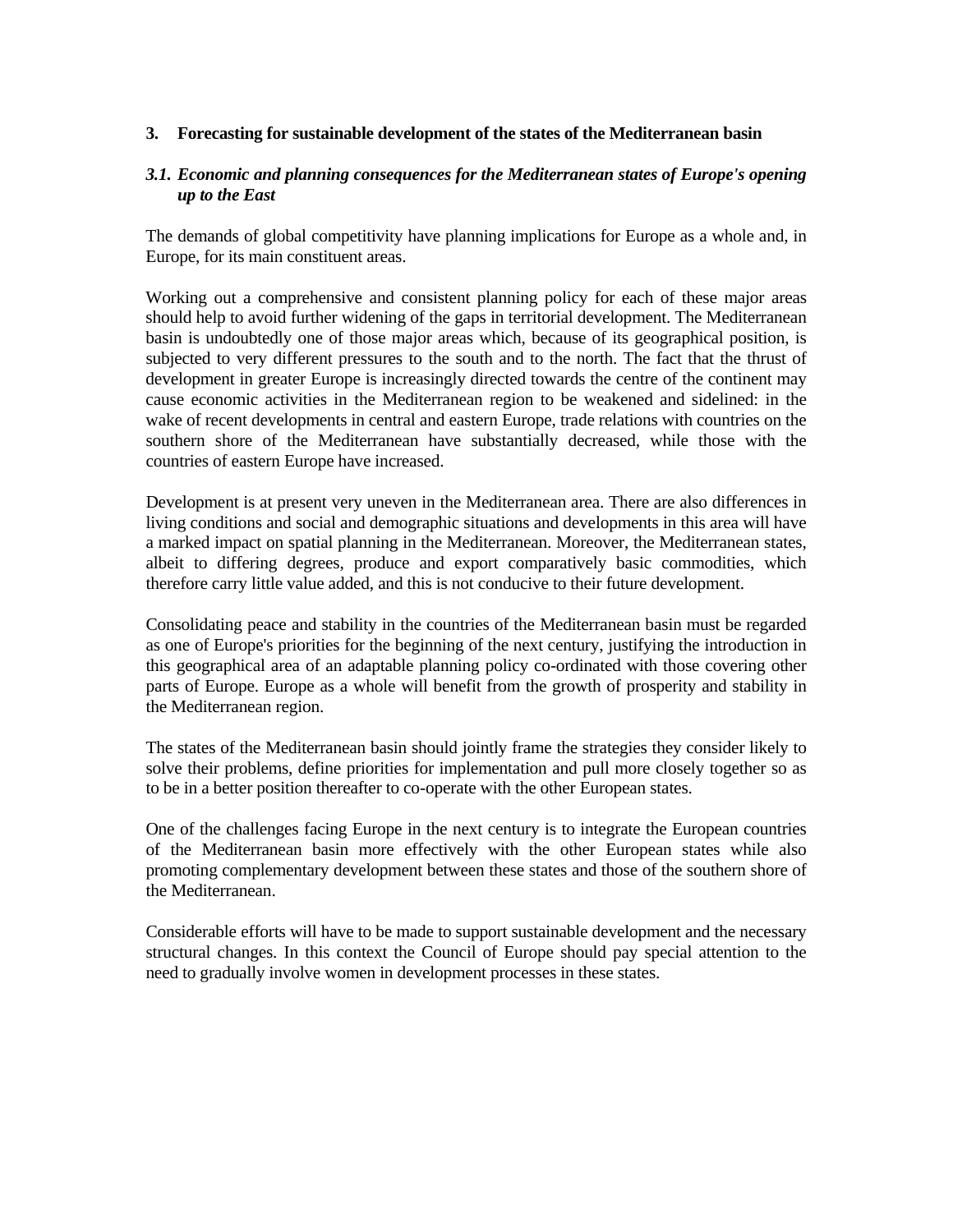#### **3. Forecasting for sustainable development of the states of the Mediterranean basin**

### *3.1. Economic and planning consequences for the Mediterranean states of Europe's opening up to the East*

The demands of global competitivity have planning implications for Europe as a whole and, in Europe, for its main constituent areas.

Working out a comprehensive and consistent planning policy for each of these major areas should help to avoid further widening of the gaps in territorial development. The Mediterranean basin is undoubtedly one of those major areas which, because of its geographical position, is subjected to very different pressures to the south and to the north. The fact that the thrust of development in greater Europe is increasingly directed towards the centre of the continent may cause economic activities in the Mediterranean region to be weakened and sidelined: in the wake of recent developments in central and eastern Europe, trade relations with countries on the southern shore of the Mediterranean have substantially decreased, while those with the countries of eastern Europe have increased.

Development is at present very uneven in the Mediterranean area. There are also differences in living conditions and social and demographic situations and developments in this area will have a marked impact on spatial planning in the Mediterranean. Moreover, the Mediterranean states, albeit to differing degrees, produce and export comparatively basic commodities, which therefore carry little value added, and this is not conducive to their future development.

Consolidating peace and stability in the countries of the Mediterranean basin must be regarded as one of Europe's priorities for the beginning of the next century, justifying the introduction in this geographical area of an adaptable planning policy co-ordinated with those covering other parts of Europe. Europe as a whole will benefit from the growth of prosperity and stability in the Mediterranean region.

The states of the Mediterranean basin should jointly frame the strategies they consider likely to solve their problems, define priorities for implementation and pull more closely together so as to be in a better position thereafter to co-operate with the other European states.

One of the challenges facing Europe in the next century is to integrate the European countries of the Mediterranean basin more effectively with the other European states while also promoting complementary development between these states and those of the southern shore of the Mediterranean.

Considerable efforts will have to be made to support sustainable development and the necessary structural changes. In this context the Council of Europe should pay special attention to the need to gradually involve women in development processes in these states.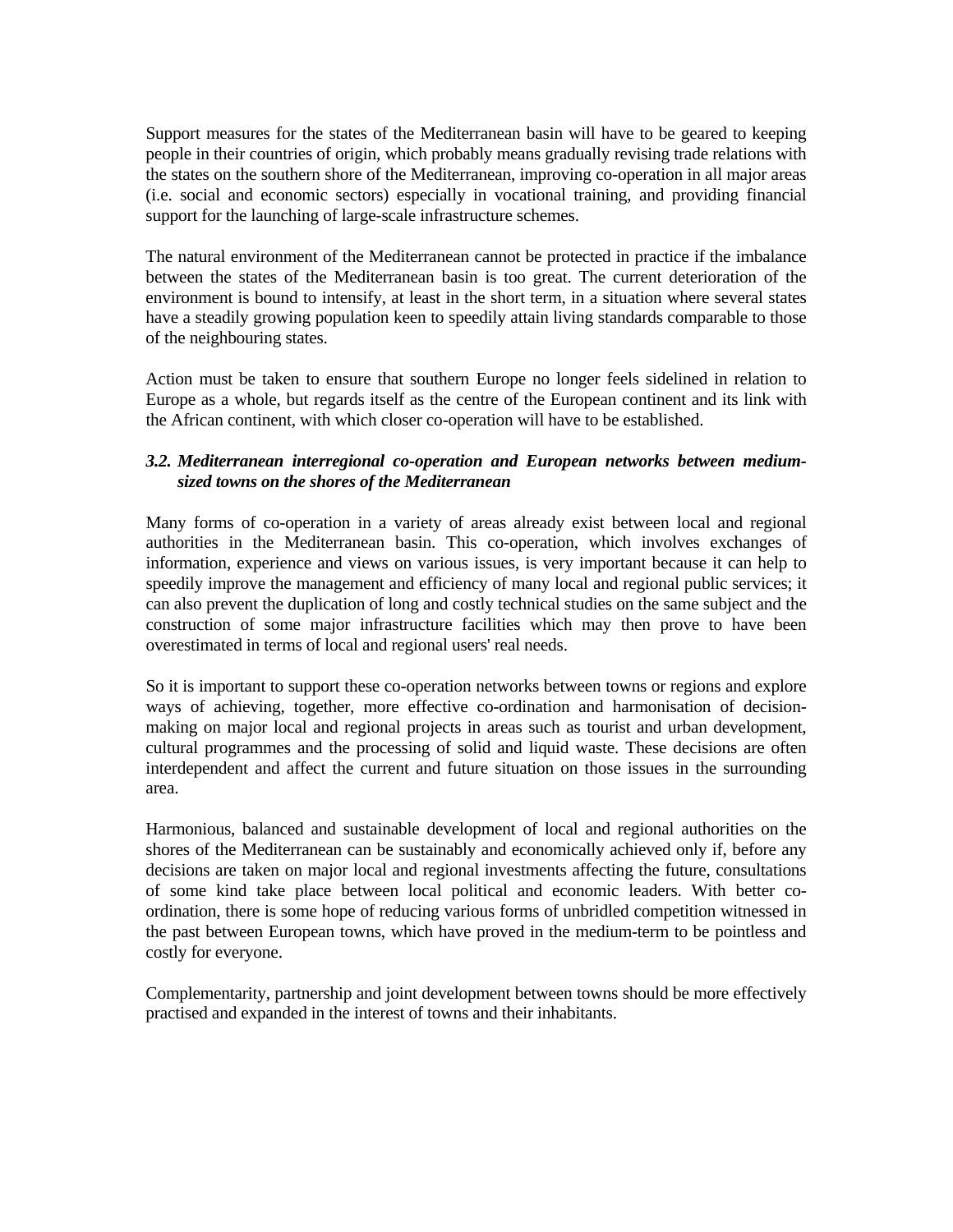Support measures for the states of the Mediterranean basin will have to be geared to keeping people in their countries of origin, which probably means gradually revising trade relations with the states on the southern shore of the Mediterranean, improving co-operation in all major areas (i.e. social and economic sectors) especially in vocational training, and providing financial support for the launching of large-scale infrastructure schemes.

The natural environment of the Mediterranean cannot be protected in practice if the imbalance between the states of the Mediterranean basin is too great. The current deterioration of the environment is bound to intensify, at least in the short term, in a situation where several states have a steadily growing population keen to speedily attain living standards comparable to those of the neighbouring states.

Action must be taken to ensure that southern Europe no longer feels sidelined in relation to Europe as a whole, but regards itself as the centre of the European continent and its link with the African continent, with which closer co-operation will have to be established.

## *3.2. Mediterranean interregional co-operation and European networks between mediumsized towns on the shores of the Mediterranean*

Many forms of co-operation in a variety of areas already exist between local and regional authorities in the Mediterranean basin. This co-operation, which involves exchanges of information, experience and views on various issues, is very important because it can help to speedily improve the management and efficiency of many local and regional public services; it can also prevent the duplication of long and costly technical studies on the same subject and the construction of some major infrastructure facilities which may then prove to have been overestimated in terms of local and regional users' real needs.

So it is important to support these co-operation networks between towns or regions and explore ways of achieving, together, more effective co-ordination and harmonisation of decisionmaking on major local and regional projects in areas such as tourist and urban development, cultural programmes and the processing of solid and liquid waste. These decisions are often interdependent and affect the current and future situation on those issues in the surrounding area.

Harmonious, balanced and sustainable development of local and regional authorities on the shores of the Mediterranean can be sustainably and economically achieved only if, before any decisions are taken on major local and regional investments affecting the future, consultations of some kind take place between local political and economic leaders. With better coordination, there is some hope of reducing various forms of unbridled competition witnessed in the past between European towns, which have proved in the medium-term to be pointless and costly for everyone.

Complementarity, partnership and joint development between towns should be more effectively practised and expanded in the interest of towns and their inhabitants.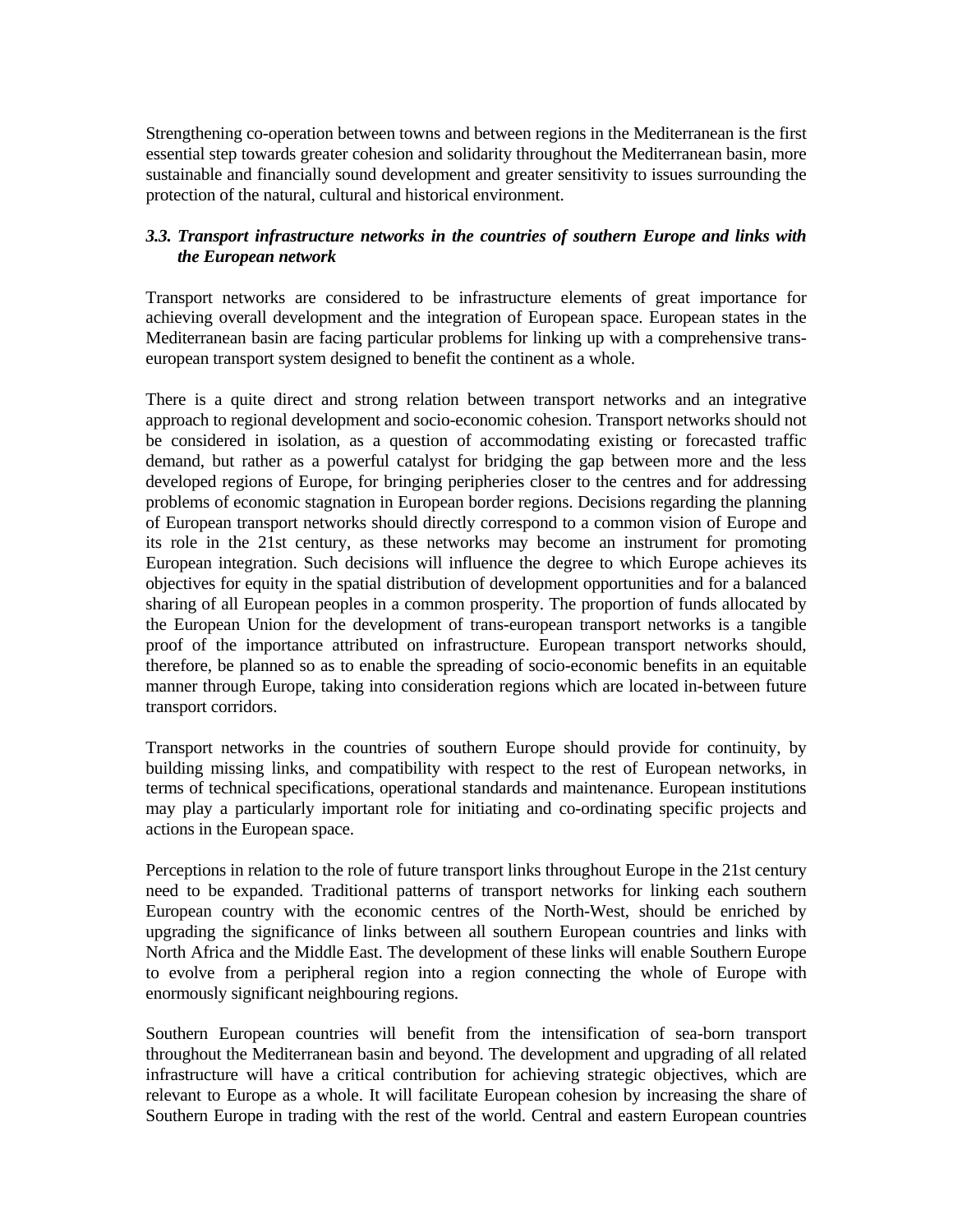Strengthening co-operation between towns and between regions in the Mediterranean is the first essential step towards greater cohesion and solidarity throughout the Mediterranean basin, more sustainable and financially sound development and greater sensitivity to issues surrounding the protection of the natural, cultural and historical environment.

## *3.3. Transport infrastructure networks in the countries of southern Europe and links with the European network*

Transport networks are considered to be infrastructure elements of great importance for achieving overall development and the integration of European space. European states in the Mediterranean basin are facing particular problems for linking up with a comprehensive transeuropean transport system designed to benefit the continent as a whole.

There is a quite direct and strong relation between transport networks and an integrative approach to regional development and socio-economic cohesion. Transport networks should not be considered in isolation, as a question of accommodating existing or forecasted traffic demand, but rather as a powerful catalyst for bridging the gap between more and the less developed regions of Europe, for bringing peripheries closer to the centres and for addressing problems of economic stagnation in European border regions. Decisions regarding the planning of European transport networks should directly correspond to a common vision of Europe and its role in the 21st century, as these networks may become an instrument for promoting European integration. Such decisions will influence the degree to which Europe achieves its objectives for equity in the spatial distribution of development opportunities and for a balanced sharing of all European peoples in a common prosperity. The proportion of funds allocated by the European Union for the development of trans-european transport networks is a tangible proof of the importance attributed on infrastructure. European transport networks should, therefore, be planned so as to enable the spreading of socio-economic benefits in an equitable manner through Europe, taking into consideration regions which are located in-between future transport corridors.

Transport networks in the countries of southern Europe should provide for continuity, by building missing links, and compatibility with respect to the rest of European networks, in terms of technical specifications, operational standards and maintenance. European institutions may play a particularly important role for initiating and co-ordinating specific projects and actions in the European space.

Perceptions in relation to the role of future transport links throughout Europe in the 21st century need to be expanded. Traditional patterns of transport networks for linking each southern European country with the economic centres of the North-West, should be enriched by upgrading the significance of links between all southern European countries and links with North Africa and the Middle East. The development of these links will enable Southern Europe to evolve from a peripheral region into a region connecting the whole of Europe with enormously significant neighbouring regions.

Southern European countries will benefit from the intensification of sea-born transport throughout the Mediterranean basin and beyond. The development and upgrading of all related infrastructure will have a critical contribution for achieving strategic objectives, which are relevant to Europe as a whole. It will facilitate European cohesion by increasing the share of Southern Europe in trading with the rest of the world. Central and eastern European countries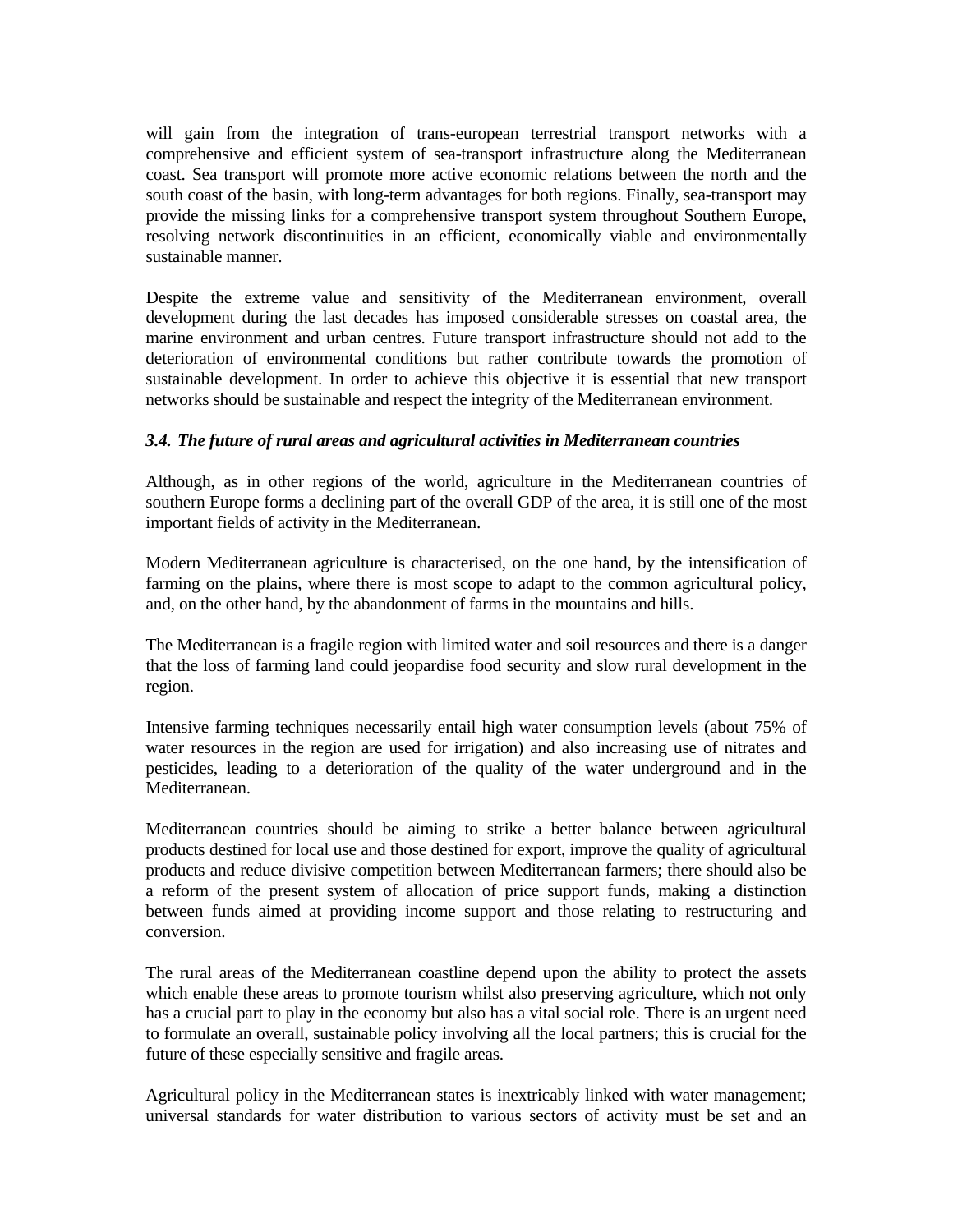will gain from the integration of trans-european terrestrial transport networks with a comprehensive and efficient system of sea-transport infrastructure along the Mediterranean coast. Sea transport will promote more active economic relations between the north and the south coast of the basin, with long-term advantages for both regions. Finally, sea-transport may provide the missing links for a comprehensive transport system throughout Southern Europe, resolving network discontinuities in an efficient, economically viable and environmentally sustainable manner.

Despite the extreme value and sensitivity of the Mediterranean environment, overall development during the last decades has imposed considerable stresses on coastal area, the marine environment and urban centres. Future transport infrastructure should not add to the deterioration of environmental conditions but rather contribute towards the promotion of sustainable development. In order to achieve this objective it is essential that new transport networks should be sustainable and respect the integrity of the Mediterranean environment.

#### *3.4. The future of rural areas and agricultural activities in Mediterranean countries*

Although, as in other regions of the world, agriculture in the Mediterranean countries of southern Europe forms a declining part of the overall GDP of the area, it is still one of the most important fields of activity in the Mediterranean.

Modern Mediterranean agriculture is characterised, on the one hand, by the intensification of farming on the plains, where there is most scope to adapt to the common agricultural policy, and, on the other hand, by the abandonment of farms in the mountains and hills.

The Mediterranean is a fragile region with limited water and soil resources and there is a danger that the loss of farming land could jeopardise food security and slow rural development in the region.

Intensive farming techniques necessarily entail high water consumption levels (about 75% of water resources in the region are used for irrigation) and also increasing use of nitrates and pesticides, leading to a deterioration of the quality of the water underground and in the Mediterranean.

Mediterranean countries should be aiming to strike a better balance between agricultural products destined for local use and those destined for export, improve the quality of agricultural products and reduce divisive competition between Mediterranean farmers; there should also be a reform of the present system of allocation of price support funds, making a distinction between funds aimed at providing income support and those relating to restructuring and conversion.

The rural areas of the Mediterranean coastline depend upon the ability to protect the assets which enable these areas to promote tourism whilst also preserving agriculture, which not only has a crucial part to play in the economy but also has a vital social role. There is an urgent need to formulate an overall, sustainable policy involving all the local partners; this is crucial for the future of these especially sensitive and fragile areas.

Agricultural policy in the Mediterranean states is inextricably linked with water management; universal standards for water distribution to various sectors of activity must be set and an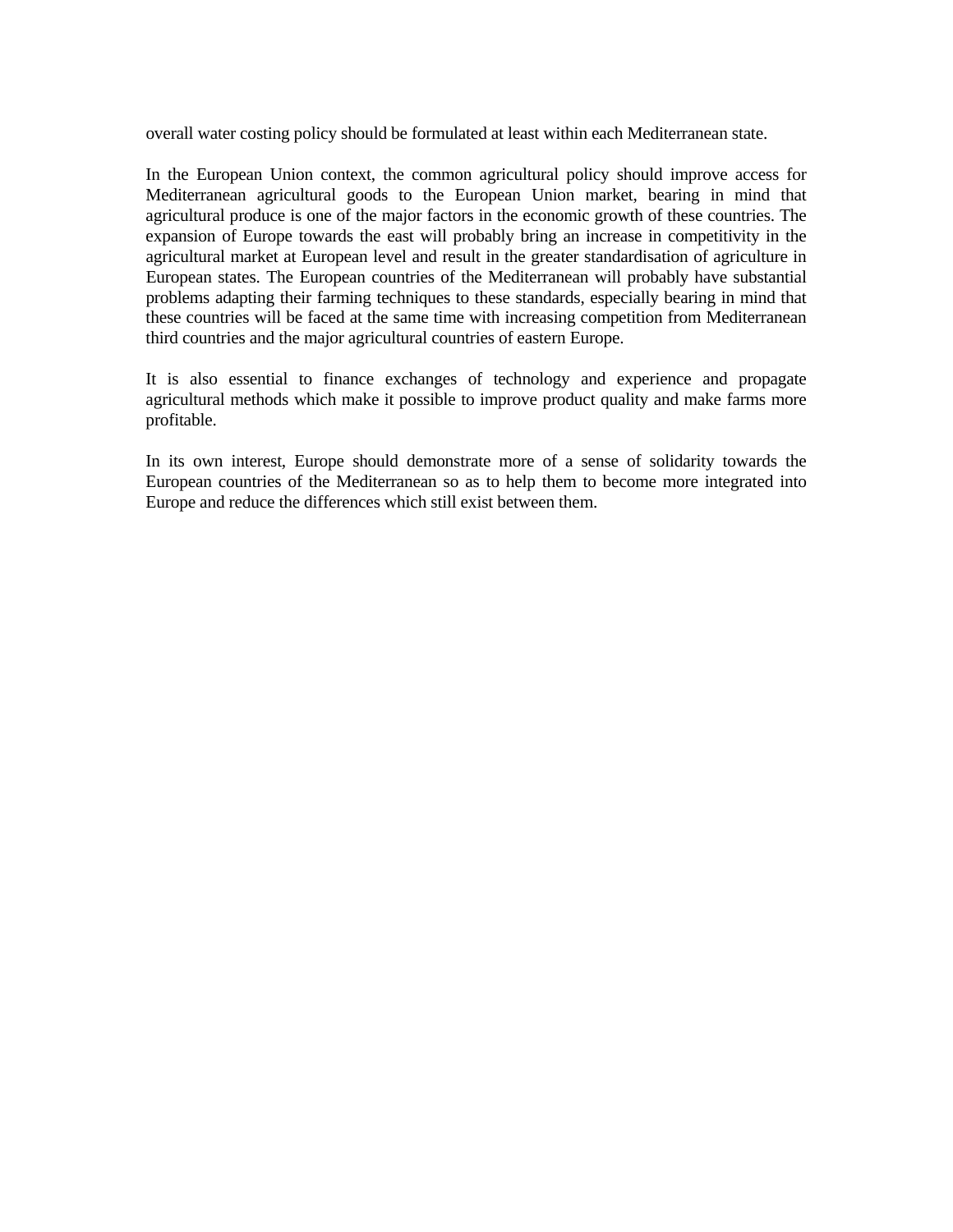overall water costing policy should be formulated at least within each Mediterranean state.

In the European Union context, the common agricultural policy should improve access for Mediterranean agricultural goods to the European Union market, bearing in mind that agricultural produce is one of the major factors in the economic growth of these countries. The expansion of Europe towards the east will probably bring an increase in competitivity in the agricultural market at European level and result in the greater standardisation of agriculture in European states. The European countries of the Mediterranean will probably have substantial problems adapting their farming techniques to these standards, especially bearing in mind that these countries will be faced at the same time with increasing competition from Mediterranean third countries and the major agricultural countries of eastern Europe.

It is also essential to finance exchanges of technology and experience and propagate agricultural methods which make it possible to improve product quality and make farms more profitable.

In its own interest, Europe should demonstrate more of a sense of solidarity towards the European countries of the Mediterranean so as to help them to become more integrated into Europe and reduce the differences which still exist between them.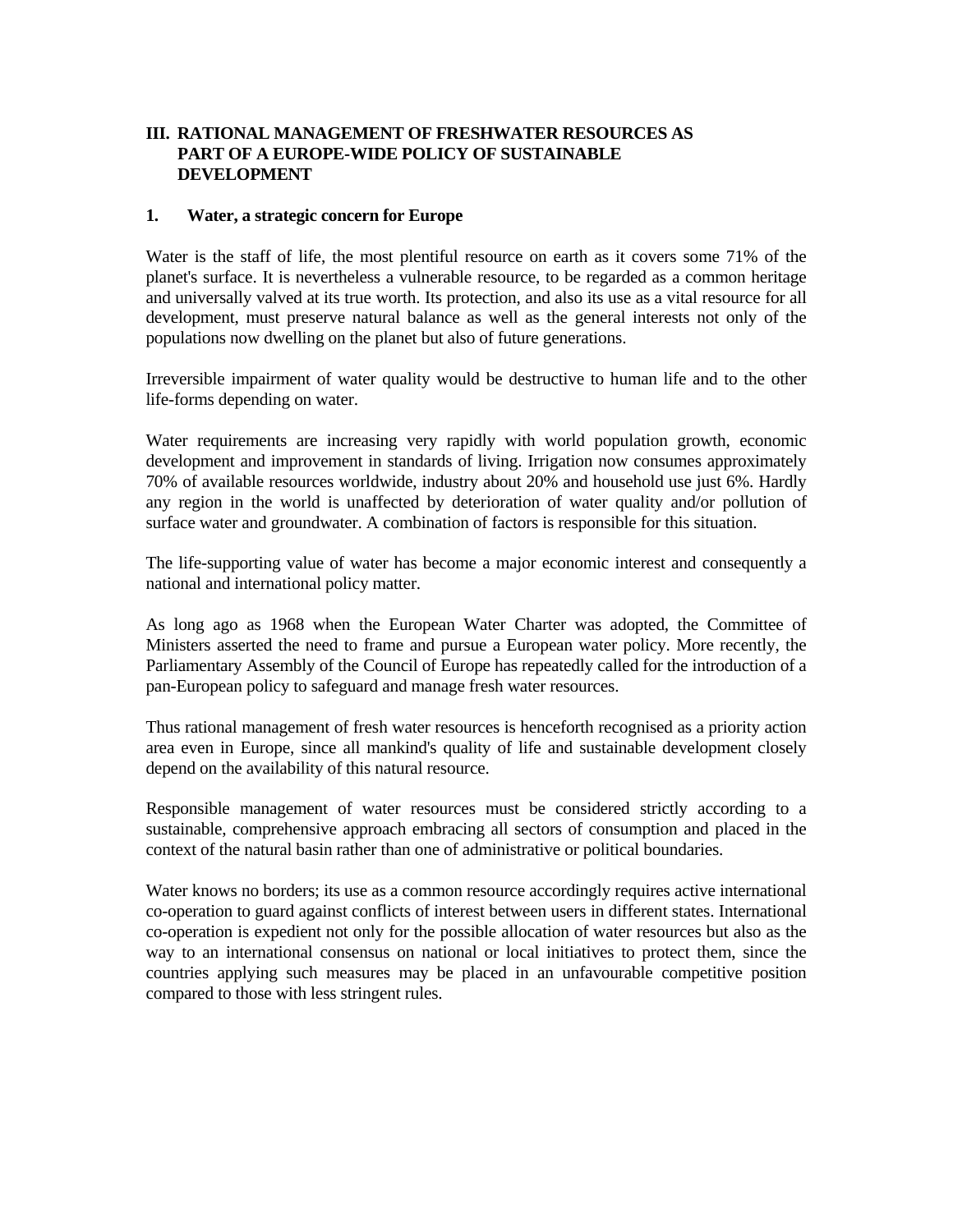## **III. RATIONAL MANAGEMENT OF FRESHWATER RESOURCES AS PART OF A EUROPE-WIDE POLICY OF SUSTAINABLE DEVELOPMENT**

#### **1. Water, a strategic concern for Europe**

Water is the staff of life, the most plentiful resource on earth as it covers some 71% of the planet's surface. It is nevertheless a vulnerable resource, to be regarded as a common heritage and universally valved at its true worth. Its protection, and also its use as a vital resource for all development, must preserve natural balance as well as the general interests not only of the populations now dwelling on the planet but also of future generations.

Irreversible impairment of water quality would be destructive to human life and to the other life-forms depending on water.

Water requirements are increasing very rapidly with world population growth, economic development and improvement in standards of living. Irrigation now consumes approximately 70% of available resources worldwide, industry about 20% and household use just 6%. Hardly any region in the world is unaffected by deterioration of water quality and/or pollution of surface water and groundwater. A combination of factors is responsible for this situation.

The life-supporting value of water has become a major economic interest and consequently a national and international policy matter.

As long ago as 1968 when the European Water Charter was adopted, the Committee of Ministers asserted the need to frame and pursue a European water policy. More recently, the Parliamentary Assembly of the Council of Europe has repeatedly called for the introduction of a pan-European policy to safeguard and manage fresh water resources.

Thus rational management of fresh water resources is henceforth recognised as a priority action area even in Europe, since all mankind's quality of life and sustainable development closely depend on the availability of this natural resource.

Responsible management of water resources must be considered strictly according to a sustainable, comprehensive approach embracing all sectors of consumption and placed in the context of the natural basin rather than one of administrative or political boundaries.

Water knows no borders; its use as a common resource accordingly requires active international co-operation to guard against conflicts of interest between users in different states. International co-operation is expedient not only for the possible allocation of water resources but also as the way to an international consensus on national or local initiatives to protect them, since the countries applying such measures may be placed in an unfavourable competitive position compared to those with less stringent rules.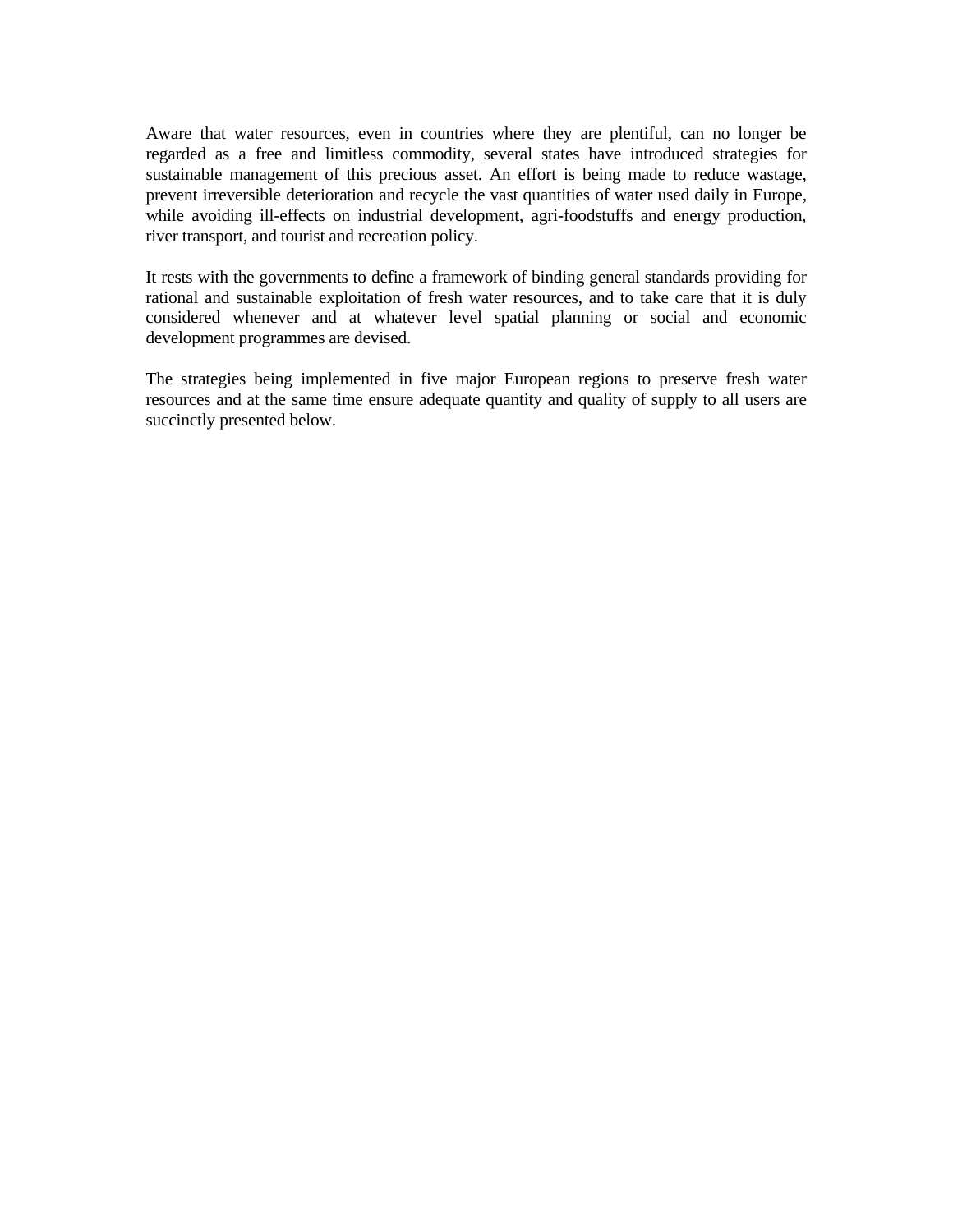Aware that water resources, even in countries where they are plentiful, can no longer be regarded as a free and limitless commodity, several states have introduced strategies for sustainable management of this precious asset. An effort is being made to reduce wastage, prevent irreversible deterioration and recycle the vast quantities of water used daily in Europe, while avoiding ill-effects on industrial development, agri-foodstuffs and energy production, river transport, and tourist and recreation policy.

It rests with the governments to define a framework of binding general standards providing for rational and sustainable exploitation of fresh water resources, and to take care that it is duly considered whenever and at whatever level spatial planning or social and economic development programmes are devised.

The strategies being implemented in five major European regions to preserve fresh water resources and at the same time ensure adequate quantity and quality of supply to all users are succinctly presented below.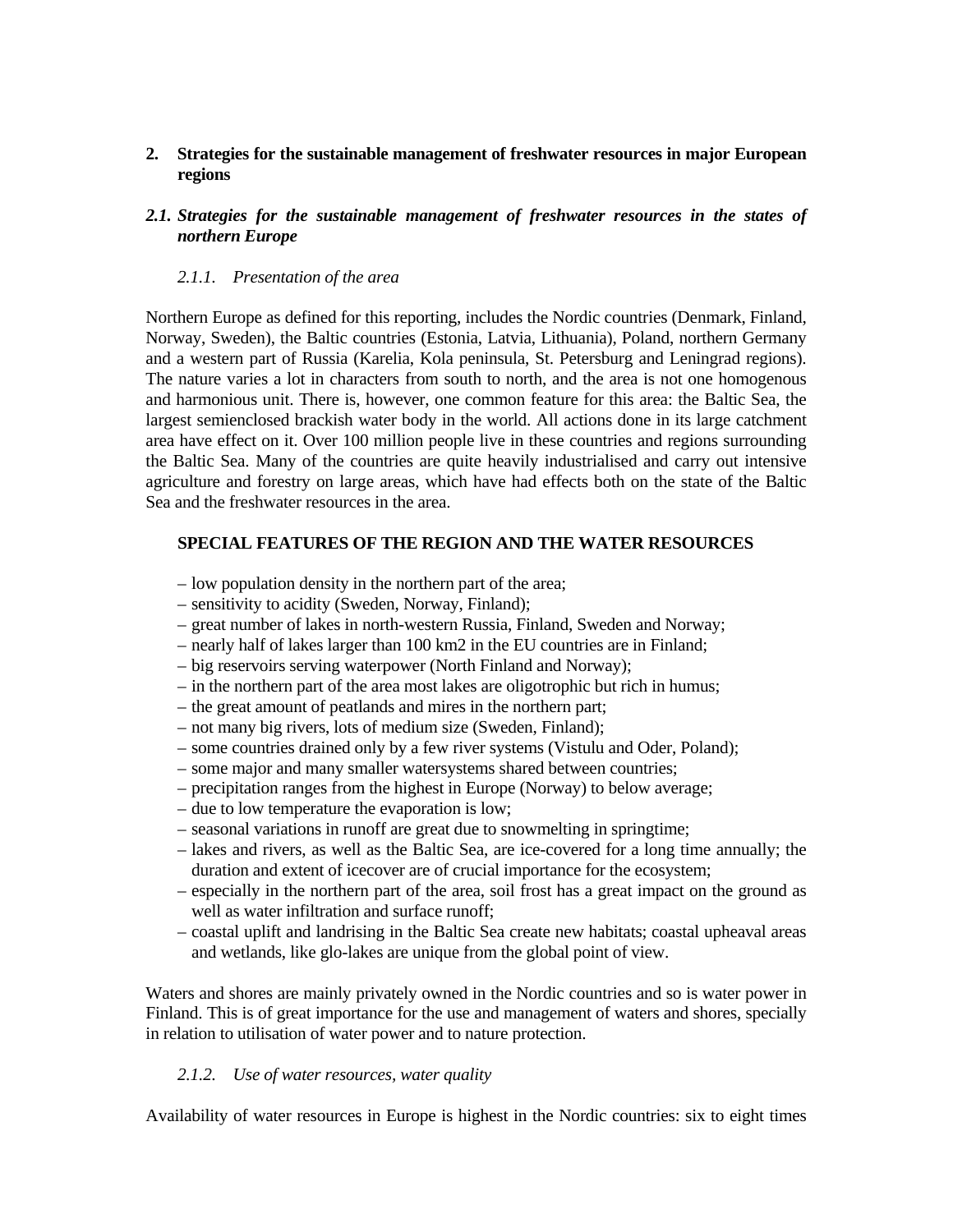### **2. Strategies for the sustainable management of freshwater resources in major European regions**

#### *2.1. Strategies for the sustainable management of freshwater resources in the states of northern Europe*

#### *2.1.1. Presentation of the area*

Northern Europe as defined for this reporting, includes the Nordic countries (Denmark, Finland, Norway, Sweden), the Baltic countries (Estonia, Latvia, Lithuania), Poland, northern Germany and a western part of Russia (Karelia, Kola peninsula, St. Petersburg and Leningrad regions). The nature varies a lot in characters from south to north, and the area is not one homogenous and harmonious unit. There is, however, one common feature for this area: the Baltic Sea, the largest semienclosed brackish water body in the world. All actions done in its large catchment area have effect on it. Over 100 million people live in these countries and regions surrounding the Baltic Sea. Many of the countries are quite heavily industrialised and carry out intensive agriculture and forestry on large areas, which have had effects both on the state of the Baltic Sea and the freshwater resources in the area.

#### **SPECIAL FEATURES OF THE REGION AND THE WATER RESOURCES**

- low population density in the northern part of the area;
- sensitivity to acidity (Sweden, Norway, Finland);
- great number of lakes in north-western Russia, Finland, Sweden and Norway;
- nearly half of lakes larger than 100 km2 in the EU countries are in Finland;
- big reservoirs serving waterpower (North Finland and Norway);
- in the northern part of the area most lakes are oligotrophic but rich in humus;
- the great amount of peatlands and mires in the northern part;
- not many big rivers, lots of medium size (Sweden, Finland);
- some countries drained only by a few river systems (Vistulu and Oder, Poland);
- some major and many smaller watersystems shared between countries;
- precipitation ranges from the highest in Europe (Norway) to below average;
- due to low temperature the evaporation is low;
- seasonal variations in runoff are great due to snowmelting in springtime;
- lakes and rivers, as well as the Baltic Sea, are ice-covered for a long time annually; the duration and extent of icecover are of crucial importance for the ecosystem;
- especially in the northern part of the area, soil frost has a great impact on the ground as well as water infiltration and surface runoff;
- coastal uplift and landrising in the Baltic Sea create new habitats; coastal upheaval areas and wetlands, like glo-lakes are unique from the global point of view.

Waters and shores are mainly privately owned in the Nordic countries and so is water power in Finland. This is of great importance for the use and management of waters and shores, specially in relation to utilisation of water power and to nature protection.

#### *2.1.2. Use of water resources, water quality*

Availability of water resources in Europe is highest in the Nordic countries: six to eight times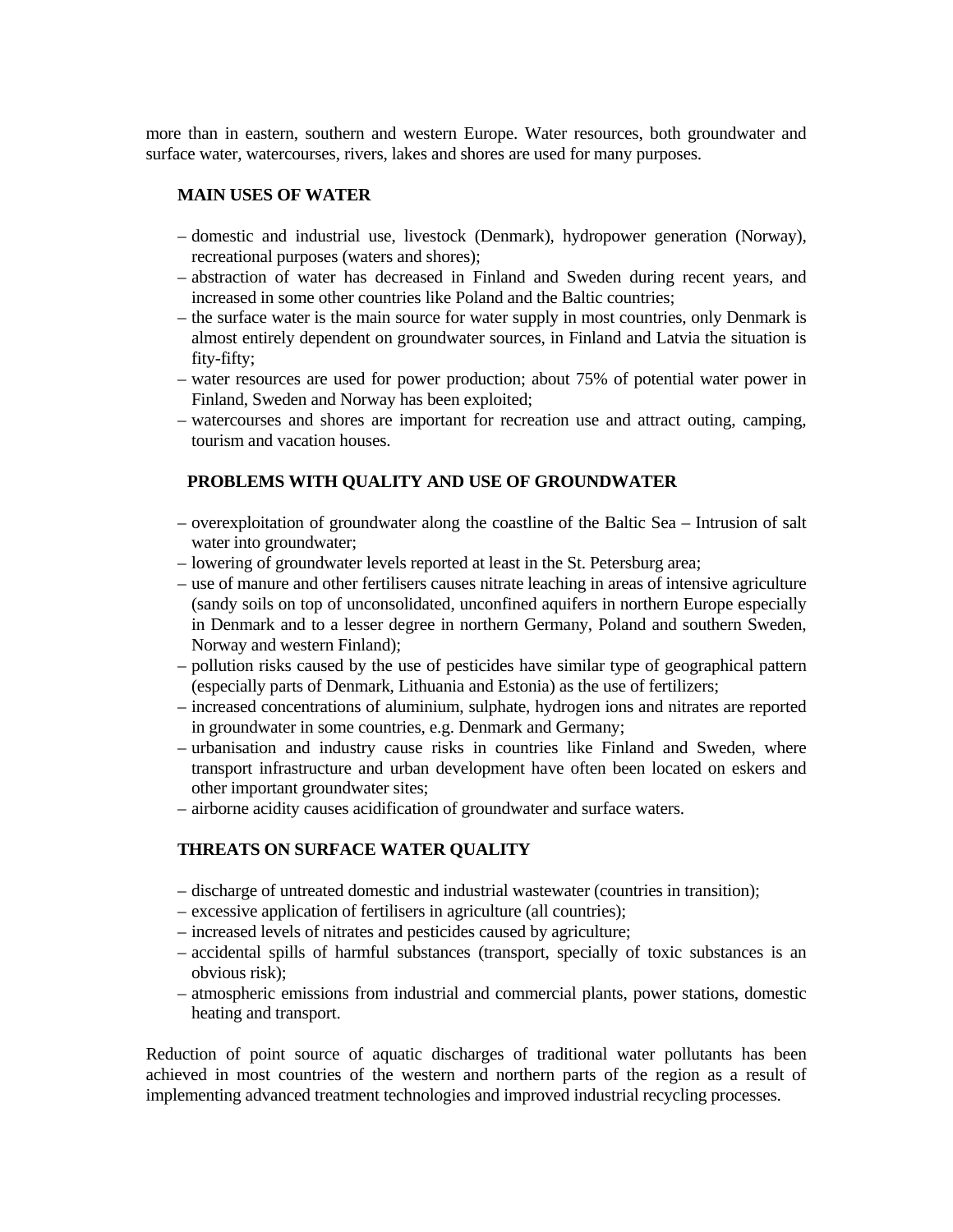more than in eastern, southern and western Europe. Water resources, both groundwater and surface water, watercourses, rivers, lakes and shores are used for many purposes.

#### **MAIN USES OF WATER**

- domestic and industrial use, livestock (Denmark), hydropower generation (Norway), recreational purposes (waters and shores);
- abstraction of water has decreased in Finland and Sweden during recent years, and increased in some other countries like Poland and the Baltic countries;
- the surface water is the main source for water supply in most countries, only Denmark is almost entirely dependent on groundwater sources, in Finland and Latvia the situation is fity-fifty;
- water resources are used for power production; about 75% of potential water power in Finland, Sweden and Norway has been exploited;
- watercourses and shores are important for recreation use and attract outing, camping, tourism and vacation houses.

#### **PROBLEMS WITH QUALITY AND USE OF GROUNDWATER**

- overexploitation of groundwater along the coastline of the Baltic Sea Intrusion of salt water into groundwater;
- lowering of groundwater levels reported at least in the St. Petersburg area;
- use of manure and other fertilisers causes nitrate leaching in areas of intensive agriculture (sandy soils on top of unconsolidated, unconfined aquifers in northern Europe especially in Denmark and to a lesser degree in northern Germany, Poland and southern Sweden, Norway and western Finland);
- pollution risks caused by the use of pesticides have similar type of geographical pattern (especially parts of Denmark, Lithuania and Estonia) as the use of fertilizers;
- increased concentrations of aluminium, sulphate, hydrogen ions and nitrates are reported in groundwater in some countries, e.g. Denmark and Germany;
- urbanisation and industry cause risks in countries like Finland and Sweden, where transport infrastructure and urban development have often been located on eskers and other important groundwater sites;
- airborne acidity causes acidification of groundwater and surface waters.

#### **THREATS ON SURFACE WATER QUALITY**

- discharge of untreated domestic and industrial wastewater (countries in transition);
- excessive application of fertilisers in agriculture (all countries);
- increased levels of nitrates and pesticides caused by agriculture;
- accidental spills of harmful substances (transport, specially of toxic substances is an obvious risk);
- atmospheric emissions from industrial and commercial plants, power stations, domestic heating and transport.

Reduction of point source of aquatic discharges of traditional water pollutants has been achieved in most countries of the western and northern parts of the region as a result of implementing advanced treatment technologies and improved industrial recycling processes.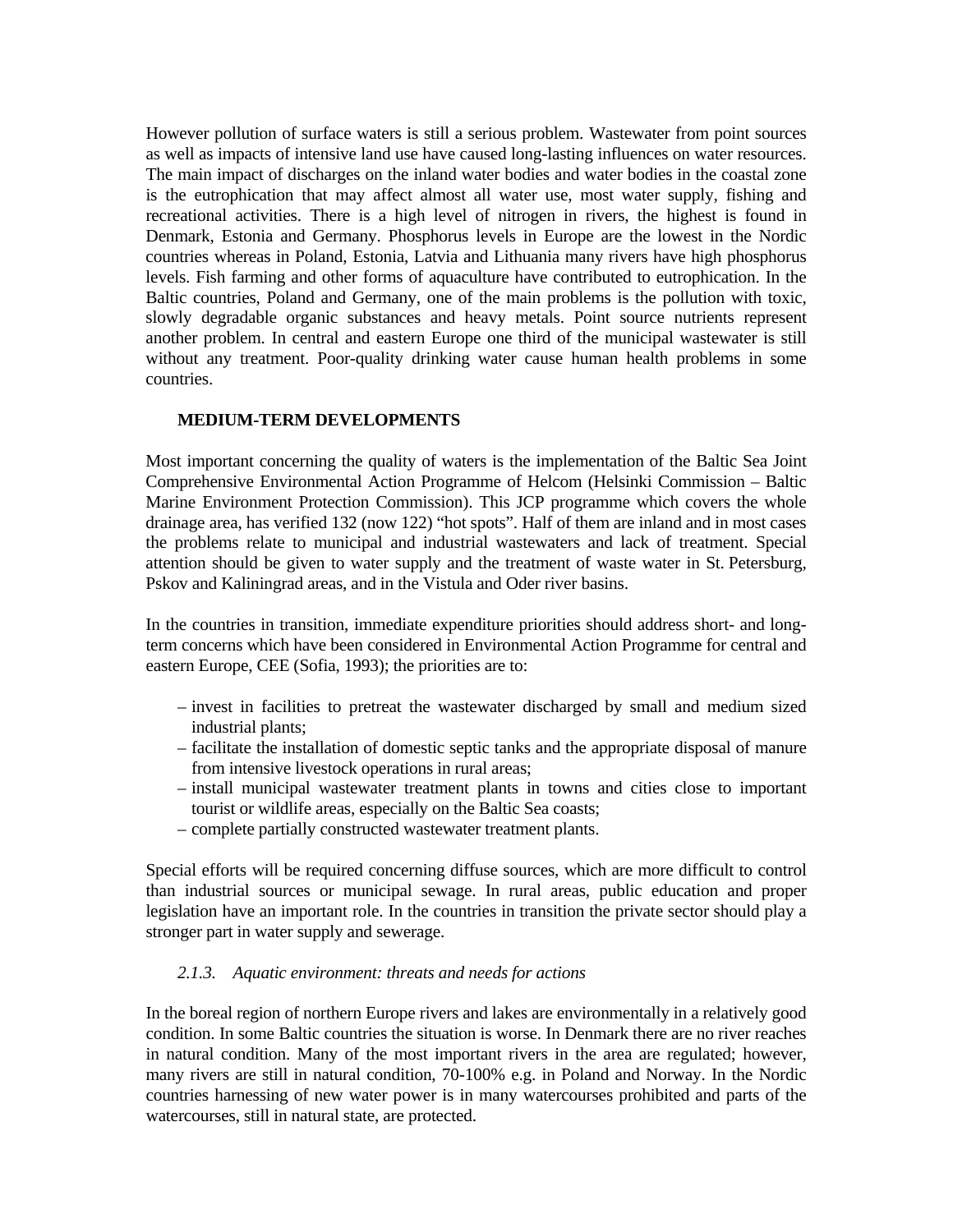However pollution of surface waters is still a serious problem. Wastewater from point sources as well as impacts of intensive land use have caused long-lasting influences on water resources. The main impact of discharges on the inland water bodies and water bodies in the coastal zone is the eutrophication that may affect almost all water use, most water supply, fishing and recreational activities. There is a high level of nitrogen in rivers, the highest is found in Denmark, Estonia and Germany. Phosphorus levels in Europe are the lowest in the Nordic countries whereas in Poland, Estonia, Latvia and Lithuania many rivers have high phosphorus levels. Fish farming and other forms of aquaculture have contributed to eutrophication. In the Baltic countries, Poland and Germany, one of the main problems is the pollution with toxic, slowly degradable organic substances and heavy metals. Point source nutrients represent another problem. In central and eastern Europe one third of the municipal wastewater is still without any treatment. Poor-quality drinking water cause human health problems in some countries.

#### **MEDIUM-TERM DEVELOPMENTS**

Most important concerning the quality of waters is the implementation of the Baltic Sea Joint Comprehensive Environmental Action Programme of Helcom (Helsinki Commission – Baltic Marine Environment Protection Commission). This JCP programme which covers the whole drainage area, has verified 132 (now 122) "hot spots". Half of them are inland and in most cases the problems relate to municipal and industrial wastewaters and lack of treatment. Special attention should be given to water supply and the treatment of waste water in St. Petersburg, Pskov and Kaliningrad areas, and in the Vistula and Oder river basins.

In the countries in transition, immediate expenditure priorities should address short- and longterm concerns which have been considered in Environmental Action Programme for central and eastern Europe, CEE (Sofia, 1993); the priorities are to:

- invest in facilities to pretreat the wastewater discharged by small and medium sized industrial plants;
- facilitate the installation of domestic septic tanks and the appropriate disposal of manure from intensive livestock operations in rural areas;
- install municipal wastewater treatment plants in towns and cities close to important tourist or wildlife areas, especially on the Baltic Sea coasts;
- complete partially constructed wastewater treatment plants.

Special efforts will be required concerning diffuse sources, which are more difficult to control than industrial sources or municipal sewage. In rural areas, public education and proper legislation have an important role. In the countries in transition the private sector should play a stronger part in water supply and sewerage.

#### *2.1.3. Aquatic environment: threats and needs for actions*

In the boreal region of northern Europe rivers and lakes are environmentally in a relatively good condition. In some Baltic countries the situation is worse. In Denmark there are no river reaches in natural condition. Many of the most important rivers in the area are regulated; however, many rivers are still in natural condition, 70-100% e.g. in Poland and Norway. In the Nordic countries harnessing of new water power is in many watercourses prohibited and parts of the watercourses, still in natural state, are protected.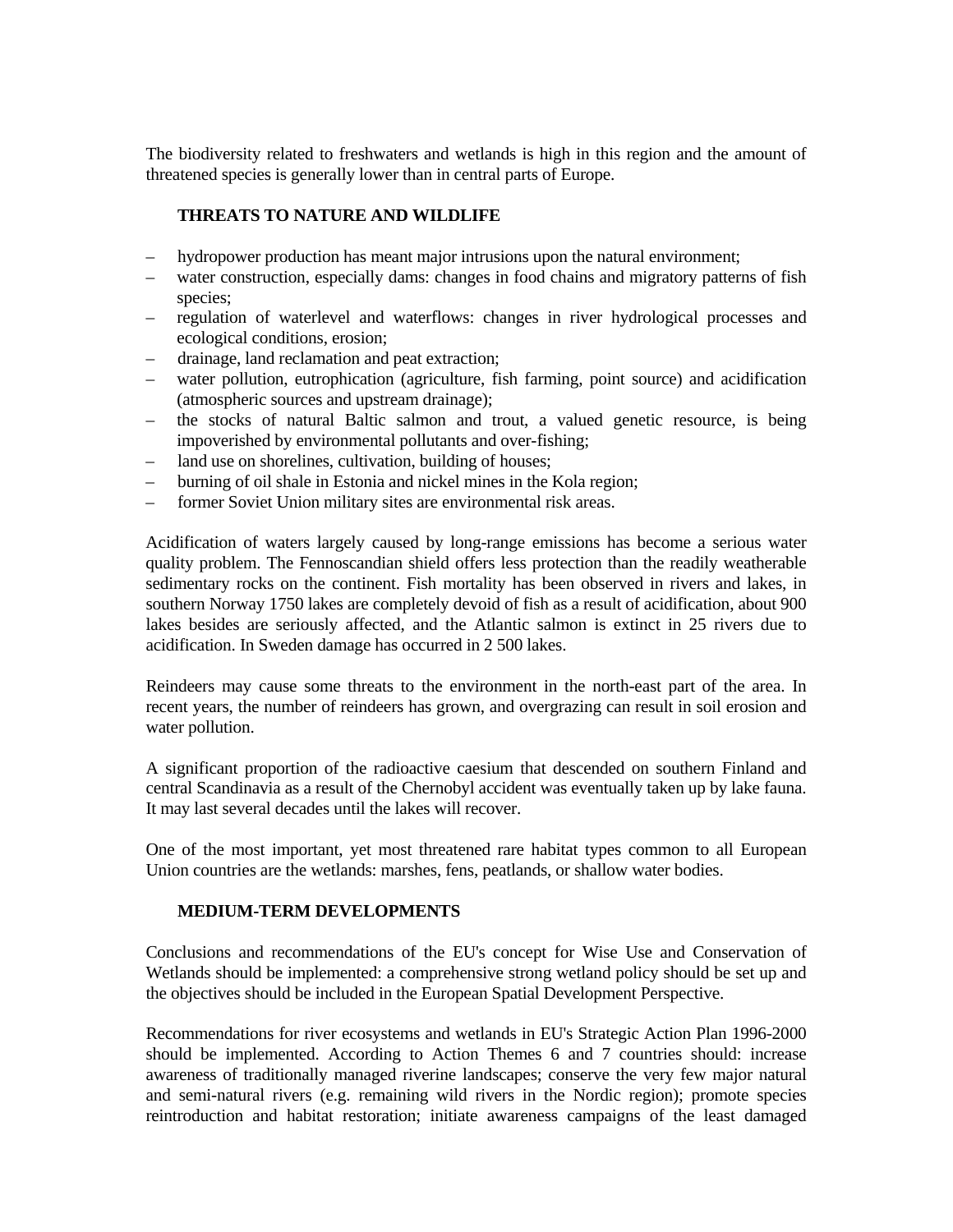The biodiversity related to freshwaters and wetlands is high in this region and the amount of threatened species is generally lower than in central parts of Europe.

#### **THREATS TO NATURE AND WILDLIFE**

- hydropower production has meant major intrusions upon the natural environment;
- water construction, especially dams: changes in food chains and migratory patterns of fish species;
- regulation of waterlevel and waterflows: changes in river hydrological processes and ecological conditions, erosion;
- drainage, land reclamation and peat extraction;
- water pollution, eutrophication (agriculture, fish farming, point source) and acidification (atmospheric sources and upstream drainage);
- the stocks of natural Baltic salmon and trout, a valued genetic resource, is being impoverished by environmental pollutants and over-fishing;
- land use on shorelines, cultivation, building of houses;
- burning of oil shale in Estonia and nickel mines in the Kola region;
- former Soviet Union military sites are environmental risk areas.

Acidification of waters largely caused by long-range emissions has become a serious water quality problem. The Fennoscandian shield offers less protection than the readily weatherable sedimentary rocks on the continent. Fish mortality has been observed in rivers and lakes, in southern Norway 1750 lakes are completely devoid of fish as a result of acidification, about 900 lakes besides are seriously affected, and the Atlantic salmon is extinct in 25 rivers due to acidification. In Sweden damage has occurred in 2 500 lakes.

Reindeers may cause some threats to the environment in the north-east part of the area. In recent years, the number of reindeers has grown, and overgrazing can result in soil erosion and water pollution.

A significant proportion of the radioactive caesium that descended on southern Finland and central Scandinavia as a result of the Chernobyl accident was eventually taken up by lake fauna. It may last several decades until the lakes will recover.

One of the most important, yet most threatened rare habitat types common to all European Union countries are the wetlands: marshes, fens, peatlands, or shallow water bodies.

## **MEDIUM-TERM DEVELOPMENTS**

Conclusions and recommendations of the EU's concept for Wise Use and Conservation of Wetlands should be implemented: a comprehensive strong wetland policy should be set up and the objectives should be included in the European Spatial Development Perspective.

Recommendations for river ecosystems and wetlands in EU's Strategic Action Plan 1996-2000 should be implemented. According to Action Themes 6 and 7 countries should: increase awareness of traditionally managed riverine landscapes; conserve the very few major natural and semi-natural rivers (e.g. remaining wild rivers in the Nordic region); promote species reintroduction and habitat restoration; initiate awareness campaigns of the least damaged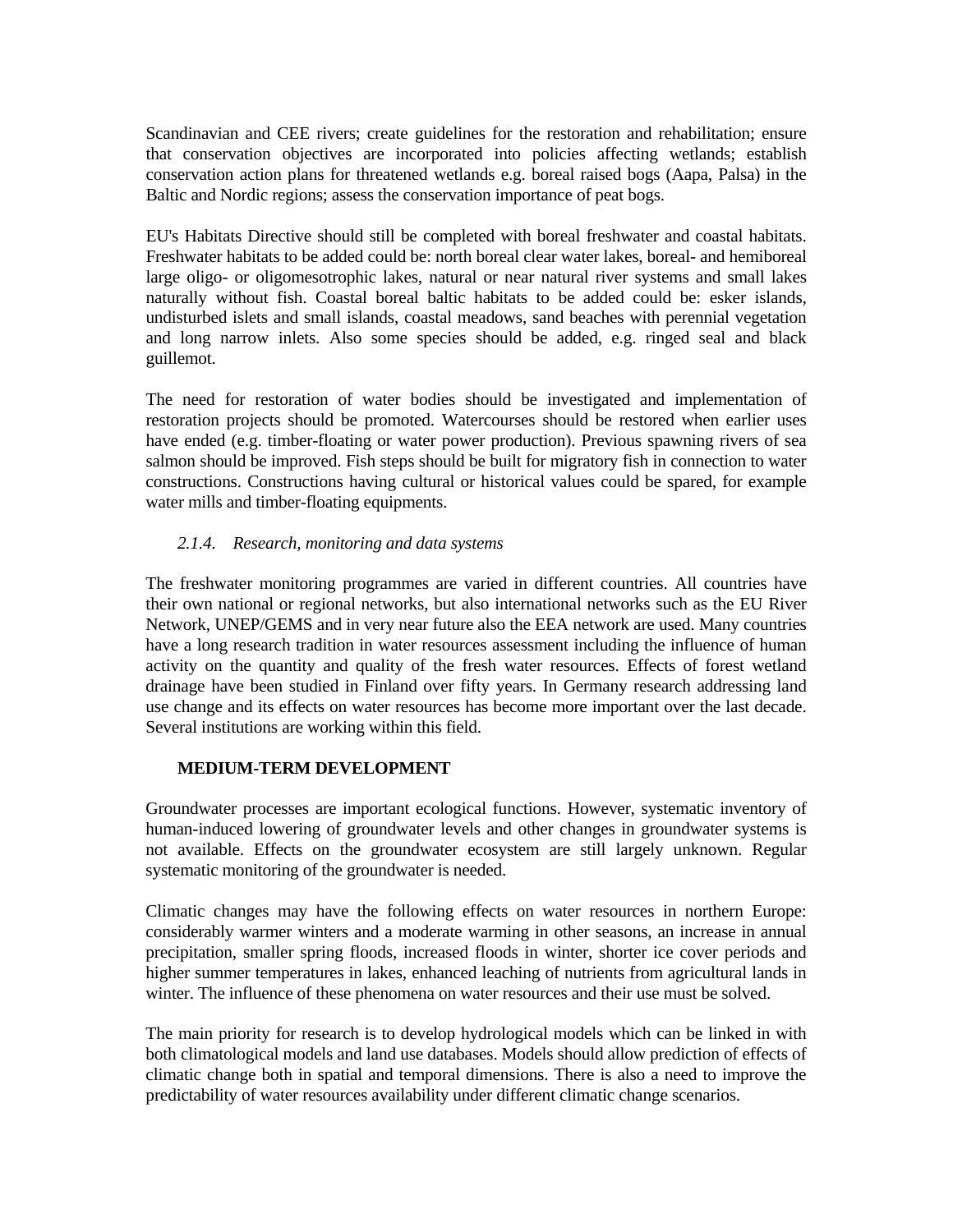Scandinavian and CEE rivers; create guidelines for the restoration and rehabilitation; ensure that conservation objectives are incorporated into policies affecting wetlands; establish conservation action plans for threatened wetlands e.g. boreal raised bogs (Aapa, Palsa) in the Baltic and Nordic regions; assess the conservation importance of peat bogs.

EU's Habitats Directive should still be completed with boreal freshwater and coastal habitats. Freshwater habitats to be added could be: north boreal clear water lakes, boreal- and hemiboreal large oligo- or oligomesotrophic lakes, natural or near natural river systems and small lakes naturally without fish. Coastal boreal baltic habitats to be added could be: esker islands, undisturbed islets and small islands, coastal meadows, sand beaches with perennial vegetation and long narrow inlets. Also some species should be added, e.g. ringed seal and black guillemot.

The need for restoration of water bodies should be investigated and implementation of restoration projects should be promoted. Watercourses should be restored when earlier uses have ended (e.g. timber-floating or water power production). Previous spawning rivers of sea salmon should be improved. Fish steps should be built for migratory fish in connection to water constructions. Constructions having cultural or historical values could be spared, for example water mills and timber-floating equipments.

## *2.1.4. Research, monitoring and data systems*

The freshwater monitoring programmes are varied in different countries. All countries have their own national or regional networks, but also international networks such as the EU River Network, UNEP/GEMS and in very near future also the EEA network are used. Many countries have a long research tradition in water resources assessment including the influence of human activity on the quantity and quality of the fresh water resources. Effects of forest wetland drainage have been studied in Finland over fifty years. In Germany research addressing land use change and its effects on water resources has become more important over the last decade. Several institutions are working within this field.

#### **MEDIUM-TERM DEVELOPMENT**

Groundwater processes are important ecological functions. However, systematic inventory of human-induced lowering of groundwater levels and other changes in groundwater systems is not available. Effects on the groundwater ecosystem are still largely unknown. Regular systematic monitoring of the groundwater is needed.

Climatic changes may have the following effects on water resources in northern Europe: considerably warmer winters and a moderate warming in other seasons, an increase in annual precipitation, smaller spring floods, increased floods in winter, shorter ice cover periods and higher summer temperatures in lakes, enhanced leaching of nutrients from agricultural lands in winter. The influence of these phenomena on water resources and their use must be solved.

The main priority for research is to develop hydrological models which can be linked in with both climatological models and land use databases. Models should allow prediction of effects of climatic change both in spatial and temporal dimensions. There is also a need to improve the predictability of water resources availability under different climatic change scenarios.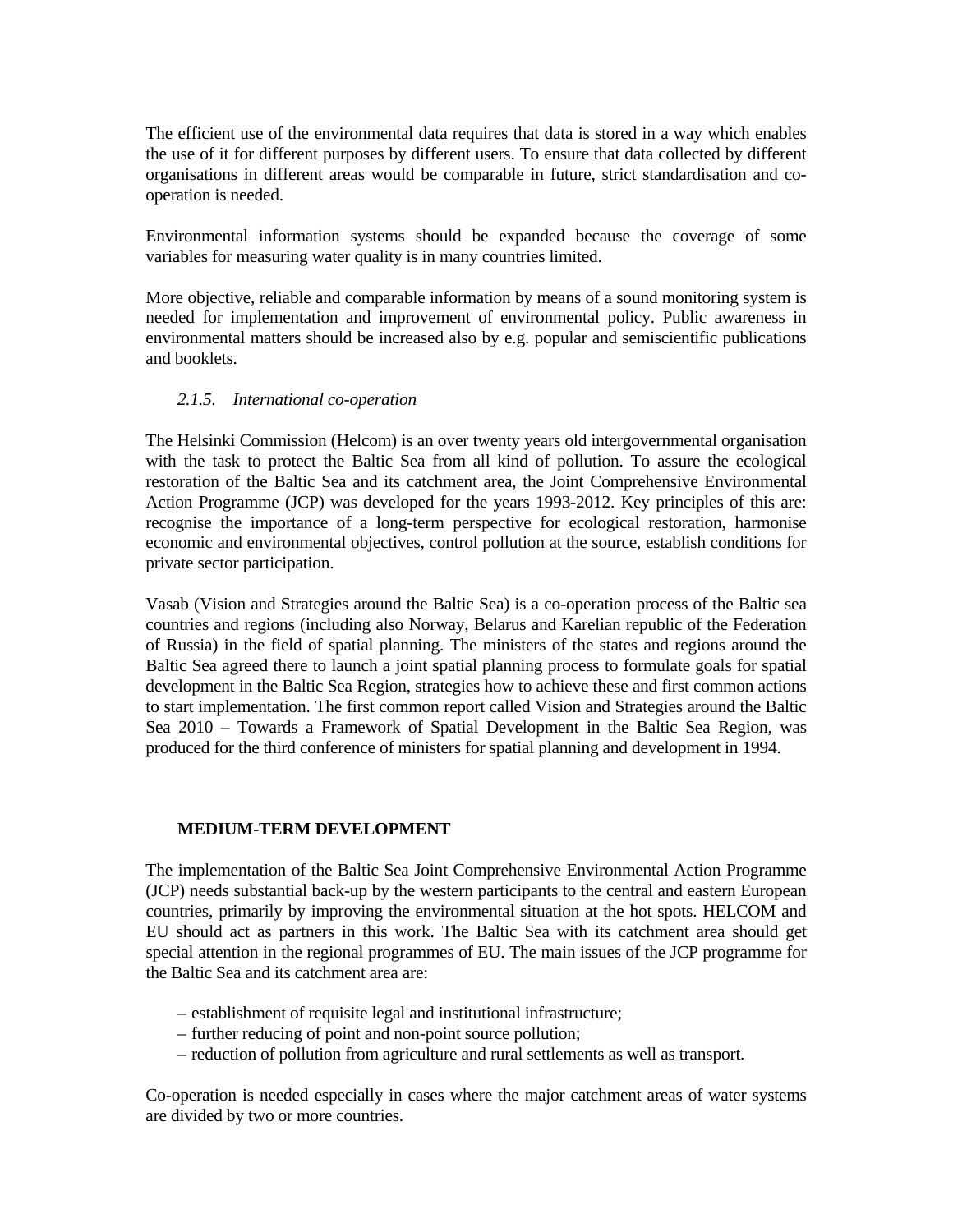The efficient use of the environmental data requires that data is stored in a way which enables the use of it for different purposes by different users. To ensure that data collected by different organisations in different areas would be comparable in future, strict standardisation and cooperation is needed.

Environmental information systems should be expanded because the coverage of some variables for measuring water quality is in many countries limited.

More objective, reliable and comparable information by means of a sound monitoring system is needed for implementation and improvement of environmental policy. Public awareness in environmental matters should be increased also by e.g. popular and semiscientific publications and booklets.

## *2.1.5. International co-operation*

The Helsinki Commission (Helcom) is an over twenty years old intergovernmental organisation with the task to protect the Baltic Sea from all kind of pollution. To assure the ecological restoration of the Baltic Sea and its catchment area, the Joint Comprehensive Environmental Action Programme (JCP) was developed for the years 1993-2012. Key principles of this are: recognise the importance of a long-term perspective for ecological restoration, harmonise economic and environmental objectives, control pollution at the source, establish conditions for private sector participation.

Vasab (Vision and Strategies around the Baltic Sea) is a co-operation process of the Baltic sea countries and regions (including also Norway, Belarus and Karelian republic of the Federation of Russia) in the field of spatial planning. The ministers of the states and regions around the Baltic Sea agreed there to launch a joint spatial planning process to formulate goals for spatial development in the Baltic Sea Region, strategies how to achieve these and first common actions to start implementation. The first common report called Vision and Strategies around the Baltic Sea 2010 – Towards a Framework of Spatial Development in the Baltic Sea Region, was produced for the third conference of ministers for spatial planning and development in 1994.

## **MEDIUM-TERM DEVELOPMENT**

The implementation of the Baltic Sea Joint Comprehensive Environmental Action Programme (JCP) needs substantial back-up by the western participants to the central and eastern European countries, primarily by improving the environmental situation at the hot spots. HELCOM and EU should act as partners in this work. The Baltic Sea with its catchment area should get special attention in the regional programmes of EU. The main issues of the JCP programme for the Baltic Sea and its catchment area are:

- establishment of requisite legal and institutional infrastructure;
- further reducing of point and non-point source pollution;
- reduction of pollution from agriculture and rural settlements as well as transport.

Co-operation is needed especially in cases where the major catchment areas of water systems are divided by two or more countries.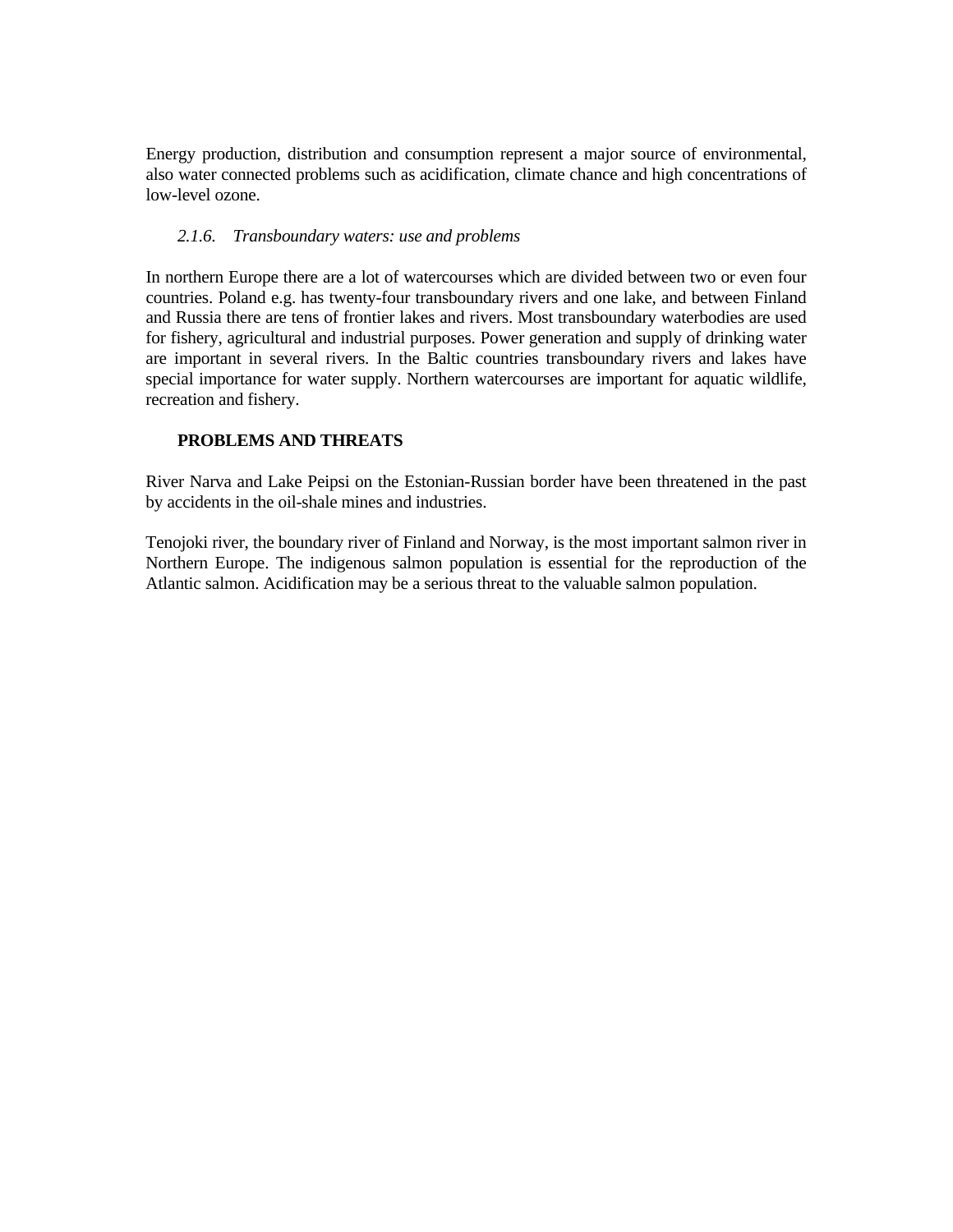Energy production, distribution and consumption represent a major source of environmental, also water connected problems such as acidification, climate chance and high concentrations of low-level ozone.

## *2.1.6. Transboundary waters: use and problems*

In northern Europe there are a lot of watercourses which are divided between two or even four countries. Poland e.g. has twenty-four transboundary rivers and one lake, and between Finland and Russia there are tens of frontier lakes and rivers. Most transboundary waterbodies are used for fishery, agricultural and industrial purposes. Power generation and supply of drinking water are important in several rivers. In the Baltic countries transboundary rivers and lakes have special importance for water supply. Northern watercourses are important for aquatic wildlife, recreation and fishery.

## **PROBLEMS AND THREATS**

River Narva and Lake Peipsi on the Estonian-Russian border have been threatened in the past by accidents in the oil-shale mines and industries.

Tenojoki river, the boundary river of Finland and Norway, is the most important salmon river in Northern Europe. The indigenous salmon population is essential for the reproduction of the Atlantic salmon. Acidification may be a serious threat to the valuable salmon population.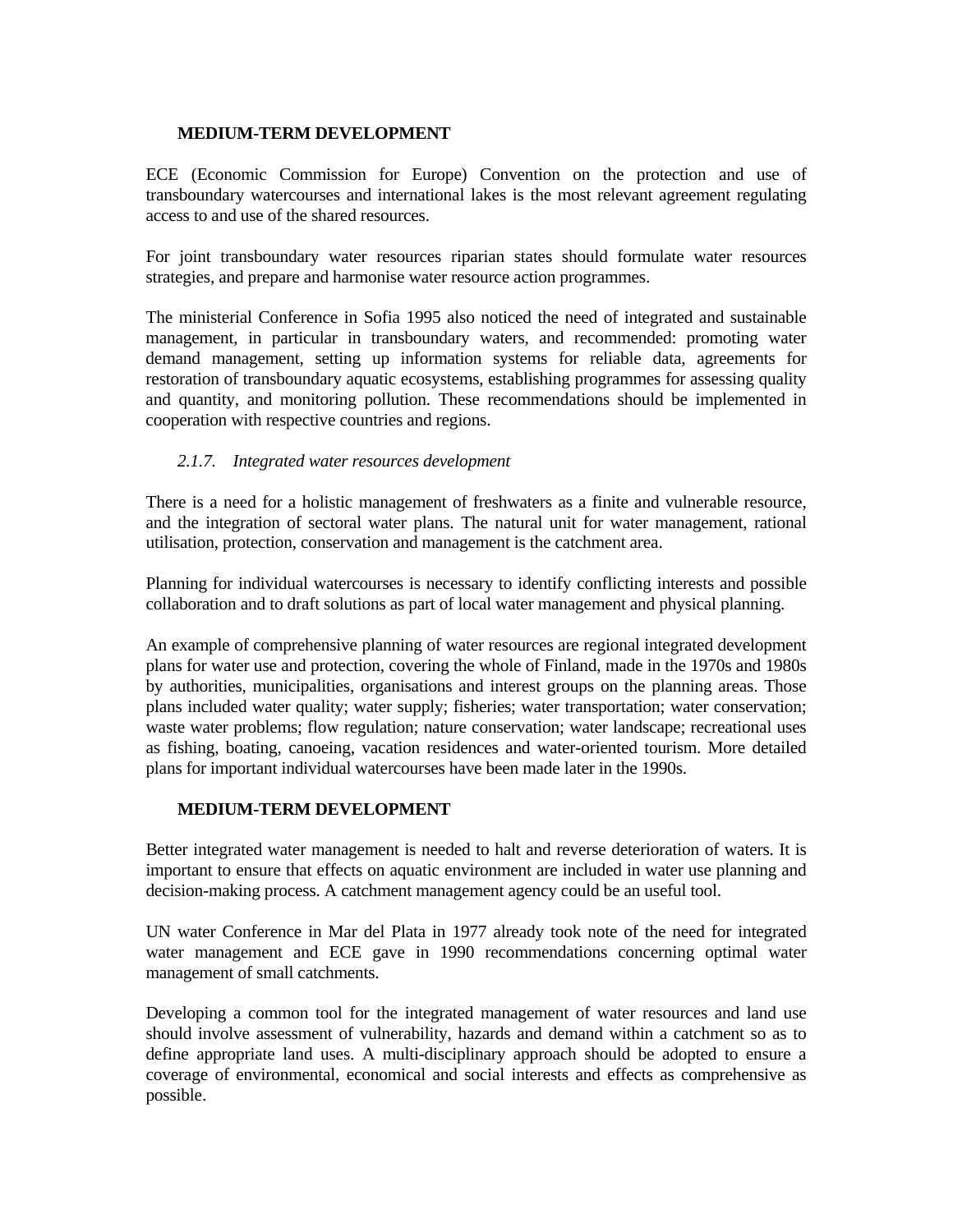## **MEDIUM-TERM DEVELOPMENT**

ECE (Economic Commission for Europe) Convention on the protection and use of transboundary watercourses and international lakes is the most relevant agreement regulating access to and use of the shared resources.

For joint transboundary water resources riparian states should formulate water resources strategies, and prepare and harmonise water resource action programmes.

The ministerial Conference in Sofia 1995 also noticed the need of integrated and sustainable management, in particular in transboundary waters, and recommended: promoting water demand management, setting up information systems for reliable data, agreements for restoration of transboundary aquatic ecosystems, establishing programmes for assessing quality and quantity, and monitoring pollution. These recommendations should be implemented in cooperation with respective countries and regions.

# *2.1.7. Integrated water resources development*

There is a need for a holistic management of freshwaters as a finite and vulnerable resource, and the integration of sectoral water plans. The natural unit for water management, rational utilisation, protection, conservation and management is the catchment area.

Planning for individual watercourses is necessary to identify conflicting interests and possible collaboration and to draft solutions as part of local water management and physical planning.

An example of comprehensive planning of water resources are regional integrated development plans for water use and protection, covering the whole of Finland, made in the 1970s and 1980s by authorities, municipalities, organisations and interest groups on the planning areas. Those plans included water quality; water supply; fisheries; water transportation; water conservation; waste water problems; flow regulation; nature conservation; water landscape; recreational uses as fishing, boating, canoeing, vacation residences and water-oriented tourism. More detailed plans for important individual watercourses have been made later in the 1990s.

# **MEDIUM-TERM DEVELOPMENT**

Better integrated water management is needed to halt and reverse deterioration of waters. It is important to ensure that effects on aquatic environment are included in water use planning and decision-making process. A catchment management agency could be an useful tool.

UN water Conference in Mar del Plata in 1977 already took note of the need for integrated water management and ECE gave in 1990 recommendations concerning optimal water management of small catchments.

Developing a common tool for the integrated management of water resources and land use should involve assessment of vulnerability, hazards and demand within a catchment so as to define appropriate land uses. A multi-disciplinary approach should be adopted to ensure a coverage of environmental, economical and social interests and effects as comprehensive as possible.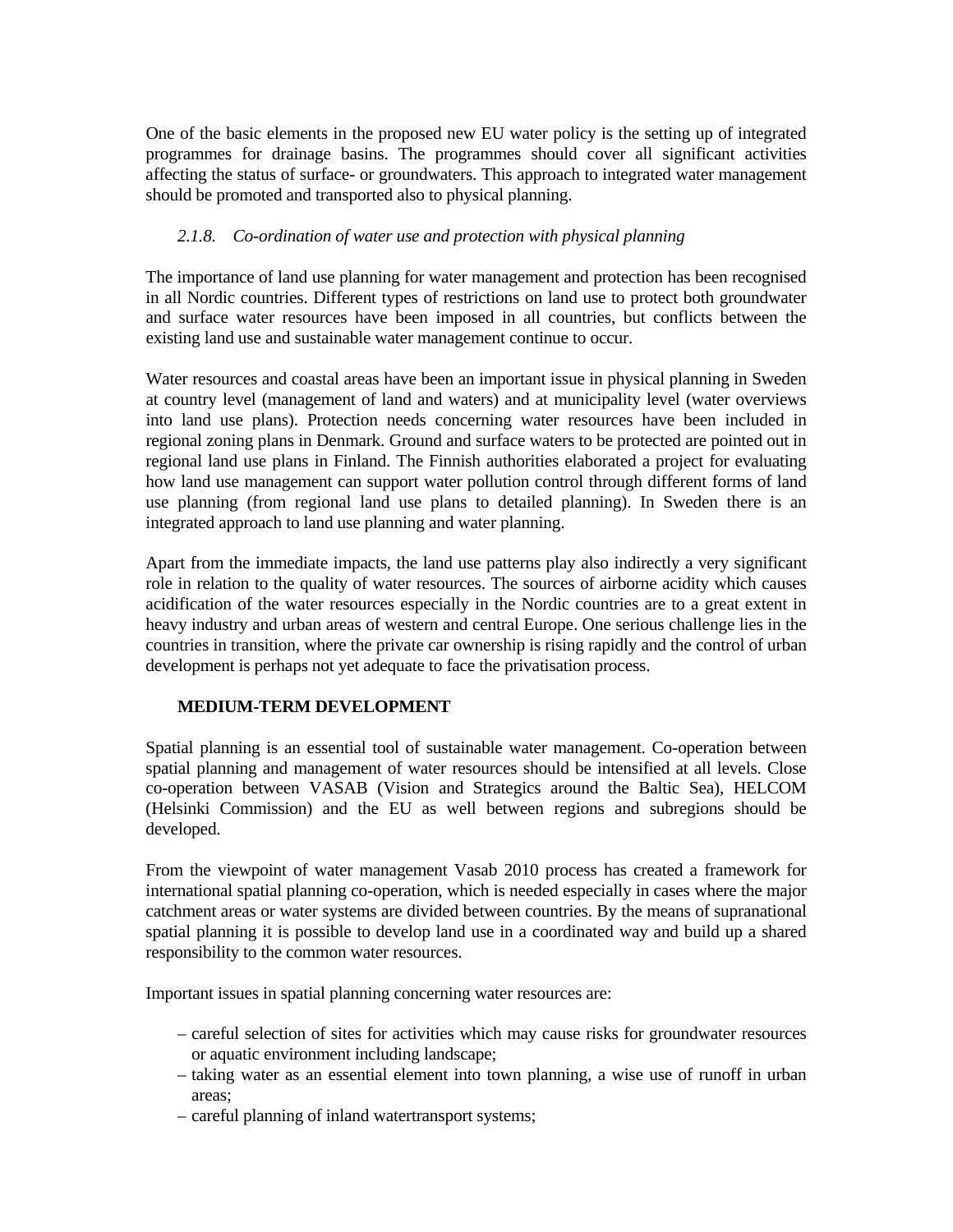One of the basic elements in the proposed new EU water policy is the setting up of integrated programmes for drainage basins. The programmes should cover all significant activities affecting the status of surface- or groundwaters. This approach to integrated water management should be promoted and transported also to physical planning.

# *2.1.8. Co-ordination of water use and protection with physical planning*

The importance of land use planning for water management and protection has been recognised in all Nordic countries. Different types of restrictions on land use to protect both groundwater and surface water resources have been imposed in all countries, but conflicts between the existing land use and sustainable water management continue to occur.

Water resources and coastal areas have been an important issue in physical planning in Sweden at country level (management of land and waters) and at municipality level (water overviews into land use plans). Protection needs concerning water resources have been included in regional zoning plans in Denmark. Ground and surface waters to be protected are pointed out in regional land use plans in Finland. The Finnish authorities elaborated a project for evaluating how land use management can support water pollution control through different forms of land use planning (from regional land use plans to detailed planning). In Sweden there is an integrated approach to land use planning and water planning.

Apart from the immediate impacts, the land use patterns play also indirectly a very significant role in relation to the quality of water resources. The sources of airborne acidity which causes acidification of the water resources especially in the Nordic countries are to a great extent in heavy industry and urban areas of western and central Europe. One serious challenge lies in the countries in transition, where the private car ownership is rising rapidly and the control of urban development is perhaps not yet adequate to face the privatisation process.

# **MEDIUM-TERM DEVELOPMENT**

Spatial planning is an essential tool of sustainable water management. Co-operation between spatial planning and management of water resources should be intensified at all levels. Close co-operation between VASAB (Vision and Strategics around the Baltic Sea), HELCOM (Helsinki Commission) and the EU as well between regions and subregions should be developed.

From the viewpoint of water management Vasab 2010 process has created a framework for international spatial planning co-operation, which is needed especially in cases where the major catchment areas or water systems are divided between countries. By the means of supranational spatial planning it is possible to develop land use in a coordinated way and build up a shared responsibility to the common water resources.

Important issues in spatial planning concerning water resources are:

- careful selection of sites for activities which may cause risks for groundwater resources or aquatic environment including landscape;
- taking water as an essential element into town planning, a wise use of runoff in urban areas;
- careful planning of inland watertransport systems;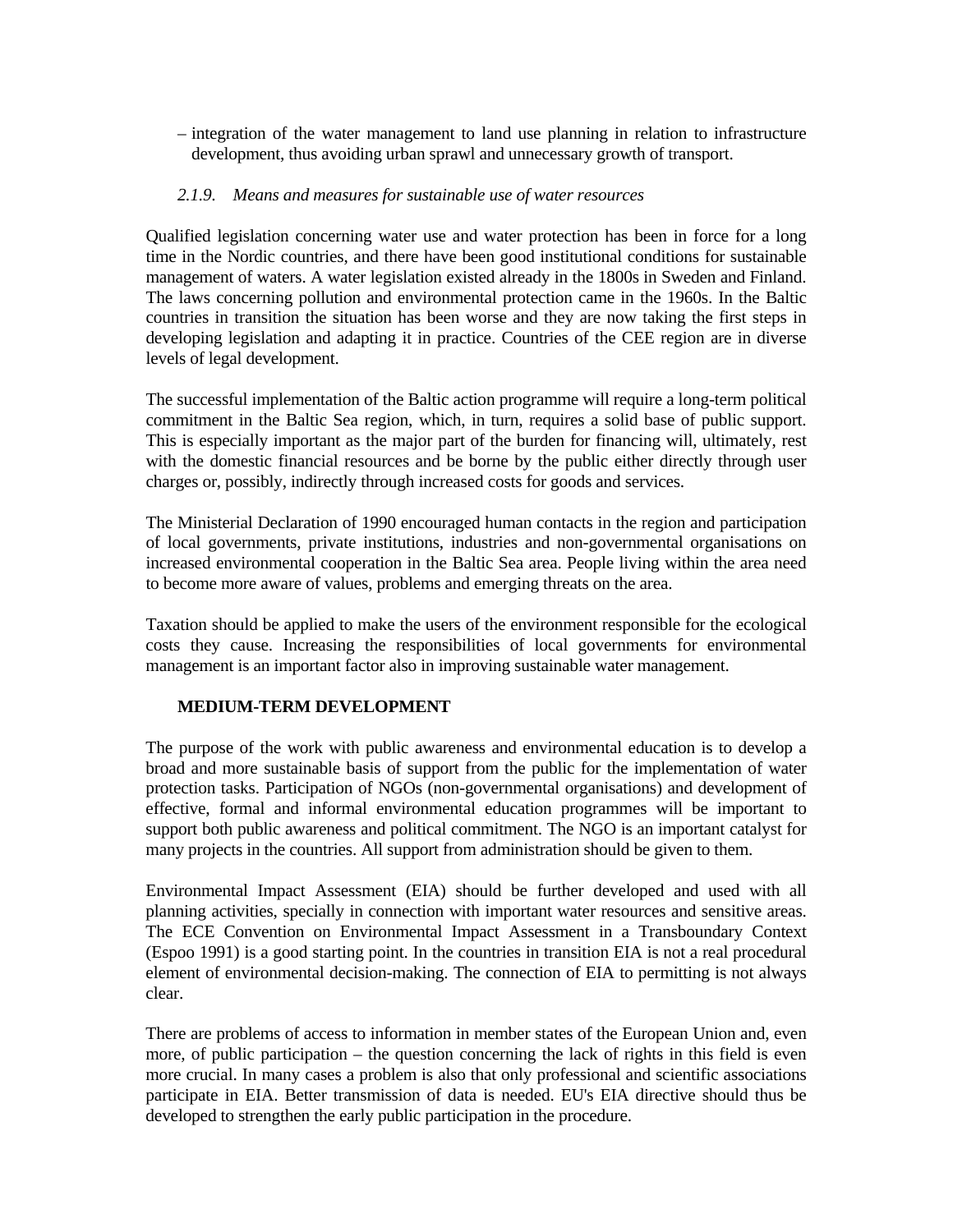– integration of the water management to land use planning in relation to infrastructure development, thus avoiding urban sprawl and unnecessary growth of transport.

## *2.1.9. Means and measures for sustainable use of water resources*

Qualified legislation concerning water use and water protection has been in force for a long time in the Nordic countries, and there have been good institutional conditions for sustainable management of waters. A water legislation existed already in the 1800s in Sweden and Finland. The laws concerning pollution and environmental protection came in the 1960s. In the Baltic countries in transition the situation has been worse and they are now taking the first steps in developing legislation and adapting it in practice. Countries of the CEE region are in diverse levels of legal development.

The successful implementation of the Baltic action programme will require a long-term political commitment in the Baltic Sea region, which, in turn, requires a solid base of public support. This is especially important as the major part of the burden for financing will, ultimately, rest with the domestic financial resources and be borne by the public either directly through user charges or, possibly, indirectly through increased costs for goods and services.

The Ministerial Declaration of 1990 encouraged human contacts in the region and participation of local governments, private institutions, industries and non-governmental organisations on increased environmental cooperation in the Baltic Sea area. People living within the area need to become more aware of values, problems and emerging threats on the area.

Taxation should be applied to make the users of the environment responsible for the ecological costs they cause. Increasing the responsibilities of local governments for environmental management is an important factor also in improving sustainable water management.

## **MEDIUM-TERM DEVELOPMENT**

The purpose of the work with public awareness and environmental education is to develop a broad and more sustainable basis of support from the public for the implementation of water protection tasks. Participation of NGOs (non-governmental organisations) and development of effective, formal and informal environmental education programmes will be important to support both public awareness and political commitment. The NGO is an important catalyst for many projects in the countries. All support from administration should be given to them.

Environmental Impact Assessment (EIA) should be further developed and used with all planning activities, specially in connection with important water resources and sensitive areas. The ECE Convention on Environmental Impact Assessment in a Transboundary Context (Espoo 1991) is a good starting point. In the countries in transition EIA is not a real procedural element of environmental decision-making. The connection of EIA to permitting is not always clear.

There are problems of access to information in member states of the European Union and, even more, of public participation – the question concerning the lack of rights in this field is even more crucial. In many cases a problem is also that only professional and scientific associations participate in EIA. Better transmission of data is needed. EU's EIA directive should thus be developed to strengthen the early public participation in the procedure.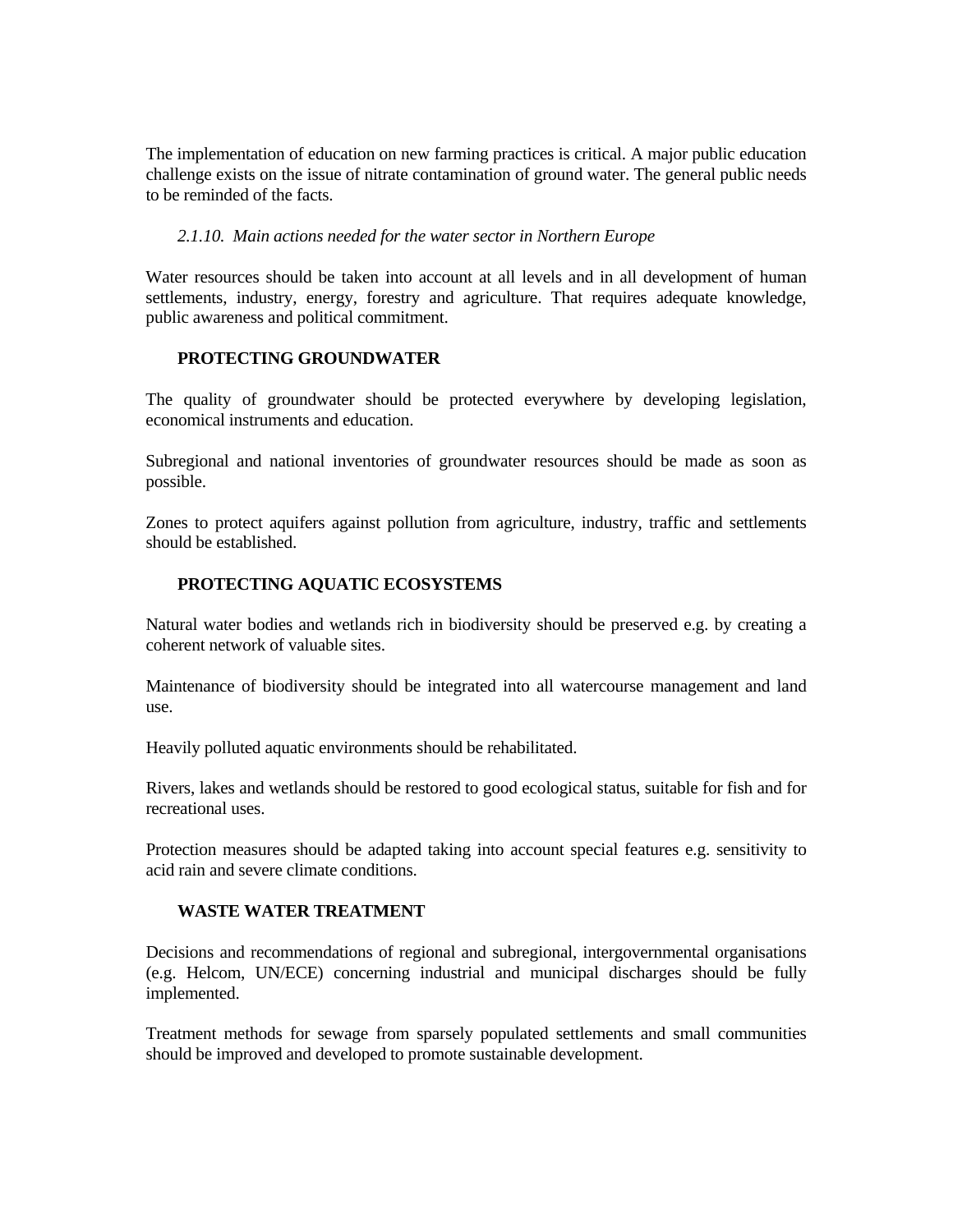The implementation of education on new farming practices is critical. A major public education challenge exists on the issue of nitrate contamination of ground water. The general public needs to be reminded of the facts.

## *2.1.10. Main actions needed for the water sector in Northern Europe*

Water resources should be taken into account at all levels and in all development of human settlements, industry, energy, forestry and agriculture. That requires adequate knowledge, public awareness and political commitment.

## **PROTECTING GROUNDWATER**

The quality of groundwater should be protected everywhere by developing legislation, economical instruments and education.

Subregional and national inventories of groundwater resources should be made as soon as possible.

Zones to protect aquifers against pollution from agriculture, industry, traffic and settlements should be established.

## **PROTECTING AQUATIC ECOSYSTEMS**

Natural water bodies and wetlands rich in biodiversity should be preserved e.g. by creating a coherent network of valuable sites.

Maintenance of biodiversity should be integrated into all watercourse management and land use.

Heavily polluted aquatic environments should be rehabilitated.

Rivers, lakes and wetlands should be restored to good ecological status, suitable for fish and for recreational uses.

Protection measures should be adapted taking into account special features e.g. sensitivity to acid rain and severe climate conditions.

## **WASTE WATER TREATMENT**

Decisions and recommendations of regional and subregional, intergovernmental organisations (e.g. Helcom, UN/ECE) concerning industrial and municipal discharges should be fully implemented.

Treatment methods for sewage from sparsely populated settlements and small communities should be improved and developed to promote sustainable development.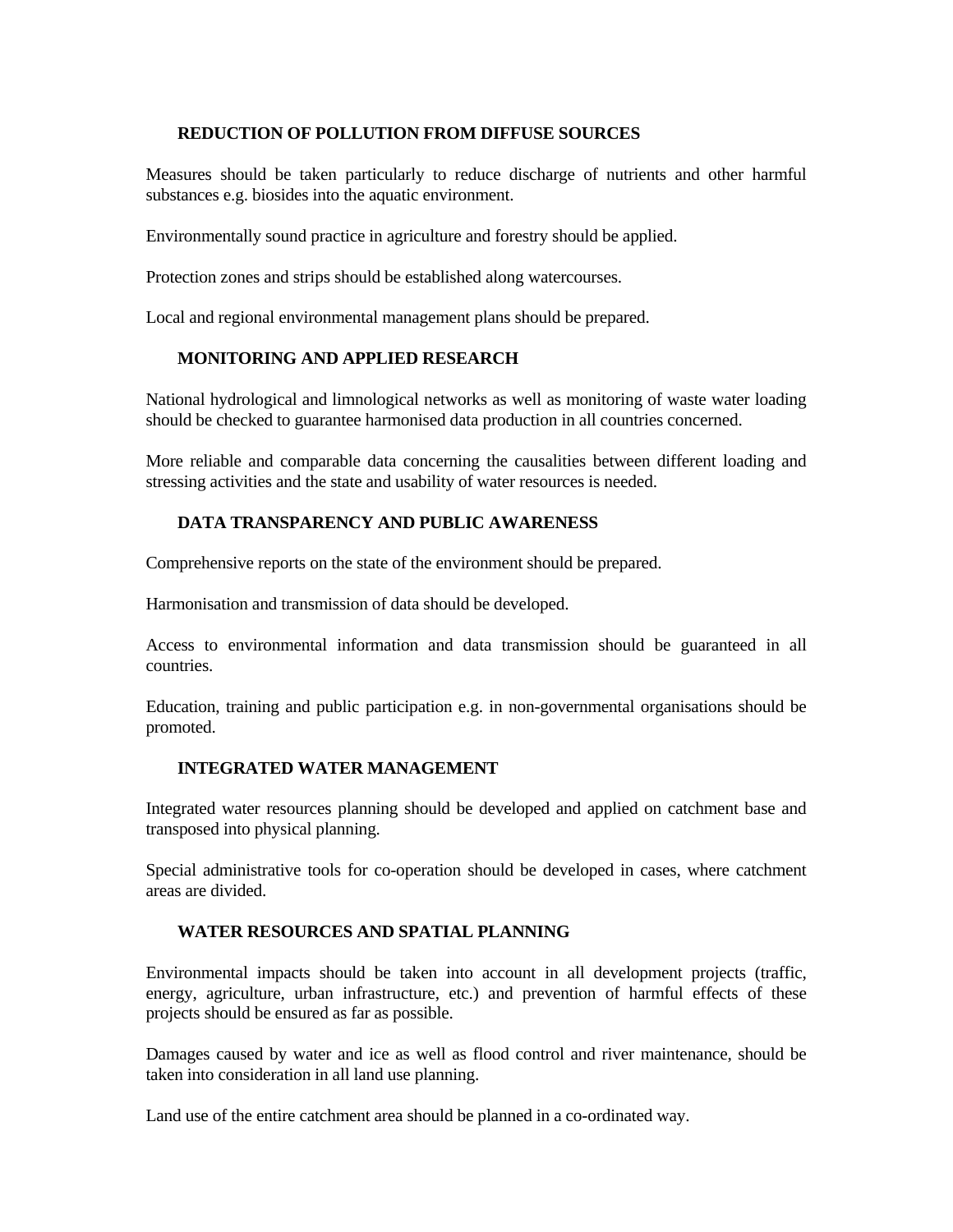## **REDUCTION OF POLLUTION FROM DIFFUSE SOURCES**

Measures should be taken particularly to reduce discharge of nutrients and other harmful substances e.g. biosides into the aquatic environment.

Environmentally sound practice in agriculture and forestry should be applied.

Protection zones and strips should be established along watercourses.

Local and regional environmental management plans should be prepared.

# **MONITORING AND APPLIED RESEARCH**

National hydrological and limnological networks as well as monitoring of waste water loading should be checked to guarantee harmonised data production in all countries concerned.

More reliable and comparable data concerning the causalities between different loading and stressing activities and the state and usability of water resources is needed.

## **DATA TRANSPARENCY AND PUBLIC AWARENESS**

Comprehensive reports on the state of the environment should be prepared.

Harmonisation and transmission of data should be developed.

Access to environmental information and data transmission should be guaranteed in all countries.

Education, training and public participation e.g. in non-governmental organisations should be promoted.

# **INTEGRATED WATER MANAGEMENT**

Integrated water resources planning should be developed and applied on catchment base and transposed into physical planning.

Special administrative tools for co-operation should be developed in cases, where catchment areas are divided.

# **WATER RESOURCES AND SPATIAL PLANNING**

Environmental impacts should be taken into account in all development projects (traffic, energy, agriculture, urban infrastructure, etc.) and prevention of harmful effects of these projects should be ensured as far as possible.

Damages caused by water and ice as well as flood control and river maintenance, should be taken into consideration in all land use planning.

Land use of the entire catchment area should be planned in a co-ordinated way.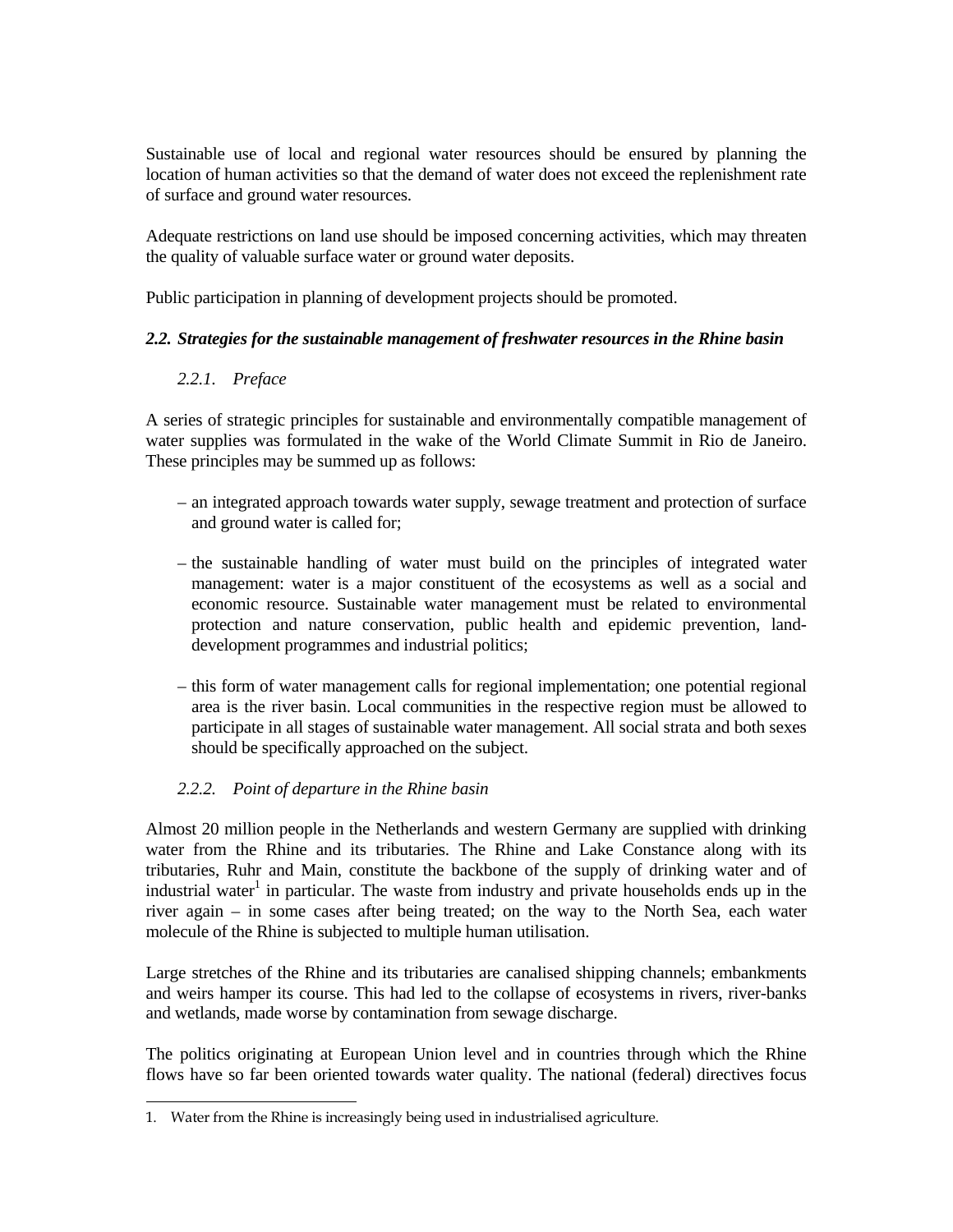Sustainable use of local and regional water resources should be ensured by planning the location of human activities so that the demand of water does not exceed the replenishment rate of surface and ground water resources.

Adequate restrictions on land use should be imposed concerning activities, which may threaten the quality of valuable surface water or ground water deposits.

Public participation in planning of development projects should be promoted.

## *2.2. Strategies for the sustainable management of freshwater resources in the Rhine basin*

## *2.2.1. Preface*

A series of strategic principles for sustainable and environmentally compatible management of water supplies was formulated in the wake of the World Climate Summit in Rio de Janeiro. These principles may be summed up as follows:

- an integrated approach towards water supply, sewage treatment and protection of surface and ground water is called for;
- the sustainable handling of water must build on the principles of integrated water management: water is a major constituent of the ecosystems as well as a social and economic resource. Sustainable water management must be related to environmental protection and nature conservation, public health and epidemic prevention, landdevelopment programmes and industrial politics;
- this form of water management calls for regional implementation; one potential regional area is the river basin. Local communities in the respective region must be allowed to participate in all stages of sustainable water management. All social strata and both sexes should be specifically approached on the subject.

# *2.2.2. Point of departure in the Rhine basin*

Almost 20 million people in the Netherlands and western Germany are supplied with drinking water from the Rhine and its tributaries. The Rhine and Lake Constance along with its tributaries, Ruhr and Main, constitute the backbone of the supply of drinking water and of industrial water<sup>1</sup> in particular. The waste from industry and private households ends up in the river again – in some cases after being treated; on the way to the North Sea, each water molecule of the Rhine is subjected to multiple human utilisation.

Large stretches of the Rhine and its tributaries are canalised shipping channels; embankments and weirs hamper its course. This had led to the collapse of ecosystems in rivers, river-banks and wetlands, made worse by contamination from sewage discharge.

The politics originating at European Union level and in countries through which the Rhine flows have so far been oriented towards water quality. The national (federal) directives focus

<sup>÷</sup> 1. Water from the Rhine is increasingly being used in industrialised agriculture.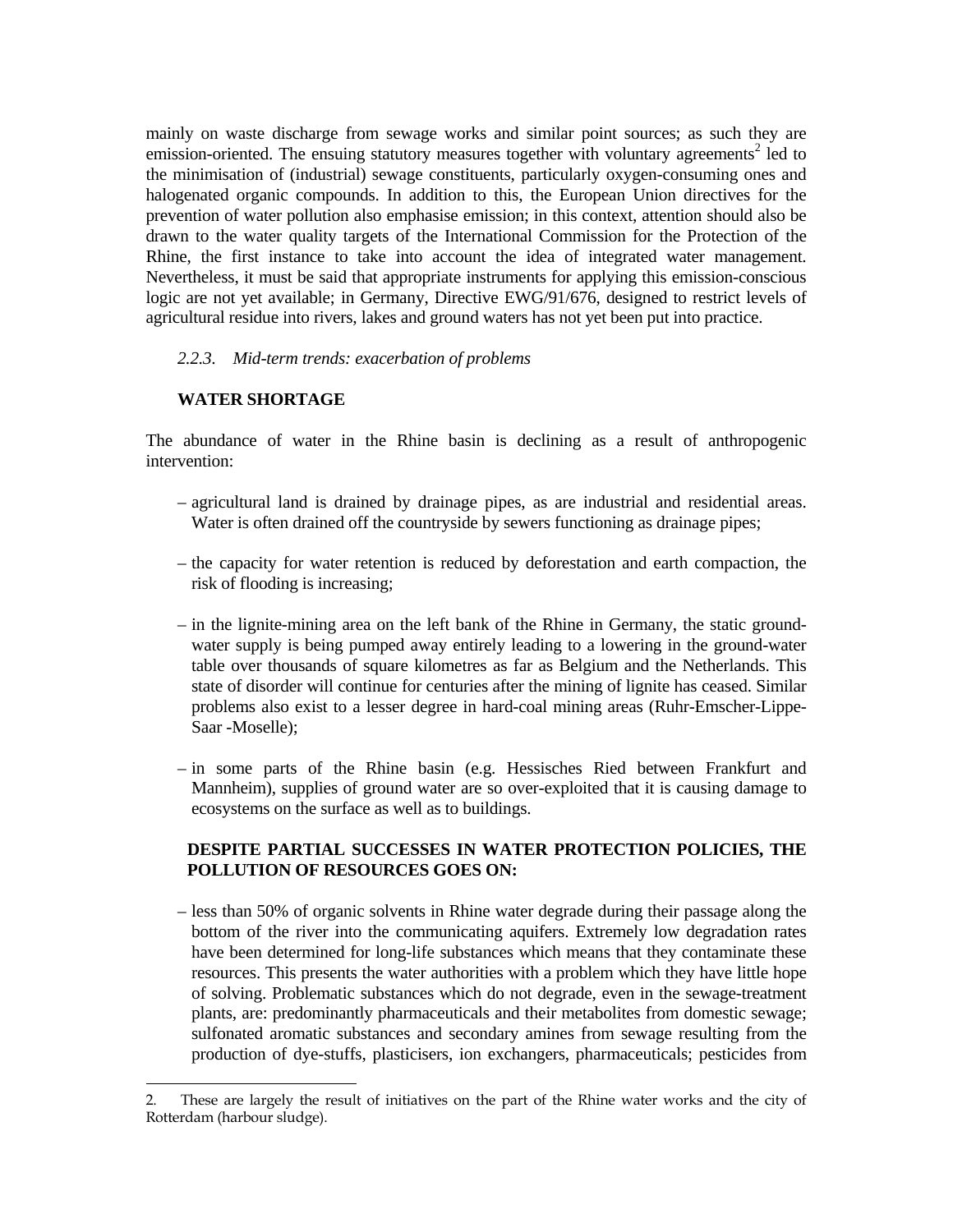mainly on waste discharge from sewage works and similar point sources; as such they are emission-oriented. The ensuing statutory measures together with voluntary agreements<sup>2</sup> led to the minimisation of (industrial) sewage constituents, particularly oxygen-consuming ones and halogenated organic compounds. In addition to this, the European Union directives for the prevention of water pollution also emphasise emission; in this context, attention should also be drawn to the water quality targets of the International Commission for the Protection of the Rhine, the first instance to take into account the idea of integrated water management. Nevertheless, it must be said that appropriate instruments for applying this emission-conscious logic are not yet available; in Germany, Directive EWG/91/676, designed to restrict levels of agricultural residue into rivers, lakes and ground waters has not yet been put into practice.

## *2.2.3. Mid-term trends: exacerbation of problems*

## **WATER SHORTAGE**

The abundance of water in the Rhine basin is declining as a result of anthropogenic intervention:

- agricultural land is drained by drainage pipes, as are industrial and residential areas. Water is often drained off the countryside by sewers functioning as drainage pipes;
- the capacity for water retention is reduced by deforestation and earth compaction, the risk of flooding is increasing;
- in the lignite-mining area on the left bank of the Rhine in Germany, the static groundwater supply is being pumped away entirely leading to a lowering in the ground-water table over thousands of square kilometres as far as Belgium and the Netherlands. This state of disorder will continue for centuries after the mining of lignite has ceased. Similar problems also exist to a lesser degree in hard-coal mining areas (Ruhr-Emscher-Lippe-Saar -Moselle);
- in some parts of the Rhine basin (e.g. Hessisches Ried between Frankfurt and Mannheim), supplies of ground water are so over-exploited that it is causing damage to ecosystems on the surface as well as to buildings.

# **DESPITE PARTIAL SUCCESSES IN WATER PROTECTION POLICIES, THE POLLUTION OF RESOURCES GOES ON:**

 – less than 50% of organic solvents in Rhine water degrade during their passage along the bottom of the river into the communicating aquifers. Extremely low degradation rates have been determined for long-life substances which means that they contaminate these resources. This presents the water authorities with a problem which they have little hope of solving. Problematic substances which do not degrade, even in the sewage-treatment plants, are: predominantly pharmaceuticals and their metabolites from domestic sewage; sulfonated aromatic substances and secondary amines from sewage resulting from the production of dye-stuffs, plasticisers, ion exchangers, pharmaceuticals; pesticides from

<sup>÷</sup> 2. These are largely the result of initiatives on the part of the Rhine water works and the city of Rotterdam (harbour sludge).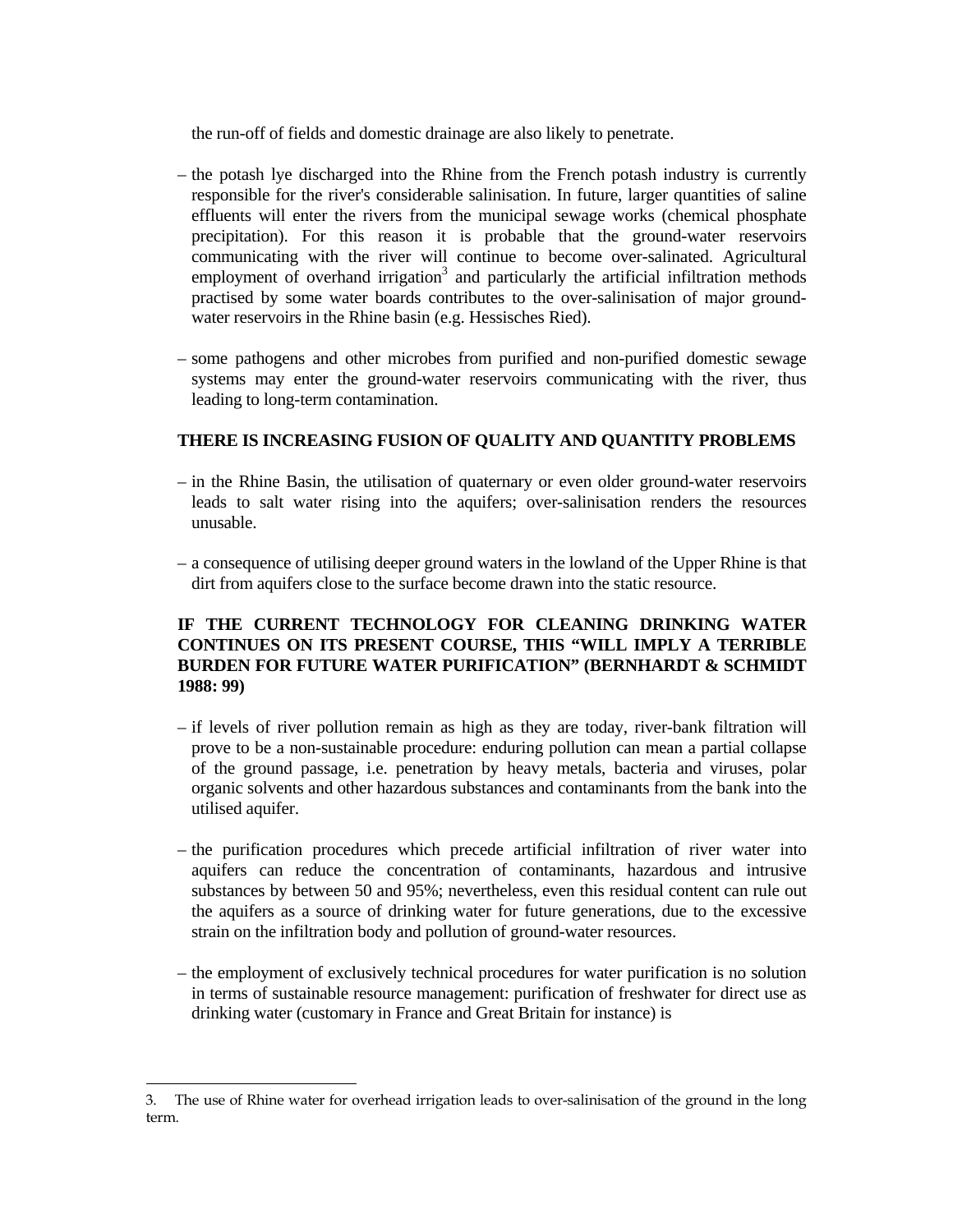the run-off of fields and domestic drainage are also likely to penetrate.

- the potash lye discharged into the Rhine from the French potash industry is currently responsible for the river's considerable salinisation. In future, larger quantities of saline effluents will enter the rivers from the municipal sewage works (chemical phosphate precipitation). For this reason it is probable that the ground-water reservoirs communicating with the river will continue to become over-salinated. Agricultural employment of overhand irrigation<sup>3</sup> and particularly the artificial infiltration methods practised by some water boards contributes to the over-salinisation of major groundwater reservoirs in the Rhine basin (e.g. Hessisches Ried).
- some pathogens and other microbes from purified and non-purified domestic sewage systems may enter the ground-water reservoirs communicating with the river, thus leading to long-term contamination.

## **THERE IS INCREASING FUSION OF QUALITY AND QUANTITY PROBLEMS**

- in the Rhine Basin, the utilisation of quaternary or even older ground-water reservoirs leads to salt water rising into the aquifers; over-salinisation renders the resources unusable.
- a consequence of utilising deeper ground waters in the lowland of the Upper Rhine is that dirt from aquifers close to the surface become drawn into the static resource.

# **IF THE CURRENT TECHNOLOGY FOR CLEANING DRINKING WATER CONTINUES ON ITS PRESENT COURSE, THIS "WILL IMPLY A TERRIBLE BURDEN FOR FUTURE WATER PURIFICATION" (BERNHARDT & SCHMIDT 1988: 99)**

- if levels of river pollution remain as high as they are today, river-bank filtration will prove to be a non-sustainable procedure: enduring pollution can mean a partial collapse of the ground passage, i.e. penetration by heavy metals, bacteria and viruses, polar organic solvents and other hazardous substances and contaminants from the bank into the utilised aquifer.
- the purification procedures which precede artificial infiltration of river water into aquifers can reduce the concentration of contaminants, hazardous and intrusive substances by between 50 and 95%; nevertheless, even this residual content can rule out the aquifers as a source of drinking water for future generations, due to the excessive strain on the infiltration body and pollution of ground-water resources.
- the employment of exclusively technical procedures for water purification is no solution in terms of sustainable resource management: purification of freshwater for direct use as drinking water (customary in France and Great Britain for instance) is

÷

<sup>3.</sup> The use of Rhine water for overhead irrigation leads to over-salinisation of the ground in the long term.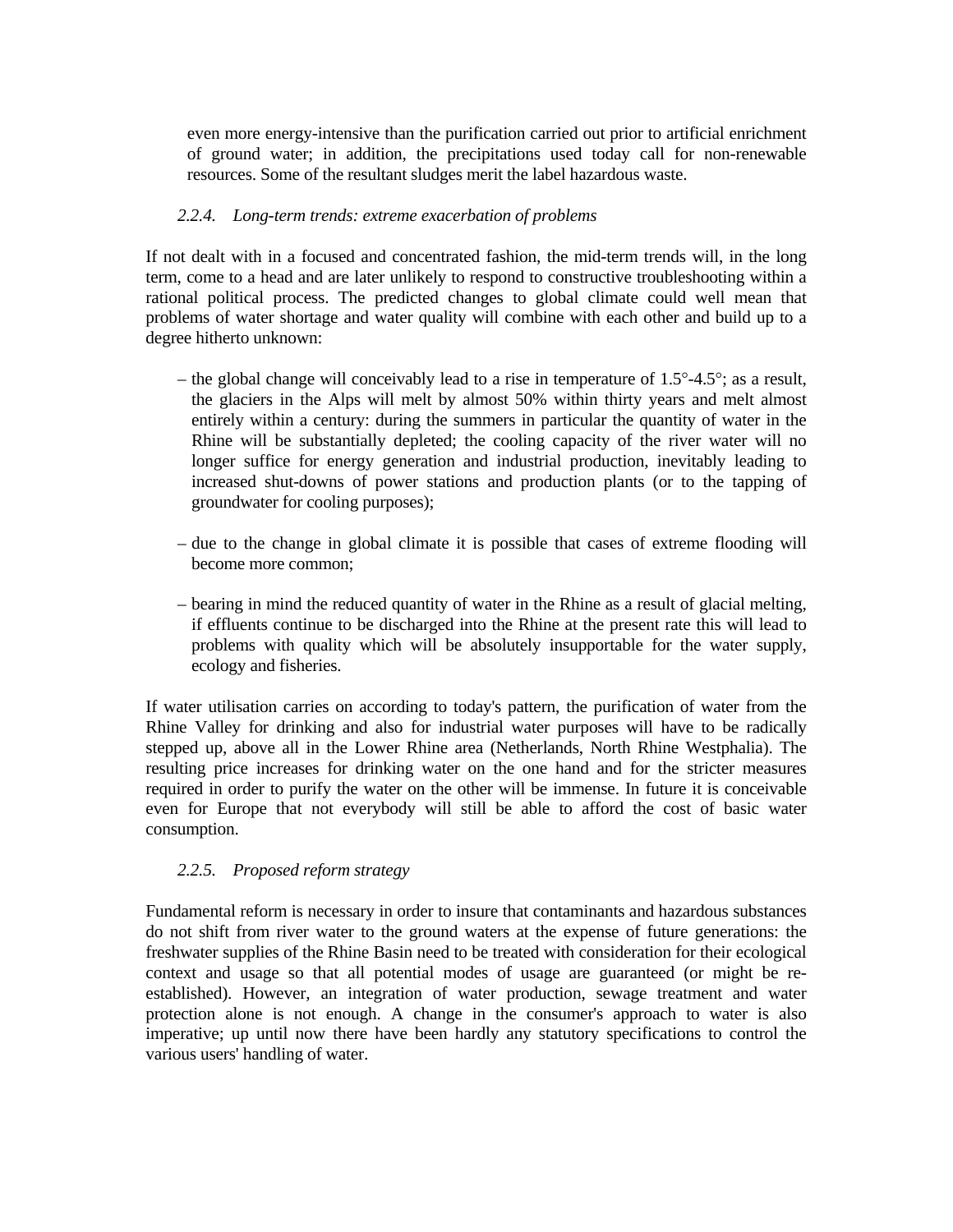even more energy-intensive than the purification carried out prior to artificial enrichment of ground water; in addition, the precipitations used today call for non-renewable resources. Some of the resultant sludges merit the label hazardous waste.

#### *2.2.4. Long-term trends: extreme exacerbation of problems*

If not dealt with in a focused and concentrated fashion, the mid-term trends will, in the long term, come to a head and are later unlikely to respond to constructive troubleshooting within a rational political process. The predicted changes to global climate could well mean that problems of water shortage and water quality will combine with each other and build up to a degree hitherto unknown:

- the global change will conceivably lead to a rise in temperature of 1.5°-4.5°; as a result, the glaciers in the Alps will melt by almost 50% within thirty years and melt almost entirely within a century: during the summers in particular the quantity of water in the Rhine will be substantially depleted; the cooling capacity of the river water will no longer suffice for energy generation and industrial production, inevitably leading to increased shut-downs of power stations and production plants (or to the tapping of groundwater for cooling purposes);
- due to the change in global climate it is possible that cases of extreme flooding will become more common;
- bearing in mind the reduced quantity of water in the Rhine as a result of glacial melting, if effluents continue to be discharged into the Rhine at the present rate this will lead to problems with quality which will be absolutely insupportable for the water supply, ecology and fisheries.

If water utilisation carries on according to today's pattern, the purification of water from the Rhine Valley for drinking and also for industrial water purposes will have to be radically stepped up, above all in the Lower Rhine area (Netherlands, North Rhine Westphalia). The resulting price increases for drinking water on the one hand and for the stricter measures required in order to purify the water on the other will be immense. In future it is conceivable even for Europe that not everybody will still be able to afford the cost of basic water consumption.

## *2.2.5. Proposed reform strategy*

Fundamental reform is necessary in order to insure that contaminants and hazardous substances do not shift from river water to the ground waters at the expense of future generations: the freshwater supplies of the Rhine Basin need to be treated with consideration for their ecological context and usage so that all potential modes of usage are guaranteed (or might be reestablished). However, an integration of water production, sewage treatment and water protection alone is not enough. A change in the consumer's approach to water is also imperative; up until now there have been hardly any statutory specifications to control the various users' handling of water.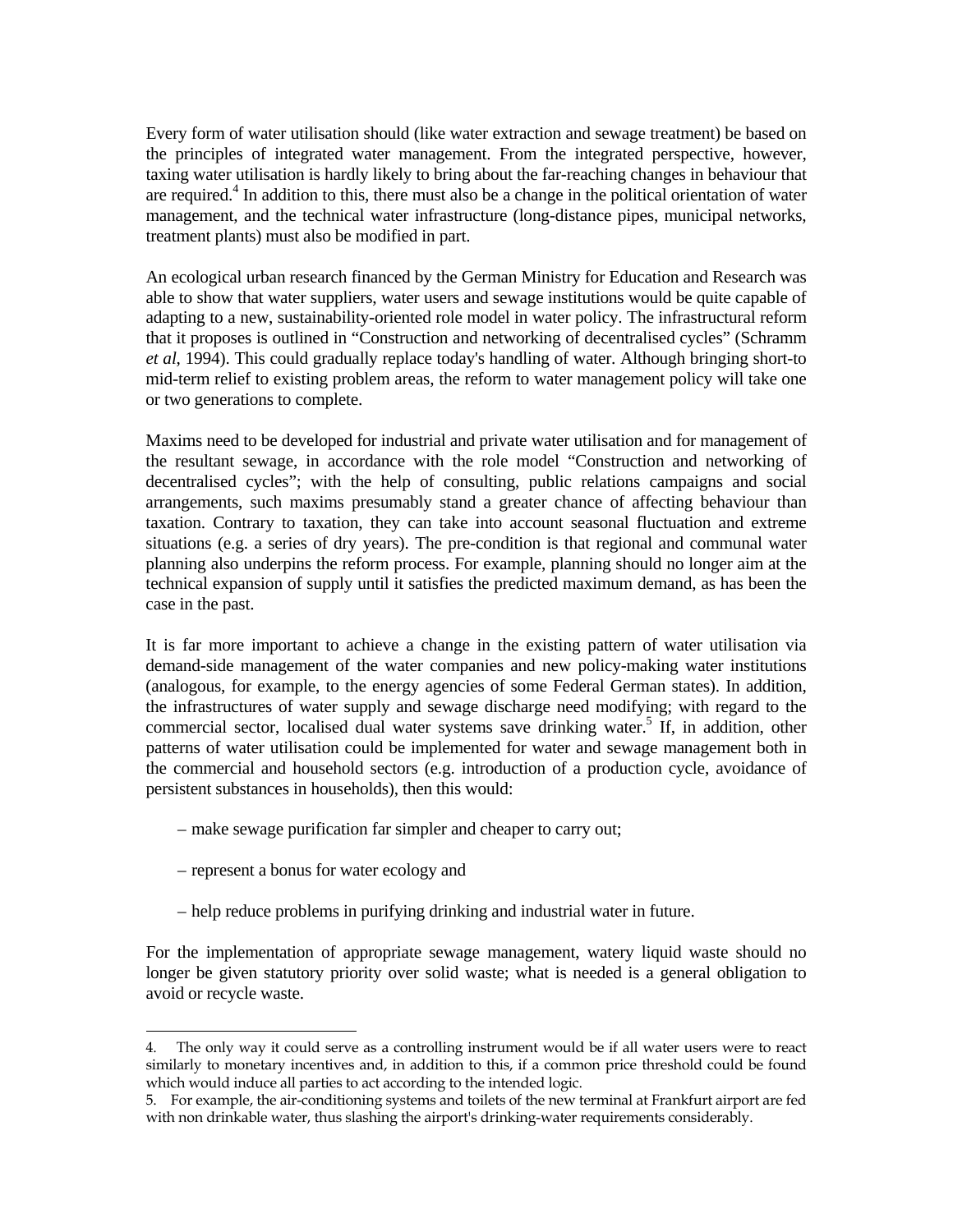Every form of water utilisation should (like water extraction and sewage treatment) be based on the principles of integrated water management. From the integrated perspective, however, taxing water utilisation is hardly likely to bring about the far-reaching changes in behaviour that are required.<sup>4</sup> In addition to this, there must also be a change in the political orientation of water management, and the technical water infrastructure (long-distance pipes, municipal networks, treatment plants) must also be modified in part.

An ecological urban research financed by the German Ministry for Education and Research was able to show that water suppliers, water users and sewage institutions would be quite capable of adapting to a new, sustainability-oriented role model in water policy. The infrastructural reform that it proposes is outlined in "Construction and networking of decentralised cycles" (Schramm *et al*, 1994). This could gradually replace today's handling of water. Although bringing short-to mid-term relief to existing problem areas, the reform to water management policy will take one or two generations to complete.

Maxims need to be developed for industrial and private water utilisation and for management of the resultant sewage, in accordance with the role model "Construction and networking of decentralised cycles"; with the help of consulting, public relations campaigns and social arrangements, such maxims presumably stand a greater chance of affecting behaviour than taxation. Contrary to taxation, they can take into account seasonal fluctuation and extreme situations (e.g. a series of dry years). The pre-condition is that regional and communal water planning also underpins the reform process. For example, planning should no longer aim at the technical expansion of supply until it satisfies the predicted maximum demand, as has been the case in the past.

It is far more important to achieve a change in the existing pattern of water utilisation via demand-side management of the water companies and new policy-making water institutions (analogous, for example, to the energy agencies of some Federal German states). In addition, the infrastructures of water supply and sewage discharge need modifying; with regard to the commercial sector, localised dual water systems save drinking water.<sup>5</sup> If, in addition, other patterns of water utilisation could be implemented for water and sewage management both in the commercial and household sectors (e.g. introduction of a production cycle, avoidance of persistent substances in households), then this would:

- make sewage purification far simpler and cheaper to carry out;
- represent a bonus for water ecology and

÷

– help reduce problems in purifying drinking and industrial water in future.

For the implementation of appropriate sewage management, watery liquid waste should no longer be given statutory priority over solid waste; what is needed is a general obligation to avoid or recycle waste.

<sup>4.</sup> The only way it could serve as a controlling instrument would be if all water users were to react similarly to monetary incentives and, in addition to this, if a common price threshold could be found which would induce all parties to act according to the intended logic.

<sup>5.</sup> For example, the air-conditioning systems and toilets of the new terminal at Frankfurt airport are fed with non drinkable water, thus slashing the airport's drinking-water requirements considerably.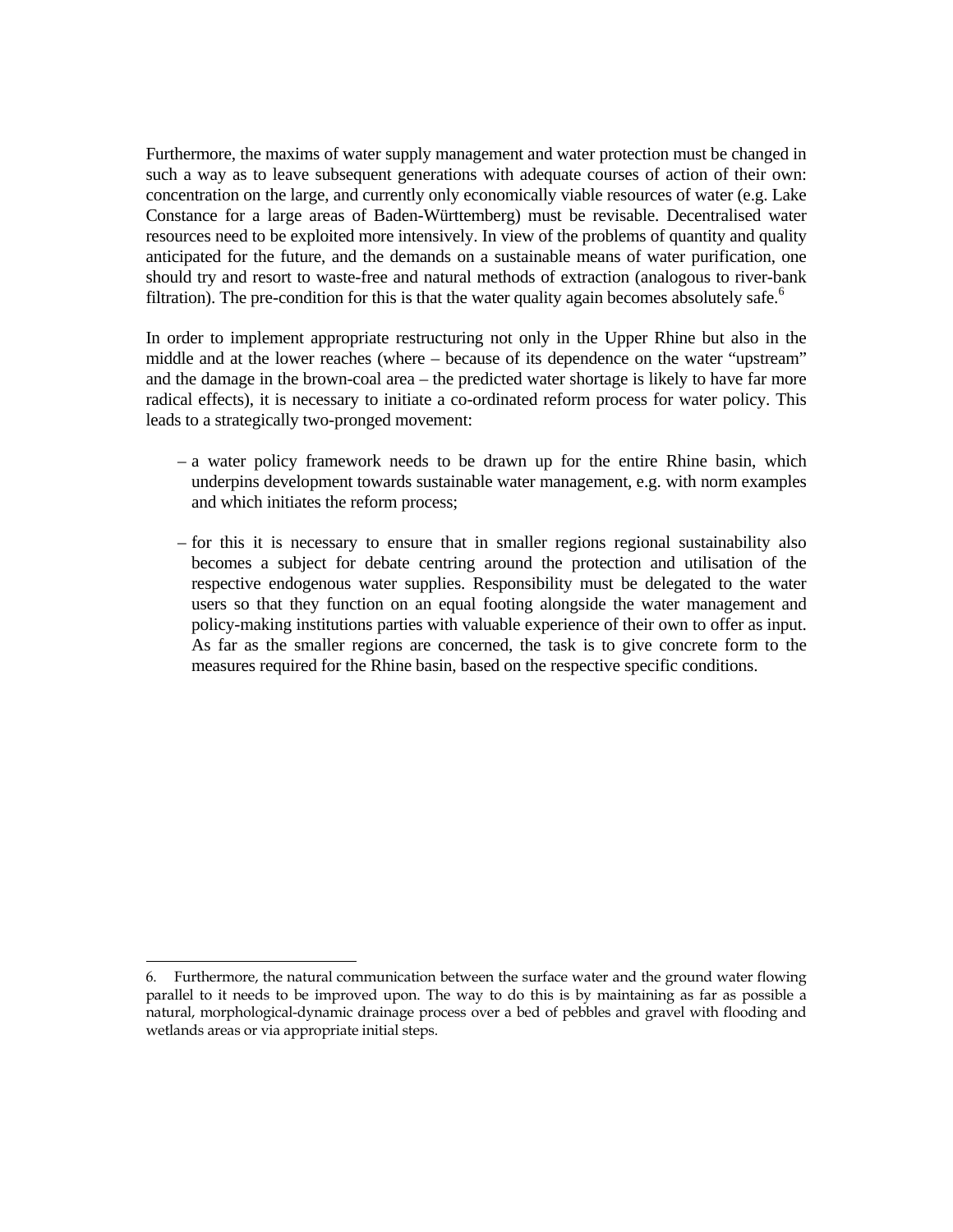Furthermore, the maxims of water supply management and water protection must be changed in such a way as to leave subsequent generations with adequate courses of action of their own: concentration on the large, and currently only economically viable resources of water (e.g. Lake Constance for a large areas of Baden-Württemberg) must be revisable. Decentralised water resources need to be exploited more intensively. In view of the problems of quantity and quality anticipated for the future, and the demands on a sustainable means of water purification, one should try and resort to waste-free and natural methods of extraction (analogous to river-bank filtration). The pre-condition for this is that the water quality again becomes absolutely safe.<sup>6</sup>

In order to implement appropriate restructuring not only in the Upper Rhine but also in the middle and at the lower reaches (where – because of its dependence on the water "upstream" and the damage in the brown-coal area – the predicted water shortage is likely to have far more radical effects), it is necessary to initiate a co-ordinated reform process for water policy. This leads to a strategically two-pronged movement:

- a water policy framework needs to be drawn up for the entire Rhine basin, which underpins development towards sustainable water management, e.g. with norm examples and which initiates the reform process;
- for this it is necessary to ensure that in smaller regions regional sustainability also becomes a subject for debate centring around the protection and utilisation of the respective endogenous water supplies. Responsibility must be delegated to the water users so that they function on an equal footing alongside the water management and policy-making institutions parties with valuable experience of their own to offer as input. As far as the smaller regions are concerned, the task is to give concrete form to the measures required for the Rhine basin, based on the respective specific conditions.

<sup>÷</sup> 6. Furthermore, the natural communication between the surface water and the ground water flowing parallel to it needs to be improved upon. The way to do this is by maintaining as far as possible a natural, morphological-dynamic drainage process over a bed of pebbles and gravel with flooding and wetlands areas or via appropriate initial steps.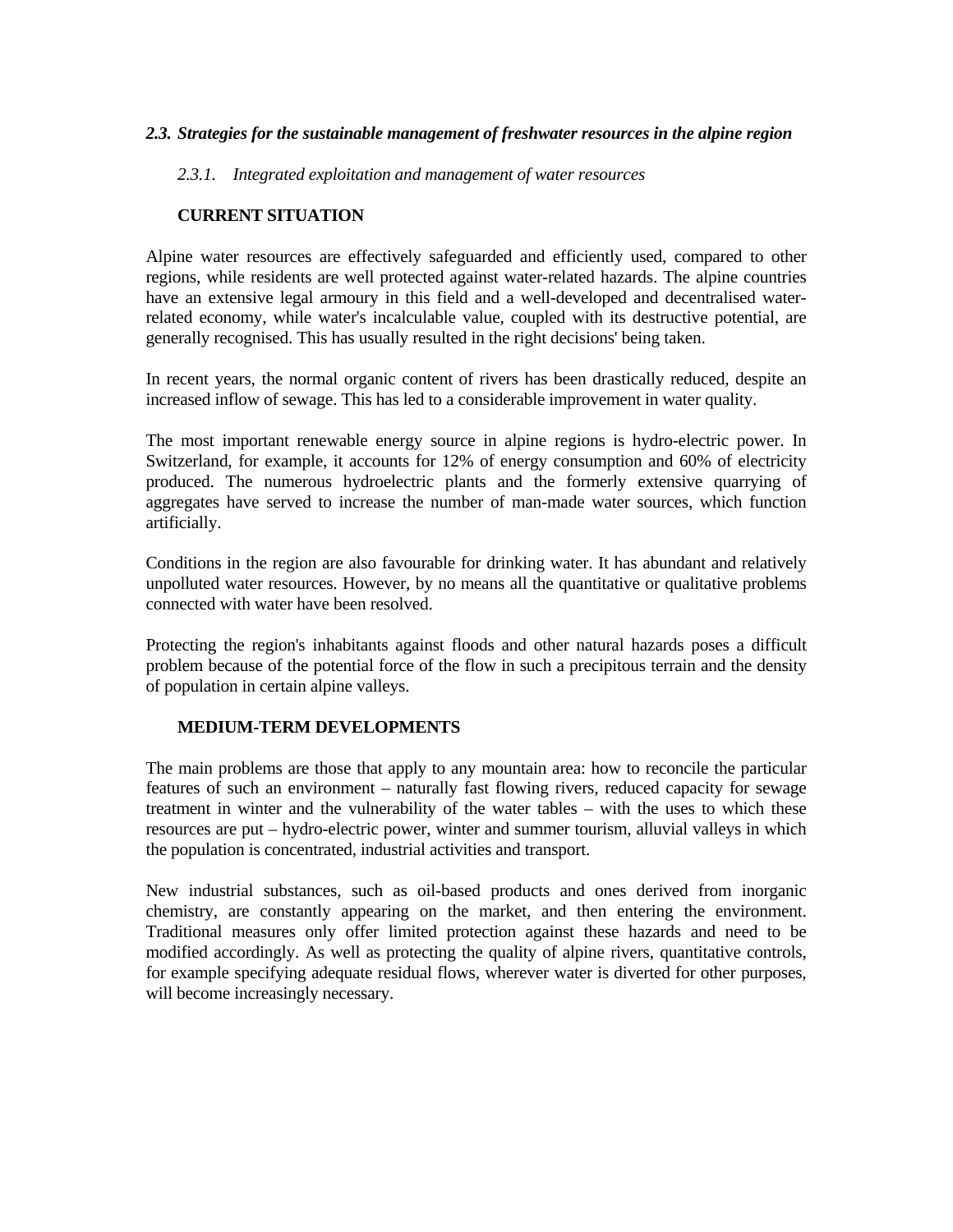## *2.3. Strategies for the sustainable management of freshwater resources in the alpine region*

 *2.3.1. Integrated exploitation and management of water resources*

## **CURRENT SITUATION**

Alpine water resources are effectively safeguarded and efficiently used, compared to other regions, while residents are well protected against water-related hazards. The alpine countries have an extensive legal armoury in this field and a well-developed and decentralised waterrelated economy, while water's incalculable value, coupled with its destructive potential, are generally recognised. This has usually resulted in the right decisions' being taken.

In recent years, the normal organic content of rivers has been drastically reduced, despite an increased inflow of sewage. This has led to a considerable improvement in water quality.

The most important renewable energy source in alpine regions is hydro-electric power. In Switzerland, for example, it accounts for 12% of energy consumption and 60% of electricity produced. The numerous hydroelectric plants and the formerly extensive quarrying of aggregates have served to increase the number of man-made water sources, which function artificially.

Conditions in the region are also favourable for drinking water. It has abundant and relatively unpolluted water resources. However, by no means all the quantitative or qualitative problems connected with water have been resolved.

Protecting the region's inhabitants against floods and other natural hazards poses a difficult problem because of the potential force of the flow in such a precipitous terrain and the density of population in certain alpine valleys.

## **MEDIUM-TERM DEVELOPMENTS**

The main problems are those that apply to any mountain area: how to reconcile the particular features of such an environment – naturally fast flowing rivers, reduced capacity for sewage treatment in winter and the vulnerability of the water tables – with the uses to which these resources are put – hydro-electric power, winter and summer tourism, alluvial valleys in which the population is concentrated, industrial activities and transport.

New industrial substances, such as oil-based products and ones derived from inorganic chemistry, are constantly appearing on the market, and then entering the environment. Traditional measures only offer limited protection against these hazards and need to be modified accordingly. As well as protecting the quality of alpine rivers, quantitative controls, for example specifying adequate residual flows, wherever water is diverted for other purposes, will become increasingly necessary.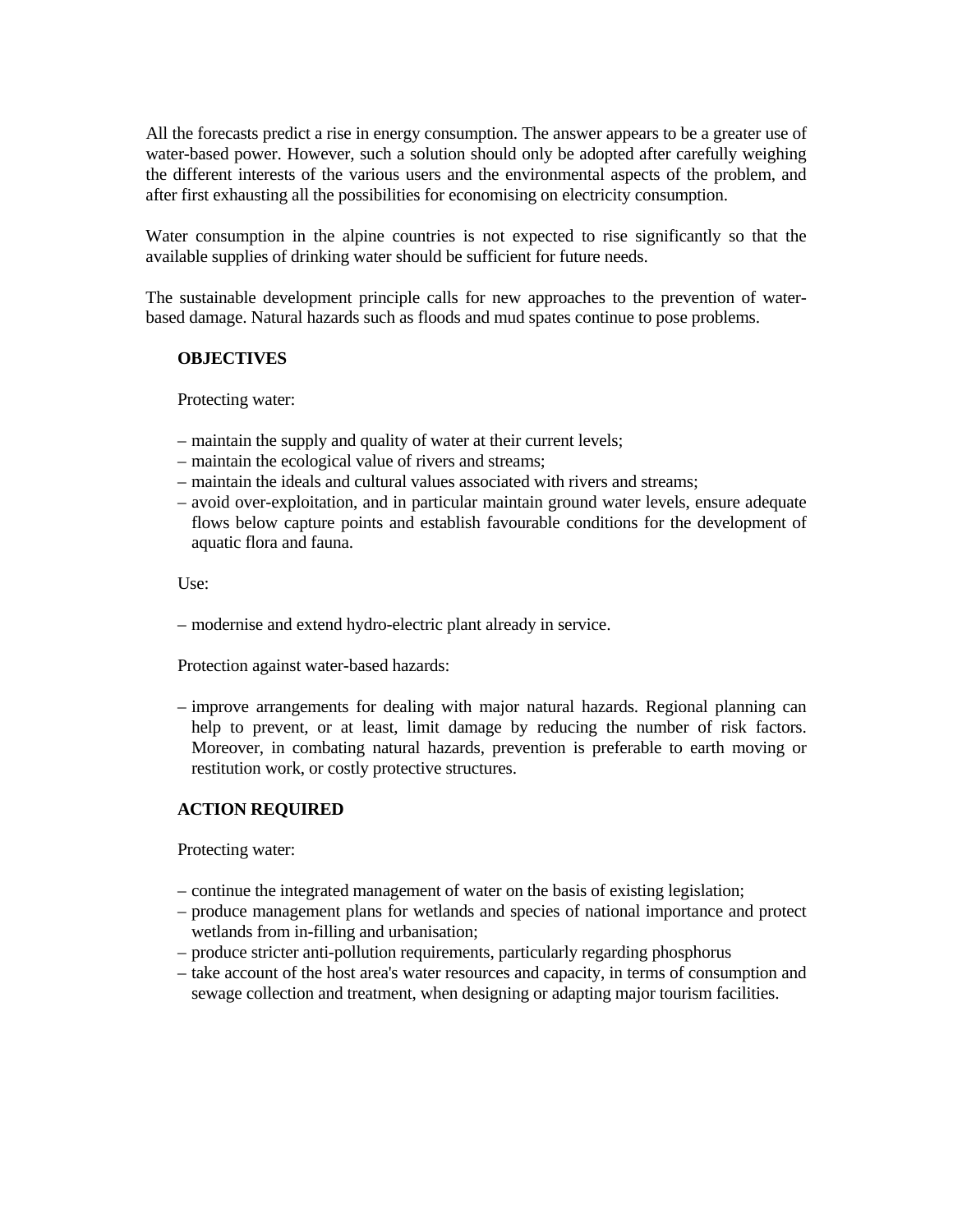All the forecasts predict a rise in energy consumption. The answer appears to be a greater use of water-based power. However, such a solution should only be adopted after carefully weighing the different interests of the various users and the environmental aspects of the problem, and after first exhausting all the possibilities for economising on electricity consumption.

Water consumption in the alpine countries is not expected to rise significantly so that the available supplies of drinking water should be sufficient for future needs.

The sustainable development principle calls for new approaches to the prevention of waterbased damage. Natural hazards such as floods and mud spates continue to pose problems.

## **OBJECTIVES**

Protecting water:

- maintain the supply and quality of water at their current levels;
- maintain the ecological value of rivers and streams;
- maintain the ideals and cultural values associated with rivers and streams;
- avoid over-exploitation, and in particular maintain ground water levels, ensure adequate flows below capture points and establish favourable conditions for the development of aquatic flora and fauna.

Use:

– modernise and extend hydro-electric plant already in service.

Protection against water-based hazards:

 – improve arrangements for dealing with major natural hazards. Regional planning can help to prevent, or at least, limit damage by reducing the number of risk factors. Moreover, in combating natural hazards, prevention is preferable to earth moving or restitution work, or costly protective structures.

# **ACTION REQUIRED**

Protecting water:

- continue the integrated management of water on the basis of existing legislation;
- produce management plans for wetlands and species of national importance and protect wetlands from in-filling and urbanisation;
- produce stricter anti-pollution requirements, particularly regarding phosphorus
- take account of the host area's water resources and capacity, in terms of consumption and sewage collection and treatment, when designing or adapting major tourism facilities.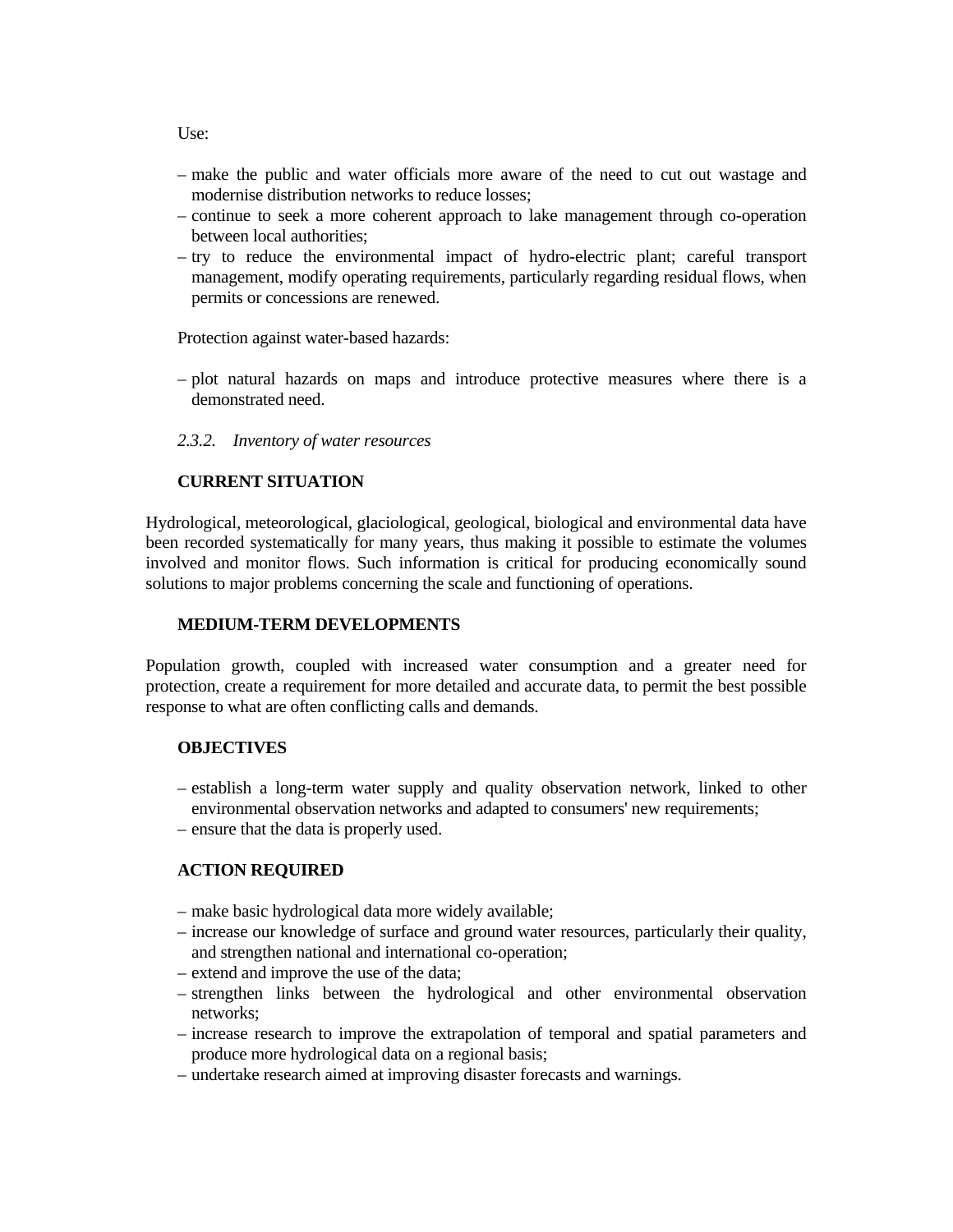Use:

- make the public and water officials more aware of the need to cut out wastage and modernise distribution networks to reduce losses;
- continue to seek a more coherent approach to lake management through co-operation between local authorities;
- try to reduce the environmental impact of hydro-electric plant; careful transport management, modify operating requirements, particularly regarding residual flows, when permits or concessions are renewed.

Protection against water-based hazards:

- plot natural hazards on maps and introduce protective measures where there is a demonstrated need.
- *2.3.2. Inventory of water resources*

## **CURRENT SITUATION**

Hydrological, meteorological, glaciological, geological, biological and environmental data have been recorded systematically for many years, thus making it possible to estimate the volumes involved and monitor flows. Such information is critical for producing economically sound solutions to major problems concerning the scale and functioning of operations.

#### **MEDIUM-TERM DEVELOPMENTS**

Population growth, coupled with increased water consumption and a greater need for protection, create a requirement for more detailed and accurate data, to permit the best possible response to what are often conflicting calls and demands.

#### **OBJECTIVES**

- establish a long-term water supply and quality observation network, linked to other environmental observation networks and adapted to consumers' new requirements;
- ensure that the data is properly used.

#### **ACTION REQUIRED**

- make basic hydrological data more widely available;
- increase our knowledge of surface and ground water resources, particularly their quality, and strengthen national and international co-operation;
- extend and improve the use of the data;
- strengthen links between the hydrological and other environmental observation networks;
- increase research to improve the extrapolation of temporal and spatial parameters and produce more hydrological data on a regional basis;
- undertake research aimed at improving disaster forecasts and warnings.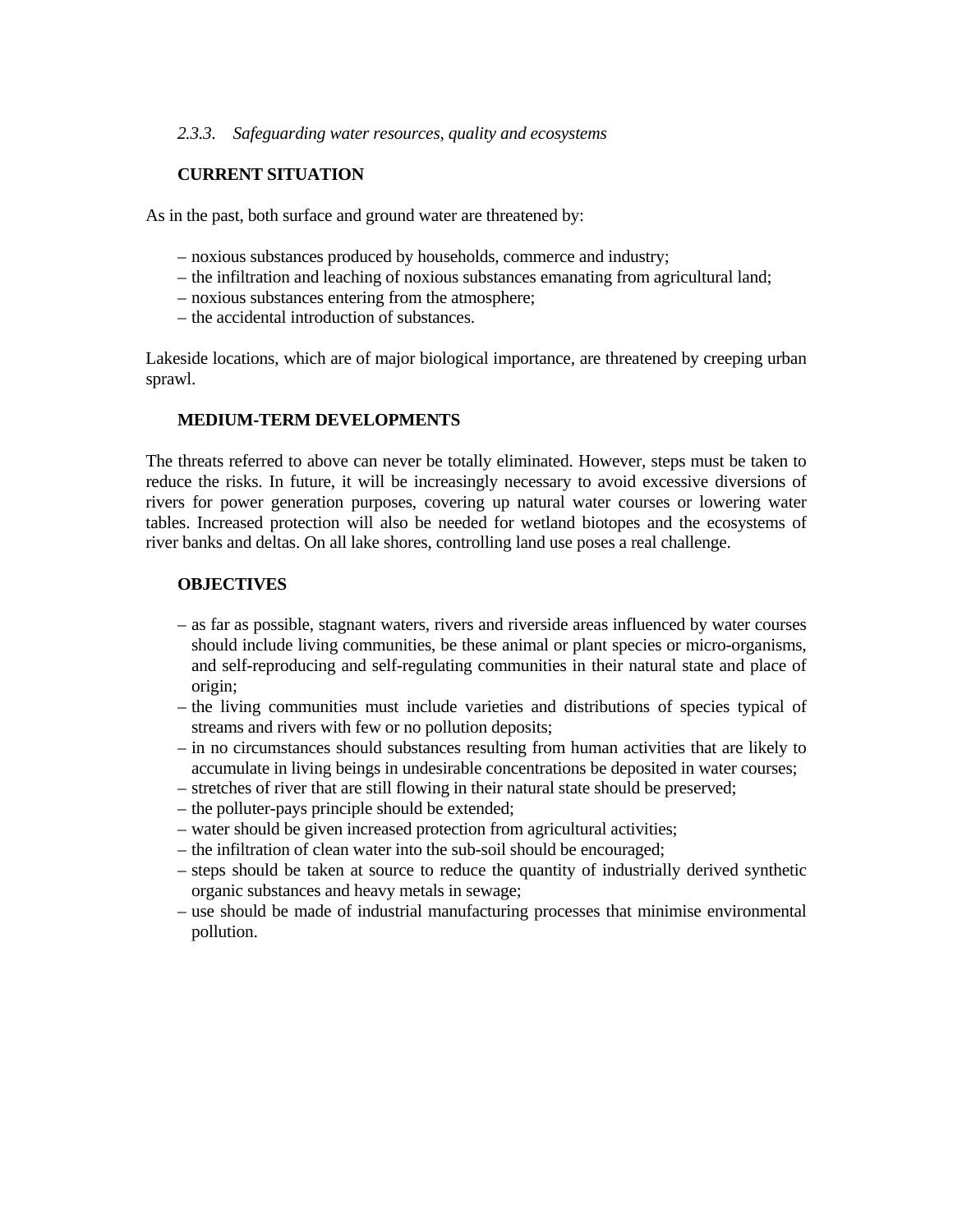#### *2.3.3. Safeguarding water resources, quality and ecosystems*

## **CURRENT SITUATION**

As in the past, both surface and ground water are threatened by:

- noxious substances produced by households, commerce and industry;
- the infiltration and leaching of noxious substances emanating from agricultural land;
- noxious substances entering from the atmosphere;
- the accidental introduction of substances.

Lakeside locations, which are of major biological importance, are threatened by creeping urban sprawl.

#### **MEDIUM-TERM DEVELOPMENTS**

The threats referred to above can never be totally eliminated. However, steps must be taken to reduce the risks. In future, it will be increasingly necessary to avoid excessive diversions of rivers for power generation purposes, covering up natural water courses or lowering water tables. Increased protection will also be needed for wetland biotopes and the ecosystems of river banks and deltas. On all lake shores, controlling land use poses a real challenge.

#### **OBJECTIVES**

- as far as possible, stagnant waters, rivers and riverside areas influenced by water courses should include living communities, be these animal or plant species or micro-organisms, and self-reproducing and self-regulating communities in their natural state and place of origin;
- the living communities must include varieties and distributions of species typical of streams and rivers with few or no pollution deposits;
- in no circumstances should substances resulting from human activities that are likely to accumulate in living beings in undesirable concentrations be deposited in water courses;
- stretches of river that are still flowing in their natural state should be preserved;
- the polluter-pays principle should be extended;
- water should be given increased protection from agricultural activities;
- the infiltration of clean water into the sub-soil should be encouraged;
- steps should be taken at source to reduce the quantity of industrially derived synthetic organic substances and heavy metals in sewage;
- use should be made of industrial manufacturing processes that minimise environmental pollution.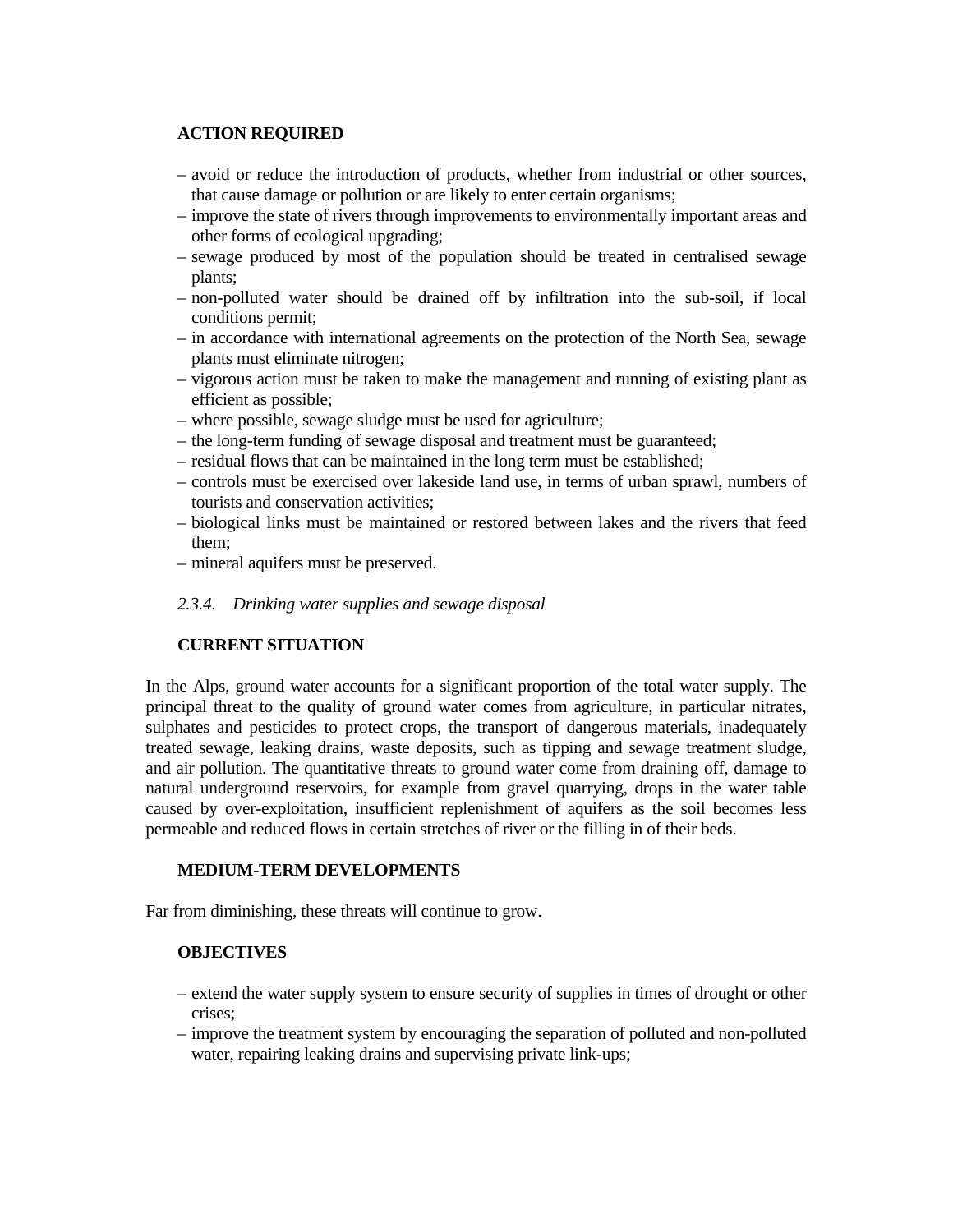## **ACTION REQUIRED**

- avoid or reduce the introduction of products, whether from industrial or other sources, that cause damage or pollution or are likely to enter certain organisms;
- improve the state of rivers through improvements to environmentally important areas and other forms of ecological upgrading;
- sewage produced by most of the population should be treated in centralised sewage plants;
- non-polluted water should be drained off by infiltration into the sub-soil, if local conditions permit;
- in accordance with international agreements on the protection of the North Sea, sewage plants must eliminate nitrogen;
- vigorous action must be taken to make the management and running of existing plant as efficient as possible;
- where possible, sewage sludge must be used for agriculture;
- the long-term funding of sewage disposal and treatment must be guaranteed;
- residual flows that can be maintained in the long term must be established;
- controls must be exercised over lakeside land use, in terms of urban sprawl, numbers of tourists and conservation activities;
- biological links must be maintained or restored between lakes and the rivers that feed them;
- mineral aquifers must be preserved.
- *2.3.4. Drinking water supplies and sewage disposal*

# **CURRENT SITUATION**

In the Alps, ground water accounts for a significant proportion of the total water supply. The principal threat to the quality of ground water comes from agriculture, in particular nitrates, sulphates and pesticides to protect crops, the transport of dangerous materials, inadequately treated sewage, leaking drains, waste deposits, such as tipping and sewage treatment sludge, and air pollution. The quantitative threats to ground water come from draining off, damage to natural underground reservoirs, for example from gravel quarrying, drops in the water table caused by over-exploitation, insufficient replenishment of aquifers as the soil becomes less permeable and reduced flows in certain stretches of river or the filling in of their beds.

#### **MEDIUM-TERM DEVELOPMENTS**

Far from diminishing, these threats will continue to grow.

#### **OBJECTIVES**

- extend the water supply system to ensure security of supplies in times of drought or other crises;
- improve the treatment system by encouraging the separation of polluted and non-polluted water, repairing leaking drains and supervising private link-ups;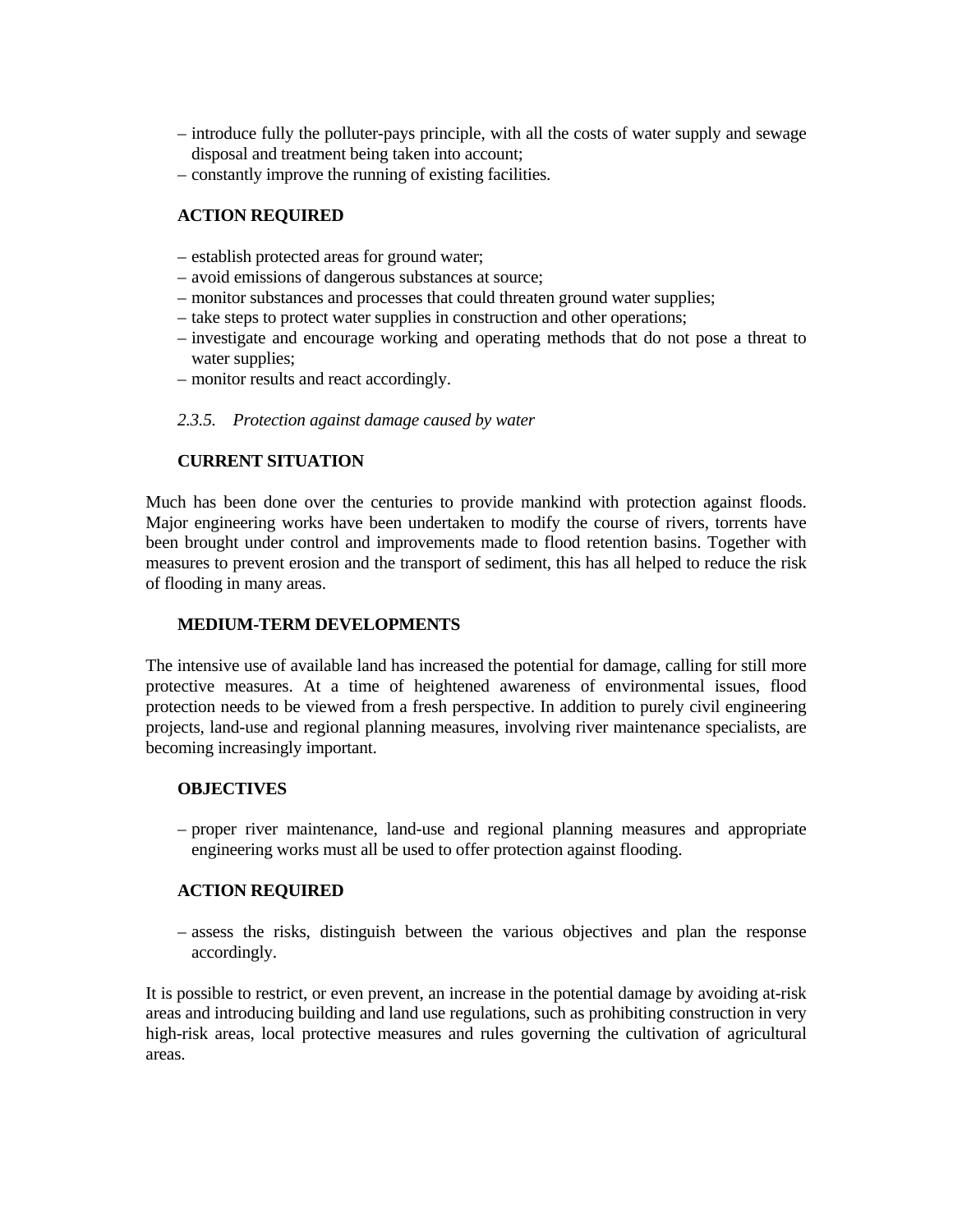- introduce fully the polluter-pays principle, with all the costs of water supply and sewage disposal and treatment being taken into account;
- constantly improve the running of existing facilities.

## **ACTION REQUIRED**

- establish protected areas for ground water;
- avoid emissions of dangerous substances at source;
- monitor substances and processes that could threaten ground water supplies;
- take steps to protect water supplies in construction and other operations;
- investigate and encourage working and operating methods that do not pose a threat to water supplies;
- monitor results and react accordingly.

## *2.3.5. Protection against damage caused by water*

# **CURRENT SITUATION**

Much has been done over the centuries to provide mankind with protection against floods. Major engineering works have been undertaken to modify the course of rivers, torrents have been brought under control and improvements made to flood retention basins. Together with measures to prevent erosion and the transport of sediment, this has all helped to reduce the risk of flooding in many areas.

## **MEDIUM-TERM DEVELOPMENTS**

The intensive use of available land has increased the potential for damage, calling for still more protective measures. At a time of heightened awareness of environmental issues, flood protection needs to be viewed from a fresh perspective. In addition to purely civil engineering projects, land-use and regional planning measures, involving river maintenance specialists, are becoming increasingly important.

## **OBJECTIVES**

 – proper river maintenance, land-use and regional planning measures and appropriate engineering works must all be used to offer protection against flooding.

## **ACTION REQUIRED**

 – assess the risks, distinguish between the various objectives and plan the response accordingly.

It is possible to restrict, or even prevent, an increase in the potential damage by avoiding at-risk areas and introducing building and land use regulations, such as prohibiting construction in very high-risk areas, local protective measures and rules governing the cultivation of agricultural areas.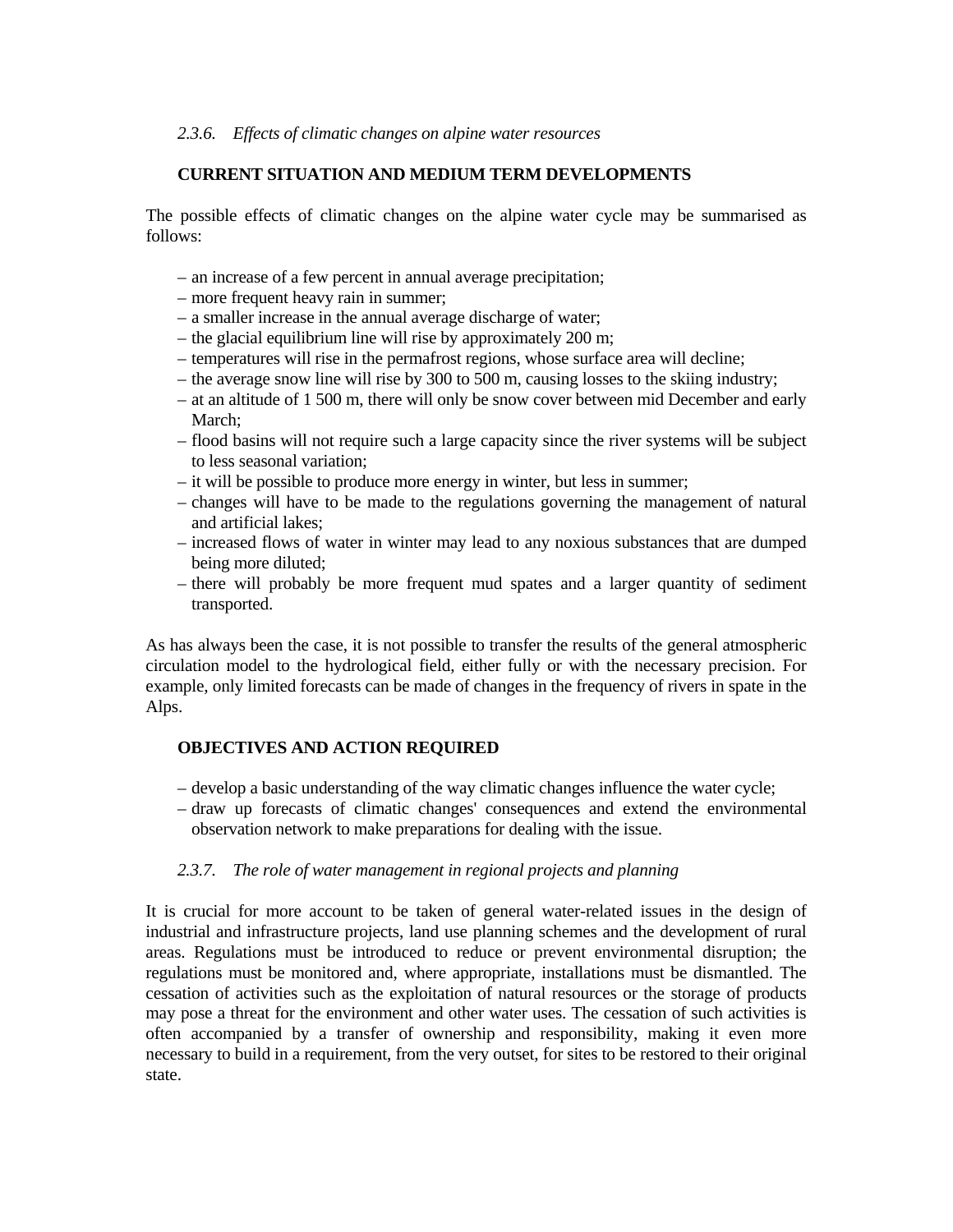#### *2.3.6. Effects of climatic changes on alpine water resources*

## **CURRENT SITUATION AND MEDIUM TERM DEVELOPMENTS**

The possible effects of climatic changes on the alpine water cycle may be summarised as follows:

- an increase of a few percent in annual average precipitation;
- more frequent heavy rain in summer;
- a smaller increase in the annual average discharge of water;
- the glacial equilibrium line will rise by approximately 200 m;
- temperatures will rise in the permafrost regions, whose surface area will decline;
- the average snow line will rise by 300 to 500 m, causing losses to the skiing industry;
- at an altitude of 1 500 m, there will only be snow cover between mid December and early March;
- flood basins will not require such a large capacity since the river systems will be subject to less seasonal variation;
- it will be possible to produce more energy in winter, but less in summer;
- changes will have to be made to the regulations governing the management of natural and artificial lakes;
- increased flows of water in winter may lead to any noxious substances that are dumped being more diluted;
- there will probably be more frequent mud spates and a larger quantity of sediment transported.

As has always been the case, it is not possible to transfer the results of the general atmospheric circulation model to the hydrological field, either fully or with the necessary precision. For example, only limited forecasts can be made of changes in the frequency of rivers in spate in the Alps.

## **OBJECTIVES AND ACTION REQUIRED**

- develop a basic understanding of the way climatic changes influence the water cycle;
- draw up forecasts of climatic changes' consequences and extend the environmental observation network to make preparations for dealing with the issue.

## *2.3.7. The role of water management in regional projects and planning*

It is crucial for more account to be taken of general water-related issues in the design of industrial and infrastructure projects, land use planning schemes and the development of rural areas. Regulations must be introduced to reduce or prevent environmental disruption; the regulations must be monitored and, where appropriate, installations must be dismantled. The cessation of activities such as the exploitation of natural resources or the storage of products may pose a threat for the environment and other water uses. The cessation of such activities is often accompanied by a transfer of ownership and responsibility, making it even more necessary to build in a requirement, from the very outset, for sites to be restored to their original state.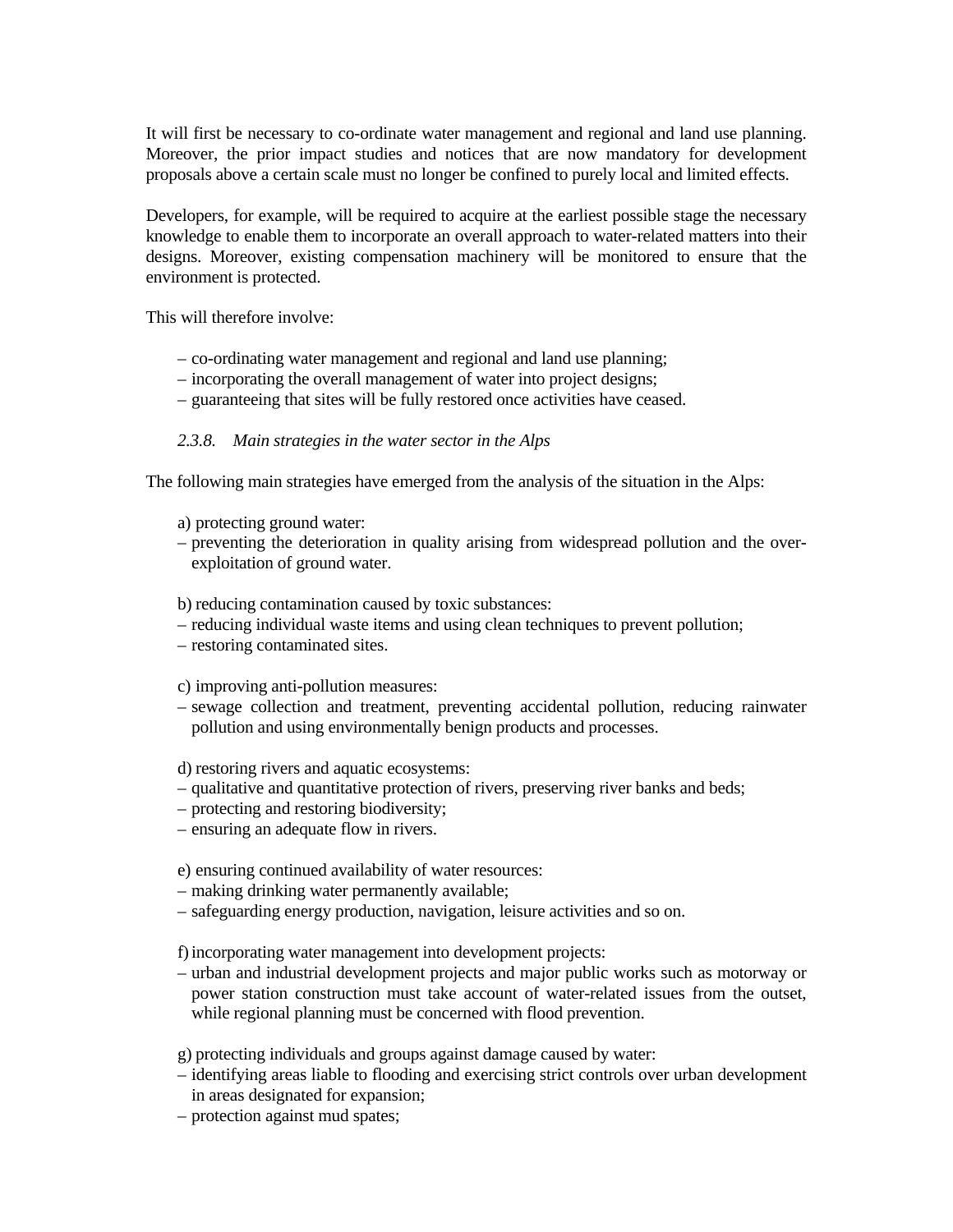It will first be necessary to co-ordinate water management and regional and land use planning. Moreover, the prior impact studies and notices that are now mandatory for development proposals above a certain scale must no longer be confined to purely local and limited effects.

Developers, for example, will be required to acquire at the earliest possible stage the necessary knowledge to enable them to incorporate an overall approach to water-related matters into their designs. Moreover, existing compensation machinery will be monitored to ensure that the environment is protected.

This will therefore involve:

- co-ordinating water management and regional and land use planning;
- incorporating the overall management of water into project designs;
- guaranteeing that sites will be fully restored once activities have ceased.

#### *2.3.8. Main strategies in the water sector in the Alps*

The following main strategies have emerged from the analysis of the situation in the Alps:

- a) protecting ground water:
- preventing the deterioration in quality arising from widespread pollution and the overexploitation of ground water.

b) reducing contamination caused by toxic substances:

- reducing individual waste items and using clean techniques to prevent pollution;
- restoring contaminated sites.

c) improving anti-pollution measures:

 – sewage collection and treatment, preventing accidental pollution, reducing rainwater pollution and using environmentally benign products and processes.

d) restoring rivers and aquatic ecosystems:

- qualitative and quantitative protection of rivers, preserving river banks and beds;
- protecting and restoring biodiversity;
- ensuring an adequate flow in rivers.

e) ensuring continued availability of water resources:

- making drinking water permanently available;
- safeguarding energy production, navigation, leisure activities and so on.

f) incorporating water management into development projects:

- urban and industrial development projects and major public works such as motorway or power station construction must take account of water-related issues from the outset, while regional planning must be concerned with flood prevention.
- g) protecting individuals and groups against damage caused by water:
- identifying areas liable to flooding and exercising strict controls over urban development in areas designated for expansion;
- protection against mud spates;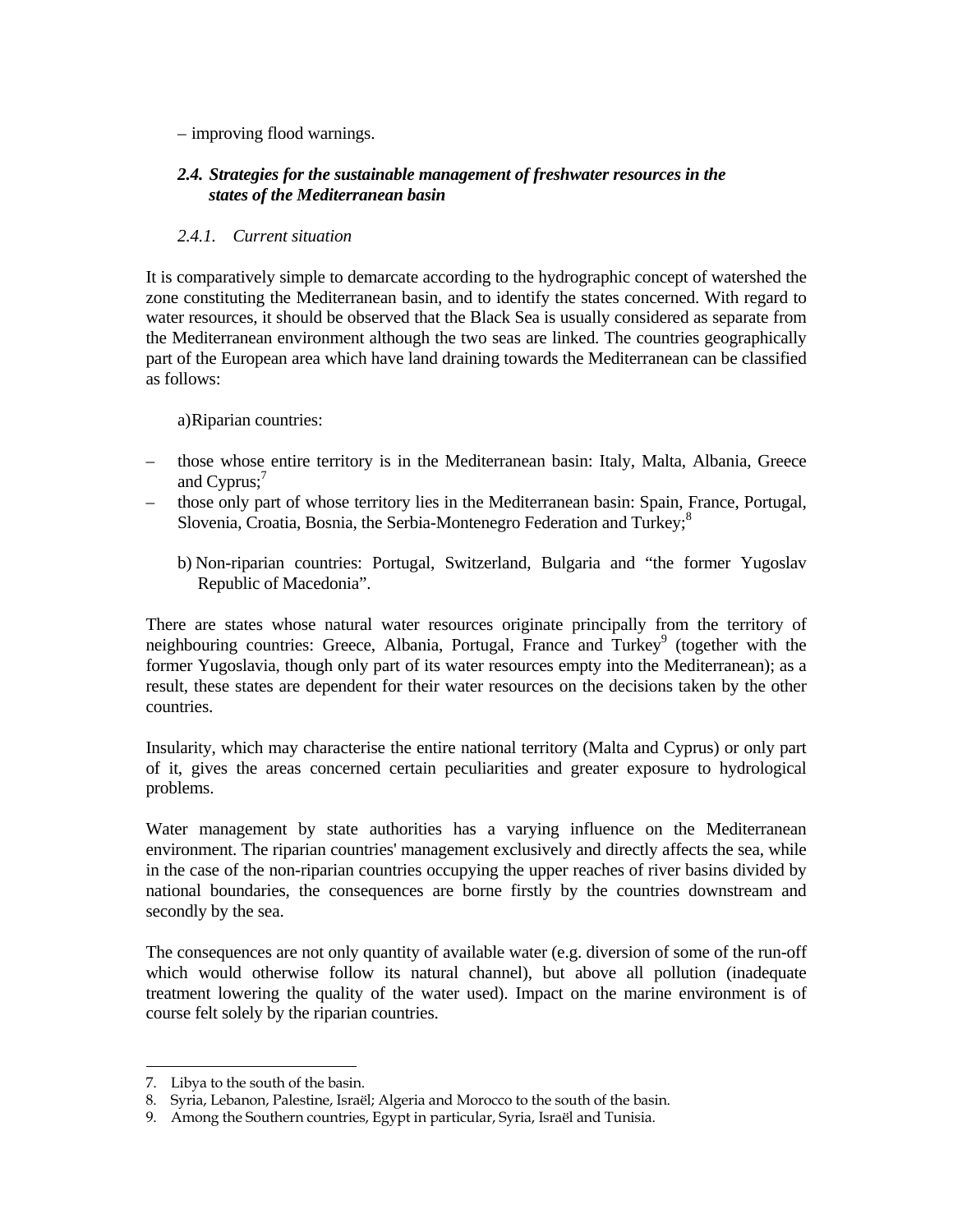## – improving flood warnings.

# *2.4. Strategies for the sustainable management of freshwater resources in the states of the Mediterranean basin*

# *2.4.1. Current situation*

It is comparatively simple to demarcate according to the hydrographic concept of watershed the zone constituting the Mediterranean basin, and to identify the states concerned. With regard to water resources, it should be observed that the Black Sea is usually considered as separate from the Mediterranean environment although the two seas are linked. The countries geographically part of the European area which have land draining towards the Mediterranean can be classified as follows:

a) Riparian countries:

- those whose entire territory is in the Mediterranean basin: Italy, Malta, Albania, Greece and Cyprus; $'$
- those only part of whose territory lies in the Mediterranean basin: Spain, France, Portugal, Slovenia, Croatia, Bosnia, the Serbia-Montenegro Federation and Turkey;<sup>8</sup>
	- b) Non-riparian countries: Portugal, Switzerland, Bulgaria and "the former Yugoslav Republic of Macedonia".

There are states whose natural water resources originate principally from the territory of neighbouring countries: Greece, Albania, Portugal, France and Turkey<sup>9</sup> (together with the former Yugoslavia, though only part of its water resources empty into the Mediterranean); as a result, these states are dependent for their water resources on the decisions taken by the other countries.

Insularity, which may characterise the entire national territory (Malta and Cyprus) or only part of it, gives the areas concerned certain peculiarities and greater exposure to hydrological problems.

Water management by state authorities has a varying influence on the Mediterranean environment. The riparian countries' management exclusively and directly affects the sea, while in the case of the non-riparian countries occupying the upper reaches of river basins divided by national boundaries, the consequences are borne firstly by the countries downstream and secondly by the sea.

The consequences are not only quantity of available water (e.g. diversion of some of the run-off which would otherwise follow its natural channel), but above all pollution (inadequate treatment lowering the quality of the water used). Impact on the marine environment is of course felt solely by the riparian countries.

<sup>÷</sup> 7. Libya to the south of the basin.

<sup>8.</sup> Syria, Lebanon, Palestine, Israël; Algeria and Morocco to the south of the basin.

<sup>9.</sup> Among the Southern countries, Egypt in particular, Syria, Israël and Tunisia.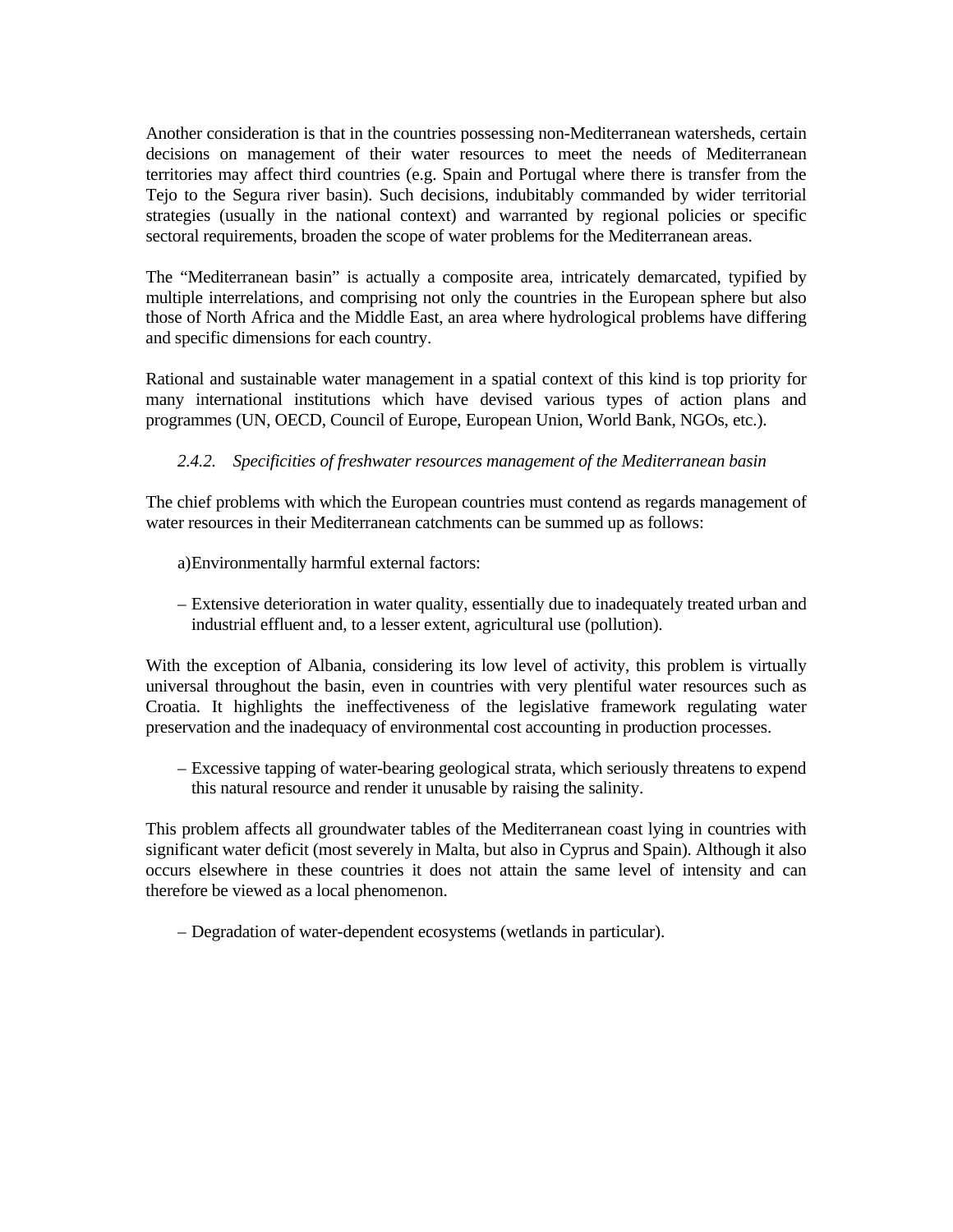Another consideration is that in the countries possessing non-Mediterranean watersheds, certain decisions on management of their water resources to meet the needs of Mediterranean territories may affect third countries (e.g. Spain and Portugal where there is transfer from the Tejo to the Segura river basin). Such decisions, indubitably commanded by wider territorial strategies (usually in the national context) and warranted by regional policies or specific sectoral requirements, broaden the scope of water problems for the Mediterranean areas.

The "Mediterranean basin" is actually a composite area, intricately demarcated, typified by multiple interrelations, and comprising not only the countries in the European sphere but also those of North Africa and the Middle East, an area where hydrological problems have differing and specific dimensions for each country.

Rational and sustainable water management in a spatial context of this kind is top priority for many international institutions which have devised various types of action plans and programmes (UN, OECD, Council of Europe, European Union, World Bank, NGOs, etc.).

# *2.4.2. Specificities of freshwater resources management of the Mediterranean basin*

The chief problems with which the European countries must contend as regards management of water resources in their Mediterranean catchments can be summed up as follows:

a) Environmentally harmful external factors:

 – Extensive deterioration in water quality, essentially due to inadequately treated urban and industrial effluent and, to a lesser extent, agricultural use (pollution).

With the exception of Albania, considering its low level of activity, this problem is virtually universal throughout the basin, even in countries with very plentiful water resources such as Croatia. It highlights the ineffectiveness of the legislative framework regulating water preservation and the inadequacy of environmental cost accounting in production processes.

 – Excessive tapping of water-bearing geological strata, which seriously threatens to expend this natural resource and render it unusable by raising the salinity.

This problem affects all groundwater tables of the Mediterranean coast lying in countries with significant water deficit (most severely in Malta, but also in Cyprus and Spain). Although it also occurs elsewhere in these countries it does not attain the same level of intensity and can therefore be viewed as a local phenomenon.

– Degradation of water-dependent ecosystems (wetlands in particular).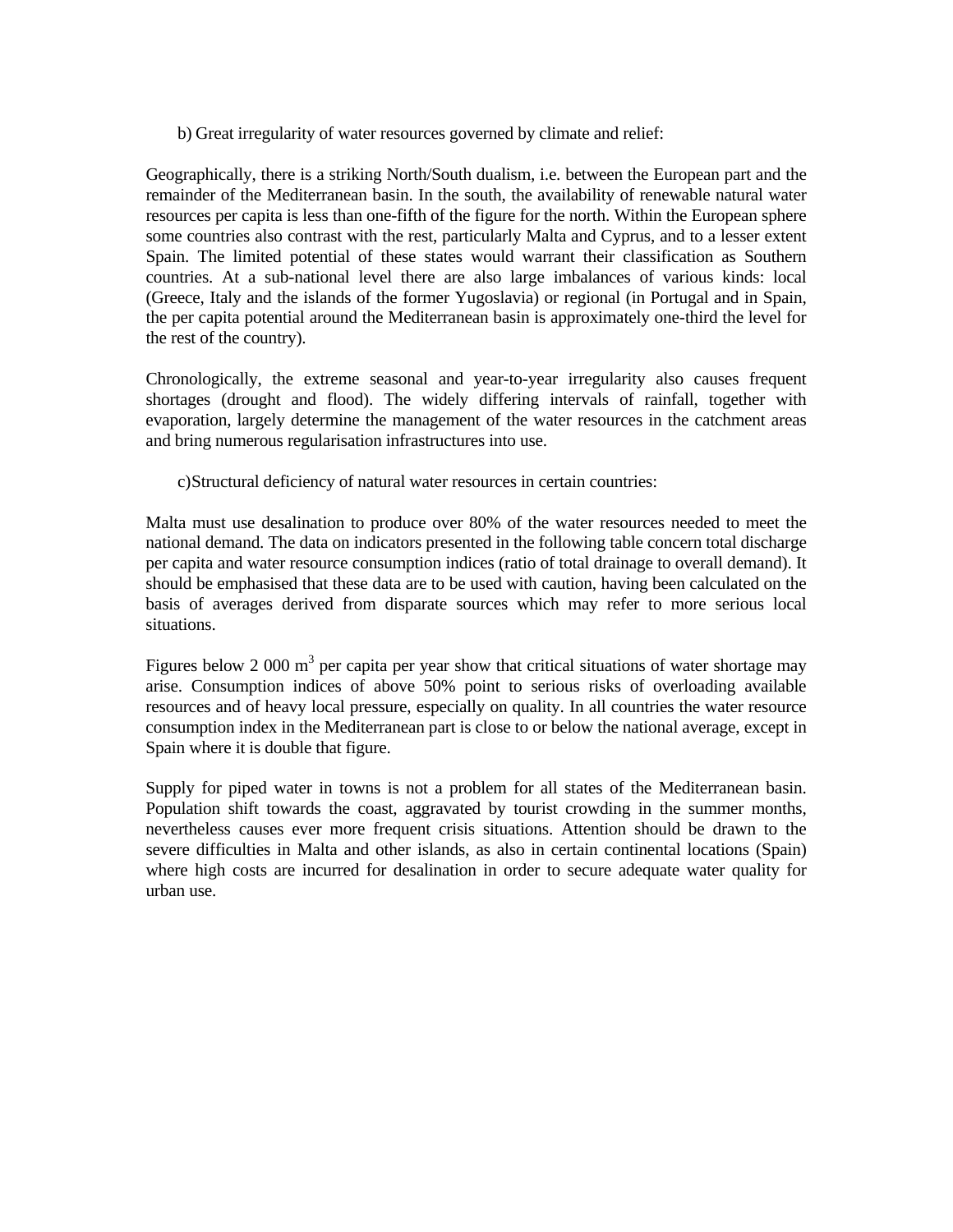b) Great irregularity of water resources governed by climate and relief:

Geographically, there is a striking North/South dualism, i.e. between the European part and the remainder of the Mediterranean basin. In the south, the availability of renewable natural water resources per capita is less than one-fifth of the figure for the north. Within the European sphere some countries also contrast with the rest, particularly Malta and Cyprus, and to a lesser extent Spain. The limited potential of these states would warrant their classification as Southern countries. At a sub-national level there are also large imbalances of various kinds: local (Greece, Italy and the islands of the former Yugoslavia) or regional (in Portugal and in Spain, the per capita potential around the Mediterranean basin is approximately one-third the level for the rest of the country).

Chronologically, the extreme seasonal and year-to-year irregularity also causes frequent shortages (drought and flood). The widely differing intervals of rainfall, together with evaporation, largely determine the management of the water resources in the catchment areas and bring numerous regularisation infrastructures into use.

c) Structural deficiency of natural water resources in certain countries:

Malta must use desalination to produce over 80% of the water resources needed to meet the national demand. The data on indicators presented in the following table concern total discharge per capita and water resource consumption indices (ratio of total drainage to overall demand). It should be emphasised that these data are to be used with caution, having been calculated on the basis of averages derived from disparate sources which may refer to more serious local situations.

Figures below 2 000  $m<sup>3</sup>$  per capita per year show that critical situations of water shortage may arise. Consumption indices of above 50% point to serious risks of overloading available resources and of heavy local pressure, especially on quality. In all countries the water resource consumption index in the Mediterranean part is close to or below the national average, except in Spain where it is double that figure.

Supply for piped water in towns is not a problem for all states of the Mediterranean basin. Population shift towards the coast, aggravated by tourist crowding in the summer months, nevertheless causes ever more frequent crisis situations. Attention should be drawn to the severe difficulties in Malta and other islands, as also in certain continental locations (Spain) where high costs are incurred for desalination in order to secure adequate water quality for urban use.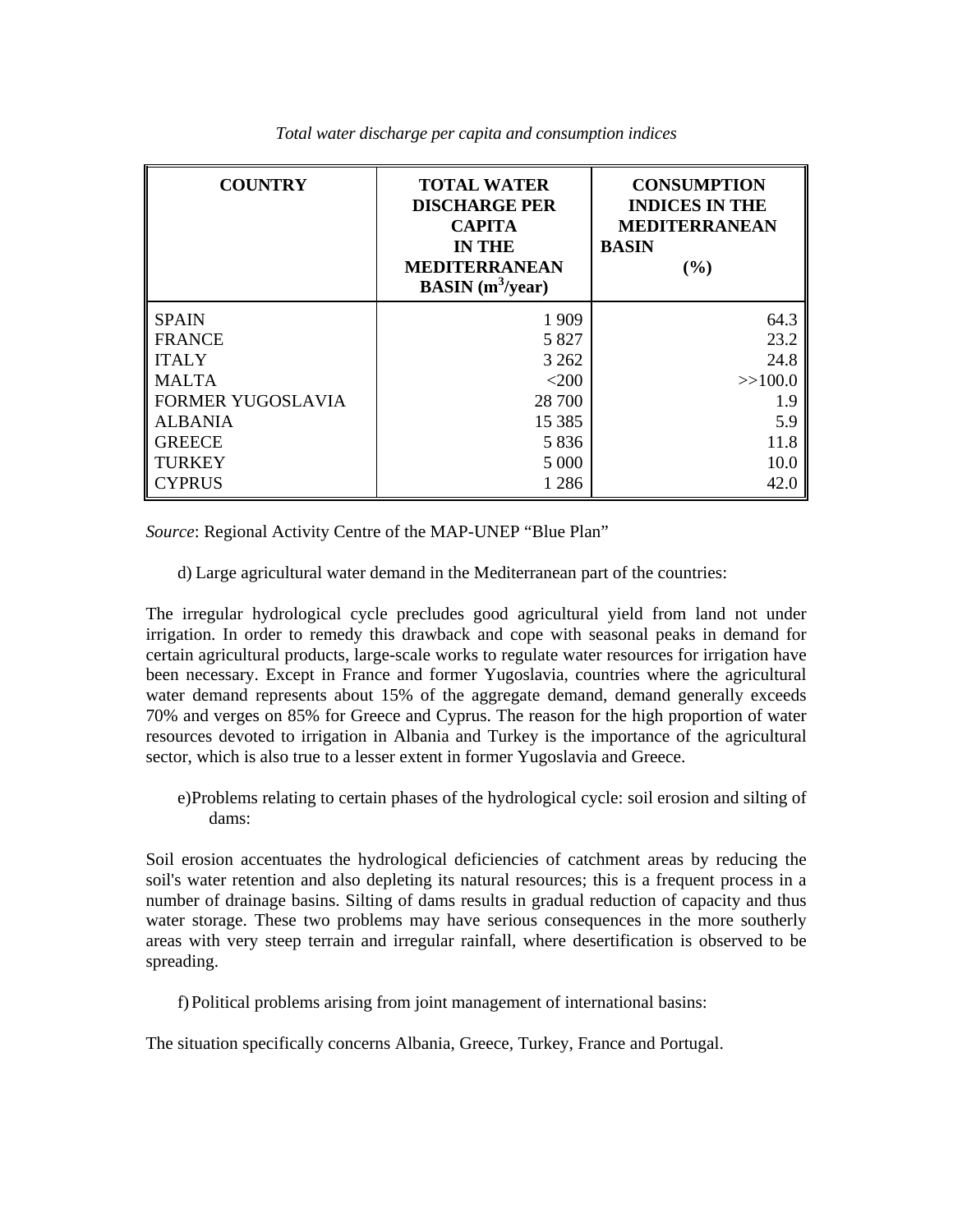| <b>COUNTRY</b>           | <b>TOTAL WATER</b><br><b>DISCHARGE PER</b><br><b>CAPITA</b><br><b>IN THE</b><br><b>MEDITERRANEAN</b><br><b>BASIN</b> ( $m^3$ /year) | <b>CONSUMPTION</b><br><b>INDICES IN THE</b><br><b>MEDITERRANEAN</b><br><b>BASIN</b><br>(%) |
|--------------------------|-------------------------------------------------------------------------------------------------------------------------------------|--------------------------------------------------------------------------------------------|
| <b>SPAIN</b>             | 1 9 0 9                                                                                                                             | 64.3                                                                                       |
| <b>FRANCE</b>            | 5 8 2 7                                                                                                                             | 23.2                                                                                       |
| <b>ITALY</b>             | 3 2 6 2                                                                                                                             | 24.8                                                                                       |
| <b>MALTA</b>             | $<$ 200                                                                                                                             | >>100.0                                                                                    |
| <b>FORMER YUGOSLAVIA</b> | 28 700                                                                                                                              | 1.9                                                                                        |
| <b>ALBANIA</b>           | 15 3 8 5                                                                                                                            | 5.9                                                                                        |
| <b>GREECE</b>            | 5836                                                                                                                                | 11.8                                                                                       |
| <b>TURKEY</b>            | 5 0 0 0                                                                                                                             | 10.0                                                                                       |
| <b>CYPRUS</b>            | 1 2 8 6                                                                                                                             | 42.0                                                                                       |

 *Total water discharge per capita and consumption indices*

*Source*: Regional Activity Centre of the MAP-UNEP "Blue Plan"

d) Large agricultural water demand in the Mediterranean part of the countries:

The irregular hydrological cycle precludes good agricultural yield from land not under irrigation. In order to remedy this drawback and cope with seasonal peaks in demand for certain agricultural products, large-scale works to regulate water resources for irrigation have been necessary. Except in France and former Yugoslavia, countries where the agricultural water demand represents about 15% of the aggregate demand, demand generally exceeds 70% and verges on 85% for Greece and Cyprus. The reason for the high proportion of water resources devoted to irrigation in Albania and Turkey is the importance of the agricultural sector, which is also true to a lesser extent in former Yugoslavia and Greece.

 e) Problems relating to certain phases of the hydrological cycle: soil erosion and silting of dams:

Soil erosion accentuates the hydrological deficiencies of catchment areas by reducing the soil's water retention and also depleting its natural resources; this is a frequent process in a number of drainage basins. Silting of dams results in gradual reduction of capacity and thus water storage. These two problems may have serious consequences in the more southerly areas with very steep terrain and irregular rainfall, where desertification is observed to be spreading.

f) Political problems arising from joint management of international basins:

The situation specifically concerns Albania, Greece, Turkey, France and Portugal.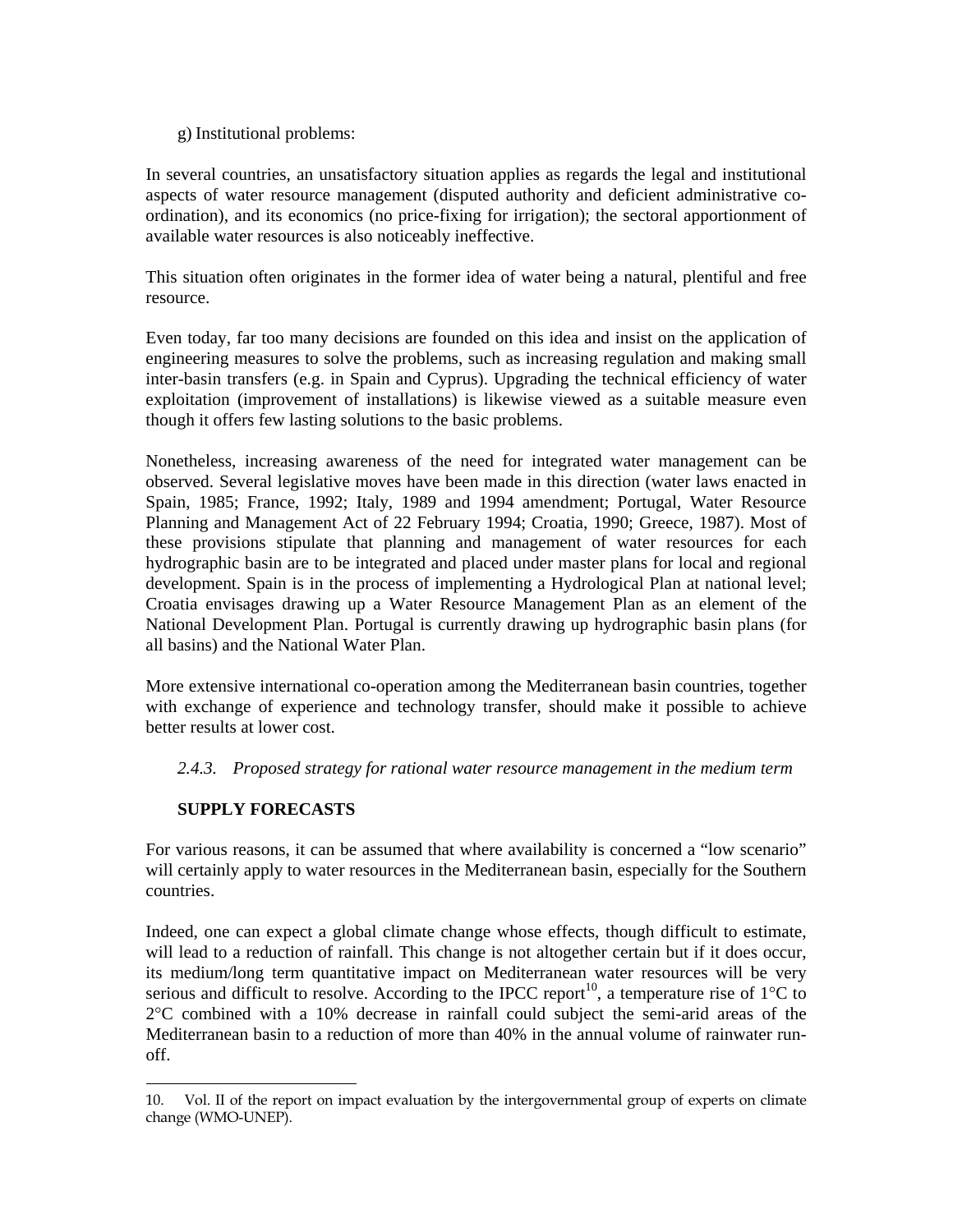## g) Institutional problems:

In several countries, an unsatisfactory situation applies as regards the legal and institutional aspects of water resource management (disputed authority and deficient administrative coordination), and its economics (no price-fixing for irrigation); the sectoral apportionment of available water resources is also noticeably ineffective.

This situation often originates in the former idea of water being a natural, plentiful and free resource.

Even today, far too many decisions are founded on this idea and insist on the application of engineering measures to solve the problems, such as increasing regulation and making small inter-basin transfers (e.g. in Spain and Cyprus). Upgrading the technical efficiency of water exploitation (improvement of installations) is likewise viewed as a suitable measure even though it offers few lasting solutions to the basic problems.

Nonetheless, increasing awareness of the need for integrated water management can be observed. Several legislative moves have been made in this direction (water laws enacted in Spain, 1985; France, 1992; Italy, 1989 and 1994 amendment; Portugal, Water Resource Planning and Management Act of 22 February 1994; Croatia, 1990; Greece, 1987). Most of these provisions stipulate that planning and management of water resources for each hydrographic basin are to be integrated and placed under master plans for local and regional development. Spain is in the process of implementing a Hydrological Plan at national level; Croatia envisages drawing up a Water Resource Management Plan as an element of the National Development Plan. Portugal is currently drawing up hydrographic basin plans (for all basins) and the National Water Plan.

More extensive international co-operation among the Mediterranean basin countries, together with exchange of experience and technology transfer, should make it possible to achieve better results at lower cost.

 *2.4.3. Proposed strategy for rational water resource management in the medium term*

# **SUPPLY FORECASTS**

For various reasons, it can be assumed that where availability is concerned a "low scenario" will certainly apply to water resources in the Mediterranean basin, especially for the Southern countries.

Indeed, one can expect a global climate change whose effects, though difficult to estimate, will lead to a reduction of rainfall. This change is not altogether certain but if it does occur, its medium/long term quantitative impact on Mediterranean water resources will be very serious and difficult to resolve. According to the IPCC report<sup>10</sup>, a temperature rise of 1<sup>o</sup>C to 2°C combined with a 10% decrease in rainfall could subject the semi-arid areas of the Mediterranean basin to a reduction of more than 40% in the annual volume of rainwater runoff.

<sup>÷</sup> 10. Vol. II of the report on impact evaluation by the intergovernmental group of experts on climate change (WMO-UNEP).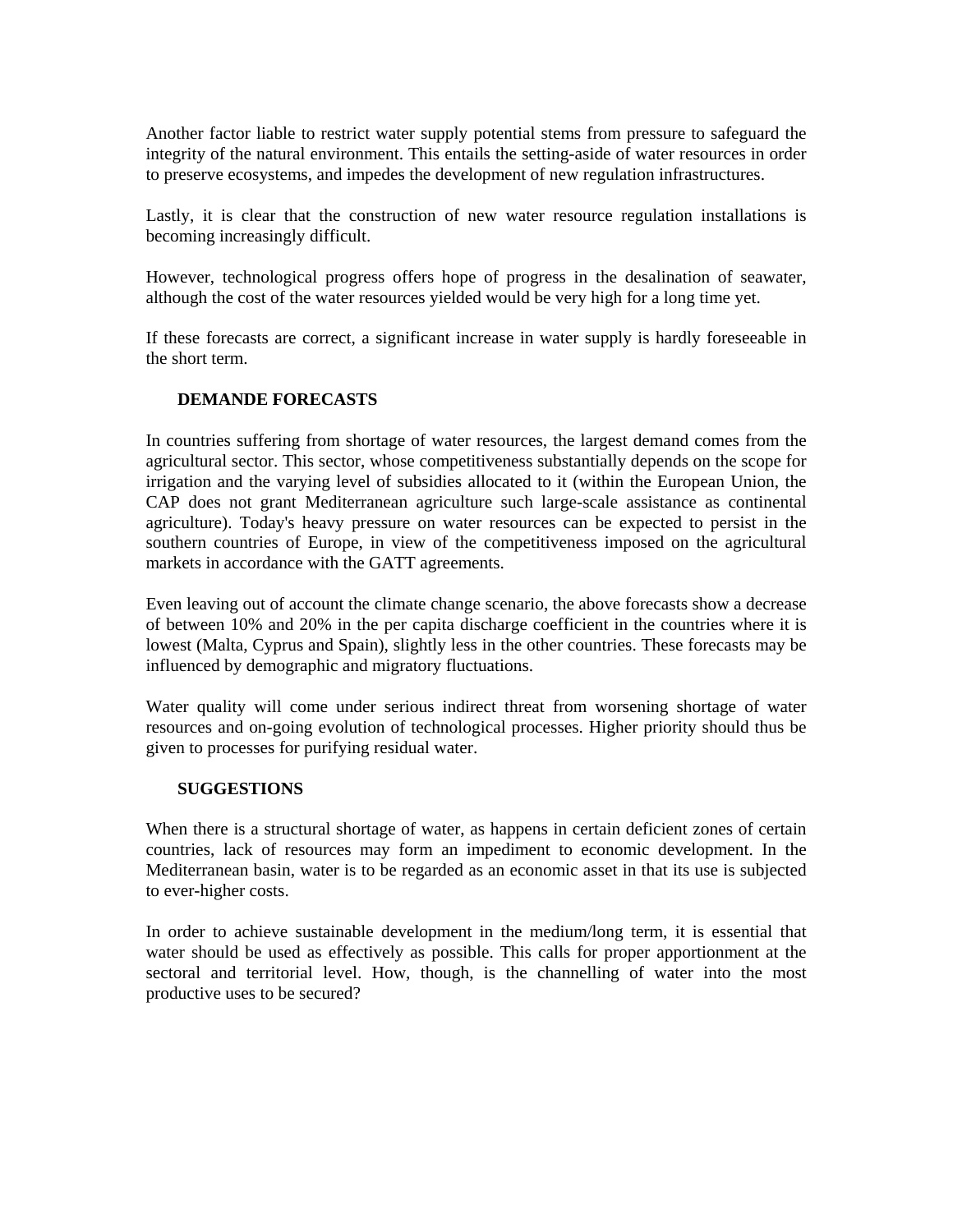Another factor liable to restrict water supply potential stems from pressure to safeguard the integrity of the natural environment. This entails the setting-aside of water resources in order to preserve ecosystems, and impedes the development of new regulation infrastructures.

Lastly, it is clear that the construction of new water resource regulation installations is becoming increasingly difficult.

However, technological progress offers hope of progress in the desalination of seawater, although the cost of the water resources yielded would be very high for a long time yet.

If these forecasts are correct, a significant increase in water supply is hardly foreseeable in the short term.

## **DEMANDE FORECASTS**

In countries suffering from shortage of water resources, the largest demand comes from the agricultural sector. This sector, whose competitiveness substantially depends on the scope for irrigation and the varying level of subsidies allocated to it (within the European Union, the CAP does not grant Mediterranean agriculture such large-scale assistance as continental agriculture). Today's heavy pressure on water resources can be expected to persist in the southern countries of Europe, in view of the competitiveness imposed on the agricultural markets in accordance with the GATT agreements.

Even leaving out of account the climate change scenario, the above forecasts show a decrease of between 10% and 20% in the per capita discharge coefficient in the countries where it is lowest (Malta, Cyprus and Spain), slightly less in the other countries. These forecasts may be influenced by demographic and migratory fluctuations.

Water quality will come under serious indirect threat from worsening shortage of water resources and on-going evolution of technological processes. Higher priority should thus be given to processes for purifying residual water.

## **SUGGESTIONS**

When there is a structural shortage of water, as happens in certain deficient zones of certain countries, lack of resources may form an impediment to economic development. In the Mediterranean basin, water is to be regarded as an economic asset in that its use is subjected to ever-higher costs.

In order to achieve sustainable development in the medium/long term, it is essential that water should be used as effectively as possible. This calls for proper apportionment at the sectoral and territorial level. How, though, is the channelling of water into the most productive uses to be secured?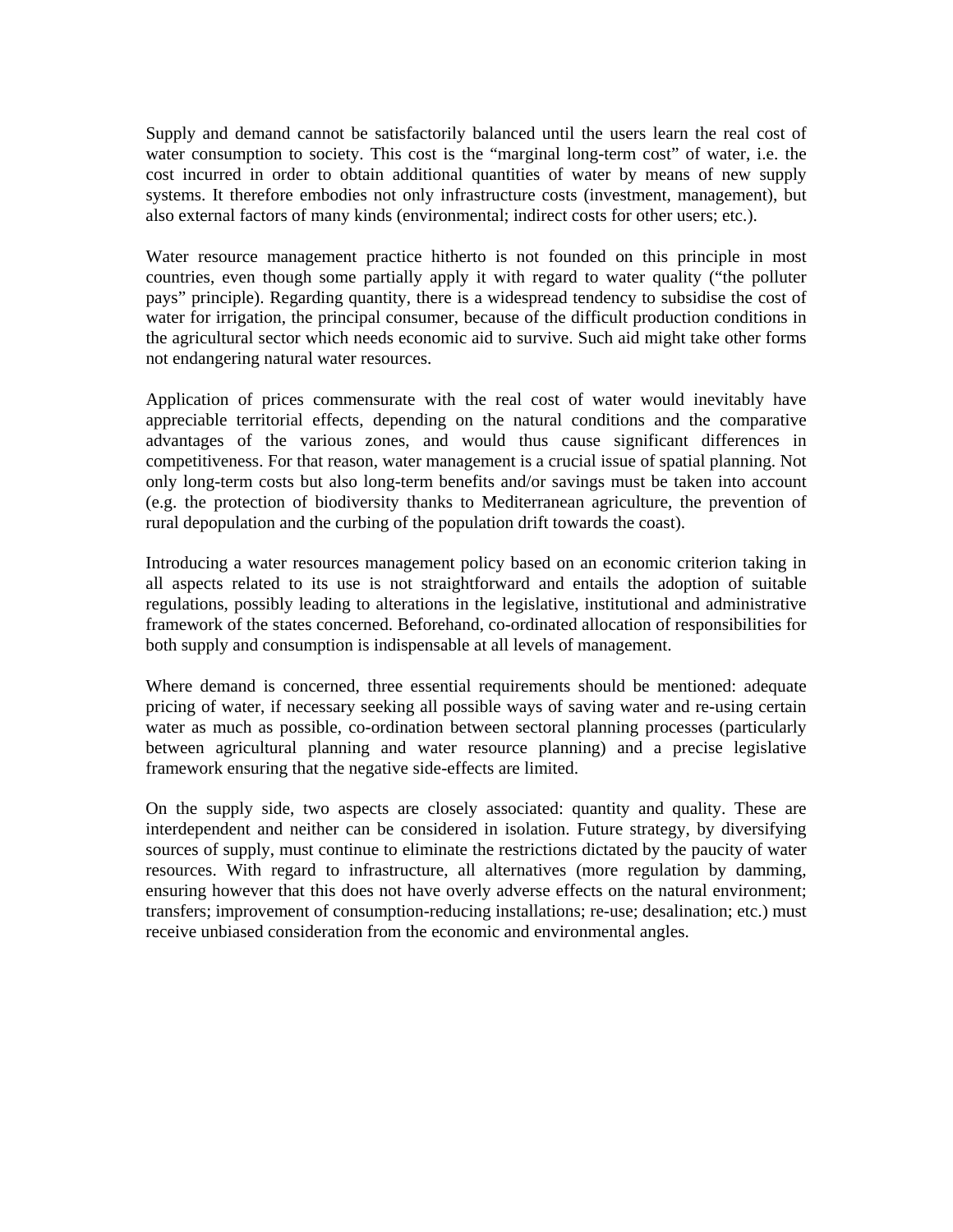Supply and demand cannot be satisfactorily balanced until the users learn the real cost of water consumption to society. This cost is the "marginal long-term cost" of water, i.e. the cost incurred in order to obtain additional quantities of water by means of new supply systems. It therefore embodies not only infrastructure costs (investment, management), but also external factors of many kinds (environmental; indirect costs for other users; etc.).

Water resource management practice hitherto is not founded on this principle in most countries, even though some partially apply it with regard to water quality ("the polluter pays" principle). Regarding quantity, there is a widespread tendency to subsidise the cost of water for irrigation, the principal consumer, because of the difficult production conditions in the agricultural sector which needs economic aid to survive. Such aid might take other forms not endangering natural water resources.

Application of prices commensurate with the real cost of water would inevitably have appreciable territorial effects, depending on the natural conditions and the comparative advantages of the various zones, and would thus cause significant differences in competitiveness. For that reason, water management is a crucial issue of spatial planning. Not only long-term costs but also long-term benefits and/or savings must be taken into account (e.g. the protection of biodiversity thanks to Mediterranean agriculture, the prevention of rural depopulation and the curbing of the population drift towards the coast).

Introducing a water resources management policy based on an economic criterion taking in all aspects related to its use is not straightforward and entails the adoption of suitable regulations, possibly leading to alterations in the legislative, institutional and administrative framework of the states concerned. Beforehand, co-ordinated allocation of responsibilities for both supply and consumption is indispensable at all levels of management.

Where demand is concerned, three essential requirements should be mentioned: adequate pricing of water, if necessary seeking all possible ways of saving water and re-using certain water as much as possible, co-ordination between sectoral planning processes (particularly between agricultural planning and water resource planning) and a precise legislative framework ensuring that the negative side-effects are limited.

On the supply side, two aspects are closely associated: quantity and quality. These are interdependent and neither can be considered in isolation. Future strategy, by diversifying sources of supply, must continue to eliminate the restrictions dictated by the paucity of water resources. With regard to infrastructure, all alternatives (more regulation by damming, ensuring however that this does not have overly adverse effects on the natural environment; transfers; improvement of consumption-reducing installations; re-use; desalination; etc.) must receive unbiased consideration from the economic and environmental angles.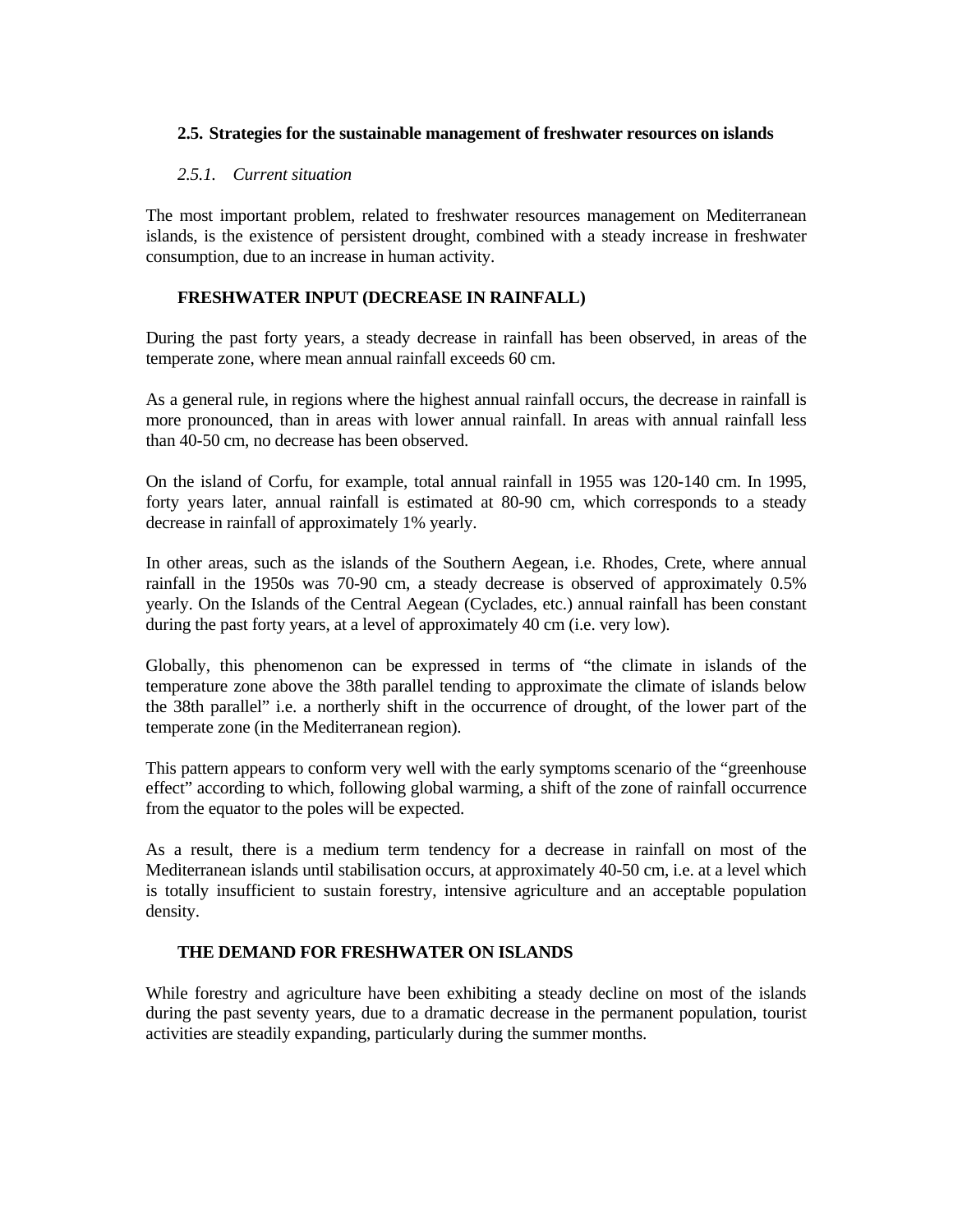## **2.5. Strategies for the sustainable management of freshwater resources on islands**

## *2.5.1. Current situation*

The most important problem, related to freshwater resources management on Mediterranean islands, is the existence of persistent drought, combined with a steady increase in freshwater consumption, due to an increase in human activity.

## **FRESHWATER INPUT (DECREASE IN RAINFALL)**

During the past forty years, a steady decrease in rainfall has been observed, in areas of the temperate zone, where mean annual rainfall exceeds 60 cm.

As a general rule, in regions where the highest annual rainfall occurs, the decrease in rainfall is more pronounced, than in areas with lower annual rainfall. In areas with annual rainfall less than 40-50 cm, no decrease has been observed.

On the island of Corfu, for example, total annual rainfall in 1955 was 120-140 cm. In 1995, forty years later, annual rainfall is estimated at 80-90 cm, which corresponds to a steady decrease in rainfall of approximately 1% yearly.

In other areas, such as the islands of the Southern Aegean, i.e. Rhodes, Crete, where annual rainfall in the 1950s was 70-90 cm, a steady decrease is observed of approximately 0.5% yearly. On the Islands of the Central Aegean (Cyclades, etc.) annual rainfall has been constant during the past forty years, at a level of approximately 40 cm (i.e. very low).

Globally, this phenomenon can be expressed in terms of "the climate in islands of the temperature zone above the 38th parallel tending to approximate the climate of islands below the 38th parallel" i.e. a northerly shift in the occurrence of drought, of the lower part of the temperate zone (in the Mediterranean region).

This pattern appears to conform very well with the early symptoms scenario of the "greenhouse effect" according to which, following global warming, a shift of the zone of rainfall occurrence from the equator to the poles will be expected.

As a result, there is a medium term tendency for a decrease in rainfall on most of the Mediterranean islands until stabilisation occurs, at approximately 40-50 cm, i.e. at a level which is totally insufficient to sustain forestry, intensive agriculture and an acceptable population density.

#### **THE DEMAND FOR FRESHWATER ON ISLANDS**

While forestry and agriculture have been exhibiting a steady decline on most of the islands during the past seventy years, due to a dramatic decrease in the permanent population, tourist activities are steadily expanding, particularly during the summer months.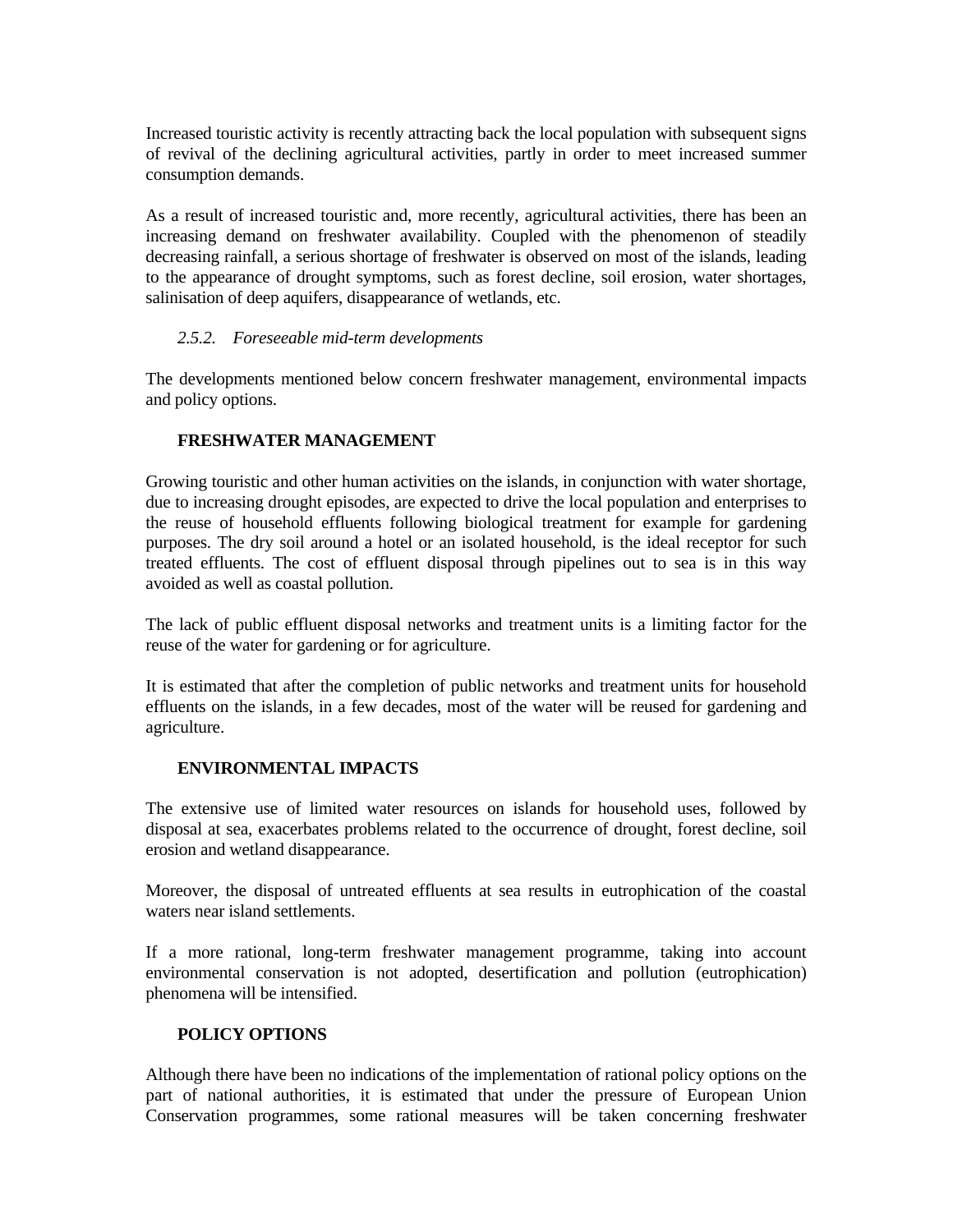Increased touristic activity is recently attracting back the local population with subsequent signs of revival of the declining agricultural activities, partly in order to meet increased summer consumption demands.

As a result of increased touristic and, more recently, agricultural activities, there has been an increasing demand on freshwater availability. Coupled with the phenomenon of steadily decreasing rainfall, a serious shortage of freshwater is observed on most of the islands, leading to the appearance of drought symptoms, such as forest decline, soil erosion, water shortages, salinisation of deep aquifers, disappearance of wetlands, etc.

## *2.5.2. Foreseeable mid-term developments*

The developments mentioned below concern freshwater management, environmental impacts and policy options.

#### **FRESHWATER MANAGEMENT**

Growing touristic and other human activities on the islands, in conjunction with water shortage, due to increasing drought episodes, are expected to drive the local population and enterprises to the reuse of household effluents following biological treatment for example for gardening purposes. The dry soil around a hotel or an isolated household, is the ideal receptor for such treated effluents. The cost of effluent disposal through pipelines out to sea is in this way avoided as well as coastal pollution.

The lack of public effluent disposal networks and treatment units is a limiting factor for the reuse of the water for gardening or for agriculture.

It is estimated that after the completion of public networks and treatment units for household effluents on the islands, in a few decades, most of the water will be reused for gardening and agriculture.

#### **ENVIRONMENTAL IMPACTS**

The extensive use of limited water resources on islands for household uses, followed by disposal at sea, exacerbates problems related to the occurrence of drought, forest decline, soil erosion and wetland disappearance.

Moreover, the disposal of untreated effluents at sea results in eutrophication of the coastal waters near island settlements.

If a more rational, long-term freshwater management programme, taking into account environmental conservation is not adopted, desertification and pollution (eutrophication) phenomena will be intensified.

#### **POLICY OPTIONS**

Although there have been no indications of the implementation of rational policy options on the part of national authorities, it is estimated that under the pressure of European Union Conservation programmes, some rational measures will be taken concerning freshwater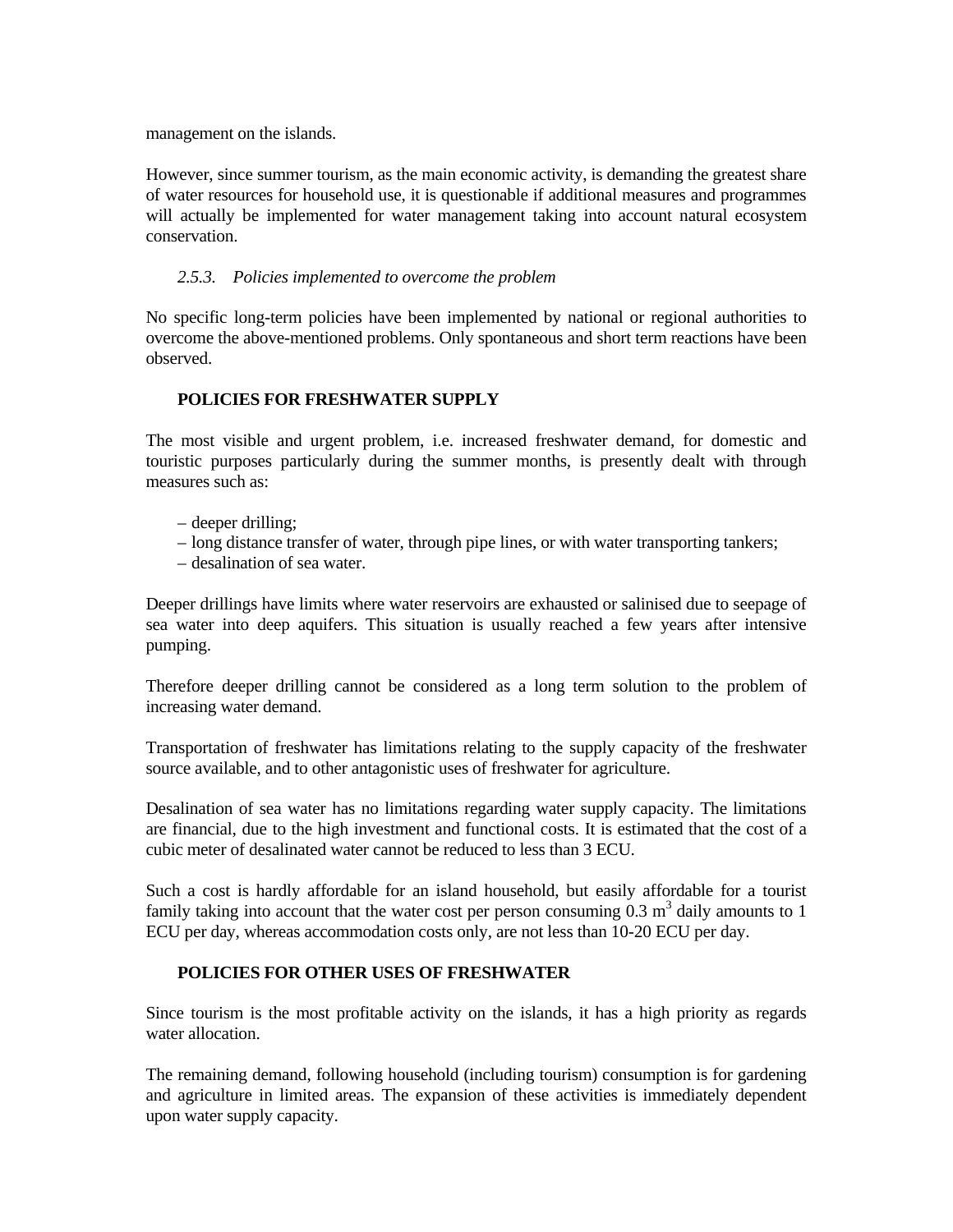management on the islands.

However, since summer tourism, as the main economic activity, is demanding the greatest share of water resources for household use, it is questionable if additional measures and programmes will actually be implemented for water management taking into account natural ecosystem conservation.

## *2.5.3. Policies implemented to overcome the problem*

No specific long-term policies have been implemented by national or regional authorities to overcome the above-mentioned problems. Only spontaneous and short term reactions have been observed.

## **POLICIES FOR FRESHWATER SUPPLY**

The most visible and urgent problem, i.e. increased freshwater demand, for domestic and touristic purposes particularly during the summer months, is presently dealt with through measures such as:

- deeper drilling;
- long distance transfer of water, through pipe lines, or with water transporting tankers;
- desalination of sea water.

Deeper drillings have limits where water reservoirs are exhausted or salinised due to seepage of sea water into deep aquifers. This situation is usually reached a few years after intensive pumping.

Therefore deeper drilling cannot be considered as a long term solution to the problem of increasing water demand.

Transportation of freshwater has limitations relating to the supply capacity of the freshwater source available, and to other antagonistic uses of freshwater for agriculture.

Desalination of sea water has no limitations regarding water supply capacity. The limitations are financial, due to the high investment and functional costs. It is estimated that the cost of a cubic meter of desalinated water cannot be reduced to less than 3 ECU.

Such a cost is hardly affordable for an island household, but easily affordable for a tourist family taking into account that the water cost per person consuming  $0.3 \text{ m}^3$  daily amounts to 1 ECU per day, whereas accommodation costs only, are not less than 10-20 ECU per day.

## **POLICIES FOR OTHER USES OF FRESHWATER**

Since tourism is the most profitable activity on the islands, it has a high priority as regards water allocation.

The remaining demand, following household (including tourism) consumption is for gardening and agriculture in limited areas. The expansion of these activities is immediately dependent upon water supply capacity.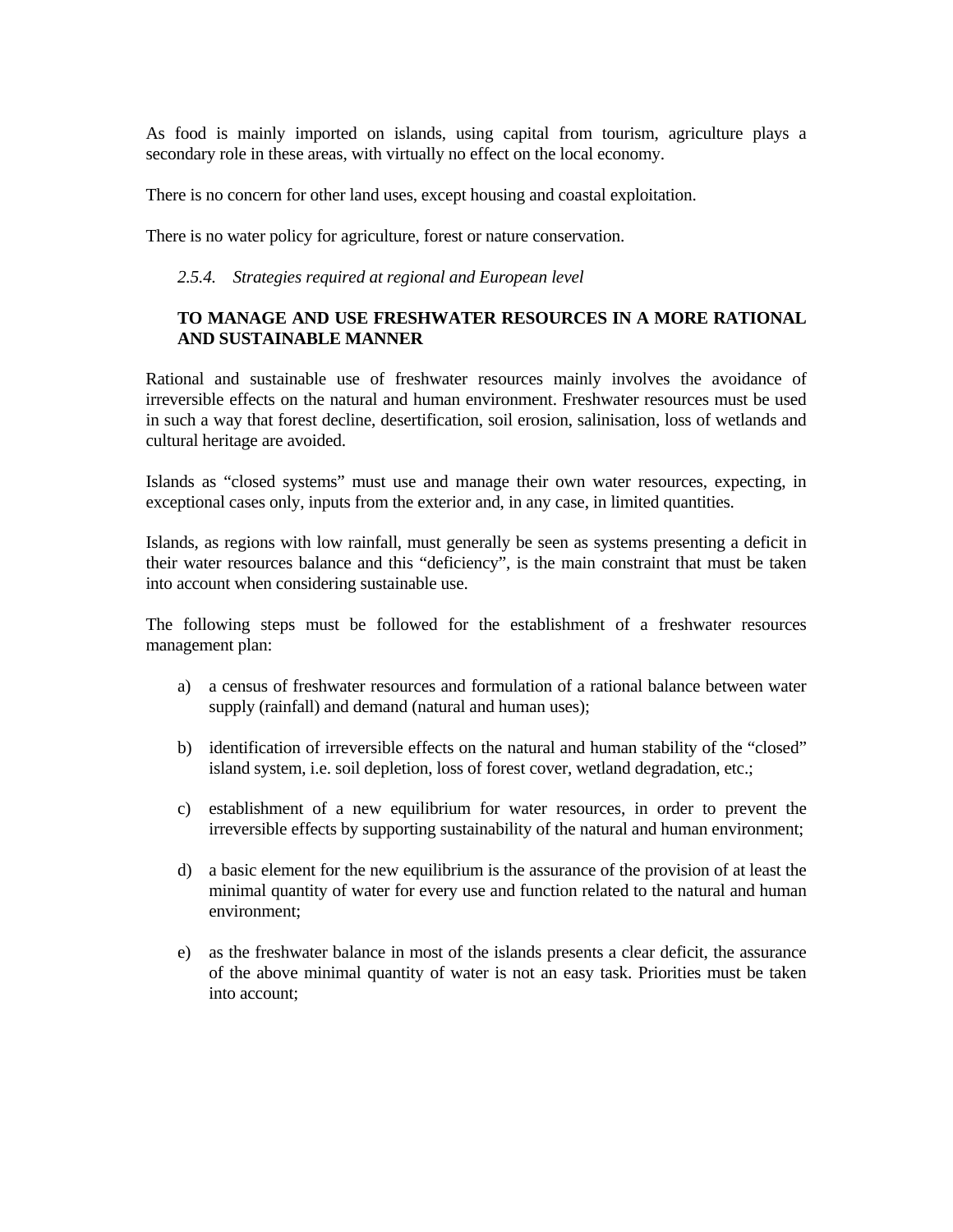As food is mainly imported on islands, using capital from tourism, agriculture plays a secondary role in these areas, with virtually no effect on the local economy.

There is no concern for other land uses, except housing and coastal exploitation.

There is no water policy for agriculture, forest or nature conservation.

#### *2.5.4. Strategies required at regional and European level*

## **TO MANAGE AND USE FRESHWATER RESOURCES IN A MORE RATIONAL AND SUSTAINABLE MANNER**

Rational and sustainable use of freshwater resources mainly involves the avoidance of irreversible effects on the natural and human environment. Freshwater resources must be used in such a way that forest decline, desertification, soil erosion, salinisation, loss of wetlands and cultural heritage are avoided.

Islands as "closed systems" must use and manage their own water resources, expecting, in exceptional cases only, inputs from the exterior and, in any case, in limited quantities.

Islands, as regions with low rainfall, must generally be seen as systems presenting a deficit in their water resources balance and this "deficiency", is the main constraint that must be taken into account when considering sustainable use.

The following steps must be followed for the establishment of a freshwater resources management plan:

- a) a census of freshwater resources and formulation of a rational balance between water supply (rainfall) and demand (natural and human uses);
- b) identification of irreversible effects on the natural and human stability of the "closed" island system, i.e. soil depletion, loss of forest cover, wetland degradation, etc.;
- c) establishment of a new equilibrium for water resources, in order to prevent the irreversible effects by supporting sustainability of the natural and human environment;
- d) a basic element for the new equilibrium is the assurance of the provision of at least the minimal quantity of water for every use and function related to the natural and human environment;
- e) as the freshwater balance in most of the islands presents a clear deficit, the assurance of the above minimal quantity of water is not an easy task. Priorities must be taken into account;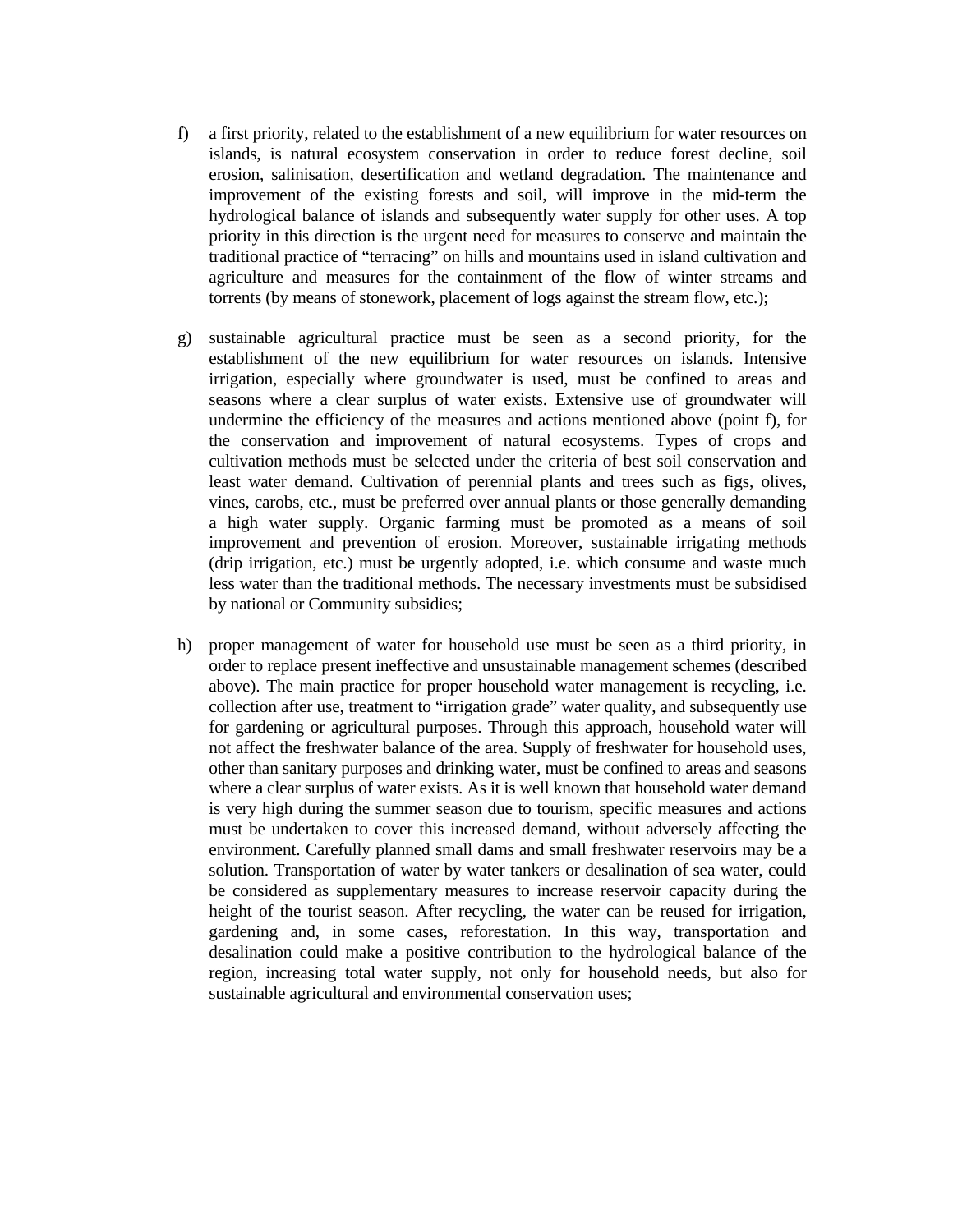- f) a first priority, related to the establishment of a new equilibrium for water resources on islands, is natural ecosystem conservation in order to reduce forest decline, soil erosion, salinisation, desertification and wetland degradation. The maintenance and improvement of the existing forests and soil, will improve in the mid-term the hydrological balance of islands and subsequently water supply for other uses. A top priority in this direction is the urgent need for measures to conserve and maintain the traditional practice of "terracing" on hills and mountains used in island cultivation and agriculture and measures for the containment of the flow of winter streams and torrents (by means of stonework, placement of logs against the stream flow, etc.);
- g) sustainable agricultural practice must be seen as a second priority, for the establishment of the new equilibrium for water resources on islands. Intensive irrigation, especially where groundwater is used, must be confined to areas and seasons where a clear surplus of water exists. Extensive use of groundwater will undermine the efficiency of the measures and actions mentioned above (point f), for the conservation and improvement of natural ecosystems. Types of crops and cultivation methods must be selected under the criteria of best soil conservation and least water demand. Cultivation of perennial plants and trees such as figs, olives, vines, carobs, etc., must be preferred over annual plants or those generally demanding a high water supply. Organic farming must be promoted as a means of soil improvement and prevention of erosion. Moreover, sustainable irrigating methods (drip irrigation, etc.) must be urgently adopted, i.e. which consume and waste much less water than the traditional methods. The necessary investments must be subsidised by national or Community subsidies;
- h) proper management of water for household use must be seen as a third priority, in order to replace present ineffective and unsustainable management schemes (described above). The main practice for proper household water management is recycling, i.e. collection after use, treatment to "irrigation grade" water quality, and subsequently use for gardening or agricultural purposes. Through this approach, household water will not affect the freshwater balance of the area. Supply of freshwater for household uses, other than sanitary purposes and drinking water, must be confined to areas and seasons where a clear surplus of water exists. As it is well known that household water demand is very high during the summer season due to tourism, specific measures and actions must be undertaken to cover this increased demand, without adversely affecting the environment. Carefully planned small dams and small freshwater reservoirs may be a solution. Transportation of water by water tankers or desalination of sea water, could be considered as supplementary measures to increase reservoir capacity during the height of the tourist season. After recycling, the water can be reused for irrigation, gardening and, in some cases, reforestation. In this way, transportation and desalination could make a positive contribution to the hydrological balance of the region, increasing total water supply, not only for household needs, but also for sustainable agricultural and environmental conservation uses;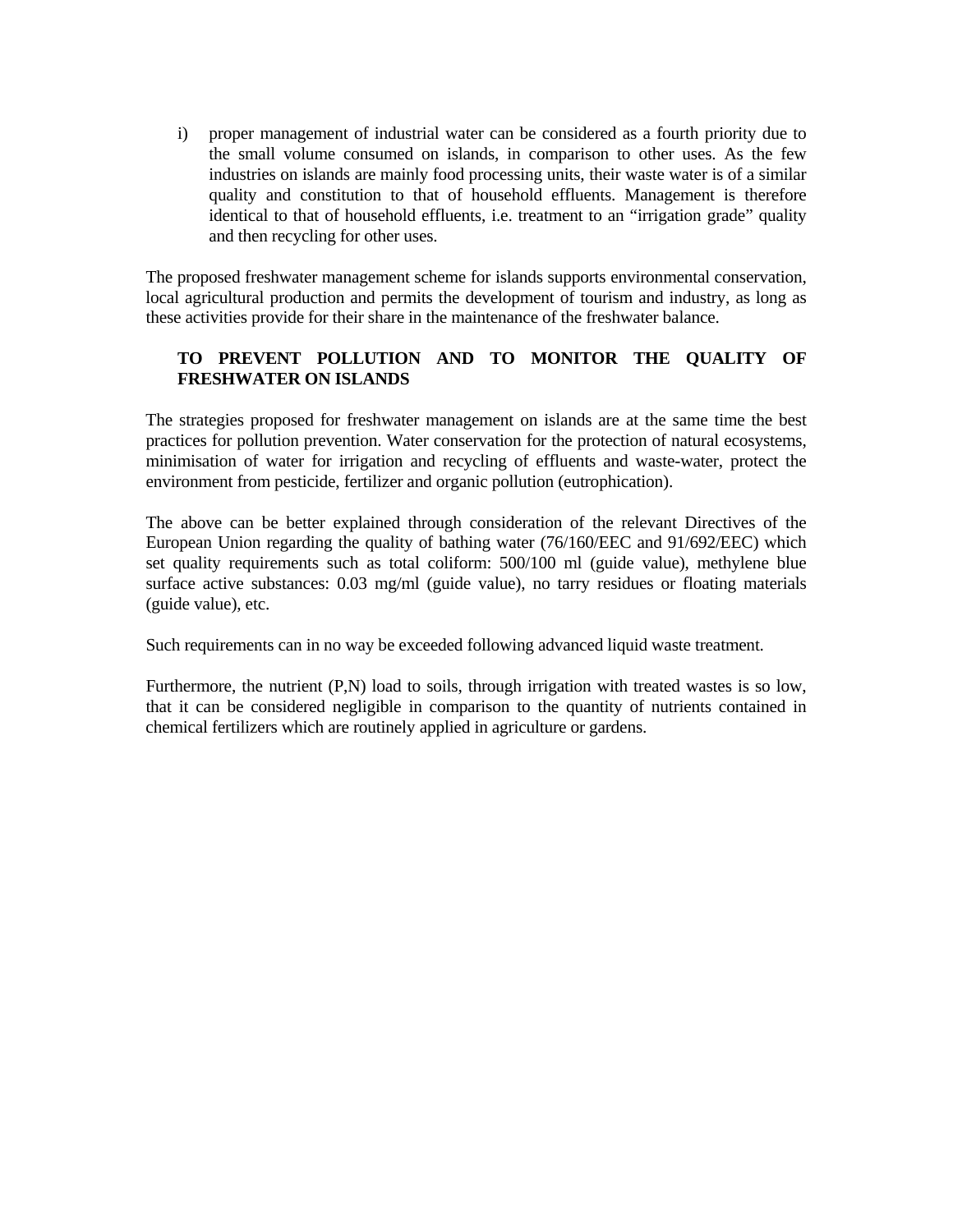i) proper management of industrial water can be considered as a fourth priority due to the small volume consumed on islands, in comparison to other uses. As the few industries on islands are mainly food processing units, their waste water is of a similar quality and constitution to that of household effluents. Management is therefore identical to that of household effluents, i.e. treatment to an "irrigation grade" quality and then recycling for other uses.

The proposed freshwater management scheme for islands supports environmental conservation, local agricultural production and permits the development of tourism and industry, as long as these activities provide for their share in the maintenance of the freshwater balance.

## **TO PREVENT POLLUTION AND TO MONITOR THE QUALITY OF FRESHWATER ON ISLANDS**

The strategies proposed for freshwater management on islands are at the same time the best practices for pollution prevention. Water conservation for the protection of natural ecosystems, minimisation of water for irrigation and recycling of effluents and waste-water, protect the environment from pesticide, fertilizer and organic pollution (eutrophication).

The above can be better explained through consideration of the relevant Directives of the European Union regarding the quality of bathing water (76/160/EEC and 91/692/EEC) which set quality requirements such as total coliform: 500/100 ml (guide value), methylene blue surface active substances: 0.03 mg/ml (guide value), no tarry residues or floating materials (guide value), etc.

Such requirements can in no way be exceeded following advanced liquid waste treatment.

Furthermore, the nutrient (P,N) load to soils, through irrigation with treated wastes is so low, that it can be considered negligible in comparison to the quantity of nutrients contained in chemical fertilizers which are routinely applied in agriculture or gardens.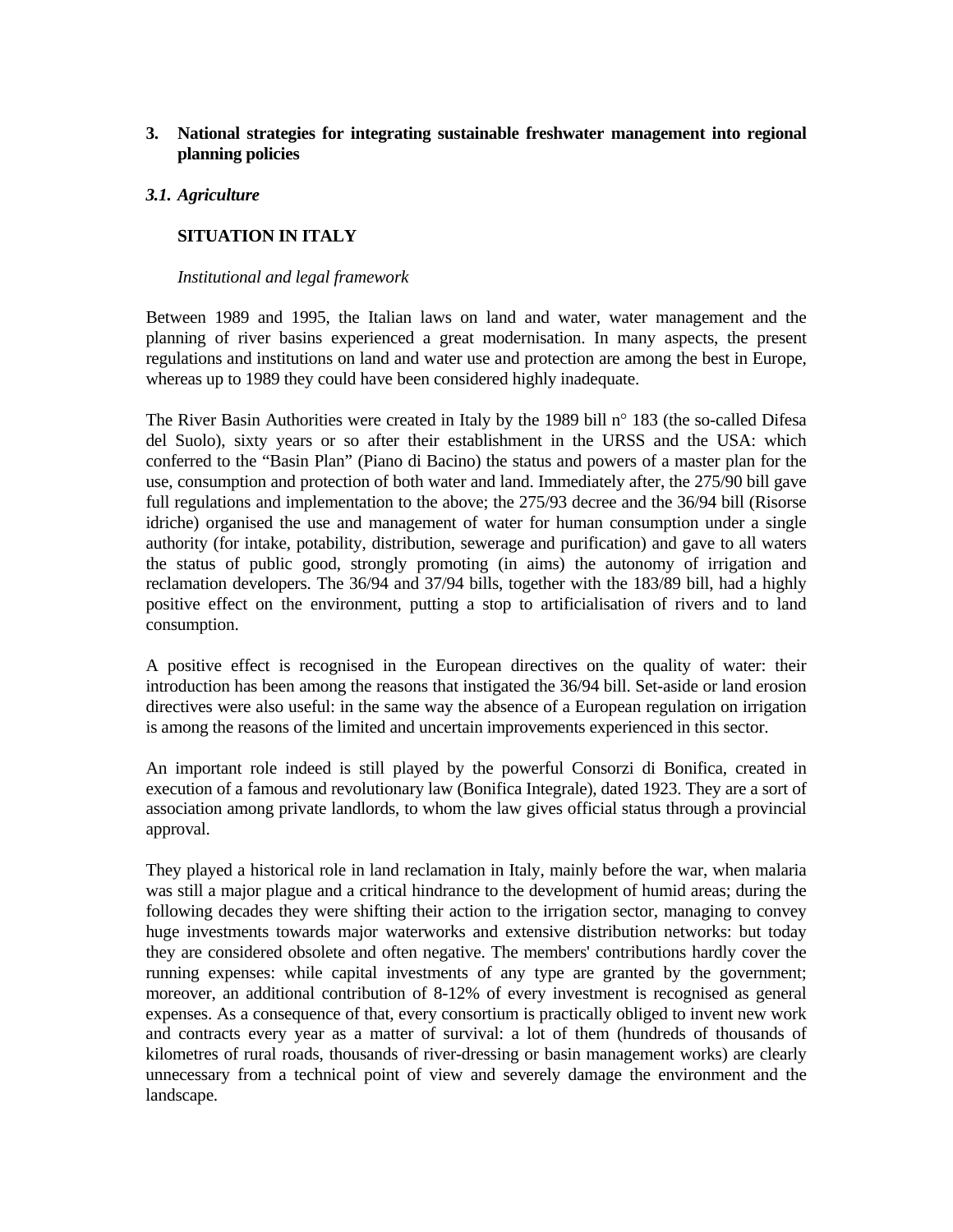## **3. National strategies for integrating sustainable freshwater management into regional planning policies**

## *3.1. Agriculture*

# **SITUATION IN ITALY**

#### *Institutional and legal framework*

Between 1989 and 1995, the Italian laws on land and water, water management and the planning of river basins experienced a great modernisation. In many aspects, the present regulations and institutions on land and water use and protection are among the best in Europe, whereas up to 1989 they could have been considered highly inadequate.

The River Basin Authorities were created in Italy by the 1989 bill n° 183 (the so-called Difesa del Suolo), sixty years or so after their establishment in the URSS and the USA: which conferred to the "Basin Plan" (Piano di Bacino) the status and powers of a master plan for the use, consumption and protection of both water and land. Immediately after, the 275/90 bill gave full regulations and implementation to the above; the 275/93 decree and the 36/94 bill (Risorse idriche) organised the use and management of water for human consumption under a single authority (for intake, potability, distribution, sewerage and purification) and gave to all waters the status of public good, strongly promoting (in aims) the autonomy of irrigation and reclamation developers. The 36/94 and 37/94 bills, together with the 183/89 bill, had a highly positive effect on the environment, putting a stop to artificialisation of rivers and to land consumption.

A positive effect is recognised in the European directives on the quality of water: their introduction has been among the reasons that instigated the 36/94 bill. Set-aside or land erosion directives were also useful: in the same way the absence of a European regulation on irrigation is among the reasons of the limited and uncertain improvements experienced in this sector.

An important role indeed is still played by the powerful Consorzi di Bonifica, created in execution of a famous and revolutionary law (Bonifica Integrale), dated 1923. They are a sort of association among private landlords, to whom the law gives official status through a provincial approval.

They played a historical role in land reclamation in Italy, mainly before the war, when malaria was still a major plague and a critical hindrance to the development of humid areas; during the following decades they were shifting their action to the irrigation sector, managing to convey huge investments towards major waterworks and extensive distribution networks: but today they are considered obsolete and often negative. The members' contributions hardly cover the running expenses: while capital investments of any type are granted by the government; moreover, an additional contribution of 8-12% of every investment is recognised as general expenses. As a consequence of that, every consortium is practically obliged to invent new work and contracts every year as a matter of survival: a lot of them (hundreds of thousands of kilometres of rural roads, thousands of river-dressing or basin management works) are clearly unnecessary from a technical point of view and severely damage the environment and the landscape.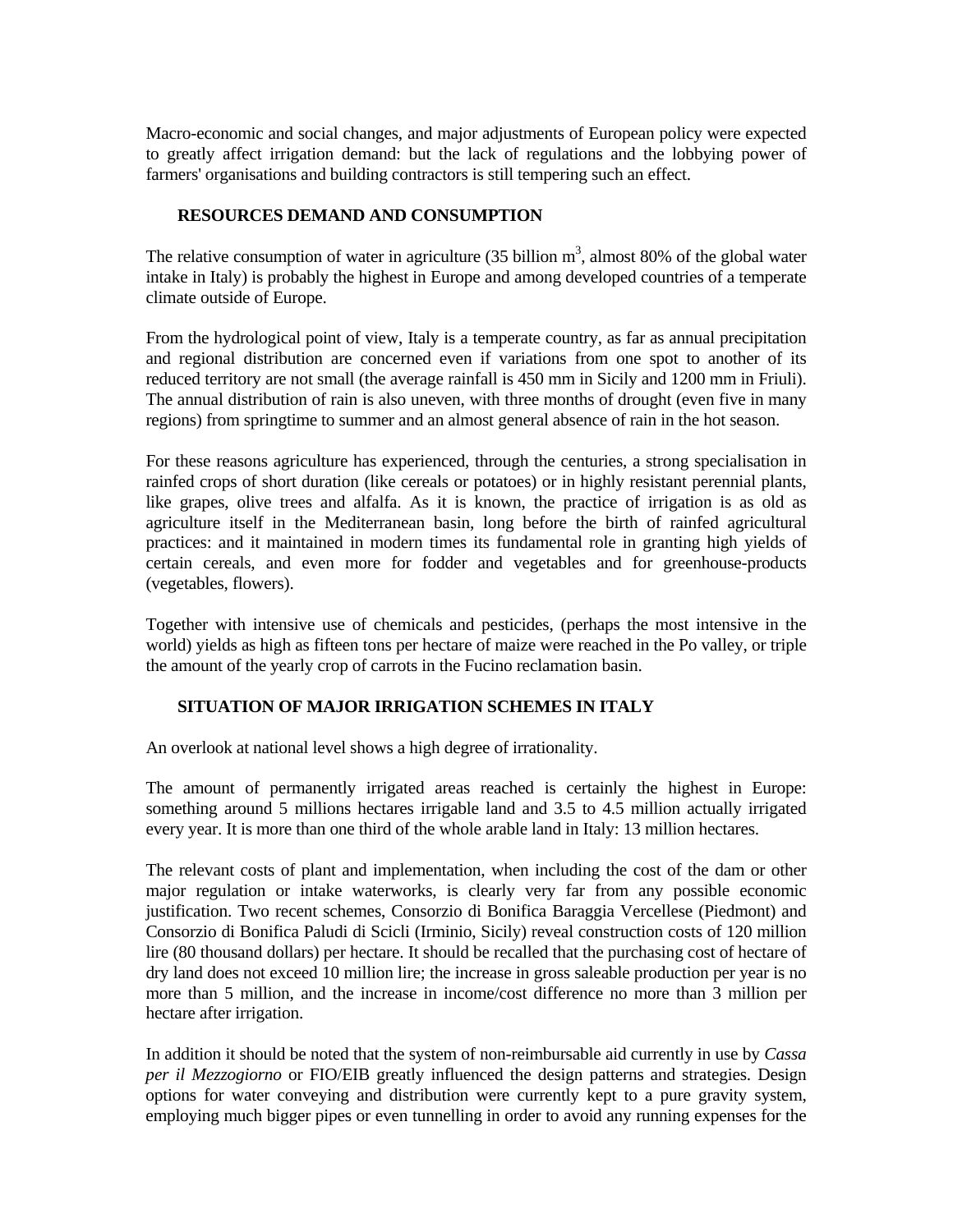Macro-economic and social changes, and major adjustments of European policy were expected to greatly affect irrigation demand: but the lack of regulations and the lobbying power of farmers' organisations and building contractors is still tempering such an effect.

## **RESOURCES DEMAND AND CONSUMPTION**

The relative consumption of water in agriculture (35 billion  $m^3$ , almost 80% of the global water intake in Italy) is probably the highest in Europe and among developed countries of a temperate climate outside of Europe.

From the hydrological point of view, Italy is a temperate country, as far as annual precipitation and regional distribution are concerned even if variations from one spot to another of its reduced territory are not small (the average rainfall is 450 mm in Sicily and 1200 mm in Friuli). The annual distribution of rain is also uneven, with three months of drought (even five in many regions) from springtime to summer and an almost general absence of rain in the hot season.

For these reasons agriculture has experienced, through the centuries, a strong specialisation in rainfed crops of short duration (like cereals or potatoes) or in highly resistant perennial plants, like grapes, olive trees and alfalfa. As it is known, the practice of irrigation is as old as agriculture itself in the Mediterranean basin, long before the birth of rainfed agricultural practices: and it maintained in modern times its fundamental role in granting high yields of certain cereals, and even more for fodder and vegetables and for greenhouse-products (vegetables, flowers).

Together with intensive use of chemicals and pesticides, (perhaps the most intensive in the world) yields as high as fifteen tons per hectare of maize were reached in the Po valley, or triple the amount of the yearly crop of carrots in the Fucino reclamation basin.

## **SITUATION OF MAJOR IRRIGATION SCHEMES IN ITALY**

An overlook at national level shows a high degree of irrationality.

The amount of permanently irrigated areas reached is certainly the highest in Europe: something around 5 millions hectares irrigable land and 3.5 to 4.5 million actually irrigated every year. It is more than one third of the whole arable land in Italy: 13 million hectares.

The relevant costs of plant and implementation, when including the cost of the dam or other major regulation or intake waterworks, is clearly very far from any possible economic justification. Two recent schemes, Consorzio di Bonifica Baraggia Vercellese (Piedmont) and Consorzio di Bonifica Paludi di Scicli (Irminio, Sicily) reveal construction costs of 120 million lire (80 thousand dollars) per hectare. It should be recalled that the purchasing cost of hectare of dry land does not exceed 10 million lire; the increase in gross saleable production per year is no more than 5 million, and the increase in income/cost difference no more than 3 million per hectare after irrigation.

In addition it should be noted that the system of non-reimbursable aid currently in use by *Cassa per il Mezzogiorno* or FIO/EIB greatly influenced the design patterns and strategies. Design options for water conveying and distribution were currently kept to a pure gravity system, employing much bigger pipes or even tunnelling in order to avoid any running expenses for the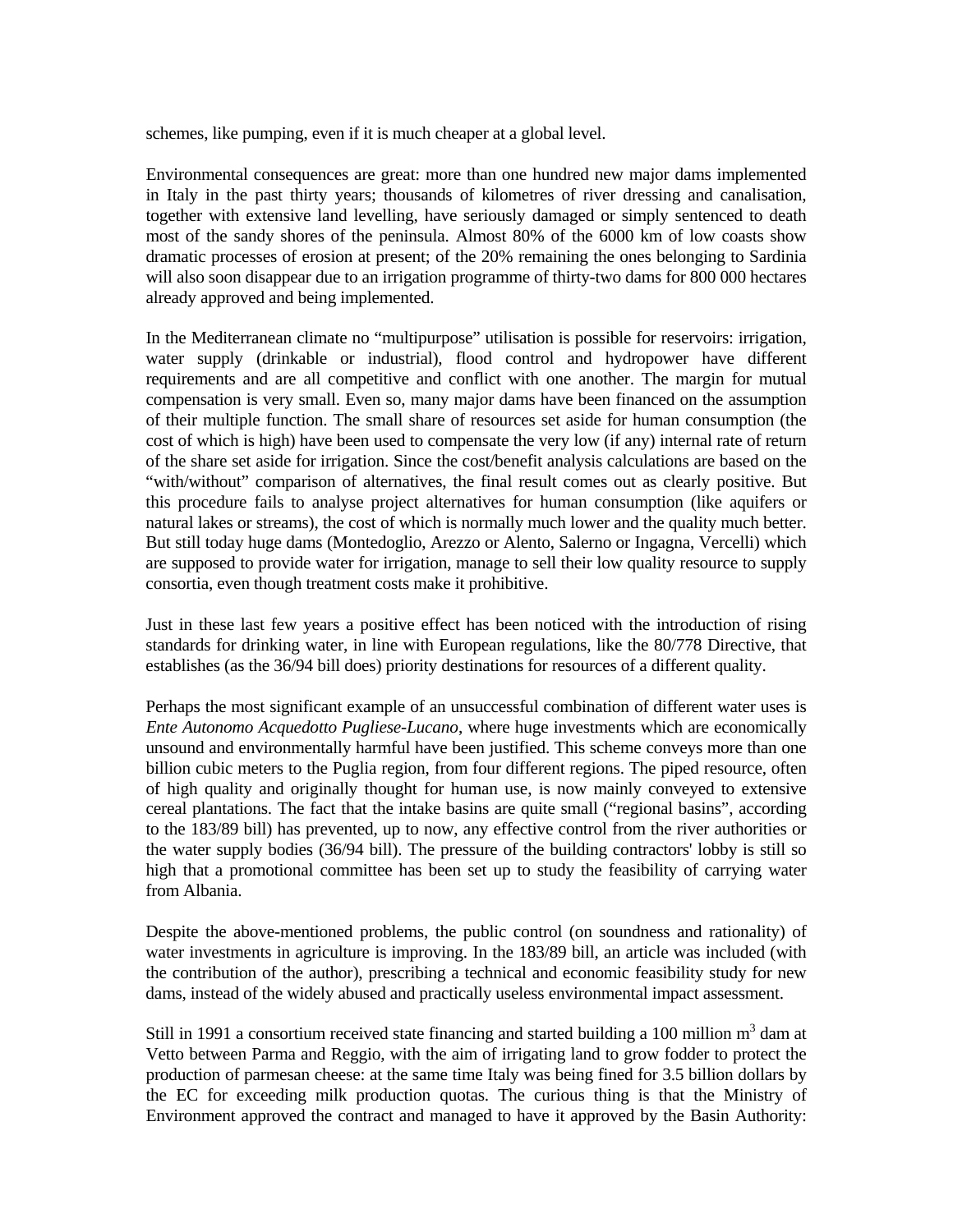schemes, like pumping, even if it is much cheaper at a global level.

Environmental consequences are great: more than one hundred new major dams implemented in Italy in the past thirty years; thousands of kilometres of river dressing and canalisation, together with extensive land levelling, have seriously damaged or simply sentenced to death most of the sandy shores of the peninsula. Almost 80% of the 6000 km of low coasts show dramatic processes of erosion at present; of the 20% remaining the ones belonging to Sardinia will also soon disappear due to an irrigation programme of thirty-two dams for 800 000 hectares already approved and being implemented.

In the Mediterranean climate no "multipurpose" utilisation is possible for reservoirs: irrigation, water supply (drinkable or industrial), flood control and hydropower have different requirements and are all competitive and conflict with one another. The margin for mutual compensation is very small. Even so, many major dams have been financed on the assumption of their multiple function. The small share of resources set aside for human consumption (the cost of which is high) have been used to compensate the very low (if any) internal rate of return of the share set aside for irrigation. Since the cost/benefit analysis calculations are based on the "with/without" comparison of alternatives, the final result comes out as clearly positive. But this procedure fails to analyse project alternatives for human consumption (like aquifers or natural lakes or streams), the cost of which is normally much lower and the quality much better. But still today huge dams (Montedoglio, Arezzo or Alento, Salerno or Ingagna, Vercelli) which are supposed to provide water for irrigation, manage to sell their low quality resource to supply consortia, even though treatment costs make it prohibitive.

Just in these last few years a positive effect has been noticed with the introduction of rising standards for drinking water, in line with European regulations, like the 80/778 Directive, that establishes (as the 36/94 bill does) priority destinations for resources of a different quality.

Perhaps the most significant example of an unsuccessful combination of different water uses is *Ente Autonomo Acquedotto Pugliese-Lucano*, where huge investments which are economically unsound and environmentally harmful have been justified. This scheme conveys more than one billion cubic meters to the Puglia region, from four different regions. The piped resource, often of high quality and originally thought for human use, is now mainly conveyed to extensive cereal plantations. The fact that the intake basins are quite small ("regional basins", according to the 183/89 bill) has prevented, up to now, any effective control from the river authorities or the water supply bodies (36/94 bill). The pressure of the building contractors' lobby is still so high that a promotional committee has been set up to study the feasibility of carrying water from Albania.

Despite the above-mentioned problems, the public control (on soundness and rationality) of water investments in agriculture is improving. In the 183/89 bill, an article was included (with the contribution of the author), prescribing a technical and economic feasibility study for new dams, instead of the widely abused and practically useless environmental impact assessment.

Still in 1991 a consortium received state financing and started building a 100 million  $m<sup>3</sup>$  dam at Vetto between Parma and Reggio, with the aim of irrigating land to grow fodder to protect the production of parmesan cheese: at the same time Italy was being fined for 3.5 billion dollars by the EC for exceeding milk production quotas. The curious thing is that the Ministry of Environment approved the contract and managed to have it approved by the Basin Authority: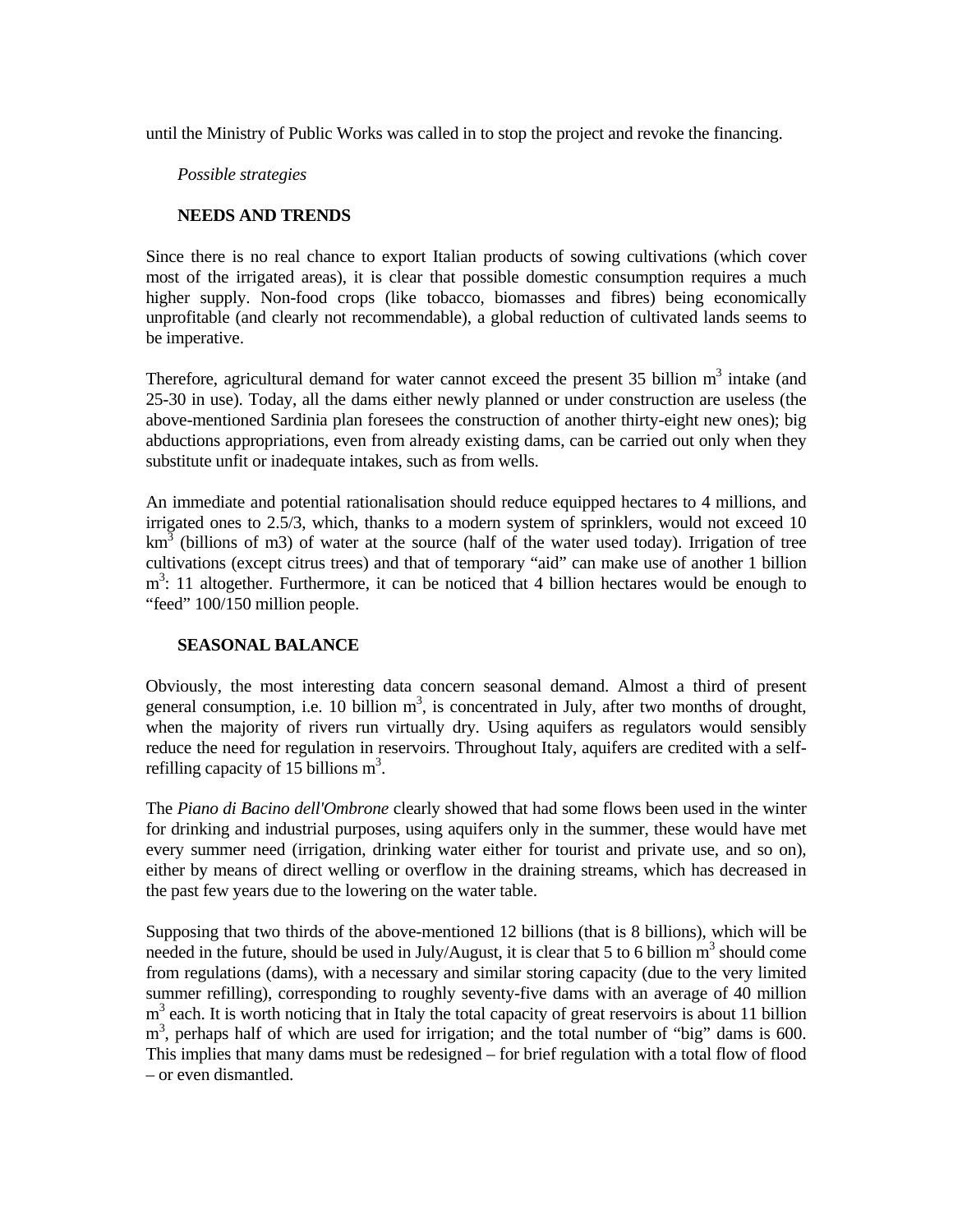until the Ministry of Public Works was called in to stop the project and revoke the financing.

#### *Possible strategies*

### **NEEDS AND TRENDS**

Since there is no real chance to export Italian products of sowing cultivations (which cover most of the irrigated areas), it is clear that possible domestic consumption requires a much higher supply. Non-food crops (like tobacco, biomasses and fibres) being economically unprofitable (and clearly not recommendable), a global reduction of cultivated lands seems to be imperative.

Therefore, agricultural demand for water cannot exceed the present  $35$  billion m<sup>3</sup> intake (and 25-30 in use). Today, all the dams either newly planned or under construction are useless (the above-mentioned Sardinia plan foresees the construction of another thirty-eight new ones); big abductions appropriations, even from already existing dams, can be carried out only when they substitute unfit or inadequate intakes, such as from wells.

An immediate and potential rationalisation should reduce equipped hectares to 4 millions, and irrigated ones to 2.5/3, which, thanks to a modern system of sprinklers, would not exceed 10  $km<sup>3</sup>$  (billions of m3) of water at the source (half of the water used today). Irrigation of tree cultivations (except citrus trees) and that of temporary "aid" can make use of another 1 billion m<sup>3</sup>: 11 altogether. Furthermore, it can be noticed that 4 billion hectares would be enough to "feed" 100/150 million people.

### **SEASONAL BALANCE**

Obviously, the most interesting data concern seasonal demand. Almost a third of present general consumption, i.e. 10 billion  $m<sup>3</sup>$ , is concentrated in July, after two months of drought, when the majority of rivers run virtually dry. Using aquifers as regulators would sensibly reduce the need for regulation in reservoirs. Throughout Italy, aquifers are credited with a selfrefilling capacity of 15 billions  $m^3$ .

The *Piano di Bacino dell'Ombrone* clearly showed that had some flows been used in the winter for drinking and industrial purposes, using aquifers only in the summer, these would have met every summer need (irrigation, drinking water either for tourist and private use, and so on), either by means of direct welling or overflow in the draining streams, which has decreased in the past few years due to the lowering on the water table.

Supposing that two thirds of the above-mentioned 12 billions (that is 8 billions), which will be needed in the future, should be used in July/August, it is clear that 5 to 6 billion  $m^3$  should come from regulations (dams), with a necessary and similar storing capacity (due to the very limited summer refilling), corresponding to roughly seventy-five dams with an average of 40 million m<sup>3</sup> each. It is worth noticing that in Italy the total capacity of great reservoirs is about 11 billion m<sup>3</sup>, perhaps half of which are used for irrigation; and the total number of "big" dams is 600. This implies that many dams must be redesigned – for brief regulation with a total flow of flood – or even dismantled.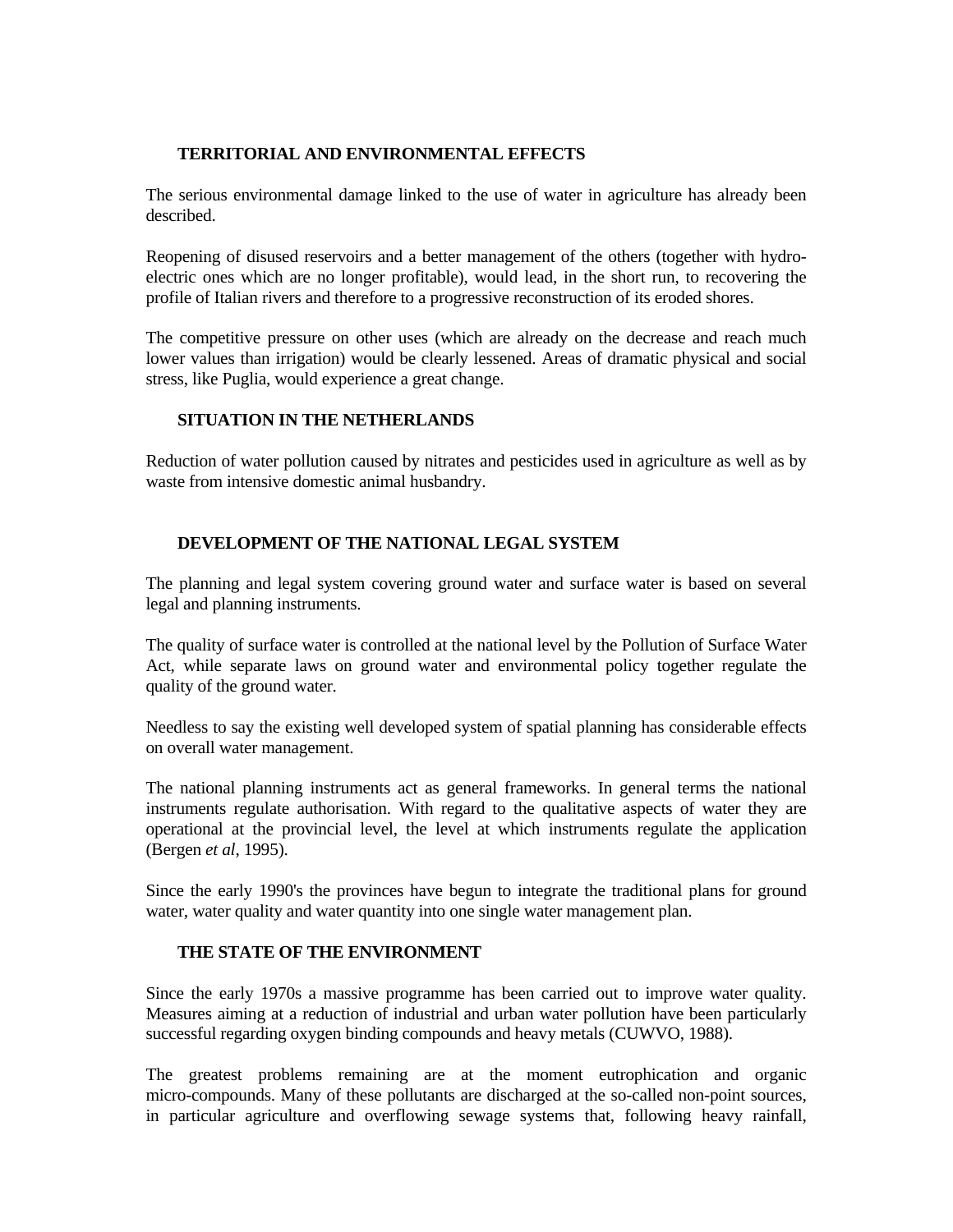# **TERRITORIAL AND ENVIRONMENTAL EFFECTS**

The serious environmental damage linked to the use of water in agriculture has already been described.

Reopening of disused reservoirs and a better management of the others (together with hydroelectric ones which are no longer profitable), would lead, in the short run, to recovering the profile of Italian rivers and therefore to a progressive reconstruction of its eroded shores.

The competitive pressure on other uses (which are already on the decrease and reach much lower values than irrigation) would be clearly lessened. Areas of dramatic physical and social stress, like Puglia, would experience a great change.

### **SITUATION IN THE NETHERLANDS**

Reduction of water pollution caused by nitrates and pesticides used in agriculture as well as by waste from intensive domestic animal husbandry.

## **DEVELOPMENT OF THE NATIONAL LEGAL SYSTEM**

The planning and legal system covering ground water and surface water is based on several legal and planning instruments.

The quality of surface water is controlled at the national level by the Pollution of Surface Water Act, while separate laws on ground water and environmental policy together regulate the quality of the ground water.

Needless to say the existing well developed system of spatial planning has considerable effects on overall water management.

The national planning instruments act as general frameworks. In general terms the national instruments regulate authorisation. With regard to the qualitative aspects of water they are operational at the provincial level, the level at which instruments regulate the application (Bergen *et al*, 1995).

Since the early 1990's the provinces have begun to integrate the traditional plans for ground water, water quality and water quantity into one single water management plan.

### **THE STATE OF THE ENVIRONMENT**

Since the early 1970s a massive programme has been carried out to improve water quality. Measures aiming at a reduction of industrial and urban water pollution have been particularly successful regarding oxygen binding compounds and heavy metals (CUWVO, 1988).

The greatest problems remaining are at the moment eutrophication and organic micro-compounds. Many of these pollutants are discharged at the so-called non-point sources, in particular agriculture and overflowing sewage systems that, following heavy rainfall,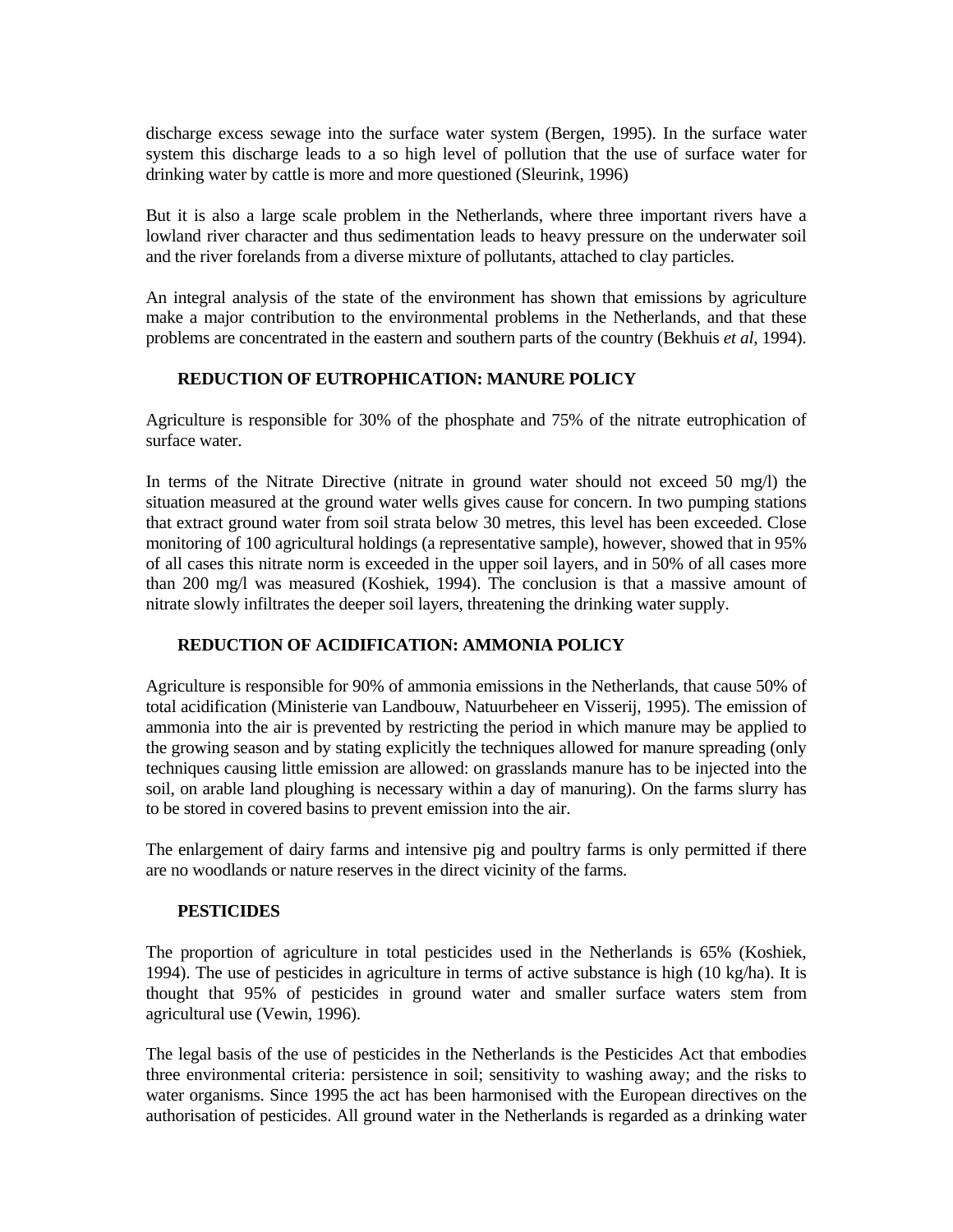discharge excess sewage into the surface water system (Bergen, 1995). In the surface water system this discharge leads to a so high level of pollution that the use of surface water for drinking water by cattle is more and more questioned (Sleurink, 1996)

But it is also a large scale problem in the Netherlands, where three important rivers have a lowland river character and thus sedimentation leads to heavy pressure on the underwater soil and the river forelands from a diverse mixture of pollutants, attached to clay particles.

An integral analysis of the state of the environment has shown that emissions by agriculture make a major contribution to the environmental problems in the Netherlands, and that these problems are concentrated in the eastern and southern parts of the country (Bekhuis *et al*, 1994).

### **REDUCTION OF EUTROPHICATION: MANURE POLICY**

Agriculture is responsible for 30% of the phosphate and 75% of the nitrate eutrophication of surface water.

In terms of the Nitrate Directive (nitrate in ground water should not exceed 50 mg/l) the situation measured at the ground water wells gives cause for concern. In two pumping stations that extract ground water from soil strata below 30 metres, this level has been exceeded. Close monitoring of 100 agricultural holdings (a representative sample), however, showed that in 95% of all cases this nitrate norm is exceeded in the upper soil layers, and in 50% of all cases more than 200 mg/l was measured (Koshiek, 1994). The conclusion is that a massive amount of nitrate slowly infiltrates the deeper soil layers, threatening the drinking water supply.

# **REDUCTION OF ACIDIFICATION: AMMONIA POLICY**

Agriculture is responsible for 90% of ammonia emissions in the Netherlands, that cause 50% of total acidification (Ministerie van Landbouw, Natuurbeheer en Visserij, 1995). The emission of ammonia into the air is prevented by restricting the period in which manure may be applied to the growing season and by stating explicitly the techniques allowed for manure spreading (only techniques causing little emission are allowed: on grasslands manure has to be injected into the soil, on arable land ploughing is necessary within a day of manuring). On the farms slurry has to be stored in covered basins to prevent emission into the air.

The enlargement of dairy farms and intensive pig and poultry farms is only permitted if there are no woodlands or nature reserves in the direct vicinity of the farms.

### **PESTICIDES**

The proportion of agriculture in total pesticides used in the Netherlands is 65% (Koshiek, 1994). The use of pesticides in agriculture in terms of active substance is high  $(10 \text{ kg/ha})$ . It is thought that 95% of pesticides in ground water and smaller surface waters stem from agricultural use (Vewin, 1996).

The legal basis of the use of pesticides in the Netherlands is the Pesticides Act that embodies three environmental criteria: persistence in soil; sensitivity to washing away; and the risks to water organisms. Since 1995 the act has been harmonised with the European directives on the authorisation of pesticides. All ground water in the Netherlands is regarded as a drinking water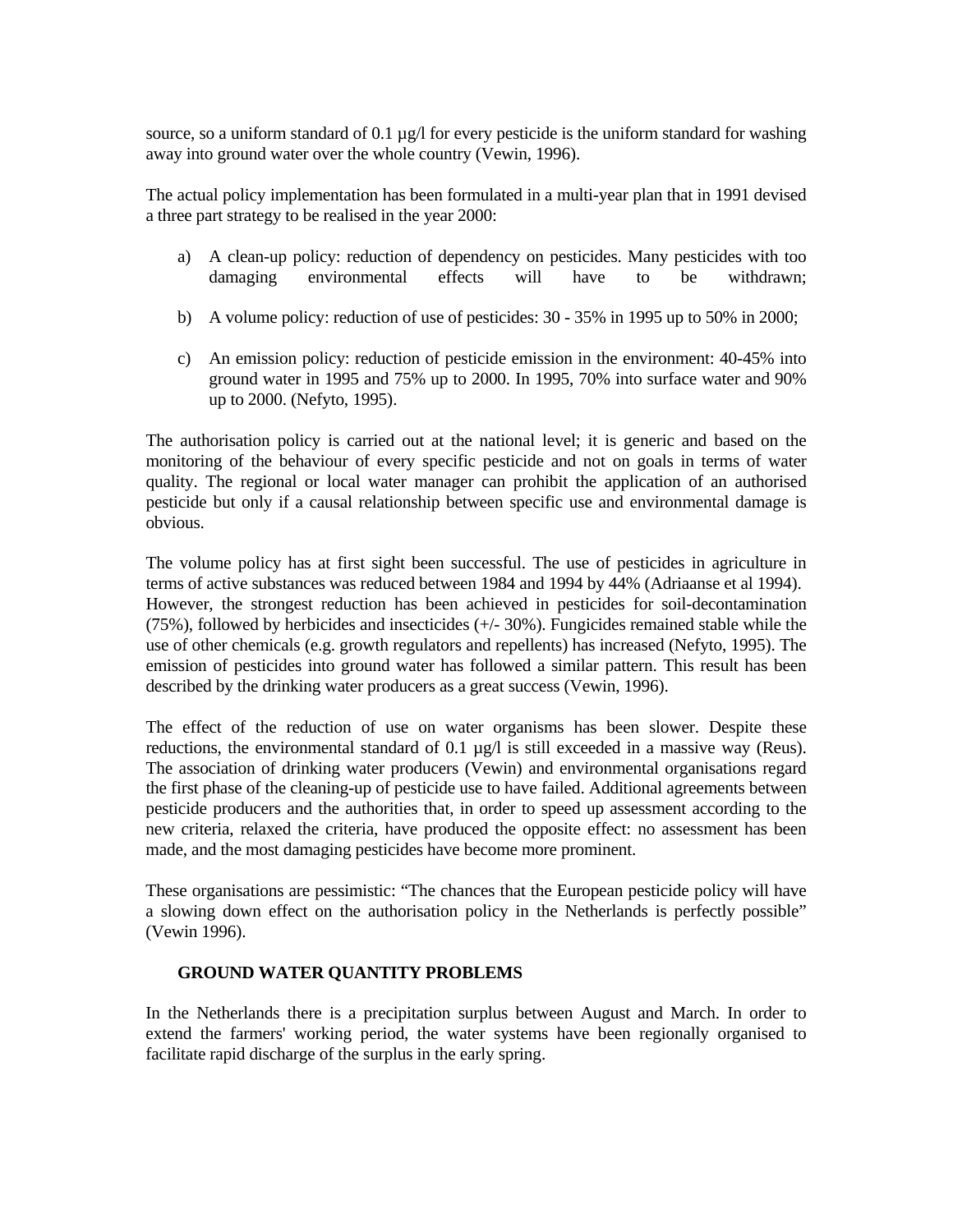source, so a uniform standard of 0.1  $\mu$ g/l for every pesticide is the uniform standard for washing away into ground water over the whole country (Vewin, 1996).

The actual policy implementation has been formulated in a multi-year plan that in 1991 devised a three part strategy to be realised in the year 2000:

- a) A clean-up policy: reduction of dependency on pesticides. Many pesticides with too damaging environmental effects will have to be withdrawn;
- b) A volume policy: reduction of use of pesticides: 30 35% in 1995 up to 50% in 2000;
- c) An emission policy: reduction of pesticide emission in the environment: 40-45% into ground water in 1995 and 75% up to 2000. In 1995, 70% into surface water and 90% up to 2000. (Nefyto, 1995).

The authorisation policy is carried out at the national level; it is generic and based on the monitoring of the behaviour of every specific pesticide and not on goals in terms of water quality. The regional or local water manager can prohibit the application of an authorised pesticide but only if a causal relationship between specific use and environmental damage is obvious.

The volume policy has at first sight been successful. The use of pesticides in agriculture in terms of active substances was reduced between 1984 and 1994 by 44% (Adriaanse et al 1994). However, the strongest reduction has been achieved in pesticides for soil-decontamination (75%), followed by herbicides and insecticides (+/- 30%). Fungicides remained stable while the use of other chemicals (e.g. growth regulators and repellents) has increased (Nefyto, 1995). The emission of pesticides into ground water has followed a similar pattern. This result has been described by the drinking water producers as a great success (Vewin, 1996).

The effect of the reduction of use on water organisms has been slower. Despite these reductions, the environmental standard of 0.1 µg/l is still exceeded in a massive way (Reus). The association of drinking water producers (Vewin) and environmental organisations regard the first phase of the cleaning-up of pesticide use to have failed. Additional agreements between pesticide producers and the authorities that, in order to speed up assessment according to the new criteria, relaxed the criteria, have produced the opposite effect: no assessment has been made, and the most damaging pesticides have become more prominent.

These organisations are pessimistic: "The chances that the European pesticide policy will have a slowing down effect on the authorisation policy in the Netherlands is perfectly possible" (Vewin 1996).

### **GROUND WATER QUANTITY PROBLEMS**

In the Netherlands there is a precipitation surplus between August and March. In order to extend the farmers' working period, the water systems have been regionally organised to facilitate rapid discharge of the surplus in the early spring.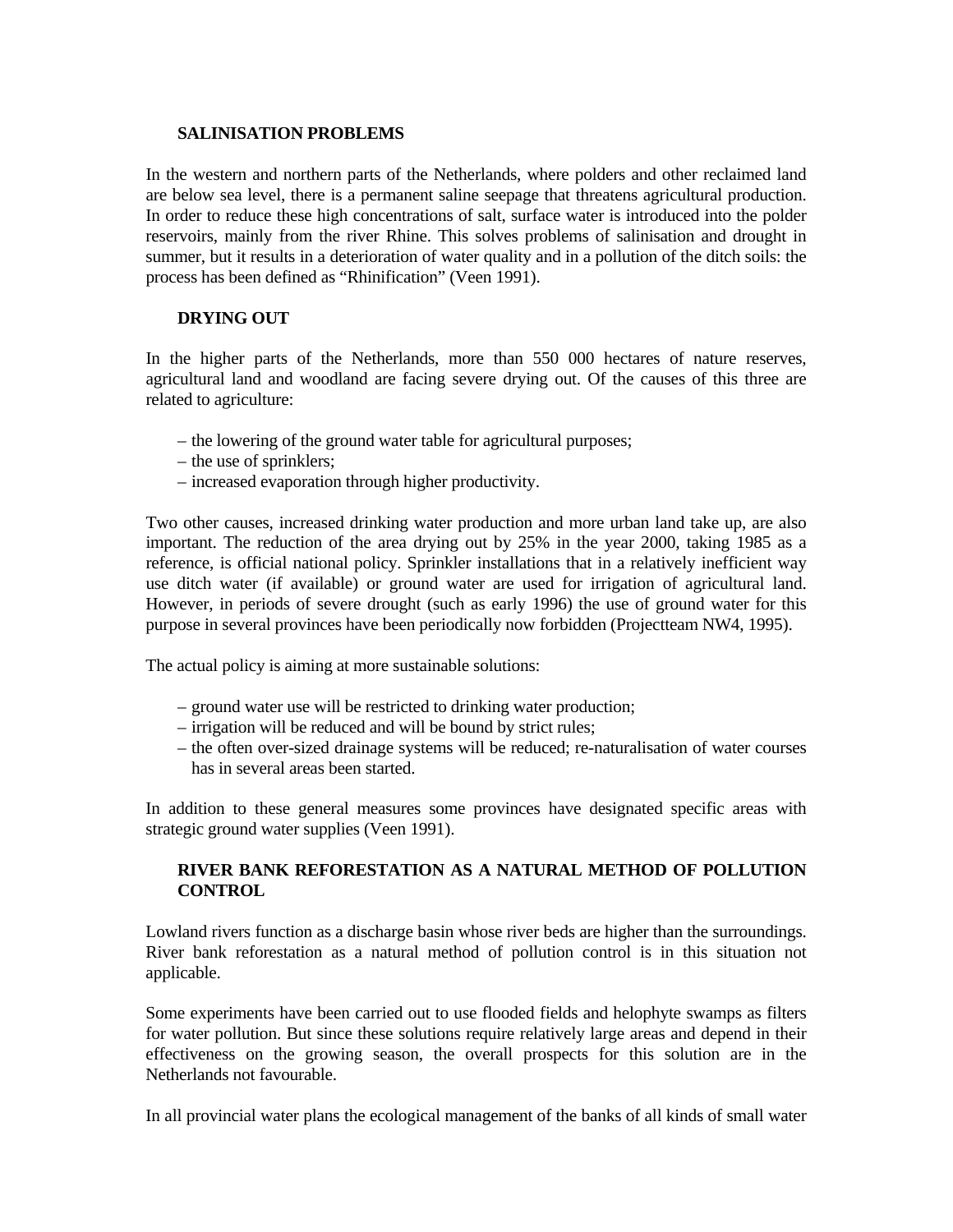#### **SALINISATION PROBLEMS**

In the western and northern parts of the Netherlands, where polders and other reclaimed land are below sea level, there is a permanent saline seepage that threatens agricultural production. In order to reduce these high concentrations of salt, surface water is introduced into the polder reservoirs, mainly from the river Rhine. This solves problems of salinisation and drought in summer, but it results in a deterioration of water quality and in a pollution of the ditch soils: the process has been defined as "Rhinification" (Veen 1991).

### **DRYING OUT**

In the higher parts of the Netherlands, more than 550 000 hectares of nature reserves, agricultural land and woodland are facing severe drying out. Of the causes of this three are related to agriculture:

- the lowering of the ground water table for agricultural purposes;
- the use of sprinklers;
- increased evaporation through higher productivity.

Two other causes, increased drinking water production and more urban land take up, are also important. The reduction of the area drying out by 25% in the year 2000, taking 1985 as a reference, is official national policy. Sprinkler installations that in a relatively inefficient way use ditch water (if available) or ground water are used for irrigation of agricultural land. However, in periods of severe drought (such as early 1996) the use of ground water for this purpose in several provinces have been periodically now forbidden (Projectteam NW4, 1995).

The actual policy is aiming at more sustainable solutions:

- ground water use will be restricted to drinking water production;
- irrigation will be reduced and will be bound by strict rules;
- the often over-sized drainage systems will be reduced; re-naturalisation of water courses has in several areas been started.

In addition to these general measures some provinces have designated specific areas with strategic ground water supplies (Veen 1991).

## **RIVER BANK REFORESTATION AS A NATURAL METHOD OF POLLUTION CONTROL**

Lowland rivers function as a discharge basin whose river beds are higher than the surroundings. River bank reforestation as a natural method of pollution control is in this situation not applicable.

Some experiments have been carried out to use flooded fields and helophyte swamps as filters for water pollution. But since these solutions require relatively large areas and depend in their effectiveness on the growing season, the overall prospects for this solution are in the Netherlands not favourable.

In all provincial water plans the ecological management of the banks of all kinds of small water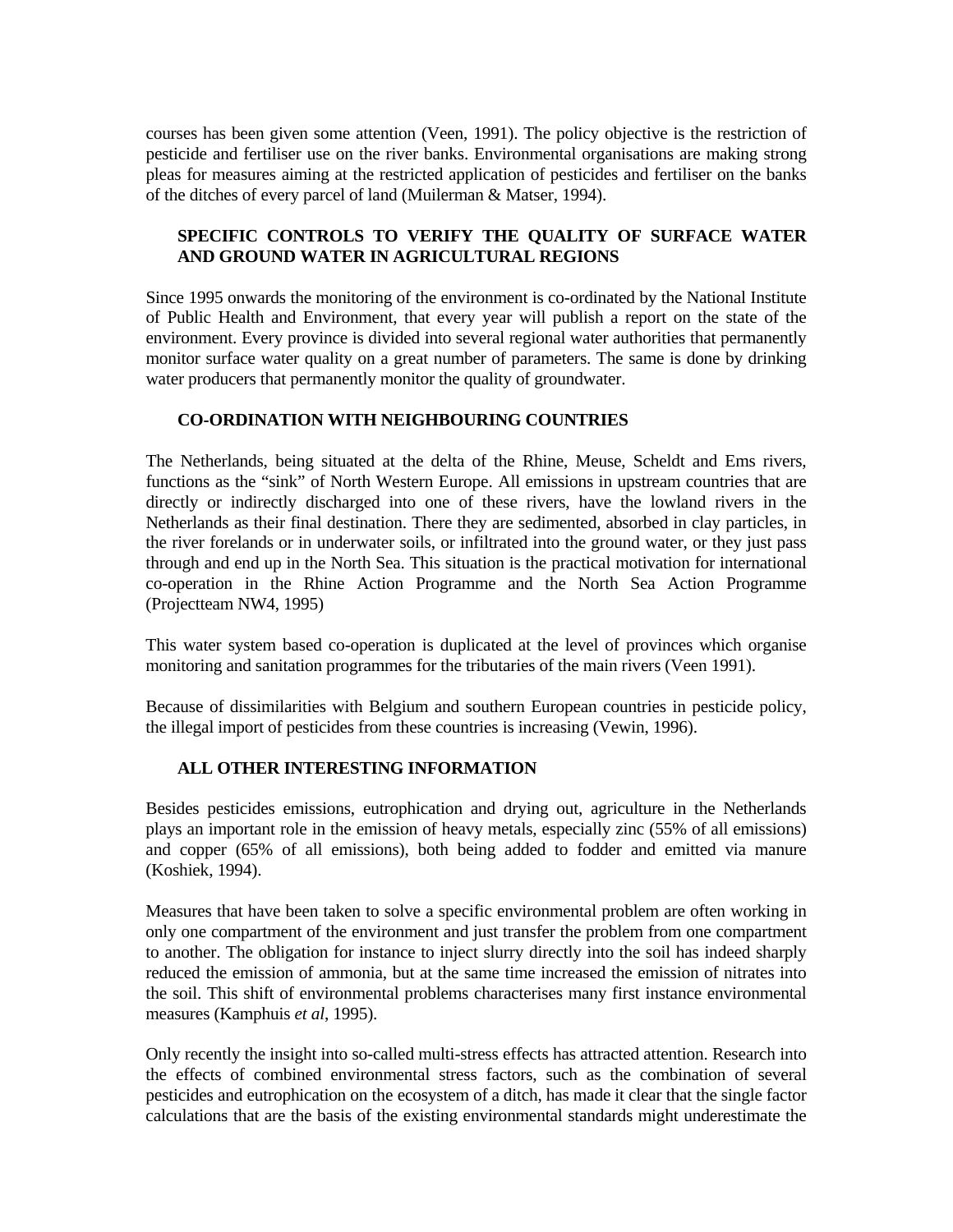courses has been given some attention (Veen, 1991). The policy objective is the restriction of pesticide and fertiliser use on the river banks. Environmental organisations are making strong pleas for measures aiming at the restricted application of pesticides and fertiliser on the banks of the ditches of every parcel of land (Muilerman & Matser, 1994).

# **SPECIFIC CONTROLS TO VERIFY THE QUALITY OF SURFACE WATER AND GROUND WATER IN AGRICULTURAL REGIONS**

Since 1995 onwards the monitoring of the environment is co-ordinated by the National Institute of Public Health and Environment, that every year will publish a report on the state of the environment. Every province is divided into several regional water authorities that permanently monitor surface water quality on a great number of parameters. The same is done by drinking water producers that permanently monitor the quality of groundwater.

## **CO-ORDINATION WITH NEIGHBOURING COUNTRIES**

The Netherlands, being situated at the delta of the Rhine, Meuse, Scheldt and Ems rivers, functions as the "sink" of North Western Europe. All emissions in upstream countries that are directly or indirectly discharged into one of these rivers, have the lowland rivers in the Netherlands as their final destination. There they are sedimented, absorbed in clay particles, in the river forelands or in underwater soils, or infiltrated into the ground water, or they just pass through and end up in the North Sea. This situation is the practical motivation for international co-operation in the Rhine Action Programme and the North Sea Action Programme (Projectteam NW4, 1995)

This water system based co-operation is duplicated at the level of provinces which organise monitoring and sanitation programmes for the tributaries of the main rivers (Veen 1991).

Because of dissimilarities with Belgium and southern European countries in pesticide policy, the illegal import of pesticides from these countries is increasing (Vewin, 1996).

### **ALL OTHER INTERESTING INFORMATION**

Besides pesticides emissions, eutrophication and drying out, agriculture in the Netherlands plays an important role in the emission of heavy metals, especially zinc (55% of all emissions) and copper (65% of all emissions), both being added to fodder and emitted via manure (Koshiek, 1994).

Measures that have been taken to solve a specific environmental problem are often working in only one compartment of the environment and just transfer the problem from one compartment to another. The obligation for instance to inject slurry directly into the soil has indeed sharply reduced the emission of ammonia, but at the same time increased the emission of nitrates into the soil. This shift of environmental problems characterises many first instance environmental measures (Kamphuis *et al*, 1995).

Only recently the insight into so-called multi-stress effects has attracted attention. Research into the effects of combined environmental stress factors, such as the combination of several pesticides and eutrophication on the ecosystem of a ditch, has made it clear that the single factor calculations that are the basis of the existing environmental standards might underestimate the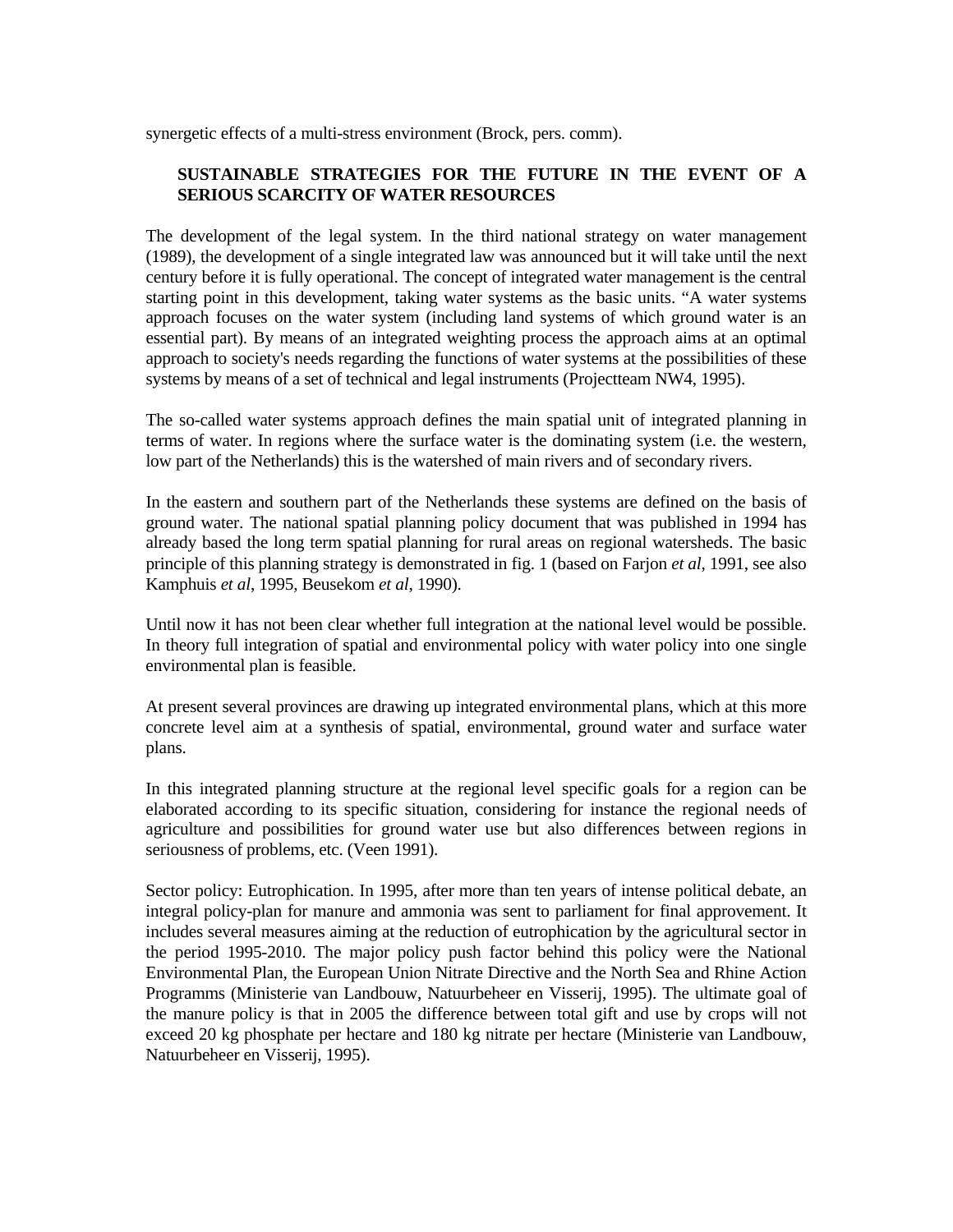synergetic effects of a multi-stress environment (Brock, pers. comm).

# **SUSTAINABLE STRATEGIES FOR THE FUTURE IN THE EVENT OF A SERIOUS SCARCITY OF WATER RESOURCES**

The development of the legal system. In the third national strategy on water management (1989), the development of a single integrated law was announced but it will take until the next century before it is fully operational. The concept of integrated water management is the central starting point in this development, taking water systems as the basic units. "A water systems approach focuses on the water system (including land systems of which ground water is an essential part). By means of an integrated weighting process the approach aims at an optimal approach to society's needs regarding the functions of water systems at the possibilities of these systems by means of a set of technical and legal instruments (Projectteam NW4, 1995).

The so-called water systems approach defines the main spatial unit of integrated planning in terms of water. In regions where the surface water is the dominating system (i.e. the western, low part of the Netherlands) this is the watershed of main rivers and of secondary rivers.

In the eastern and southern part of the Netherlands these systems are defined on the basis of ground water. The national spatial planning policy document that was published in 1994 has already based the long term spatial planning for rural areas on regional watersheds. The basic principle of this planning strategy is demonstrated in fig. 1 (based on Farjon *et al*, 1991, see also Kamphuis *et al*, 1995, Beusekom *et al*, 1990).

Until now it has not been clear whether full integration at the national level would be possible. In theory full integration of spatial and environmental policy with water policy into one single environmental plan is feasible.

At present several provinces are drawing up integrated environmental plans, which at this more concrete level aim at a synthesis of spatial, environmental, ground water and surface water plans.

In this integrated planning structure at the regional level specific goals for a region can be elaborated according to its specific situation, considering for instance the regional needs of agriculture and possibilities for ground water use but also differences between regions in seriousness of problems, etc. (Veen 1991).

Sector policy: Eutrophication. In 1995, after more than ten years of intense political debate, an integral policy-plan for manure and ammonia was sent to parliament for final approvement. It includes several measures aiming at the reduction of eutrophication by the agricultural sector in the period 1995-2010. The major policy push factor behind this policy were the National Environmental Plan, the European Union Nitrate Directive and the North Sea and Rhine Action Programms (Ministerie van Landbouw, Natuurbeheer en Visserij, 1995). The ultimate goal of the manure policy is that in 2005 the difference between total gift and use by crops will not exceed 20 kg phosphate per hectare and 180 kg nitrate per hectare (Ministerie van Landbouw, Natuurbeheer en Visserij, 1995).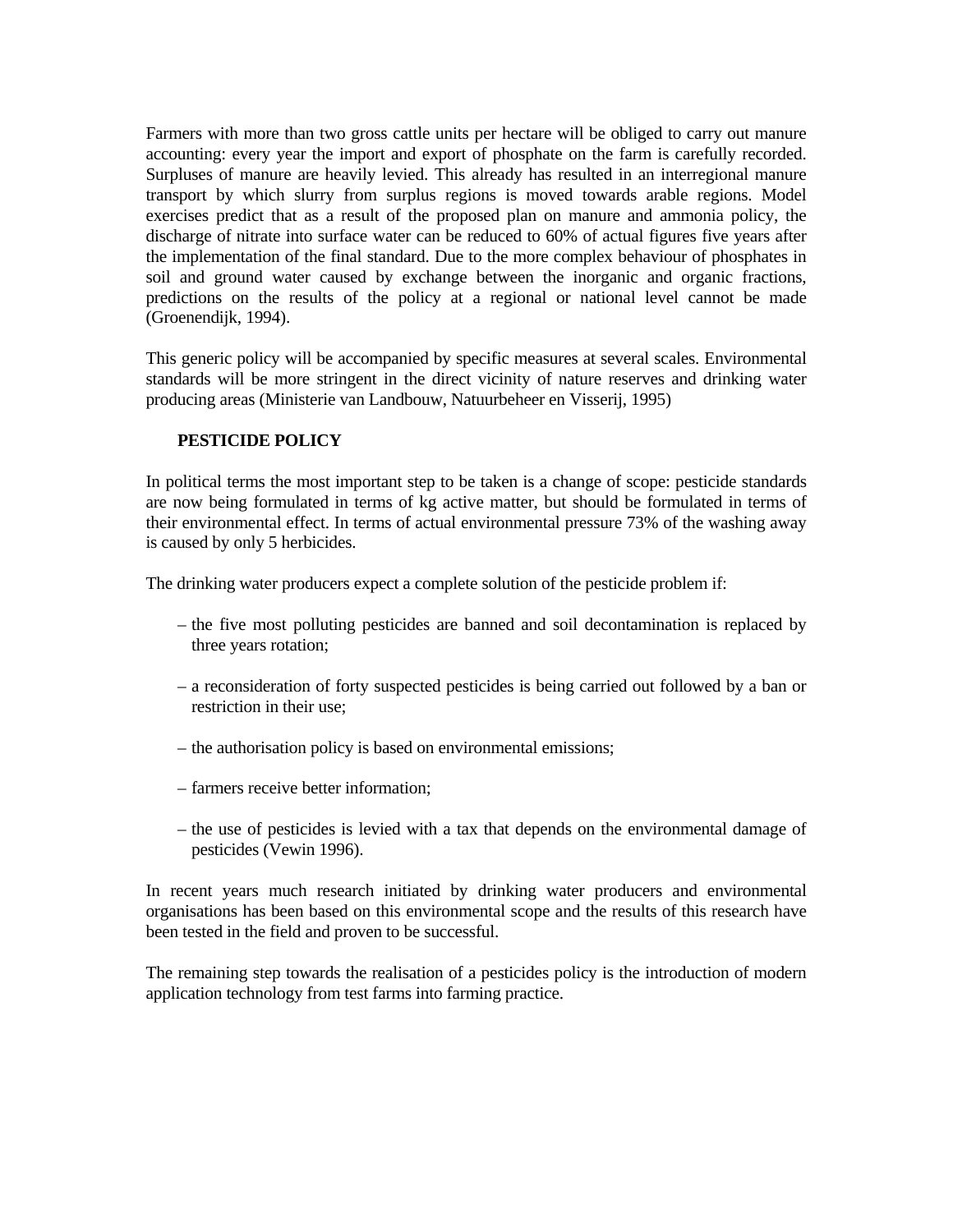Farmers with more than two gross cattle units per hectare will be obliged to carry out manure accounting: every year the import and export of phosphate on the farm is carefully recorded. Surpluses of manure are heavily levied. This already has resulted in an interregional manure transport by which slurry from surplus regions is moved towards arable regions. Model exercises predict that as a result of the proposed plan on manure and ammonia policy, the discharge of nitrate into surface water can be reduced to 60% of actual figures five years after the implementation of the final standard. Due to the more complex behaviour of phosphates in soil and ground water caused by exchange between the inorganic and organic fractions, predictions on the results of the policy at a regional or national level cannot be made (Groenendijk, 1994).

This generic policy will be accompanied by specific measures at several scales. Environmental standards will be more stringent in the direct vicinity of nature reserves and drinking water producing areas (Ministerie van Landbouw, Natuurbeheer en Visserij, 1995)

## **PESTICIDE POLICY**

In political terms the most important step to be taken is a change of scope: pesticide standards are now being formulated in terms of kg active matter, but should be formulated in terms of their environmental effect. In terms of actual environmental pressure 73% of the washing away is caused by only 5 herbicides.

The drinking water producers expect a complete solution of the pesticide problem if:

- the five most polluting pesticides are banned and soil decontamination is replaced by three years rotation;
- a reconsideration of forty suspected pesticides is being carried out followed by a ban or restriction in their use;
- the authorisation policy is based on environmental emissions;
- farmers receive better information;
- the use of pesticides is levied with a tax that depends on the environmental damage of pesticides (Vewin 1996).

In recent years much research initiated by drinking water producers and environmental organisations has been based on this environmental scope and the results of this research have been tested in the field and proven to be successful.

The remaining step towards the realisation of a pesticides policy is the introduction of modern application technology from test farms into farming practice.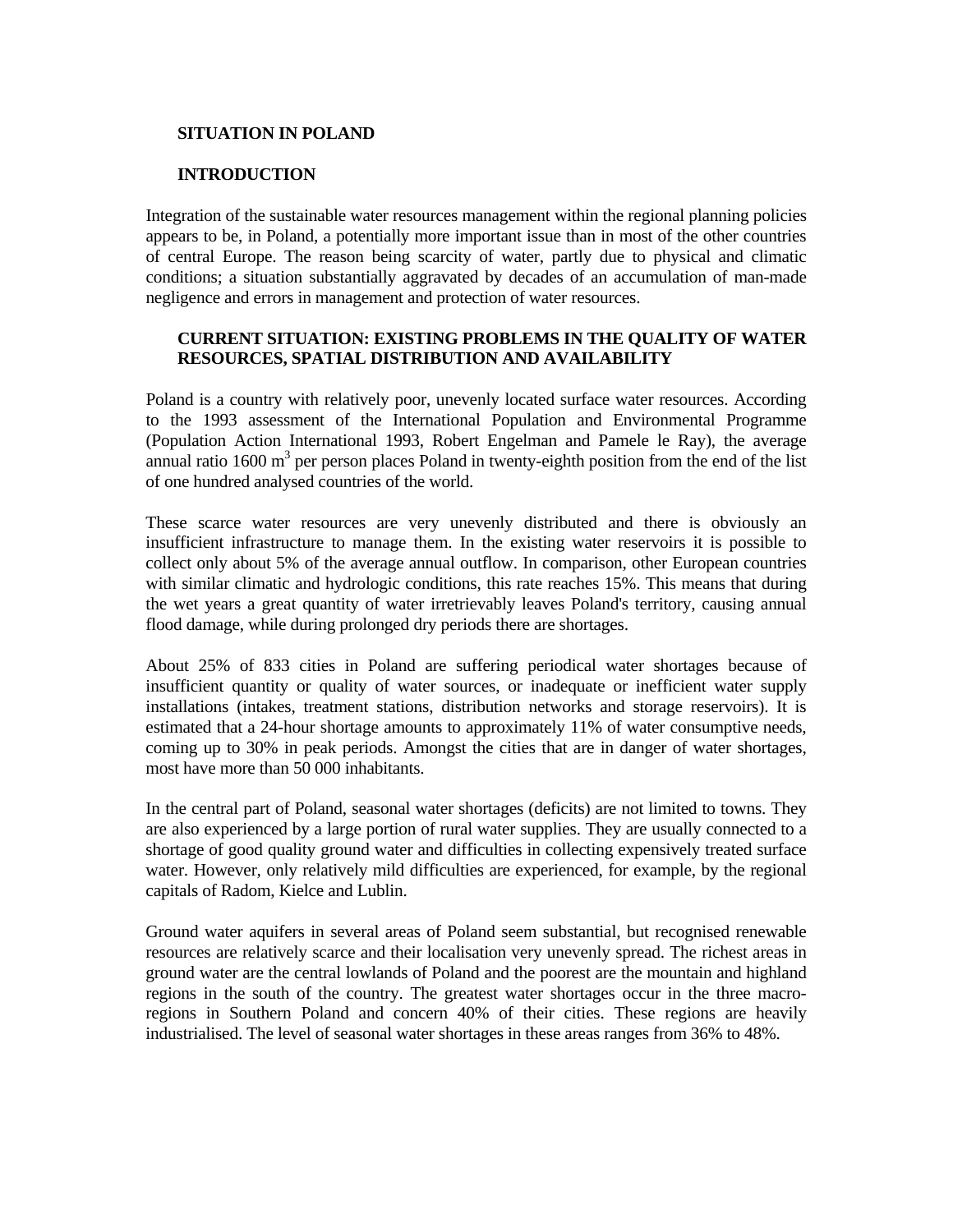#### **SITUATION IN POLAND**

#### **INTRODUCTION**

Integration of the sustainable water resources management within the regional planning policies appears to be, in Poland, a potentially more important issue than in most of the other countries of central Europe. The reason being scarcity of water, partly due to physical and climatic conditions; a situation substantially aggravated by decades of an accumulation of man-made negligence and errors in management and protection of water resources.

# **CURRENT SITUATION: EXISTING PROBLEMS IN THE QUALITY OF WATER RESOURCES, SPATIAL DISTRIBUTION AND AVAILABILITY**

Poland is a country with relatively poor, unevenly located surface water resources. According to the 1993 assessment of the International Population and Environmental Programme (Population Action International 1993, Robert Engelman and Pamele le Ray), the average annual ratio  $1600 \text{ m}^3$  per person places Poland in twenty-eighth position from the end of the list of one hundred analysed countries of the world.

These scarce water resources are very unevenly distributed and there is obviously an insufficient infrastructure to manage them. In the existing water reservoirs it is possible to collect only about 5% of the average annual outflow. In comparison, other European countries with similar climatic and hydrologic conditions, this rate reaches 15%. This means that during the wet years a great quantity of water irretrievably leaves Poland's territory, causing annual flood damage, while during prolonged dry periods there are shortages.

About 25% of 833 cities in Poland are suffering periodical water shortages because of insufficient quantity or quality of water sources, or inadequate or inefficient water supply installations (intakes, treatment stations, distribution networks and storage reservoirs). It is estimated that a 24-hour shortage amounts to approximately 11% of water consumptive needs, coming up to 30% in peak periods. Amongst the cities that are in danger of water shortages, most have more than 50 000 inhabitants.

In the central part of Poland, seasonal water shortages (deficits) are not limited to towns. They are also experienced by a large portion of rural water supplies. They are usually connected to a shortage of good quality ground water and difficulties in collecting expensively treated surface water. However, only relatively mild difficulties are experienced, for example, by the regional capitals of Radom, Kielce and Lublin.

Ground water aquifers in several areas of Poland seem substantial, but recognised renewable resources are relatively scarce and their localisation very unevenly spread. The richest areas in ground water are the central lowlands of Poland and the poorest are the mountain and highland regions in the south of the country. The greatest water shortages occur in the three macroregions in Southern Poland and concern 40% of their cities. These regions are heavily industrialised. The level of seasonal water shortages in these areas ranges from 36% to 48%.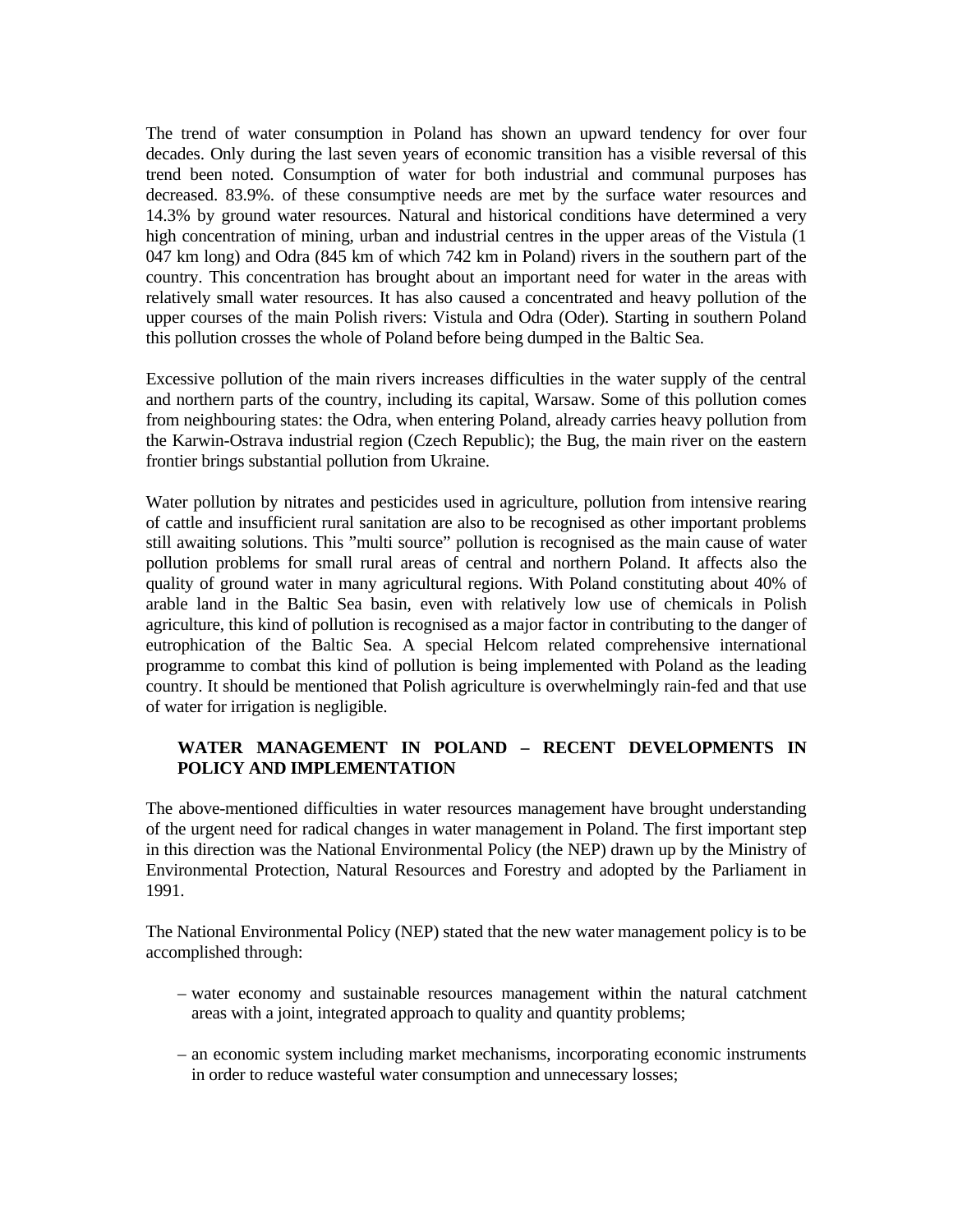The trend of water consumption in Poland has shown an upward tendency for over four decades. Only during the last seven years of economic transition has a visible reversal of this trend been noted. Consumption of water for both industrial and communal purposes has decreased. 83.9%. of these consumptive needs are met by the surface water resources and 14.3% by ground water resources. Natural and historical conditions have determined a very high concentration of mining, urban and industrial centres in the upper areas of the Vistula (1) 047 km long) and Odra (845 km of which 742 km in Poland) rivers in the southern part of the country. This concentration has brought about an important need for water in the areas with relatively small water resources. It has also caused a concentrated and heavy pollution of the upper courses of the main Polish rivers: Vistula and Odra (Oder). Starting in southern Poland this pollution crosses the whole of Poland before being dumped in the Baltic Sea.

Excessive pollution of the main rivers increases difficulties in the water supply of the central and northern parts of the country, including its capital, Warsaw. Some of this pollution comes from neighbouring states: the Odra, when entering Poland, already carries heavy pollution from the Karwin-Ostrava industrial region (Czech Republic); the Bug, the main river on the eastern frontier brings substantial pollution from Ukraine.

Water pollution by nitrates and pesticides used in agriculture, pollution from intensive rearing of cattle and insufficient rural sanitation are also to be recognised as other important problems still awaiting solutions. This "multi source" pollution is recognised as the main cause of water pollution problems for small rural areas of central and northern Poland. It affects also the quality of ground water in many agricultural regions. With Poland constituting about 40% of arable land in the Baltic Sea basin, even with relatively low use of chemicals in Polish agriculture, this kind of pollution is recognised as a major factor in contributing to the danger of eutrophication of the Baltic Sea. A special Helcom related comprehensive international programme to combat this kind of pollution is being implemented with Poland as the leading country. It should be mentioned that Polish agriculture is overwhelmingly rain-fed and that use of water for irrigation is negligible.

## **WATER MANAGEMENT IN POLAND – RECENT DEVELOPMENTS IN POLICY AND IMPLEMENTATION**

The above-mentioned difficulties in water resources management have brought understanding of the urgent need for radical changes in water management in Poland. The first important step in this direction was the National Environmental Policy (the NEP) drawn up by the Ministry of Environmental Protection, Natural Resources and Forestry and adopted by the Parliament in 1991.

The National Environmental Policy (NEP) stated that the new water management policy is to be accomplished through:

- water economy and sustainable resources management within the natural catchment areas with a joint, integrated approach to quality and quantity problems;
- an economic system including market mechanisms, incorporating economic instruments in order to reduce wasteful water consumption and unnecessary losses;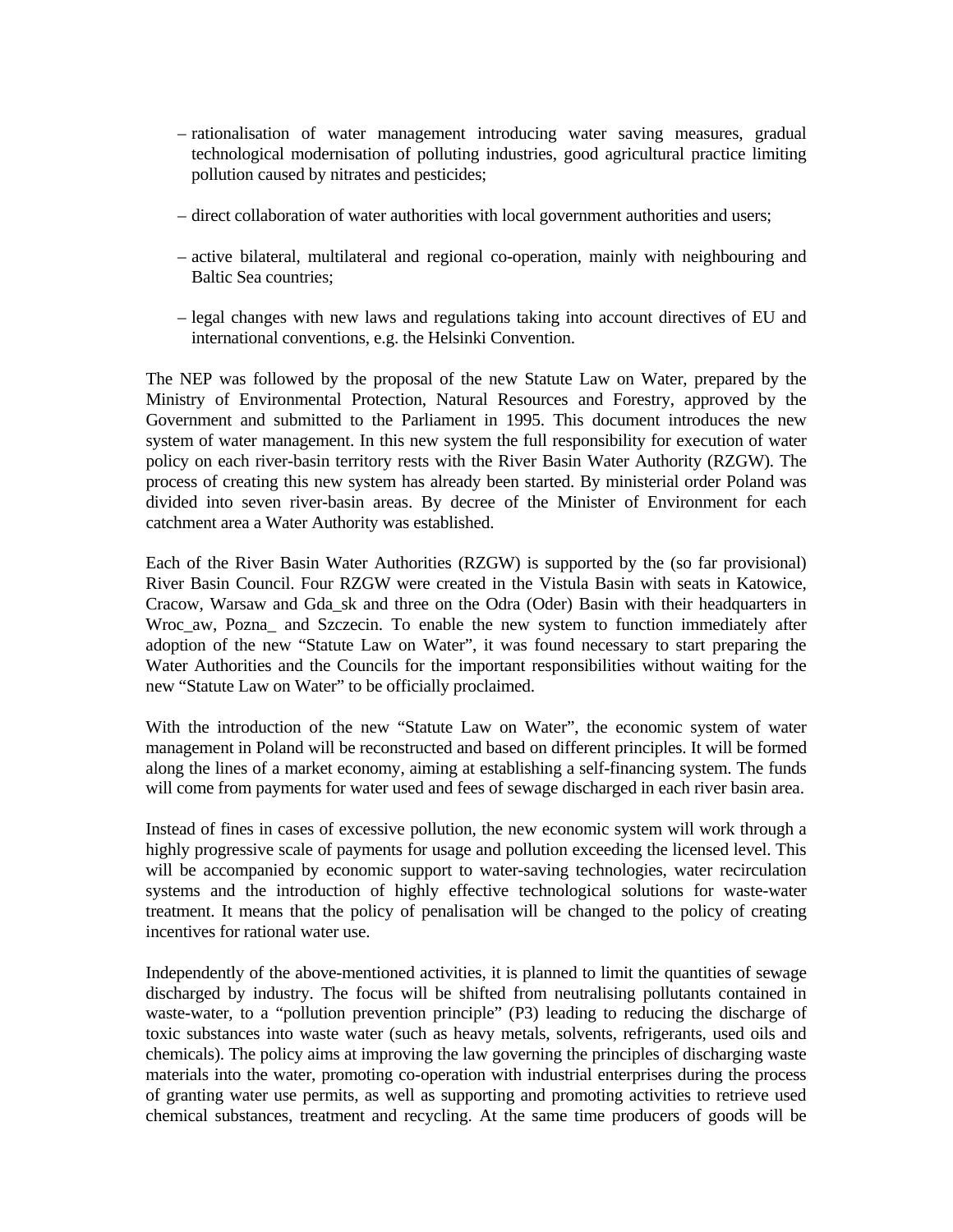- rationalisation of water management introducing water saving measures, gradual technological modernisation of polluting industries, good agricultural practice limiting pollution caused by nitrates and pesticides;
- direct collaboration of water authorities with local government authorities and users;
- active bilateral, multilateral and regional co-operation, mainly with neighbouring and Baltic Sea countries;
- legal changes with new laws and regulations taking into account directives of EU and international conventions, e.g. the Helsinki Convention.

The NEP was followed by the proposal of the new Statute Law on Water, prepared by the Ministry of Environmental Protection, Natural Resources and Forestry, approved by the Government and submitted to the Parliament in 1995. This document introduces the new system of water management. In this new system the full responsibility for execution of water policy on each river-basin territory rests with the River Basin Water Authority (RZGW). The process of creating this new system has already been started. By ministerial order Poland was divided into seven river-basin areas. By decree of the Minister of Environment for each catchment area a Water Authority was established.

Each of the River Basin Water Authorities (RZGW) is supported by the (so far provisional) River Basin Council. Four RZGW were created in the Vistula Basin with seats in Katowice, Cracow, Warsaw and Gda\_sk and three on the Odra (Oder) Basin with their headquarters in Wroc\_aw, Pozna\_ and Szczecin. To enable the new system to function immediately after adoption of the new "Statute Law on Water", it was found necessary to start preparing the Water Authorities and the Councils for the important responsibilities without waiting for the new "Statute Law on Water" to be officially proclaimed.

With the introduction of the new "Statute Law on Water", the economic system of water management in Poland will be reconstructed and based on different principles. It will be formed along the lines of a market economy, aiming at establishing a self-financing system. The funds will come from payments for water used and fees of sewage discharged in each river basin area.

Instead of fines in cases of excessive pollution, the new economic system will work through a highly progressive scale of payments for usage and pollution exceeding the licensed level. This will be accompanied by economic support to water-saving technologies, water recirculation systems and the introduction of highly effective technological solutions for waste-water treatment. It means that the policy of penalisation will be changed to the policy of creating incentives for rational water use.

Independently of the above-mentioned activities, it is planned to limit the quantities of sewage discharged by industry. The focus will be shifted from neutralising pollutants contained in waste-water, to a "pollution prevention principle" (P3) leading to reducing the discharge of toxic substances into waste water (such as heavy metals, solvents, refrigerants, used oils and chemicals). The policy aims at improving the law governing the principles of discharging waste materials into the water, promoting co-operation with industrial enterprises during the process of granting water use permits, as well as supporting and promoting activities to retrieve used chemical substances, treatment and recycling. At the same time producers of goods will be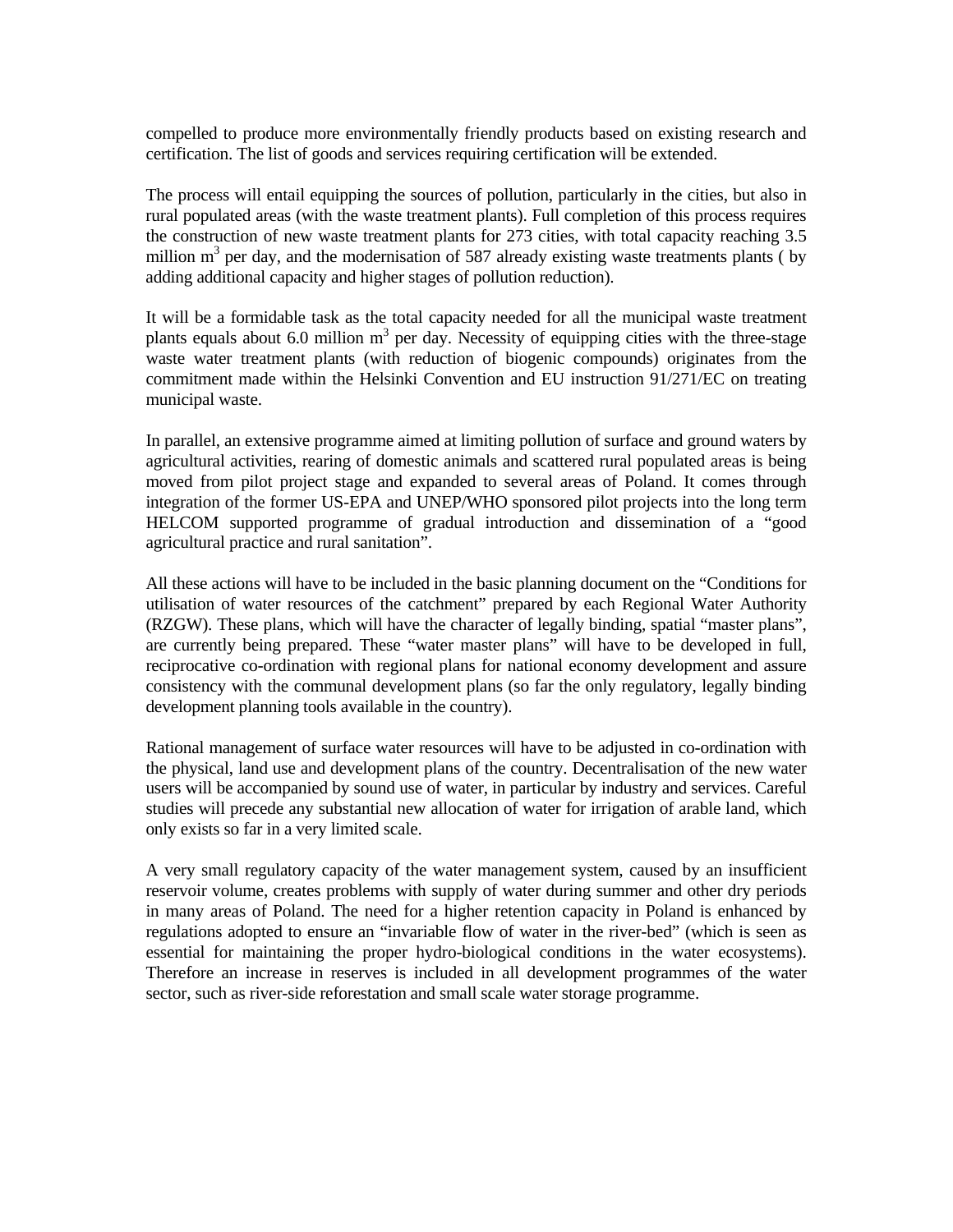compelled to produce more environmentally friendly products based on existing research and certification. The list of goods and services requiring certification will be extended.

The process will entail equipping the sources of pollution, particularly in the cities, but also in rural populated areas (with the waste treatment plants). Full completion of this process requires the construction of new waste treatment plants for 273 cities, with total capacity reaching 3.5 million  $m<sup>3</sup>$  per day, and the modernisation of 587 already existing waste treatments plants (by adding additional capacity and higher stages of pollution reduction).

It will be a formidable task as the total capacity needed for all the municipal waste treatment plants equals about 6.0 million  $m^3$  per day. Necessity of equipping cities with the three-stage waste water treatment plants (with reduction of biogenic compounds) originates from the commitment made within the Helsinki Convention and EU instruction 91/271/EC on treating municipal waste.

In parallel, an extensive programme aimed at limiting pollution of surface and ground waters by agricultural activities, rearing of domestic animals and scattered rural populated areas is being moved from pilot project stage and expanded to several areas of Poland. It comes through integration of the former US-EPA and UNEP/WHO sponsored pilot projects into the long term HELCOM supported programme of gradual introduction and dissemination of a "good agricultural practice and rural sanitation".

All these actions will have to be included in the basic planning document on the "Conditions for utilisation of water resources of the catchment" prepared by each Regional Water Authority (RZGW). These plans, which will have the character of legally binding, spatial "master plans", are currently being prepared. These "water master plans" will have to be developed in full, reciprocative co-ordination with regional plans for national economy development and assure consistency with the communal development plans (so far the only regulatory, legally binding development planning tools available in the country).

Rational management of surface water resources will have to be adjusted in co-ordination with the physical, land use and development plans of the country. Decentralisation of the new water users will be accompanied by sound use of water, in particular by industry and services. Careful studies will precede any substantial new allocation of water for irrigation of arable land, which only exists so far in a very limited scale.

A very small regulatory capacity of the water management system, caused by an insufficient reservoir volume, creates problems with supply of water during summer and other dry periods in many areas of Poland. The need for a higher retention capacity in Poland is enhanced by regulations adopted to ensure an "invariable flow of water in the river-bed" (which is seen as essential for maintaining the proper hydro-biological conditions in the water ecosystems). Therefore an increase in reserves is included in all development programmes of the water sector, such as river-side reforestation and small scale water storage programme.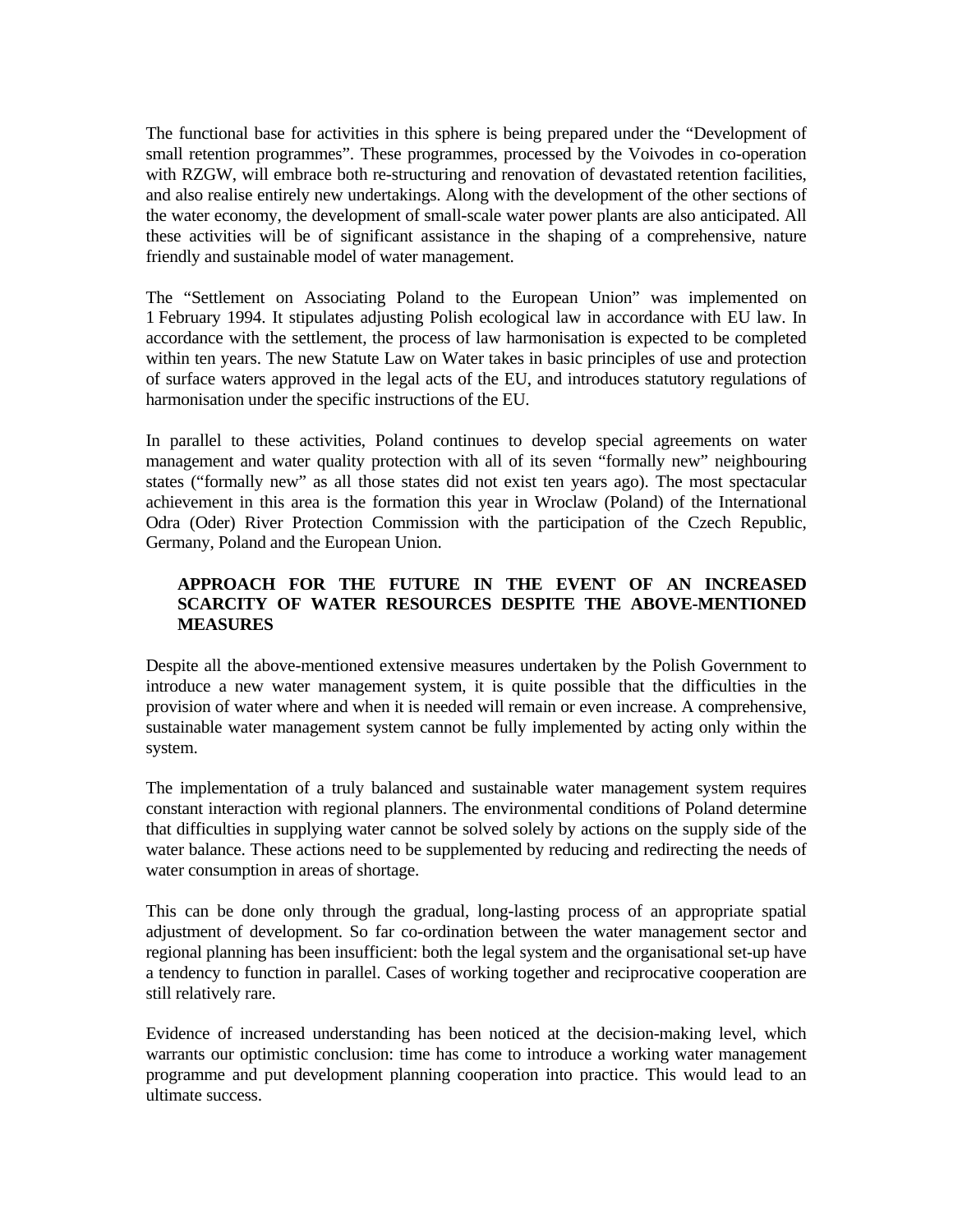The functional base for activities in this sphere is being prepared under the "Development of small retention programmes". These programmes, processed by the Voivodes in co-operation with RZGW, will embrace both re-structuring and renovation of devastated retention facilities, and also realise entirely new undertakings. Along with the development of the other sections of the water economy, the development of small-scale water power plants are also anticipated. All these activities will be of significant assistance in the shaping of a comprehensive, nature friendly and sustainable model of water management.

The "Settlement on Associating Poland to the European Union" was implemented on 1 February 1994. It stipulates adjusting Polish ecological law in accordance with EU law. In accordance with the settlement, the process of law harmonisation is expected to be completed within ten years. The new Statute Law on Water takes in basic principles of use and protection of surface waters approved in the legal acts of the EU, and introduces statutory regulations of harmonisation under the specific instructions of the EU.

In parallel to these activities, Poland continues to develop special agreements on water management and water quality protection with all of its seven "formally new" neighbouring states ("formally new" as all those states did not exist ten years ago). The most spectacular achievement in this area is the formation this year in Wroclaw (Poland) of the International Odra (Oder) River Protection Commission with the participation of the Czech Republic, Germany, Poland and the European Union.

# **APPROACH FOR THE FUTURE IN THE EVENT OF AN INCREASED SCARCITY OF WATER RESOURCES DESPITE THE ABOVE-MENTIONED MEASURES**

Despite all the above-mentioned extensive measures undertaken by the Polish Government to introduce a new water management system, it is quite possible that the difficulties in the provision of water where and when it is needed will remain or even increase. A comprehensive, sustainable water management system cannot be fully implemented by acting only within the system.

The implementation of a truly balanced and sustainable water management system requires constant interaction with regional planners. The environmental conditions of Poland determine that difficulties in supplying water cannot be solved solely by actions on the supply side of the water balance. These actions need to be supplemented by reducing and redirecting the needs of water consumption in areas of shortage.

This can be done only through the gradual, long-lasting process of an appropriate spatial adjustment of development. So far co-ordination between the water management sector and regional planning has been insufficient: both the legal system and the organisational set-up have a tendency to function in parallel. Cases of working together and reciprocative cooperation are still relatively rare.

Evidence of increased understanding has been noticed at the decision-making level, which warrants our optimistic conclusion: time has come to introduce a working water management programme and put development planning cooperation into practice. This would lead to an ultimate success.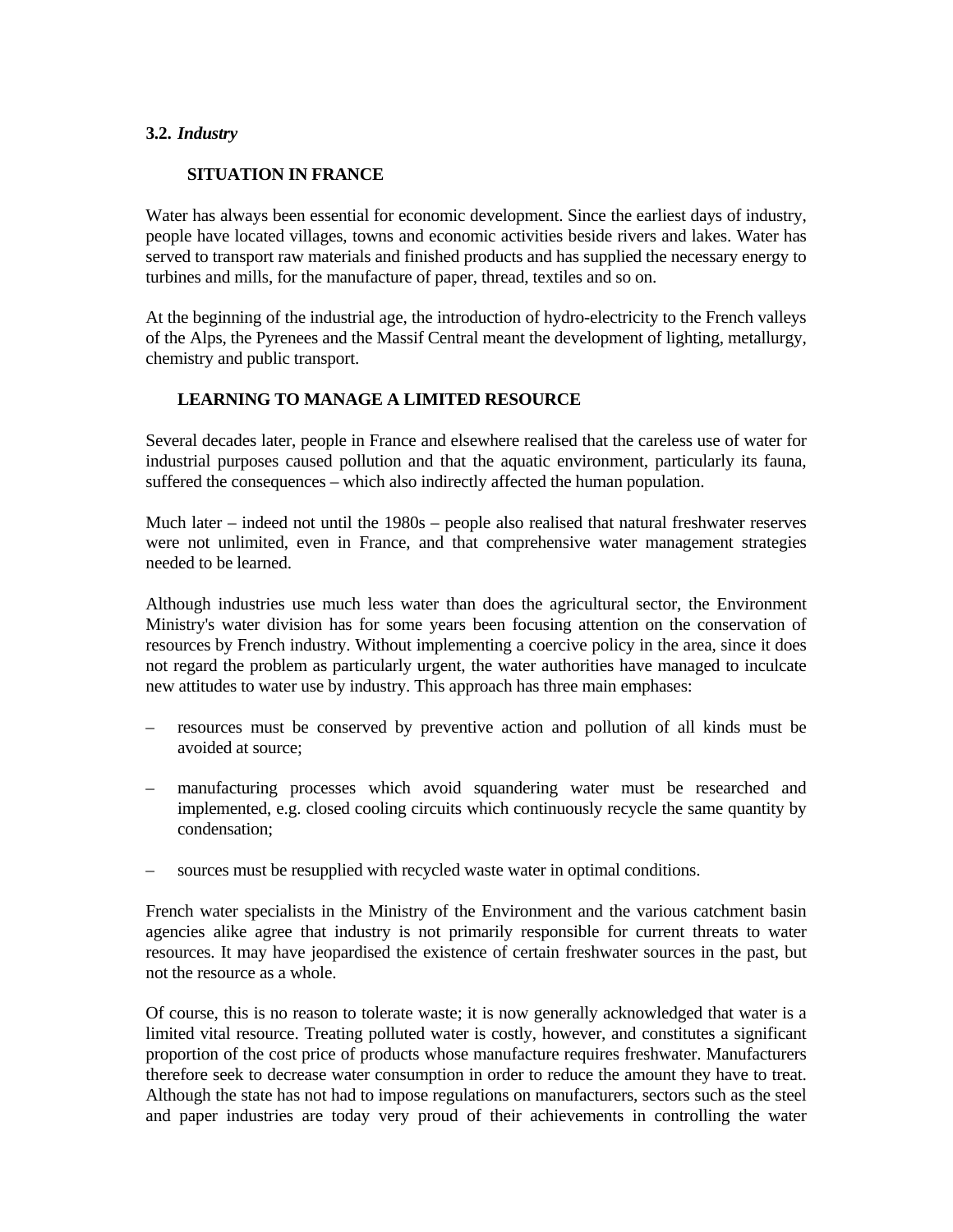### **3.2.** *Industry*

# **SITUATION IN FRANCE**

Water has always been essential for economic development. Since the earliest days of industry, people have located villages, towns and economic activities beside rivers and lakes. Water has served to transport raw materials and finished products and has supplied the necessary energy to turbines and mills, for the manufacture of paper, thread, textiles and so on.

At the beginning of the industrial age, the introduction of hydro-electricity to the French valleys of the Alps, the Pyrenees and the Massif Central meant the development of lighting, metallurgy, chemistry and public transport.

## **LEARNING TO MANAGE A LIMITED RESOURCE**

Several decades later, people in France and elsewhere realised that the careless use of water for industrial purposes caused pollution and that the aquatic environment, particularly its fauna, suffered the consequences – which also indirectly affected the human population.

Much later – indeed not until the 1980s – people also realised that natural freshwater reserves were not unlimited, even in France, and that comprehensive water management strategies needed to be learned.

Although industries use much less water than does the agricultural sector, the Environment Ministry's water division has for some years been focusing attention on the conservation of resources by French industry. Without implementing a coercive policy in the area, since it does not regard the problem as particularly urgent, the water authorities have managed to inculcate new attitudes to water use by industry. This approach has three main emphases:

- resources must be conserved by preventive action and pollution of all kinds must be avoided at source;
- manufacturing processes which avoid squandering water must be researched and implemented, e.g. closed cooling circuits which continuously recycle the same quantity by condensation;
- sources must be resupplied with recycled waste water in optimal conditions.

French water specialists in the Ministry of the Environment and the various catchment basin agencies alike agree that industry is not primarily responsible for current threats to water resources. It may have jeopardised the existence of certain freshwater sources in the past, but not the resource as a whole.

Of course, this is no reason to tolerate waste; it is now generally acknowledged that water is a limited vital resource. Treating polluted water is costly, however, and constitutes a significant proportion of the cost price of products whose manufacture requires freshwater. Manufacturers therefore seek to decrease water consumption in order to reduce the amount they have to treat. Although the state has not had to impose regulations on manufacturers, sectors such as the steel and paper industries are today very proud of their achievements in controlling the water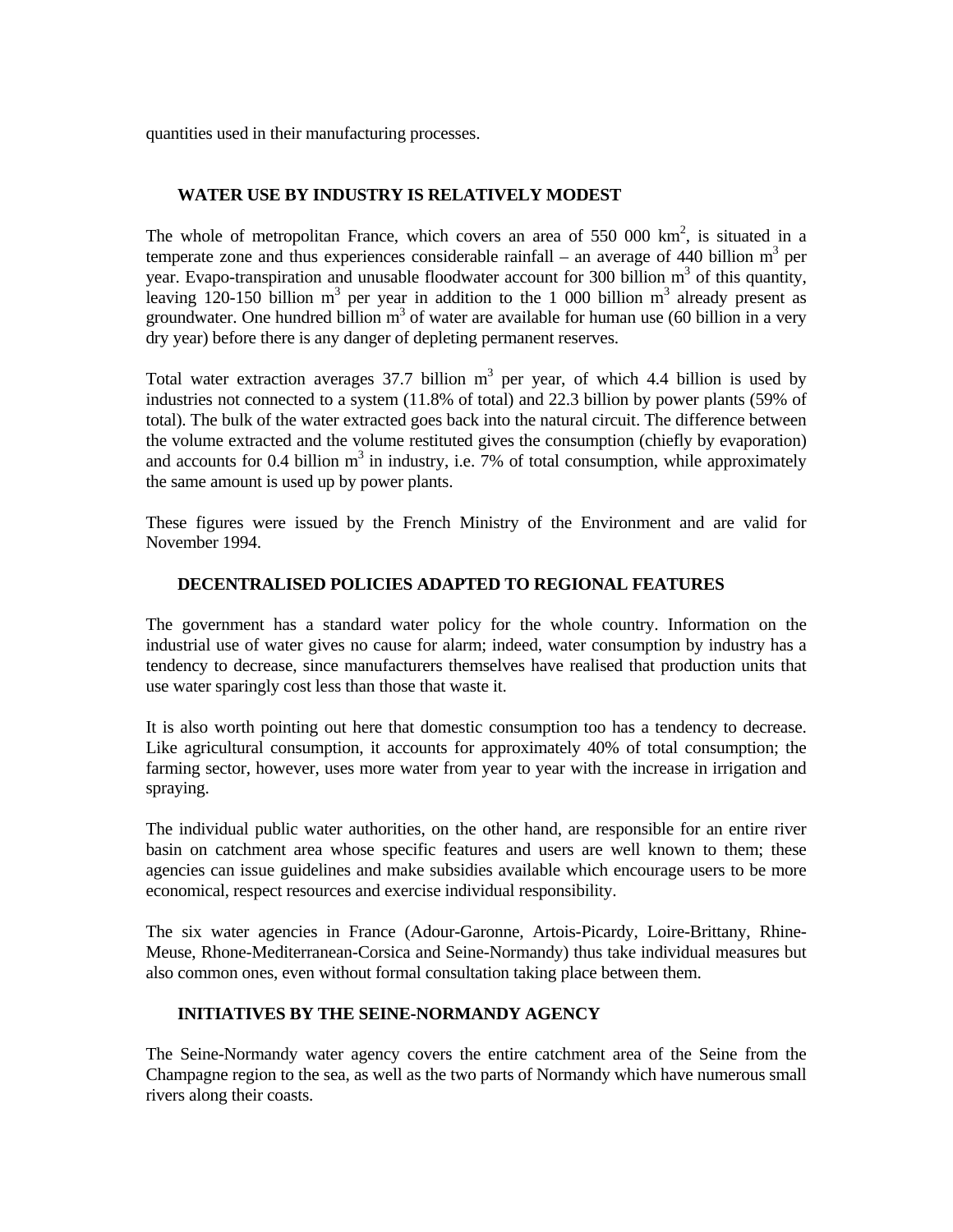quantities used in their manufacturing processes.

## **WATER USE BY INDUSTRY IS RELATIVELY MODEST**

The whole of metropolitan France, which covers an area of  $550,000 \text{ km}^2$ , is situated in a temperate zone and thus experiences considerable rainfall – an average of 440 billion  $m^3$  per year. Evapo-transpiration and unusable floodwater account for 300 billion  $m<sup>3</sup>$  of this quantity, leaving 120-150 billion  $m^3$  per year in addition to the 1 000 billion  $m^3$  already present as groundwater. One hundred billion  $m<sup>3</sup>$  of water are available for human use (60 billion in a very dry year) before there is any danger of depleting permanent reserves.

Total water extraction averages 37.7 billion  $m<sup>3</sup>$  per year, of which 4.4 billion is used by industries not connected to a system (11.8% of total) and 22.3 billion by power plants (59% of total). The bulk of the water extracted goes back into the natural circuit. The difference between the volume extracted and the volume restituted gives the consumption (chiefly by evaporation) and accounts for 0.4 billion  $m<sup>3</sup>$  in industry, i.e. 7% of total consumption, while approximately the same amount is used up by power plants.

These figures were issued by the French Ministry of the Environment and are valid for November 1994.

## **DECENTRALISED POLICIES ADAPTED TO REGIONAL FEATURES**

The government has a standard water policy for the whole country. Information on the industrial use of water gives no cause for alarm; indeed, water consumption by industry has a tendency to decrease, since manufacturers themselves have realised that production units that use water sparingly cost less than those that waste it.

It is also worth pointing out here that domestic consumption too has a tendency to decrease. Like agricultural consumption, it accounts for approximately 40% of total consumption; the farming sector, however, uses more water from year to year with the increase in irrigation and spraying.

The individual public water authorities, on the other hand, are responsible for an entire river basin on catchment area whose specific features and users are well known to them; these agencies can issue guidelines and make subsidies available which encourage users to be more economical, respect resources and exercise individual responsibility.

The six water agencies in France (Adour-Garonne, Artois-Picardy, Loire-Brittany, Rhine-Meuse, Rhone-Mediterranean-Corsica and Seine-Normandy) thus take individual measures but also common ones, even without formal consultation taking place between them.

# **INITIATIVES BY THE SEINE-NORMANDY AGENCY**

The Seine-Normandy water agency covers the entire catchment area of the Seine from the Champagne region to the sea, as well as the two parts of Normandy which have numerous small rivers along their coasts.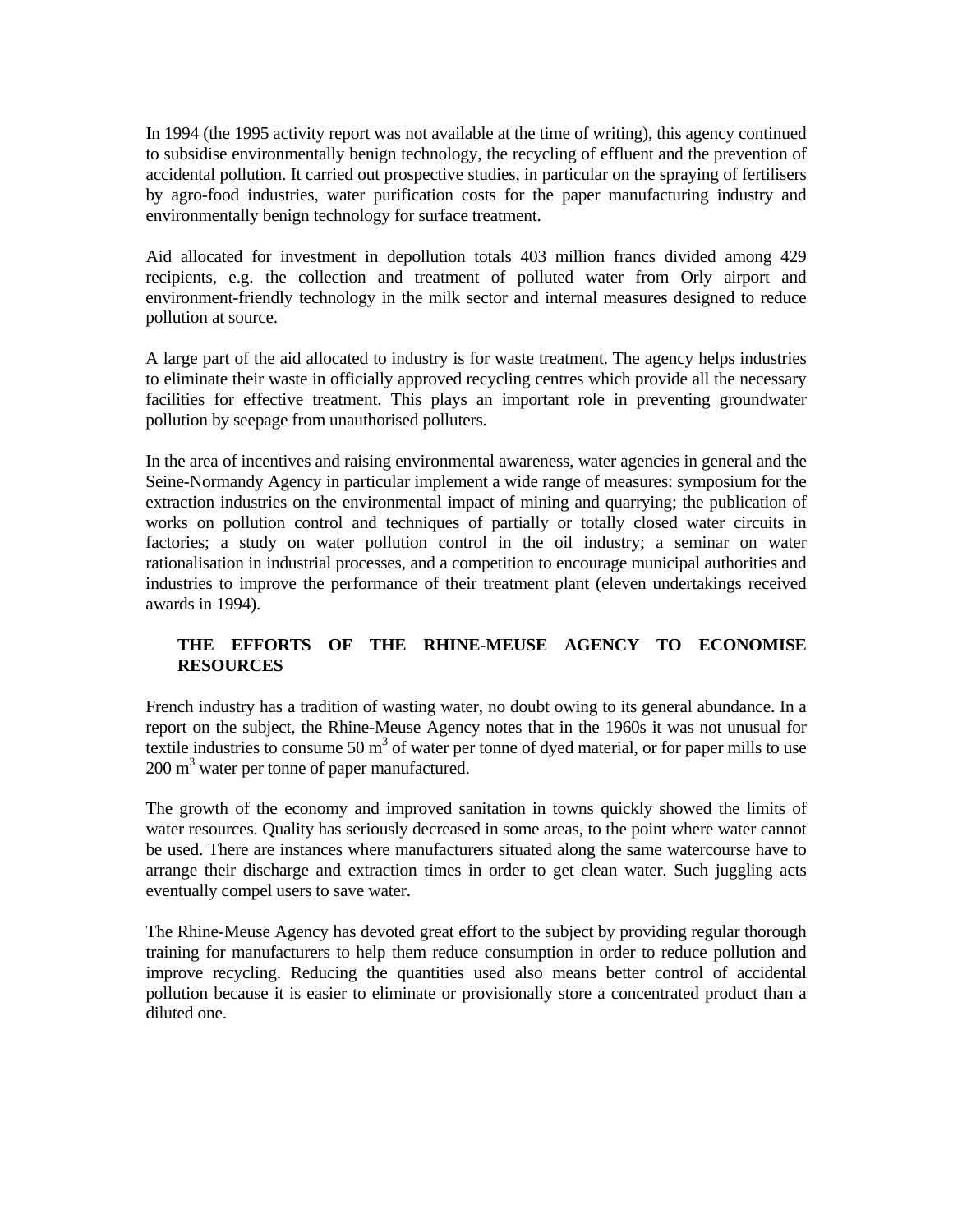In 1994 (the 1995 activity report was not available at the time of writing), this agency continued to subsidise environmentally benign technology, the recycling of effluent and the prevention of accidental pollution. It carried out prospective studies, in particular on the spraying of fertilisers by agro-food industries, water purification costs for the paper manufacturing industry and environmentally benign technology for surface treatment.

Aid allocated for investment in depollution totals 403 million francs divided among 429 recipients, e.g. the collection and treatment of polluted water from Orly airport and environment-friendly technology in the milk sector and internal measures designed to reduce pollution at source.

A large part of the aid allocated to industry is for waste treatment. The agency helps industries to eliminate their waste in officially approved recycling centres which provide all the necessary facilities for effective treatment. This plays an important role in preventing groundwater pollution by seepage from unauthorised polluters.

In the area of incentives and raising environmental awareness, water agencies in general and the Seine-Normandy Agency in particular implement a wide range of measures: symposium for the extraction industries on the environmental impact of mining and quarrying; the publication of works on pollution control and techniques of partially or totally closed water circuits in factories; a study on water pollution control in the oil industry; a seminar on water rationalisation in industrial processes, and a competition to encourage municipal authorities and industries to improve the performance of their treatment plant (eleven undertakings received awards in 1994).

# **THE EFFORTS OF THE RHINE-MEUSE AGENCY TO ECONOMISE RESOURCES**

French industry has a tradition of wasting water, no doubt owing to its general abundance. In a report on the subject, the Rhine-Meuse Agency notes that in the 1960s it was not unusual for textile industries to consume 50  $m<sup>3</sup>$  of water per tonne of dyed material, or for paper mills to use 200 m<sup>3</sup> water per tonne of paper manufactured.

The growth of the economy and improved sanitation in towns quickly showed the limits of water resources. Quality has seriously decreased in some areas, to the point where water cannot be used. There are instances where manufacturers situated along the same watercourse have to arrange their discharge and extraction times in order to get clean water. Such juggling acts eventually compel users to save water.

The Rhine-Meuse Agency has devoted great effort to the subject by providing regular thorough training for manufacturers to help them reduce consumption in order to reduce pollution and improve recycling. Reducing the quantities used also means better control of accidental pollution because it is easier to eliminate or provisionally store a concentrated product than a diluted one.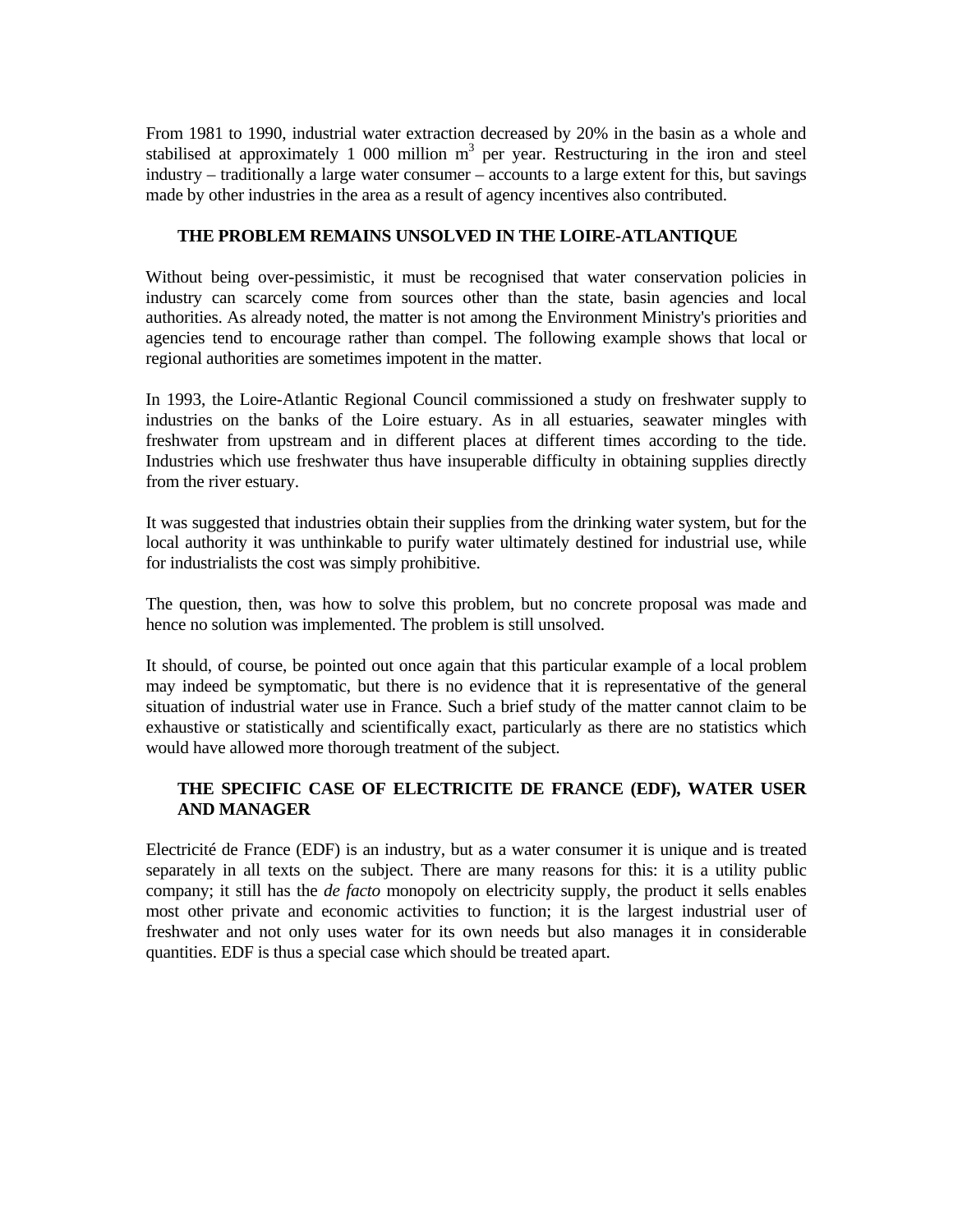From 1981 to 1990, industrial water extraction decreased by 20% in the basin as a whole and stabilised at approximately 1 000 million  $m<sup>3</sup>$  per year. Restructuring in the iron and steel industry – traditionally a large water consumer – accounts to a large extent for this, but savings made by other industries in the area as a result of agency incentives also contributed.

## **THE PROBLEM REMAINS UNSOLVED IN THE LOIRE-ATLANTIQUE**

Without being over-pessimistic, it must be recognised that water conservation policies in industry can scarcely come from sources other than the state, basin agencies and local authorities. As already noted, the matter is not among the Environment Ministry's priorities and agencies tend to encourage rather than compel. The following example shows that local or regional authorities are sometimes impotent in the matter.

In 1993, the Loire-Atlantic Regional Council commissioned a study on freshwater supply to industries on the banks of the Loire estuary. As in all estuaries, seawater mingles with freshwater from upstream and in different places at different times according to the tide. Industries which use freshwater thus have insuperable difficulty in obtaining supplies directly from the river estuary.

It was suggested that industries obtain their supplies from the drinking water system, but for the local authority it was unthinkable to purify water ultimately destined for industrial use, while for industrialists the cost was simply prohibitive.

The question, then, was how to solve this problem, but no concrete proposal was made and hence no solution was implemented. The problem is still unsolved.

It should, of course, be pointed out once again that this particular example of a local problem may indeed be symptomatic, but there is no evidence that it is representative of the general situation of industrial water use in France. Such a brief study of the matter cannot claim to be exhaustive or statistically and scientifically exact, particularly as there are no statistics which would have allowed more thorough treatment of the subject.

# **THE SPECIFIC CASE OF ELECTRICITE DE FRANCE (EDF), WATER USER AND MANAGER**

Electricité de France (EDF) is an industry, but as a water consumer it is unique and is treated separately in all texts on the subject. There are many reasons for this: it is a utility public company; it still has the *de facto* monopoly on electricity supply, the product it sells enables most other private and economic activities to function; it is the largest industrial user of freshwater and not only uses water for its own needs but also manages it in considerable quantities. EDF is thus a special case which should be treated apart.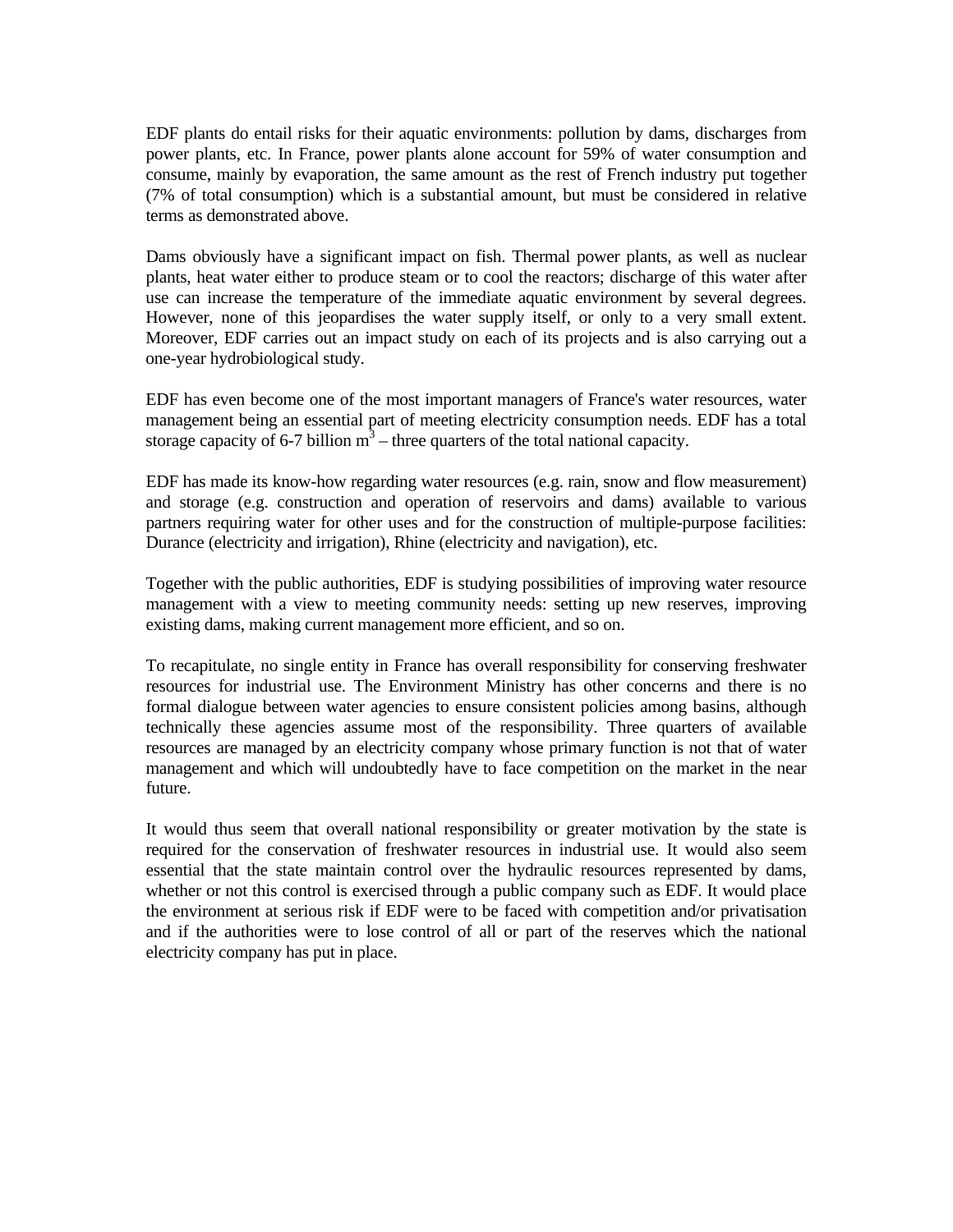EDF plants do entail risks for their aquatic environments: pollution by dams, discharges from power plants, etc. In France, power plants alone account for 59% of water consumption and consume, mainly by evaporation, the same amount as the rest of French industry put together (7% of total consumption) which is a substantial amount, but must be considered in relative terms as demonstrated above.

Dams obviously have a significant impact on fish. Thermal power plants, as well as nuclear plants, heat water either to produce steam or to cool the reactors; discharge of this water after use can increase the temperature of the immediate aquatic environment by several degrees. However, none of this jeopardises the water supply itself, or only to a very small extent. Moreover, EDF carries out an impact study on each of its projects and is also carrying out a one-year hydrobiological study.

EDF has even become one of the most important managers of France's water resources, water management being an essential part of meeting electricity consumption needs. EDF has a total storage capacity of 6-7 billion  $m^3$  – three quarters of the total national capacity.

EDF has made its know-how regarding water resources (e.g. rain, snow and flow measurement) and storage (e.g. construction and operation of reservoirs and dams) available to various partners requiring water for other uses and for the construction of multiple-purpose facilities: Durance (electricity and irrigation), Rhine (electricity and navigation), etc.

Together with the public authorities, EDF is studying possibilities of improving water resource management with a view to meeting community needs: setting up new reserves, improving existing dams, making current management more efficient, and so on.

To recapitulate, no single entity in France has overall responsibility for conserving freshwater resources for industrial use. The Environment Ministry has other concerns and there is no formal dialogue between water agencies to ensure consistent policies among basins, although technically these agencies assume most of the responsibility. Three quarters of available resources are managed by an electricity company whose primary function is not that of water management and which will undoubtedly have to face competition on the market in the near future.

It would thus seem that overall national responsibility or greater motivation by the state is required for the conservation of freshwater resources in industrial use. It would also seem essential that the state maintain control over the hydraulic resources represented by dams, whether or not this control is exercised through a public company such as EDF. It would place the environment at serious risk if EDF were to be faced with competition and/or privatisation and if the authorities were to lose control of all or part of the reserves which the national electricity company has put in place.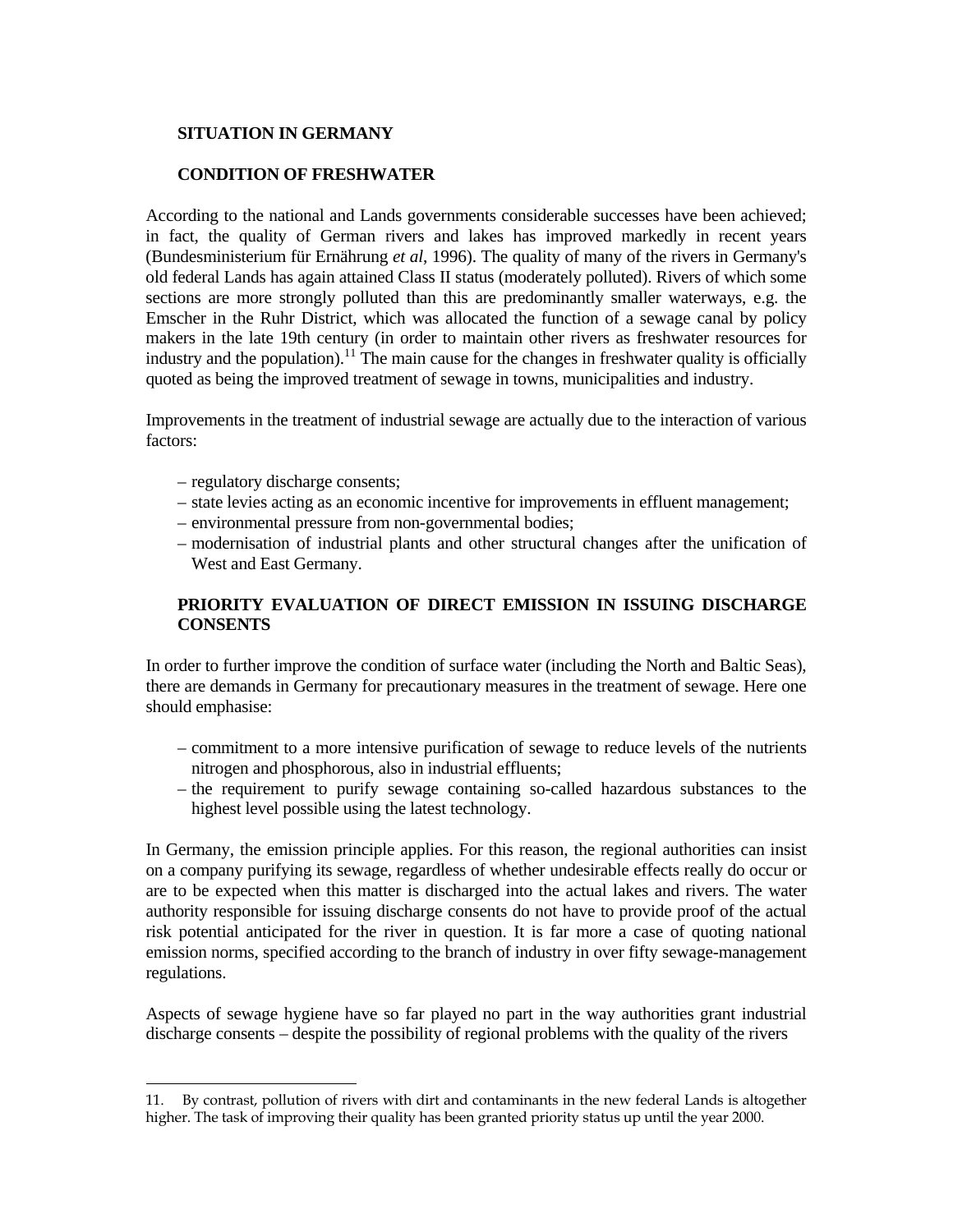## **SITUATION IN GERMANY**

## **CONDITION OF FRESHWATER**

According to the national and Lands governments considerable successes have been achieved; in fact, the quality of German rivers and lakes has improved markedly in recent years (Bundesministerium für Ernährung *et al*, 1996). The quality of many of the rivers in Germany's old federal Lands has again attained Class II status (moderately polluted). Rivers of which some sections are more strongly polluted than this are predominantly smaller waterways, e.g. the Emscher in the Ruhr District, which was allocated the function of a sewage canal by policy makers in the late 19th century (in order to maintain other rivers as freshwater resources for industry and the population).<sup>11</sup> The main cause for the changes in freshwater quality is officially quoted as being the improved treatment of sewage in towns, municipalities and industry.

Improvements in the treatment of industrial sewage are actually due to the interaction of various factors:

- regulatory discharge consents;
- state levies acting as an economic incentive for improvements in effluent management;
- environmental pressure from non-governmental bodies;
- modernisation of industrial plants and other structural changes after the unification of West and East Germany.

# **PRIORITY EVALUATION OF DIRECT EMISSION IN ISSUING DISCHARGE CONSENTS**

In order to further improve the condition of surface water (including the North and Baltic Seas), there are demands in Germany for precautionary measures in the treatment of sewage. Here one should emphasise:

- commitment to a more intensive purification of sewage to reduce levels of the nutrients nitrogen and phosphorous, also in industrial effluents;
- the requirement to purify sewage containing so-called hazardous substances to the highest level possible using the latest technology.

In Germany, the emission principle applies. For this reason, the regional authorities can insist on a company purifying its sewage, regardless of whether undesirable effects really do occur or are to be expected when this matter is discharged into the actual lakes and rivers. The water authority responsible for issuing discharge consents do not have to provide proof of the actual risk potential anticipated for the river in question. It is far more a case of quoting national emission norms, specified according to the branch of industry in over fifty sewage-management regulations.

Aspects of sewage hygiene have so far played no part in the way authorities grant industrial discharge consents – despite the possibility of regional problems with the quality of the rivers

<sup>÷</sup> 11. By contrast, pollution of rivers with dirt and contaminants in the new federal Lands is altogether higher. The task of improving their quality has been granted priority status up until the year 2000.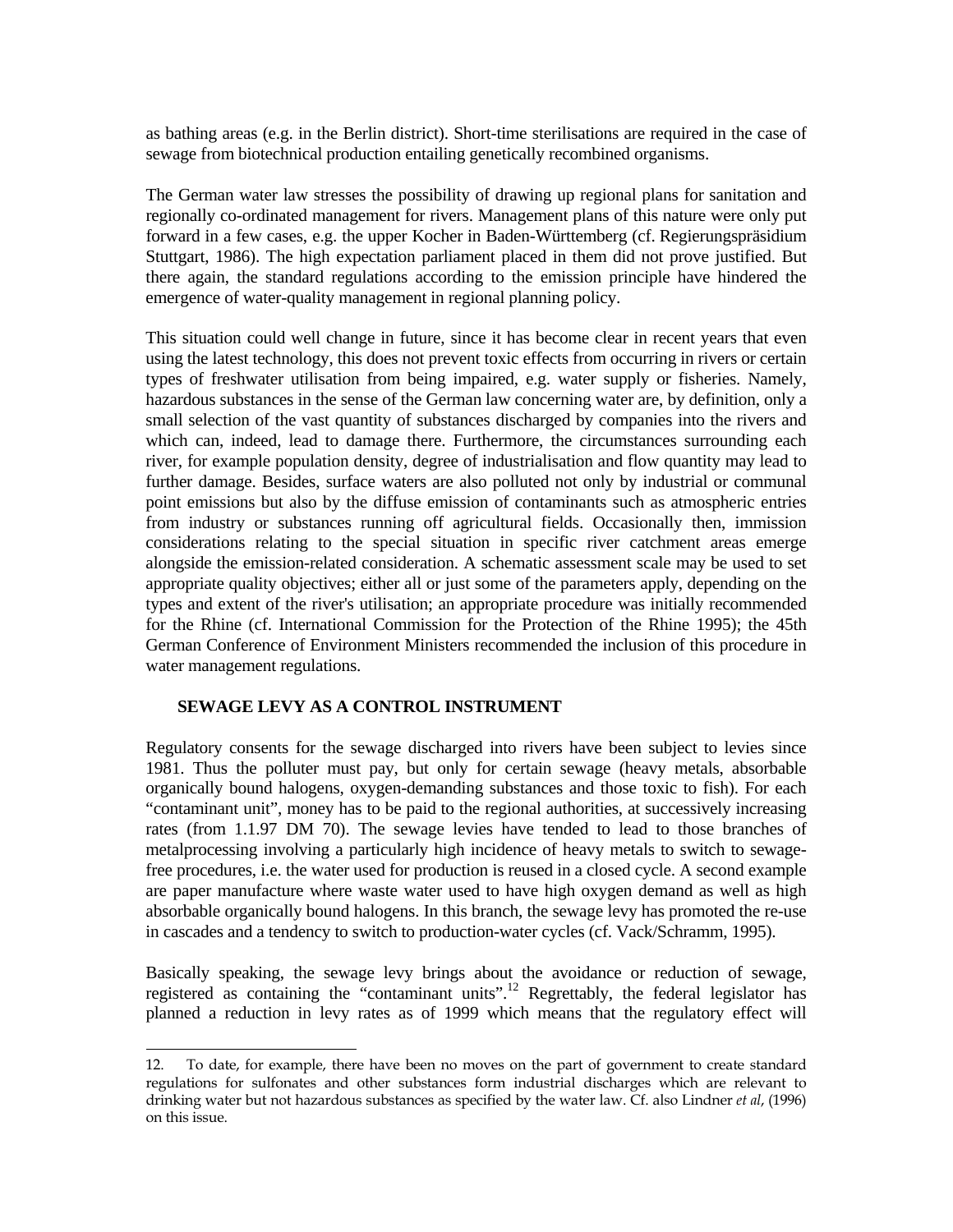as bathing areas (e.g. in the Berlin district). Short-time sterilisations are required in the case of sewage from biotechnical production entailing genetically recombined organisms.

The German water law stresses the possibility of drawing up regional plans for sanitation and regionally co-ordinated management for rivers. Management plans of this nature were only put forward in a few cases, e.g. the upper Kocher in Baden-Württemberg (cf. Regierungspräsidium Stuttgart, 1986). The high expectation parliament placed in them did not prove justified. But there again, the standard regulations according to the emission principle have hindered the emergence of water-quality management in regional planning policy.

This situation could well change in future, since it has become clear in recent years that even using the latest technology, this does not prevent toxic effects from occurring in rivers or certain types of freshwater utilisation from being impaired, e.g. water supply or fisheries. Namely, hazardous substances in the sense of the German law concerning water are, by definition, only a small selection of the vast quantity of substances discharged by companies into the rivers and which can, indeed, lead to damage there. Furthermore, the circumstances surrounding each river, for example population density, degree of industrialisation and flow quantity may lead to further damage. Besides, surface waters are also polluted not only by industrial or communal point emissions but also by the diffuse emission of contaminants such as atmospheric entries from industry or substances running off agricultural fields. Occasionally then, immission considerations relating to the special situation in specific river catchment areas emerge alongside the emission-related consideration. A schematic assessment scale may be used to set appropriate quality objectives; either all or just some of the parameters apply, depending on the types and extent of the river's utilisation; an appropriate procedure was initially recommended for the Rhine (cf. International Commission for the Protection of the Rhine 1995); the 45th German Conference of Environment Ministers recommended the inclusion of this procedure in water management regulations.

### **SEWAGE LEVY AS A CONTROL INSTRUMENT**

÷

Regulatory consents for the sewage discharged into rivers have been subject to levies since 1981. Thus the polluter must pay, but only for certain sewage (heavy metals, absorbable organically bound halogens, oxygen-demanding substances and those toxic to fish). For each "contaminant unit", money has to be paid to the regional authorities, at successively increasing rates (from 1.1.97 DM 70). The sewage levies have tended to lead to those branches of metalprocessing involving a particularly high incidence of heavy metals to switch to sewagefree procedures, i.e. the water used for production is reused in a closed cycle. A second example are paper manufacture where waste water used to have high oxygen demand as well as high absorbable organically bound halogens. In this branch, the sewage levy has promoted the re-use in cascades and a tendency to switch to production-water cycles (cf. Vack/Schramm, 1995).

Basically speaking, the sewage levy brings about the avoidance or reduction of sewage, registered as containing the "contaminant units".12 Regrettably, the federal legislator has planned a reduction in levy rates as of 1999 which means that the regulatory effect will

<sup>12.</sup> To date, for example, there have been no moves on the part of government to create standard regulations for sulfonates and other substances form industrial discharges which are relevant to drinking water but not hazardous substances as specified by the water law. Cf. also Lindner *et al*, (1996) on this issue.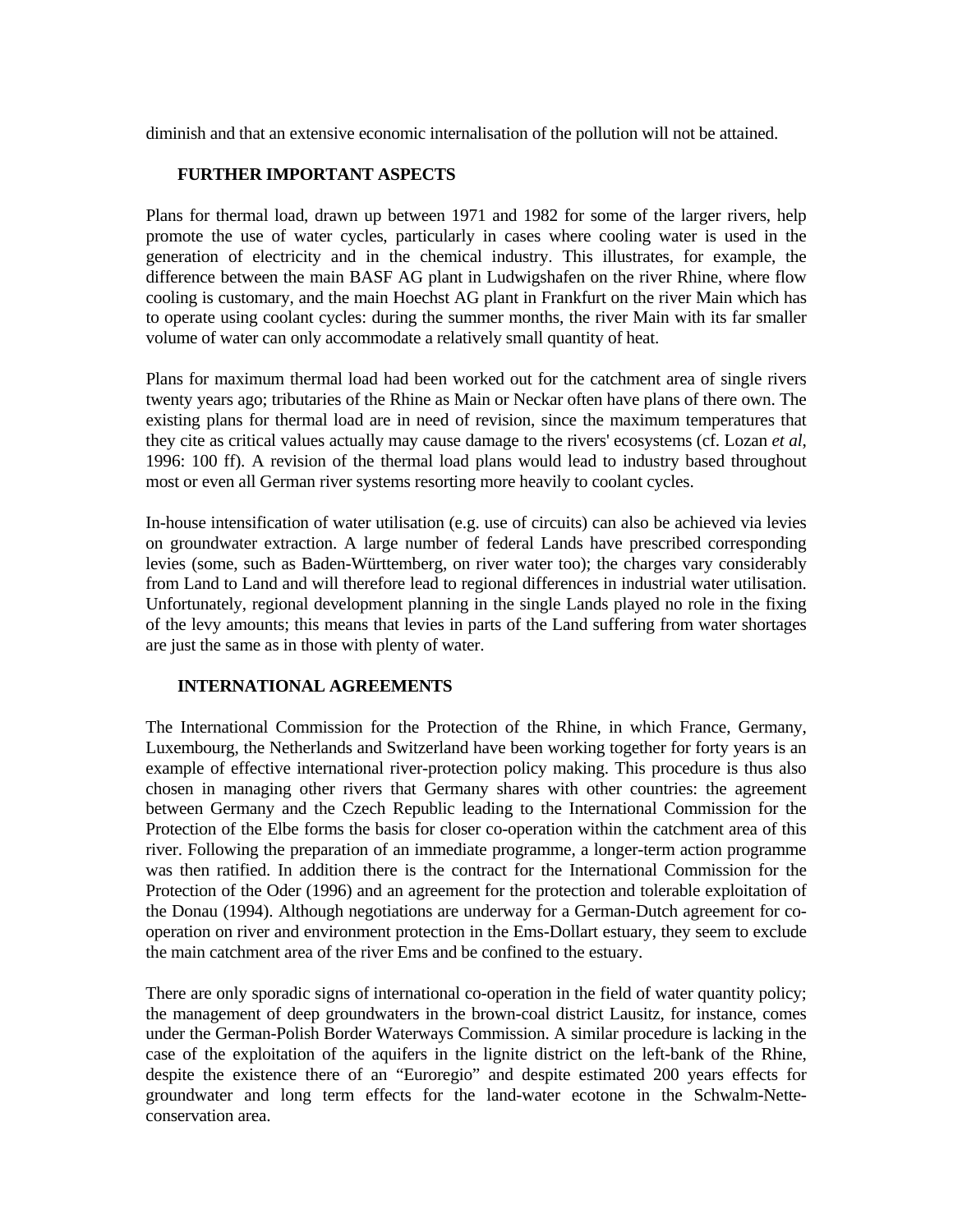diminish and that an extensive economic internalisation of the pollution will not be attained.

## **FURTHER IMPORTANT ASPECTS**

Plans for thermal load, drawn up between 1971 and 1982 for some of the larger rivers, help promote the use of water cycles, particularly in cases where cooling water is used in the generation of electricity and in the chemical industry. This illustrates, for example, the difference between the main BASF AG plant in Ludwigshafen on the river Rhine, where flow cooling is customary, and the main Hoechst AG plant in Frankfurt on the river Main which has to operate using coolant cycles: during the summer months, the river Main with its far smaller volume of water can only accommodate a relatively small quantity of heat.

Plans for maximum thermal load had been worked out for the catchment area of single rivers twenty years ago; tributaries of the Rhine as Main or Neckar often have plans of there own. The existing plans for thermal load are in need of revision, since the maximum temperatures that they cite as critical values actually may cause damage to the rivers' ecosystems (cf. Lozan *et al*, 1996: 100 ff). A revision of the thermal load plans would lead to industry based throughout most or even all German river systems resorting more heavily to coolant cycles.

In-house intensification of water utilisation (e.g. use of circuits) can also be achieved via levies on groundwater extraction. A large number of federal Lands have prescribed corresponding levies (some, such as Baden-Württemberg, on river water too); the charges vary considerably from Land to Land and will therefore lead to regional differences in industrial water utilisation. Unfortunately, regional development planning in the single Lands played no role in the fixing of the levy amounts; this means that levies in parts of the Land suffering from water shortages are just the same as in those with plenty of water.

### **INTERNATIONAL AGREEMENTS**

The International Commission for the Protection of the Rhine, in which France, Germany, Luxembourg, the Netherlands and Switzerland have been working together for forty years is an example of effective international river-protection policy making. This procedure is thus also chosen in managing other rivers that Germany shares with other countries: the agreement between Germany and the Czech Republic leading to the International Commission for the Protection of the Elbe forms the basis for closer co-operation within the catchment area of this river. Following the preparation of an immediate programme, a longer-term action programme was then ratified. In addition there is the contract for the International Commission for the Protection of the Oder (1996) and an agreement for the protection and tolerable exploitation of the Donau (1994). Although negotiations are underway for a German-Dutch agreement for cooperation on river and environment protection in the Ems-Dollart estuary, they seem to exclude the main catchment area of the river Ems and be confined to the estuary.

There are only sporadic signs of international co-operation in the field of water quantity policy; the management of deep groundwaters in the brown-coal district Lausitz, for instance, comes under the German-Polish Border Waterways Commission. A similar procedure is lacking in the case of the exploitation of the aquifers in the lignite district on the left-bank of the Rhine, despite the existence there of an "Euroregio" and despite estimated 200 years effects for groundwater and long term effects for the land-water ecotone in the Schwalm-Netteconservation area.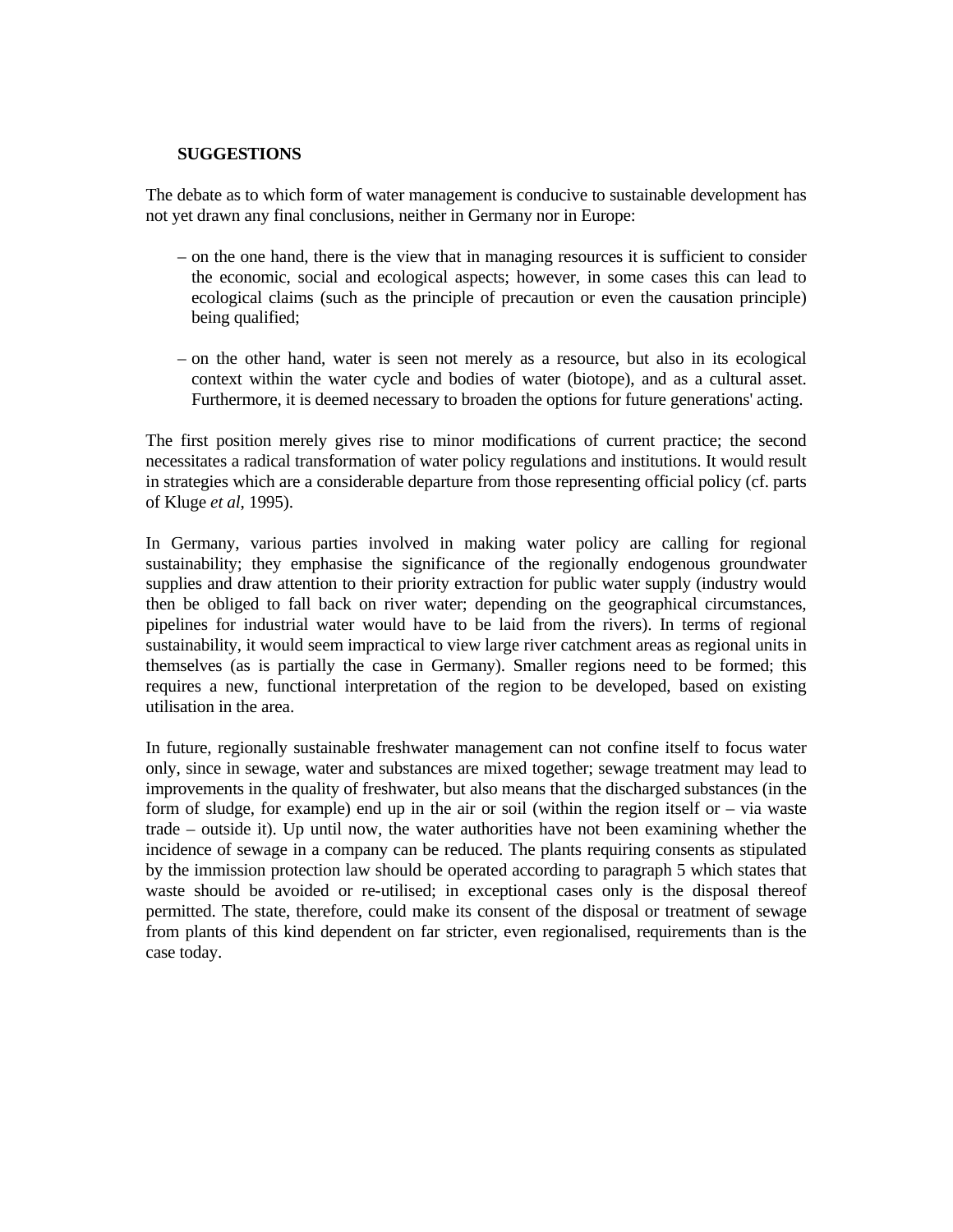#### **SUGGESTIONS**

The debate as to which form of water management is conducive to sustainable development has not yet drawn any final conclusions, neither in Germany nor in Europe:

- on the one hand, there is the view that in managing resources it is sufficient to consider the economic, social and ecological aspects; however, in some cases this can lead to ecological claims (such as the principle of precaution or even the causation principle) being qualified;
- on the other hand, water is seen not merely as a resource, but also in its ecological context within the water cycle and bodies of water (biotope), and as a cultural asset. Furthermore, it is deemed necessary to broaden the options for future generations' acting.

The first position merely gives rise to minor modifications of current practice; the second necessitates a radical transformation of water policy regulations and institutions. It would result in strategies which are a considerable departure from those representing official policy (cf. parts of Kluge *et al*, 1995).

In Germany, various parties involved in making water policy are calling for regional sustainability; they emphasise the significance of the regionally endogenous groundwater supplies and draw attention to their priority extraction for public water supply (industry would then be obliged to fall back on river water; depending on the geographical circumstances, pipelines for industrial water would have to be laid from the rivers). In terms of regional sustainability, it would seem impractical to view large river catchment areas as regional units in themselves (as is partially the case in Germany). Smaller regions need to be formed; this requires a new, functional interpretation of the region to be developed, based on existing utilisation in the area.

In future, regionally sustainable freshwater management can not confine itself to focus water only, since in sewage, water and substances are mixed together; sewage treatment may lead to improvements in the quality of freshwater, but also means that the discharged substances (in the form of sludge, for example) end up in the air or soil (within the region itself or – via waste trade – outside it). Up until now, the water authorities have not been examining whether the incidence of sewage in a company can be reduced. The plants requiring consents as stipulated by the immission protection law should be operated according to paragraph 5 which states that waste should be avoided or re-utilised; in exceptional cases only is the disposal thereof permitted. The state, therefore, could make its consent of the disposal or treatment of sewage from plants of this kind dependent on far stricter, even regionalised, requirements than is the case today.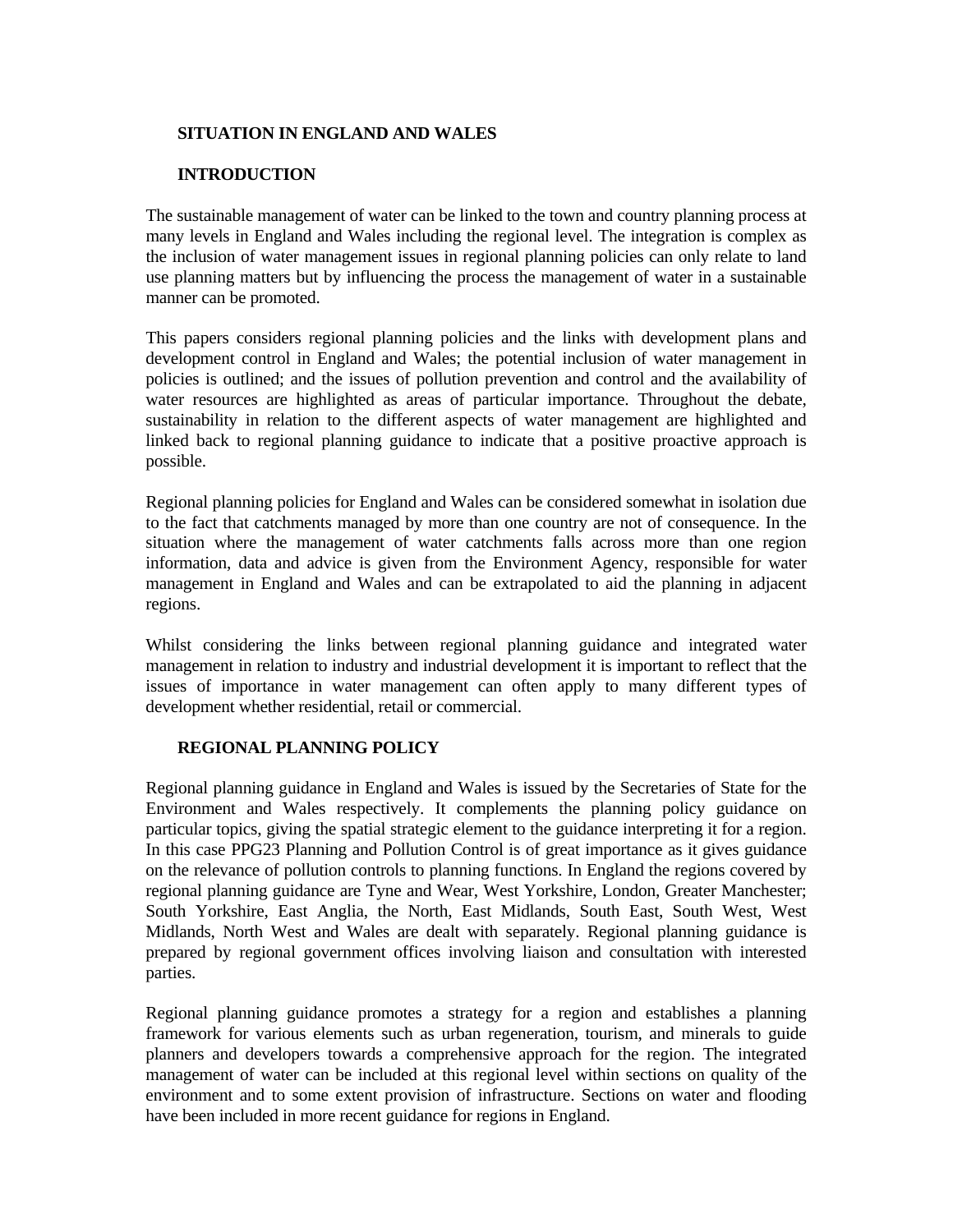### **SITUATION IN ENGLAND AND WALES**

## **INTRODUCTION**

The sustainable management of water can be linked to the town and country planning process at many levels in England and Wales including the regional level. The integration is complex as the inclusion of water management issues in regional planning policies can only relate to land use planning matters but by influencing the process the management of water in a sustainable manner can be promoted.

This papers considers regional planning policies and the links with development plans and development control in England and Wales; the potential inclusion of water management in policies is outlined; and the issues of pollution prevention and control and the availability of water resources are highlighted as areas of particular importance. Throughout the debate, sustainability in relation to the different aspects of water management are highlighted and linked back to regional planning guidance to indicate that a positive proactive approach is possible.

Regional planning policies for England and Wales can be considered somewhat in isolation due to the fact that catchments managed by more than one country are not of consequence. In the situation where the management of water catchments falls across more than one region information, data and advice is given from the Environment Agency, responsible for water management in England and Wales and can be extrapolated to aid the planning in adjacent regions.

Whilst considering the links between regional planning guidance and integrated water management in relation to industry and industrial development it is important to reflect that the issues of importance in water management can often apply to many different types of development whether residential, retail or commercial.

### **REGIONAL PLANNING POLICY**

Regional planning guidance in England and Wales is issued by the Secretaries of State for the Environment and Wales respectively. It complements the planning policy guidance on particular topics, giving the spatial strategic element to the guidance interpreting it for a region. In this case PPG23 Planning and Pollution Control is of great importance as it gives guidance on the relevance of pollution controls to planning functions. In England the regions covered by regional planning guidance are Tyne and Wear, West Yorkshire, London, Greater Manchester; South Yorkshire, East Anglia, the North, East Midlands, South East, South West, West Midlands, North West and Wales are dealt with separately. Regional planning guidance is prepared by regional government offices involving liaison and consultation with interested parties.

Regional planning guidance promotes a strategy for a region and establishes a planning framework for various elements such as urban regeneration, tourism, and minerals to guide planners and developers towards a comprehensive approach for the region. The integrated management of water can be included at this regional level within sections on quality of the environment and to some extent provision of infrastructure. Sections on water and flooding have been included in more recent guidance for regions in England.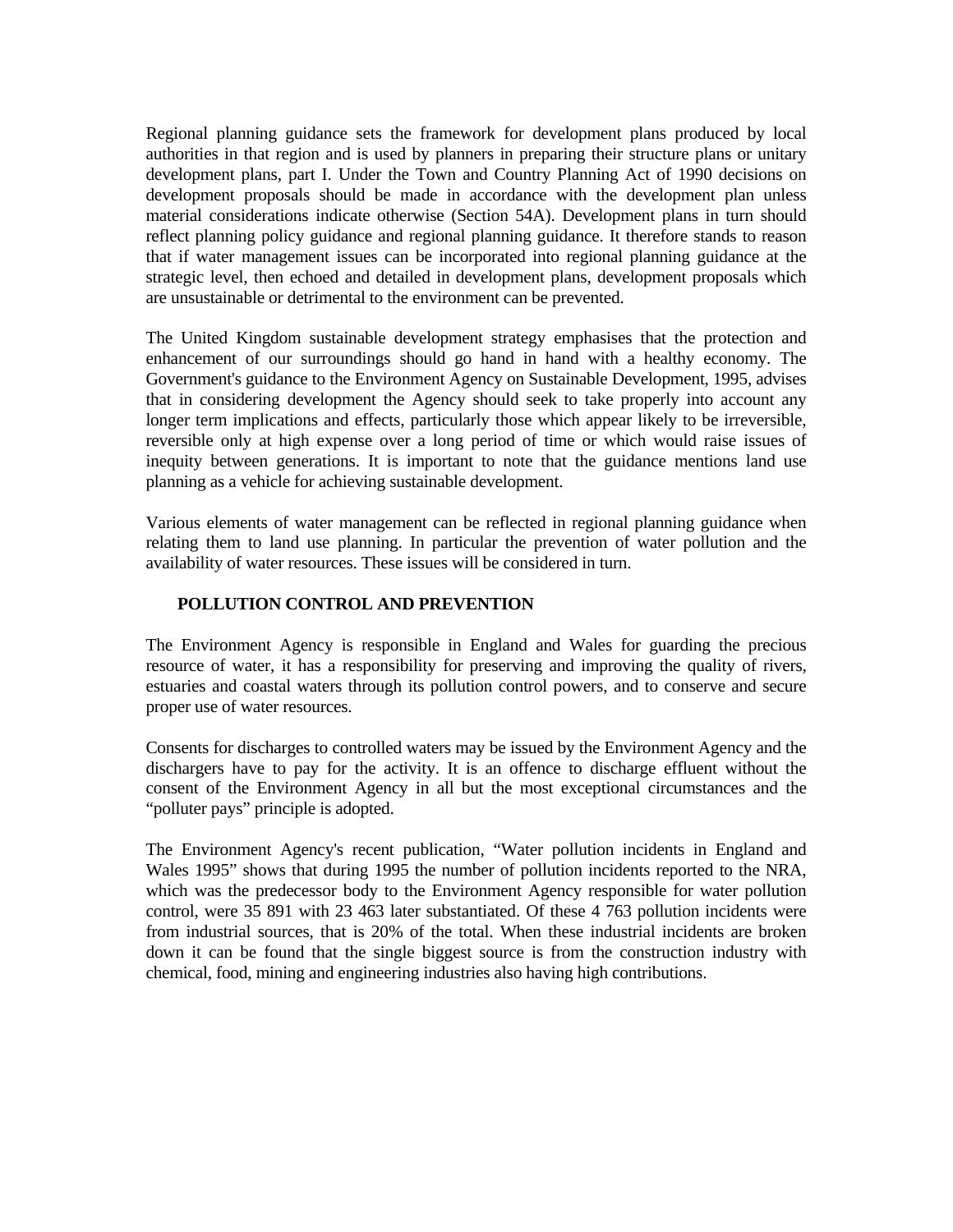Regional planning guidance sets the framework for development plans produced by local authorities in that region and is used by planners in preparing their structure plans or unitary development plans, part I. Under the Town and Country Planning Act of 1990 decisions on development proposals should be made in accordance with the development plan unless material considerations indicate otherwise (Section 54A). Development plans in turn should reflect planning policy guidance and regional planning guidance. It therefore stands to reason that if water management issues can be incorporated into regional planning guidance at the strategic level, then echoed and detailed in development plans, development proposals which are unsustainable or detrimental to the environment can be prevented.

The United Kingdom sustainable development strategy emphasises that the protection and enhancement of our surroundings should go hand in hand with a healthy economy. The Government's guidance to the Environment Agency on Sustainable Development, 1995, advises that in considering development the Agency should seek to take properly into account any longer term implications and effects, particularly those which appear likely to be irreversible, reversible only at high expense over a long period of time or which would raise issues of inequity between generations. It is important to note that the guidance mentions land use planning as a vehicle for achieving sustainable development.

Various elements of water management can be reflected in regional planning guidance when relating them to land use planning. In particular the prevention of water pollution and the availability of water resources. These issues will be considered in turn.

### **POLLUTION CONTROL AND PREVENTION**

The Environment Agency is responsible in England and Wales for guarding the precious resource of water, it has a responsibility for preserving and improving the quality of rivers, estuaries and coastal waters through its pollution control powers, and to conserve and secure proper use of water resources.

Consents for discharges to controlled waters may be issued by the Environment Agency and the dischargers have to pay for the activity. It is an offence to discharge effluent without the consent of the Environment Agency in all but the most exceptional circumstances and the "polluter pays" principle is adopted.

The Environment Agency's recent publication, "Water pollution incidents in England and Wales 1995" shows that during 1995 the number of pollution incidents reported to the NRA, which was the predecessor body to the Environment Agency responsible for water pollution control, were 35 891 with 23 463 later substantiated. Of these 4 763 pollution incidents were from industrial sources, that is 20% of the total. When these industrial incidents are broken down it can be found that the single biggest source is from the construction industry with chemical, food, mining and engineering industries also having high contributions.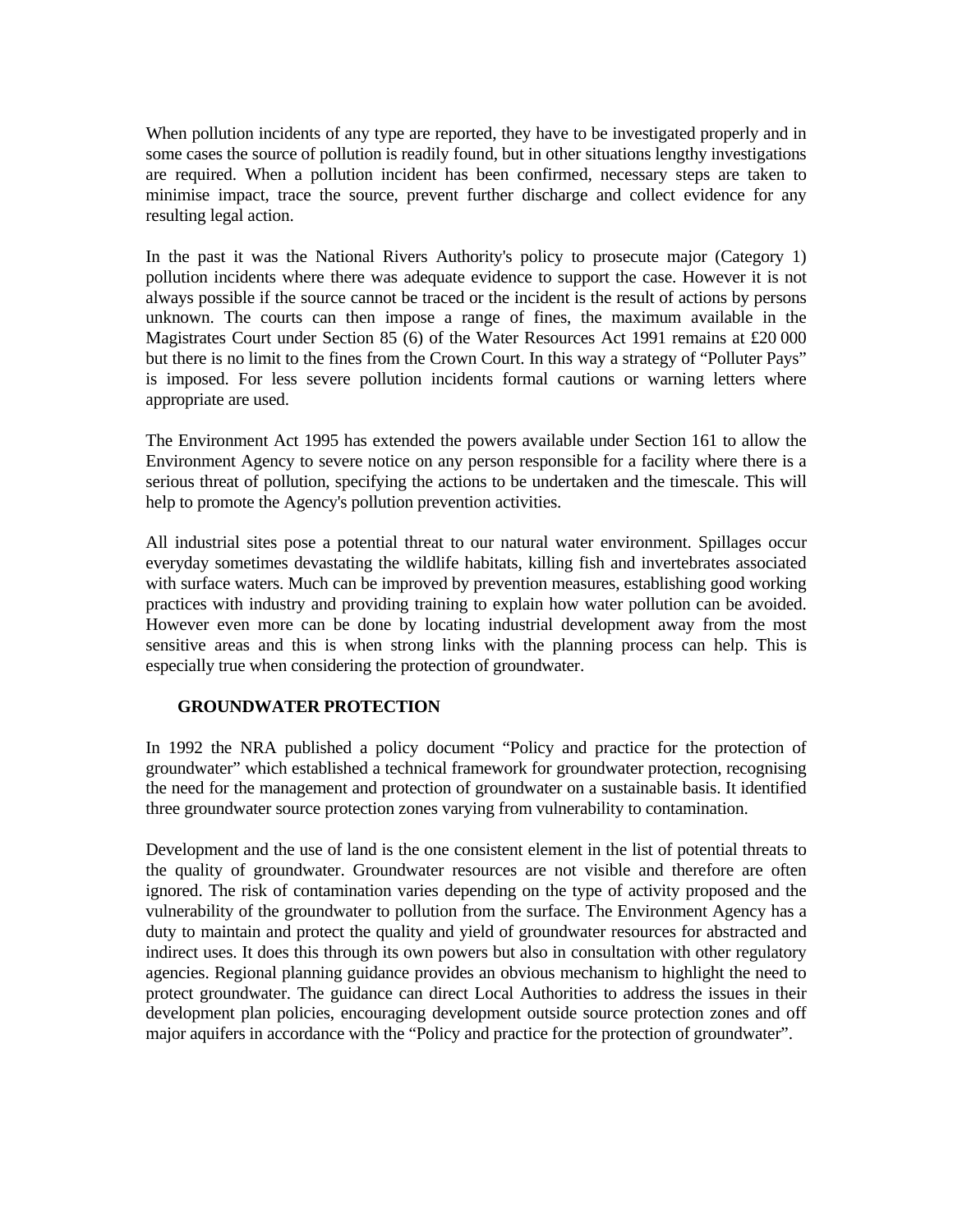When pollution incidents of any type are reported, they have to be investigated properly and in some cases the source of pollution is readily found, but in other situations lengthy investigations are required. When a pollution incident has been confirmed, necessary steps are taken to minimise impact, trace the source, prevent further discharge and collect evidence for any resulting legal action.

In the past it was the National Rivers Authority's policy to prosecute major (Category 1) pollution incidents where there was adequate evidence to support the case. However it is not always possible if the source cannot be traced or the incident is the result of actions by persons unknown. The courts can then impose a range of fines, the maximum available in the Magistrates Court under Section 85 (6) of the Water Resources Act 1991 remains at £20 000 but there is no limit to the fines from the Crown Court. In this way a strategy of "Polluter Pays" is imposed. For less severe pollution incidents formal cautions or warning letters where appropriate are used.

The Environment Act 1995 has extended the powers available under Section 161 to allow the Environment Agency to severe notice on any person responsible for a facility where there is a serious threat of pollution, specifying the actions to be undertaken and the timescale. This will help to promote the Agency's pollution prevention activities.

All industrial sites pose a potential threat to our natural water environment. Spillages occur everyday sometimes devastating the wildlife habitats, killing fish and invertebrates associated with surface waters. Much can be improved by prevention measures, establishing good working practices with industry and providing training to explain how water pollution can be avoided. However even more can be done by locating industrial development away from the most sensitive areas and this is when strong links with the planning process can help. This is especially true when considering the protection of groundwater.

### **GROUNDWATER PROTECTION**

In 1992 the NRA published a policy document "Policy and practice for the protection of groundwater" which established a technical framework for groundwater protection, recognising the need for the management and protection of groundwater on a sustainable basis. It identified three groundwater source protection zones varying from vulnerability to contamination.

Development and the use of land is the one consistent element in the list of potential threats to the quality of groundwater. Groundwater resources are not visible and therefore are often ignored. The risk of contamination varies depending on the type of activity proposed and the vulnerability of the groundwater to pollution from the surface. The Environment Agency has a duty to maintain and protect the quality and yield of groundwater resources for abstracted and indirect uses. It does this through its own powers but also in consultation with other regulatory agencies. Regional planning guidance provides an obvious mechanism to highlight the need to protect groundwater. The guidance can direct Local Authorities to address the issues in their development plan policies, encouraging development outside source protection zones and off major aquifers in accordance with the "Policy and practice for the protection of groundwater".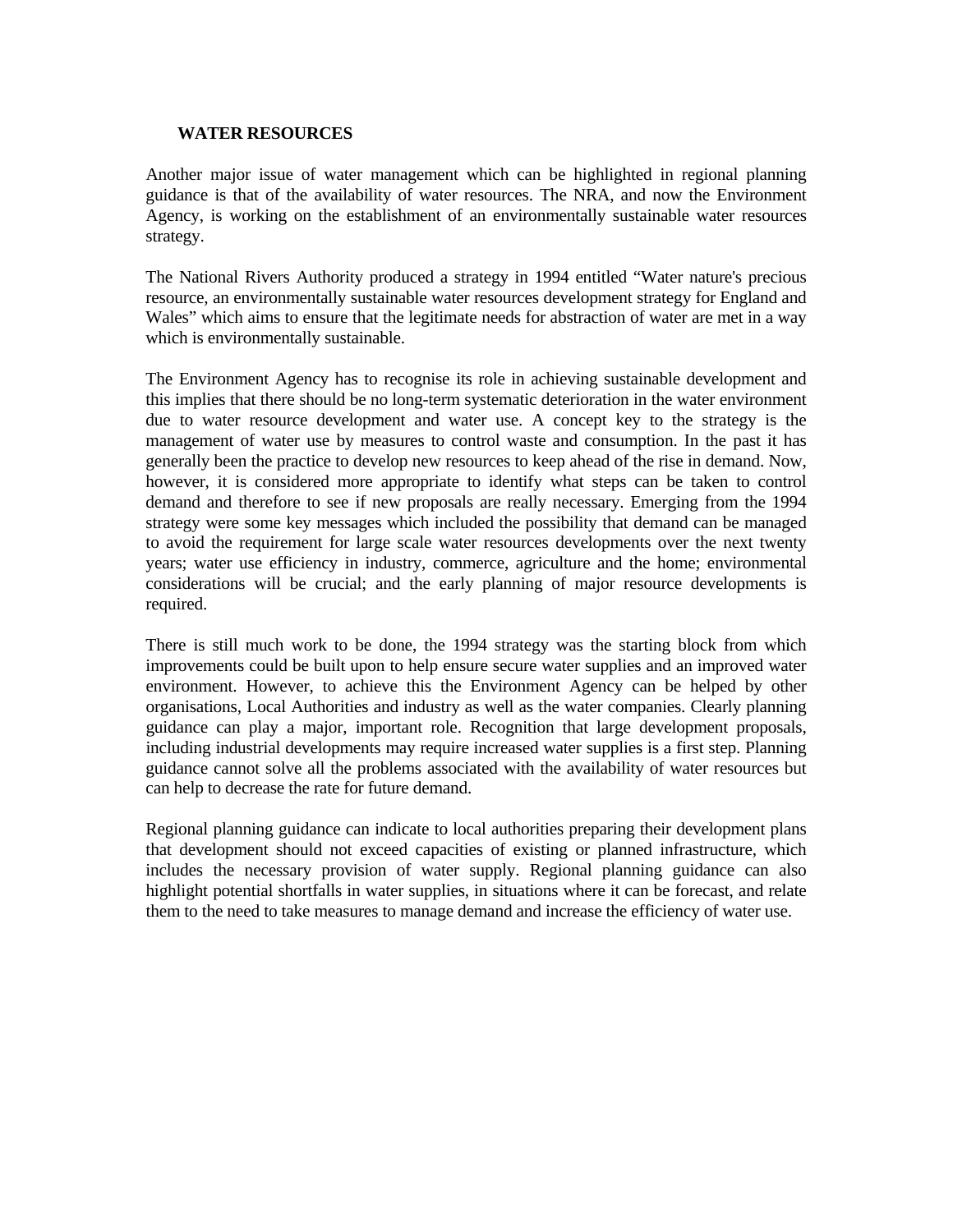#### **WATER RESOURCES**

Another major issue of water management which can be highlighted in regional planning guidance is that of the availability of water resources. The NRA, and now the Environment Agency, is working on the establishment of an environmentally sustainable water resources strategy.

The National Rivers Authority produced a strategy in 1994 entitled "Water nature's precious resource, an environmentally sustainable water resources development strategy for England and Wales" which aims to ensure that the legitimate needs for abstraction of water are met in a way which is environmentally sustainable.

The Environment Agency has to recognise its role in achieving sustainable development and this implies that there should be no long-term systematic deterioration in the water environment due to water resource development and water use. A concept key to the strategy is the management of water use by measures to control waste and consumption. In the past it has generally been the practice to develop new resources to keep ahead of the rise in demand. Now, however, it is considered more appropriate to identify what steps can be taken to control demand and therefore to see if new proposals are really necessary. Emerging from the 1994 strategy were some key messages which included the possibility that demand can be managed to avoid the requirement for large scale water resources developments over the next twenty years; water use efficiency in industry, commerce, agriculture and the home; environmental considerations will be crucial; and the early planning of major resource developments is required.

There is still much work to be done, the 1994 strategy was the starting block from which improvements could be built upon to help ensure secure water supplies and an improved water environment. However, to achieve this the Environment Agency can be helped by other organisations, Local Authorities and industry as well as the water companies. Clearly planning guidance can play a major, important role. Recognition that large development proposals, including industrial developments may require increased water supplies is a first step. Planning guidance cannot solve all the problems associated with the availability of water resources but can help to decrease the rate for future demand.

Regional planning guidance can indicate to local authorities preparing their development plans that development should not exceed capacities of existing or planned infrastructure, which includes the necessary provision of water supply. Regional planning guidance can also highlight potential shortfalls in water supplies, in situations where it can be forecast, and relate them to the need to take measures to manage demand and increase the efficiency of water use.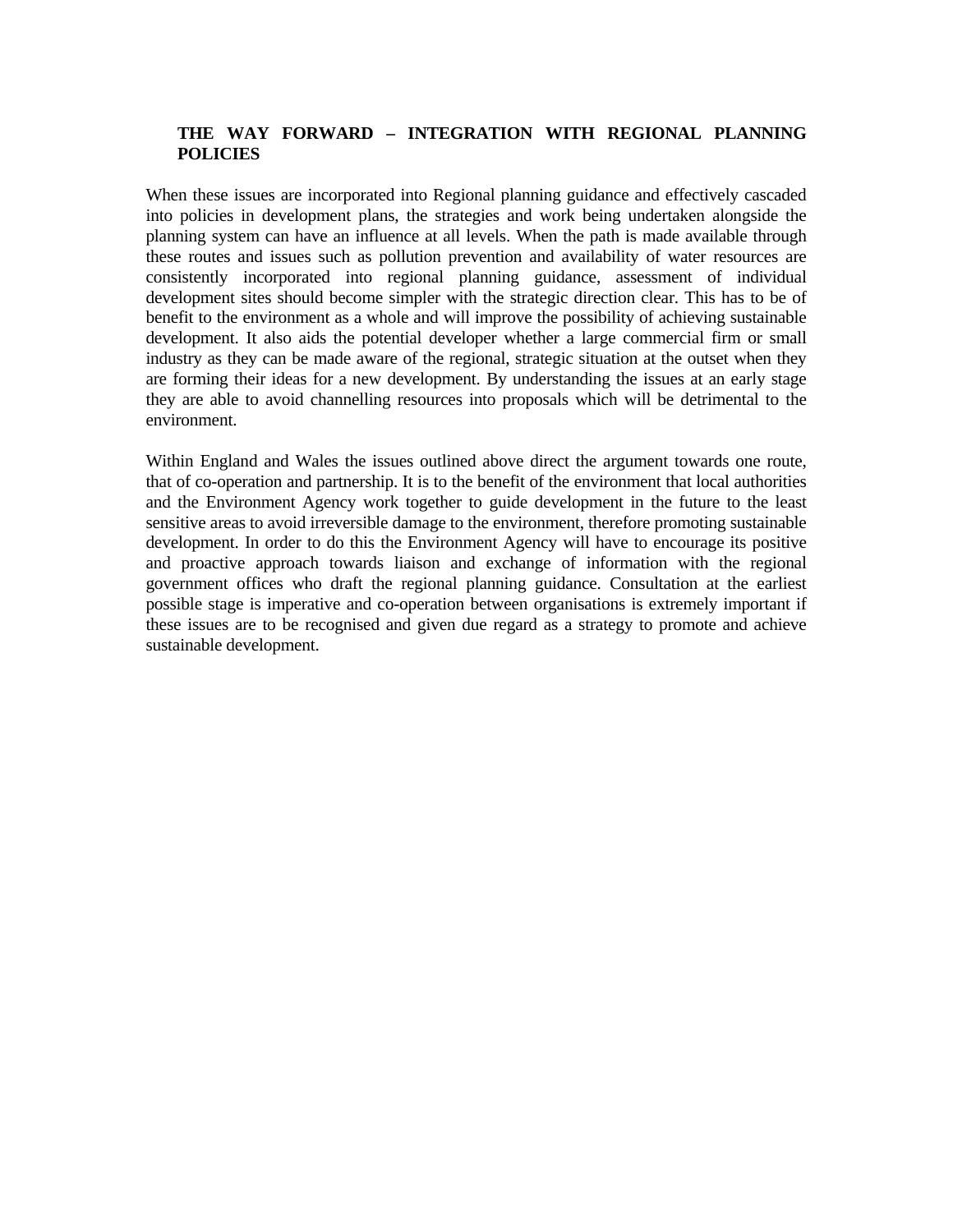## **THE WAY FORWARD – INTEGRATION WITH REGIONAL PLANNING POLICIES**

When these issues are incorporated into Regional planning guidance and effectively cascaded into policies in development plans, the strategies and work being undertaken alongside the planning system can have an influence at all levels. When the path is made available through these routes and issues such as pollution prevention and availability of water resources are consistently incorporated into regional planning guidance, assessment of individual development sites should become simpler with the strategic direction clear. This has to be of benefit to the environment as a whole and will improve the possibility of achieving sustainable development. It also aids the potential developer whether a large commercial firm or small industry as they can be made aware of the regional, strategic situation at the outset when they are forming their ideas for a new development. By understanding the issues at an early stage they are able to avoid channelling resources into proposals which will be detrimental to the environment.

Within England and Wales the issues outlined above direct the argument towards one route, that of co-operation and partnership. It is to the benefit of the environment that local authorities and the Environment Agency work together to guide development in the future to the least sensitive areas to avoid irreversible damage to the environment, therefore promoting sustainable development. In order to do this the Environment Agency will have to encourage its positive and proactive approach towards liaison and exchange of information with the regional government offices who draft the regional planning guidance. Consultation at the earliest possible stage is imperative and co-operation between organisations is extremely important if these issues are to be recognised and given due regard as a strategy to promote and achieve sustainable development.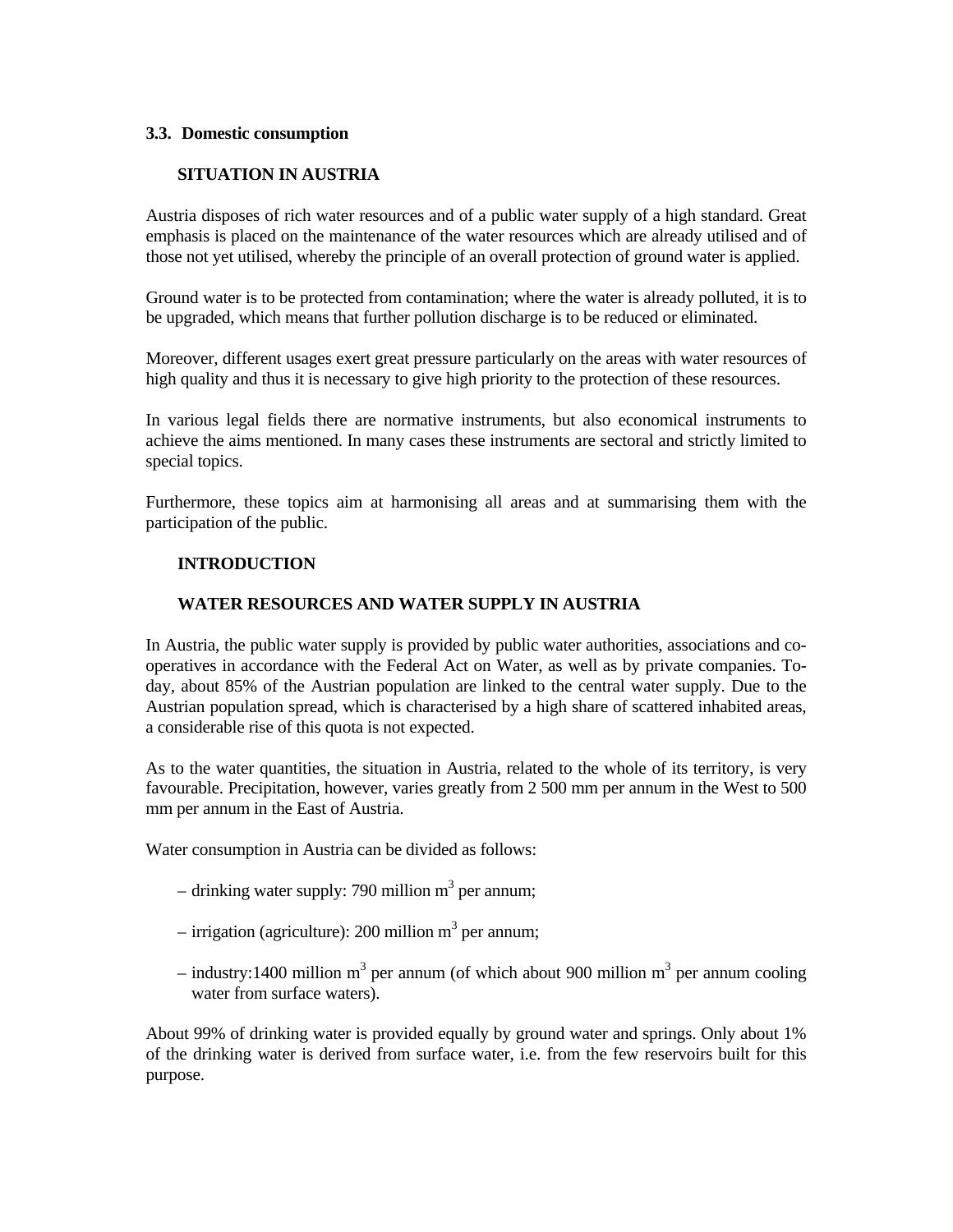### **3.3. Domestic consumption**

## **SITUATION IN AUSTRIA**

Austria disposes of rich water resources and of a public water supply of a high standard. Great emphasis is placed on the maintenance of the water resources which are already utilised and of those not yet utilised, whereby the principle of an overall protection of ground water is applied.

Ground water is to be protected from contamination; where the water is already polluted, it is to be upgraded, which means that further pollution discharge is to be reduced or eliminated.

Moreover, different usages exert great pressure particularly on the areas with water resources of high quality and thus it is necessary to give high priority to the protection of these resources.

In various legal fields there are normative instruments, but also economical instruments to achieve the aims mentioned. In many cases these instruments are sectoral and strictly limited to special topics.

Furthermore, these topics aim at harmonising all areas and at summarising them with the participation of the public.

### **INTRODUCTION**

#### **WATER RESOURCES AND WATER SUPPLY IN AUSTRIA**

In Austria, the public water supply is provided by public water authorities, associations and cooperatives in accordance with the Federal Act on Water, as well as by private companies. Today, about 85% of the Austrian population are linked to the central water supply. Due to the Austrian population spread, which is characterised by a high share of scattered inhabited areas, a considerable rise of this quota is not expected.

As to the water quantities, the situation in Austria, related to the whole of its territory, is very favourable. Precipitation, however, varies greatly from 2 500 mm per annum in the West to 500 mm per annum in the East of Austria.

Water consumption in Austria can be divided as follows:

- drinking water supply: 790 million  $m<sup>3</sup>$  per annum;
- $-$  irrigation (agriculture): 200 million m<sup>3</sup> per annum;
- industry:1400 million m<sup>3</sup> per annum (of which about 900 million m<sup>3</sup> per annum cooling water from surface waters).

About 99% of drinking water is provided equally by ground water and springs. Only about 1% of the drinking water is derived from surface water, i.e. from the few reservoirs built for this purpose.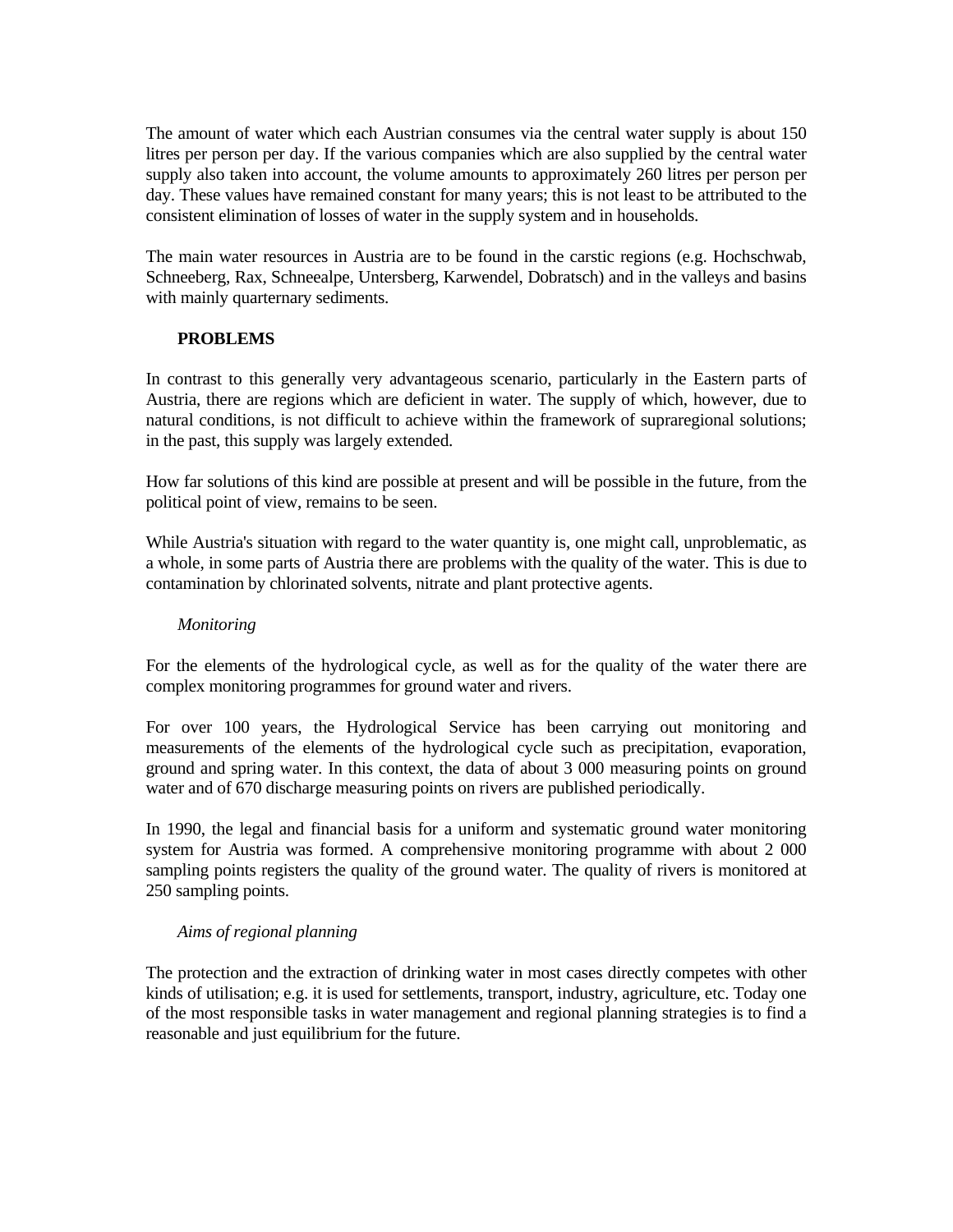The amount of water which each Austrian consumes via the central water supply is about 150 litres per person per day. If the various companies which are also supplied by the central water supply also taken into account, the volume amounts to approximately 260 litres per person per day. These values have remained constant for many years; this is not least to be attributed to the consistent elimination of losses of water in the supply system and in households.

The main water resources in Austria are to be found in the carstic regions (e.g. Hochschwab, Schneeberg, Rax, Schneealpe, Untersberg, Karwendel, Dobratsch) and in the valleys and basins with mainly quarternary sediments.

## **PROBLEMS**

In contrast to this generally very advantageous scenario, particularly in the Eastern parts of Austria, there are regions which are deficient in water. The supply of which, however, due to natural conditions, is not difficult to achieve within the framework of supraregional solutions; in the past, this supply was largely extended.

How far solutions of this kind are possible at present and will be possible in the future, from the political point of view, remains to be seen.

While Austria's situation with regard to the water quantity is, one might call, unproblematic, as a whole, in some parts of Austria there are problems with the quality of the water. This is due to contamination by chlorinated solvents, nitrate and plant protective agents.

### *Monitoring*

For the elements of the hydrological cycle, as well as for the quality of the water there are complex monitoring programmes for ground water and rivers.

For over 100 years, the Hydrological Service has been carrying out monitoring and measurements of the elements of the hydrological cycle such as precipitation, evaporation, ground and spring water. In this context, the data of about 3 000 measuring points on ground water and of 670 discharge measuring points on rivers are published periodically.

In 1990, the legal and financial basis for a uniform and systematic ground water monitoring system for Austria was formed. A comprehensive monitoring programme with about 2 000 sampling points registers the quality of the ground water. The quality of rivers is monitored at 250 sampling points.

### *Aims of regional planning*

The protection and the extraction of drinking water in most cases directly competes with other kinds of utilisation; e.g. it is used for settlements, transport, industry, agriculture, etc. Today one of the most responsible tasks in water management and regional planning strategies is to find a reasonable and just equilibrium for the future.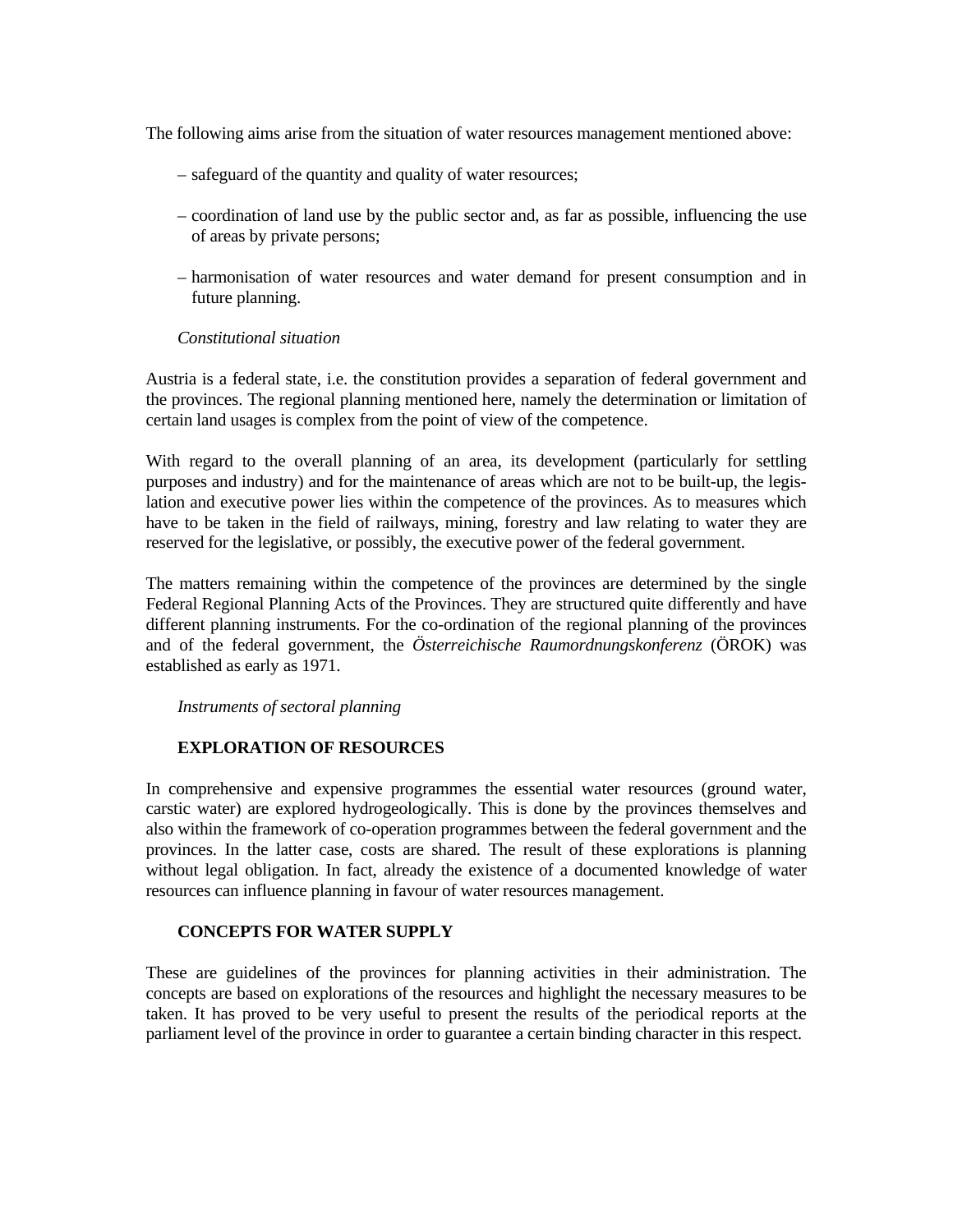The following aims arise from the situation of water resources management mentioned above:

- safeguard of the quantity and quality of water resources;
- coordination of land use by the public sector and, as far as possible, influencing the use of areas by private persons;
- harmonisation of water resources and water demand for present consumption and in future planning.

#### *Constitutional situation*

Austria is a federal state, i.e. the constitution provides a separation of federal government and the provinces. The regional planning mentioned here, namely the determination or limitation of certain land usages is complex from the point of view of the competence.

With regard to the overall planning of an area, its development (particularly for settling purposes and industry) and for the maintenance of areas which are not to be built-up, the legislation and executive power lies within the competence of the provinces. As to measures which have to be taken in the field of railways, mining, forestry and law relating to water they are reserved for the legislative, or possibly, the executive power of the federal government.

The matters remaining within the competence of the provinces are determined by the single Federal Regional Planning Acts of the Provinces. They are structured quite differently and have different planning instruments. For the co-ordination of the regional planning of the provinces and of the federal government, the *Österreichische Raumordnungskonferenz* (ÖROK) was established as early as 1971.

 *Instruments of sectoral planning*

### **EXPLORATION OF RESOURCES**

In comprehensive and expensive programmes the essential water resources (ground water, carstic water) are explored hydrogeologically. This is done by the provinces themselves and also within the framework of co-operation programmes between the federal government and the provinces. In the latter case, costs are shared. The result of these explorations is planning without legal obligation. In fact, already the existence of a documented knowledge of water resources can influence planning in favour of water resources management.

### **CONCEPTS FOR WATER SUPPLY**

These are guidelines of the provinces for planning activities in their administration. The concepts are based on explorations of the resources and highlight the necessary measures to be taken. It has proved to be very useful to present the results of the periodical reports at the parliament level of the province in order to guarantee a certain binding character in this respect.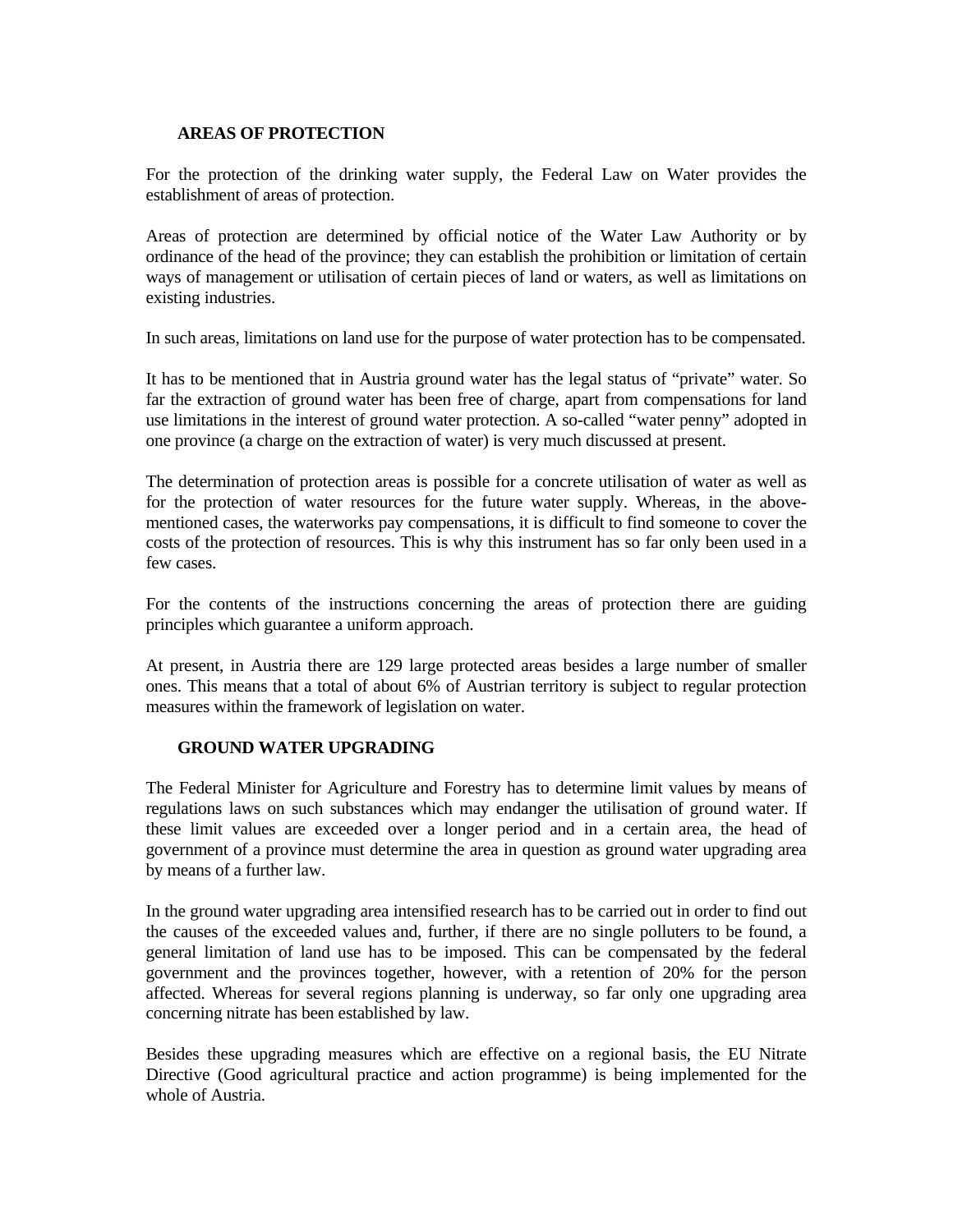## **AREAS OF PROTECTION**

For the protection of the drinking water supply, the Federal Law on Water provides the establishment of areas of protection.

Areas of protection are determined by official notice of the Water Law Authority or by ordinance of the head of the province; they can establish the prohibition or limitation of certain ways of management or utilisation of certain pieces of land or waters, as well as limitations on existing industries.

In such areas, limitations on land use for the purpose of water protection has to be compensated.

It has to be mentioned that in Austria ground water has the legal status of "private" water. So far the extraction of ground water has been free of charge, apart from compensations for land use limitations in the interest of ground water protection. A so-called "water penny" adopted in one province (a charge on the extraction of water) is very much discussed at present.

The determination of protection areas is possible for a concrete utilisation of water as well as for the protection of water resources for the future water supply. Whereas, in the abovementioned cases, the waterworks pay compensations, it is difficult to find someone to cover the costs of the protection of resources. This is why this instrument has so far only been used in a few cases.

For the contents of the instructions concerning the areas of protection there are guiding principles which guarantee a uniform approach.

At present, in Austria there are 129 large protected areas besides a large number of smaller ones. This means that a total of about 6% of Austrian territory is subject to regular protection measures within the framework of legislation on water.

### **GROUND WATER UPGRADING**

The Federal Minister for Agriculture and Forestry has to determine limit values by means of regulations laws on such substances which may endanger the utilisation of ground water. If these limit values are exceeded over a longer period and in a certain area, the head of government of a province must determine the area in question as ground water upgrading area by means of a further law.

In the ground water upgrading area intensified research has to be carried out in order to find out the causes of the exceeded values and, further, if there are no single polluters to be found, a general limitation of land use has to be imposed. This can be compensated by the federal government and the provinces together, however, with a retention of 20% for the person affected. Whereas for several regions planning is underway, so far only one upgrading area concerning nitrate has been established by law.

Besides these upgrading measures which are effective on a regional basis, the EU Nitrate Directive (Good agricultural practice and action programme) is being implemented for the whole of Austria.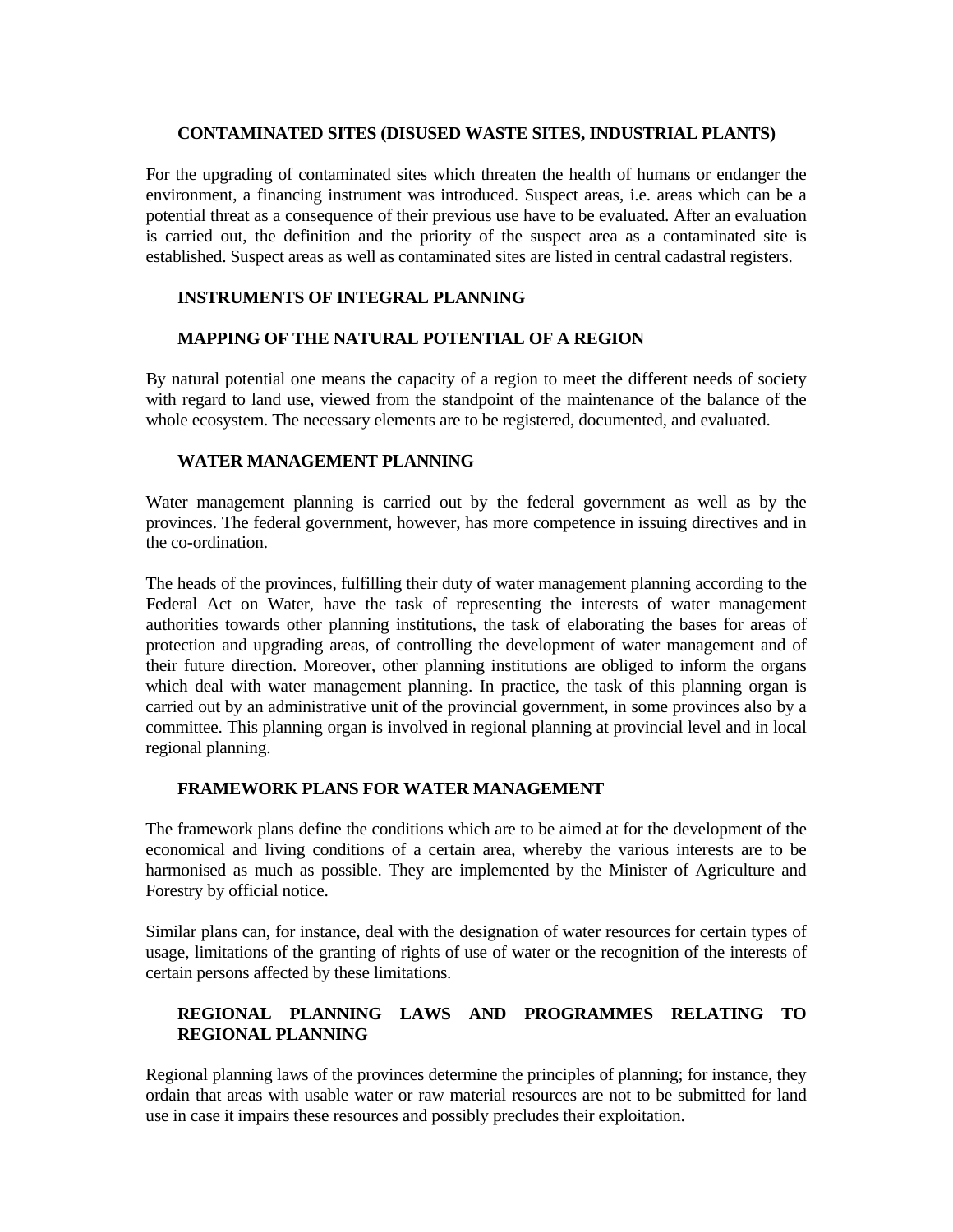#### **CONTAMINATED SITES (DISUSED WASTE SITES, INDUSTRIAL PLANTS)**

For the upgrading of contaminated sites which threaten the health of humans or endanger the environment, a financing instrument was introduced. Suspect areas, i.e. areas which can be a potential threat as a consequence of their previous use have to be evaluated. After an evaluation is carried out, the definition and the priority of the suspect area as a contaminated site is established. Suspect areas as well as contaminated sites are listed in central cadastral registers.

## **INSTRUMENTS OF INTEGRAL PLANNING**

## **MAPPING OF THE NATURAL POTENTIAL OF A REGION**

By natural potential one means the capacity of a region to meet the different needs of society with regard to land use, viewed from the standpoint of the maintenance of the balance of the whole ecosystem. The necessary elements are to be registered, documented, and evaluated.

### **WATER MANAGEMENT PLANNING**

Water management planning is carried out by the federal government as well as by the provinces. The federal government, however, has more competence in issuing directives and in the co-ordination.

The heads of the provinces, fulfilling their duty of water management planning according to the Federal Act on Water, have the task of representing the interests of water management authorities towards other planning institutions, the task of elaborating the bases for areas of protection and upgrading areas, of controlling the development of water management and of their future direction. Moreover, other planning institutions are obliged to inform the organs which deal with water management planning. In practice, the task of this planning organ is carried out by an administrative unit of the provincial government, in some provinces also by a committee. This planning organ is involved in regional planning at provincial level and in local regional planning.

### **FRAMEWORK PLANS FOR WATER MANAGEMENT**

The framework plans define the conditions which are to be aimed at for the development of the economical and living conditions of a certain area, whereby the various interests are to be harmonised as much as possible. They are implemented by the Minister of Agriculture and Forestry by official notice.

Similar plans can, for instance, deal with the designation of water resources for certain types of usage, limitations of the granting of rights of use of water or the recognition of the interests of certain persons affected by these limitations.

# **REGIONAL PLANNING LAWS AND PROGRAMMES RELATING TO REGIONAL PLANNING**

Regional planning laws of the provinces determine the principles of planning; for instance, they ordain that areas with usable water or raw material resources are not to be submitted for land use in case it impairs these resources and possibly precludes their exploitation.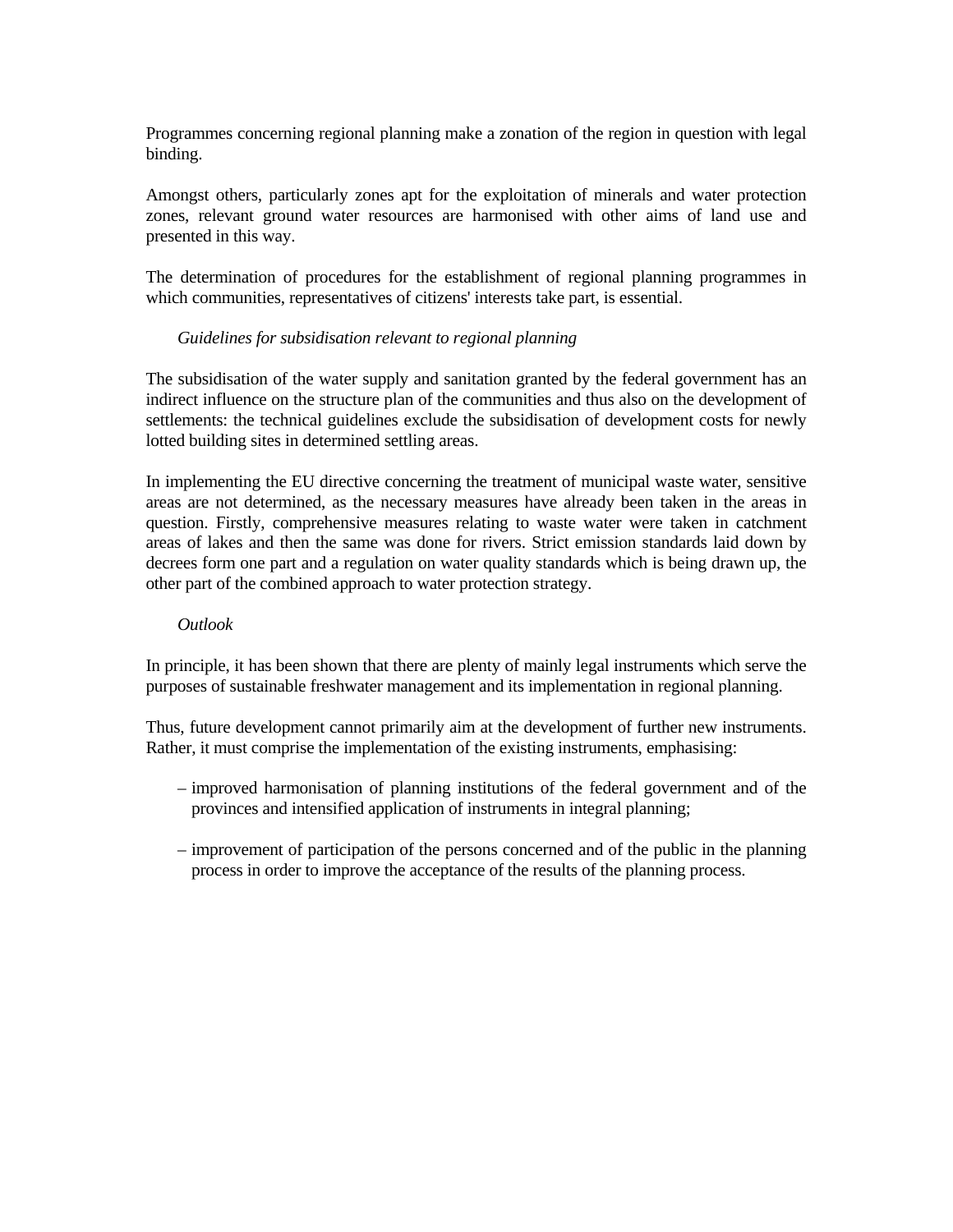Programmes concerning regional planning make a zonation of the region in question with legal binding.

Amongst others, particularly zones apt for the exploitation of minerals and water protection zones, relevant ground water resources are harmonised with other aims of land use and presented in this way.

The determination of procedures for the establishment of regional planning programmes in which communities, representatives of citizens' interests take part, is essential.

## *Guidelines for subsidisation relevant to regional planning*

The subsidisation of the water supply and sanitation granted by the federal government has an indirect influence on the structure plan of the communities and thus also on the development of settlements: the technical guidelines exclude the subsidisation of development costs for newly lotted building sites in determined settling areas.

In implementing the EU directive concerning the treatment of municipal waste water, sensitive areas are not determined, as the necessary measures have already been taken in the areas in question. Firstly, comprehensive measures relating to waste water were taken in catchment areas of lakes and then the same was done for rivers. Strict emission standards laid down by decrees form one part and a regulation on water quality standards which is being drawn up, the other part of the combined approach to water protection strategy.

### *Outlook*

In principle, it has been shown that there are plenty of mainly legal instruments which serve the purposes of sustainable freshwater management and its implementation in regional planning.

Thus, future development cannot primarily aim at the development of further new instruments. Rather, it must comprise the implementation of the existing instruments, emphasising:

- improved harmonisation of planning institutions of the federal government and of the provinces and intensified application of instruments in integral planning;
- improvement of participation of the persons concerned and of the public in the planning process in order to improve the acceptance of the results of the planning process.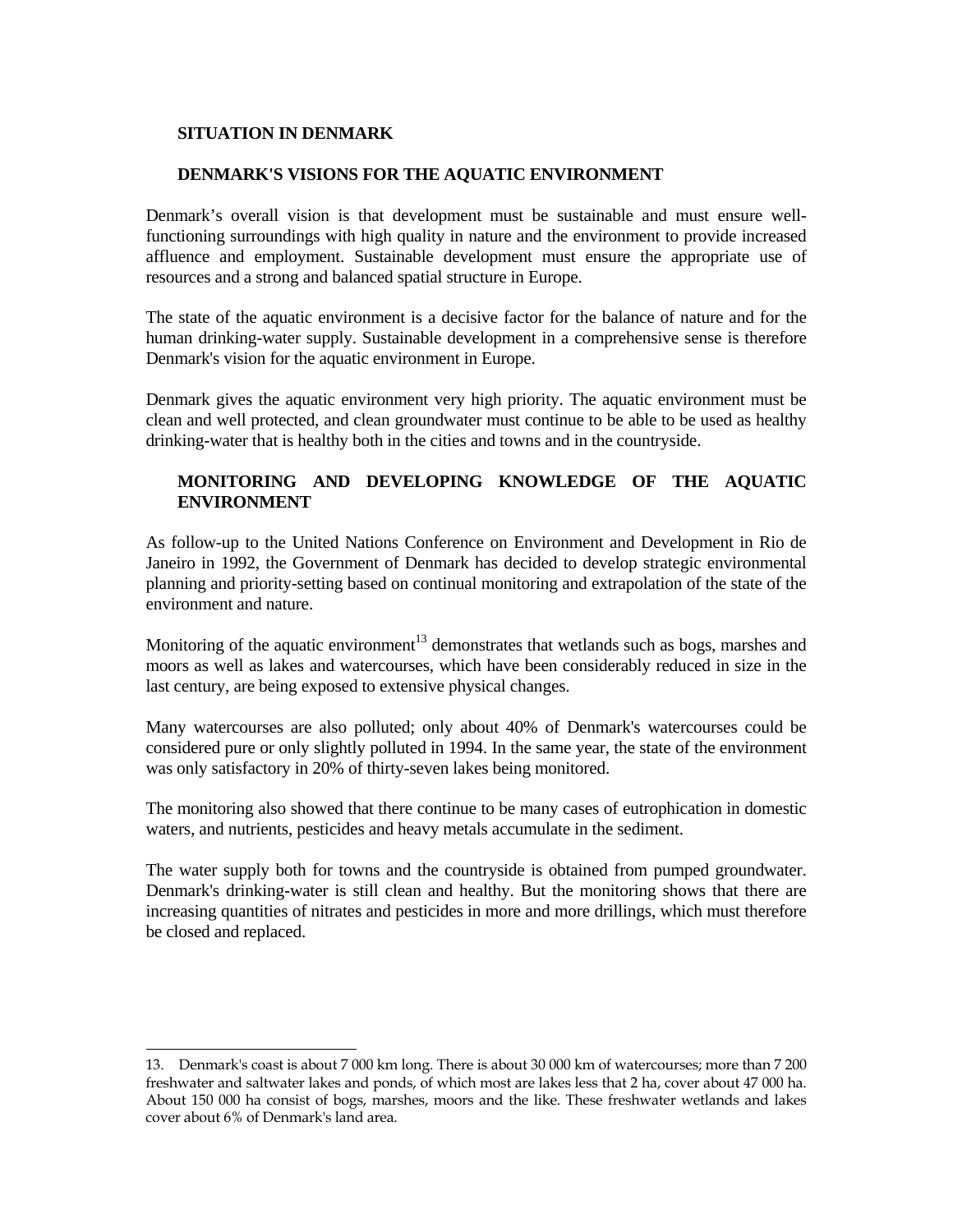### **SITUATION IN DENMARK**

÷

#### **DENMARK'S VISIONS FOR THE AQUATIC ENVIRONMENT**

Denmark's overall vision is that development must be sustainable and must ensure wellfunctioning surroundings with high quality in nature and the environment to provide increased affluence and employment. Sustainable development must ensure the appropriate use of resources and a strong and balanced spatial structure in Europe.

The state of the aquatic environment is a decisive factor for the balance of nature and for the human drinking-water supply. Sustainable development in a comprehensive sense is therefore Denmark's vision for the aquatic environment in Europe.

Denmark gives the aquatic environment very high priority. The aquatic environment must be clean and well protected, and clean groundwater must continue to be able to be used as healthy drinking-water that is healthy both in the cities and towns and in the countryside.

## **MONITORING AND DEVELOPING KNOWLEDGE OF THE AQUATIC ENVIRONMENT**

As follow-up to the United Nations Conference on Environment and Development in Rio de Janeiro in 1992, the Government of Denmark has decided to develop strategic environmental planning and priority-setting based on continual monitoring and extrapolation of the state of the environment and nature.

Monitoring of the aquatic environment<sup>13</sup> demonstrates that wetlands such as bogs, marshes and moors as well as lakes and watercourses, which have been considerably reduced in size in the last century, are being exposed to extensive physical changes.

Many watercourses are also polluted; only about 40% of Denmark's watercourses could be considered pure or only slightly polluted in 1994. In the same year, the state of the environment was only satisfactory in 20% of thirty-seven lakes being monitored.

The monitoring also showed that there continue to be many cases of eutrophication in domestic waters, and nutrients, pesticides and heavy metals accumulate in the sediment.

The water supply both for towns and the countryside is obtained from pumped groundwater. Denmark's drinking-water is still clean and healthy. But the monitoring shows that there are increasing quantities of nitrates and pesticides in more and more drillings, which must therefore be closed and replaced.

<sup>13.</sup> Denmark's coast is about 7 000 km long. There is about 30 000 km of watercourses; more than 7 200 freshwater and saltwater lakes and ponds, of which most are lakes less that 2 ha, cover about 47 000 ha. About 150 000 ha consist of bogs, marshes, moors and the like. These freshwater wetlands and lakes cover about 6% of Denmark's land area.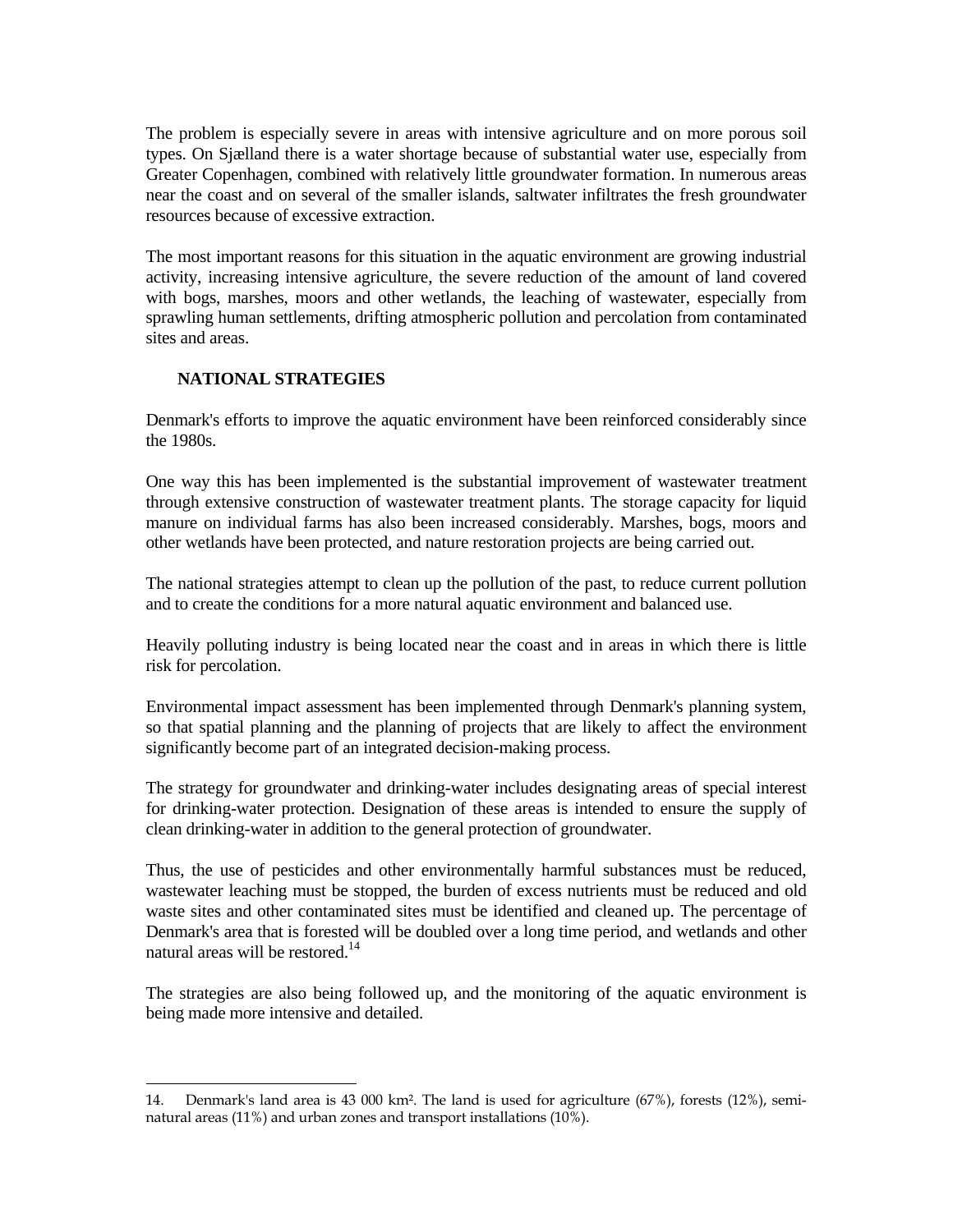The problem is especially severe in areas with intensive agriculture and on more porous soil types. On Sjælland there is a water shortage because of substantial water use, especially from Greater Copenhagen, combined with relatively little groundwater formation. In numerous areas near the coast and on several of the smaller islands, saltwater infiltrates the fresh groundwater resources because of excessive extraction.

The most important reasons for this situation in the aquatic environment are growing industrial activity, increasing intensive agriculture, the severe reduction of the amount of land covered with bogs, marshes, moors and other wetlands, the leaching of wastewater, especially from sprawling human settlements, drifting atmospheric pollution and percolation from contaminated sites and areas.

## **NATIONAL STRATEGIES**

Denmark's efforts to improve the aquatic environment have been reinforced considerably since the 1980s.

One way this has been implemented is the substantial improvement of wastewater treatment through extensive construction of wastewater treatment plants. The storage capacity for liquid manure on individual farms has also been increased considerably. Marshes, bogs, moors and other wetlands have been protected, and nature restoration projects are being carried out.

The national strategies attempt to clean up the pollution of the past, to reduce current pollution and to create the conditions for a more natural aquatic environment and balanced use.

Heavily polluting industry is being located near the coast and in areas in which there is little risk for percolation.

Environmental impact assessment has been implemented through Denmark's planning system, so that spatial planning and the planning of projects that are likely to affect the environment significantly become part of an integrated decision-making process.

The strategy for groundwater and drinking-water includes designating areas of special interest for drinking-water protection. Designation of these areas is intended to ensure the supply of clean drinking-water in addition to the general protection of groundwater.

Thus, the use of pesticides and other environmentally harmful substances must be reduced, wastewater leaching must be stopped, the burden of excess nutrients must be reduced and old waste sites and other contaminated sites must be identified and cleaned up. The percentage of Denmark's area that is forested will be doubled over a long time period, and wetlands and other natural areas will be restored.<sup>14</sup>

The strategies are also being followed up, and the monitoring of the aquatic environment is being made more intensive and detailed.

<sup>÷</sup> 14. Denmark's land area is 43 000 km². The land is used for agriculture (67%), forests (12%), seminatural areas (11%) and urban zones and transport installations (10%).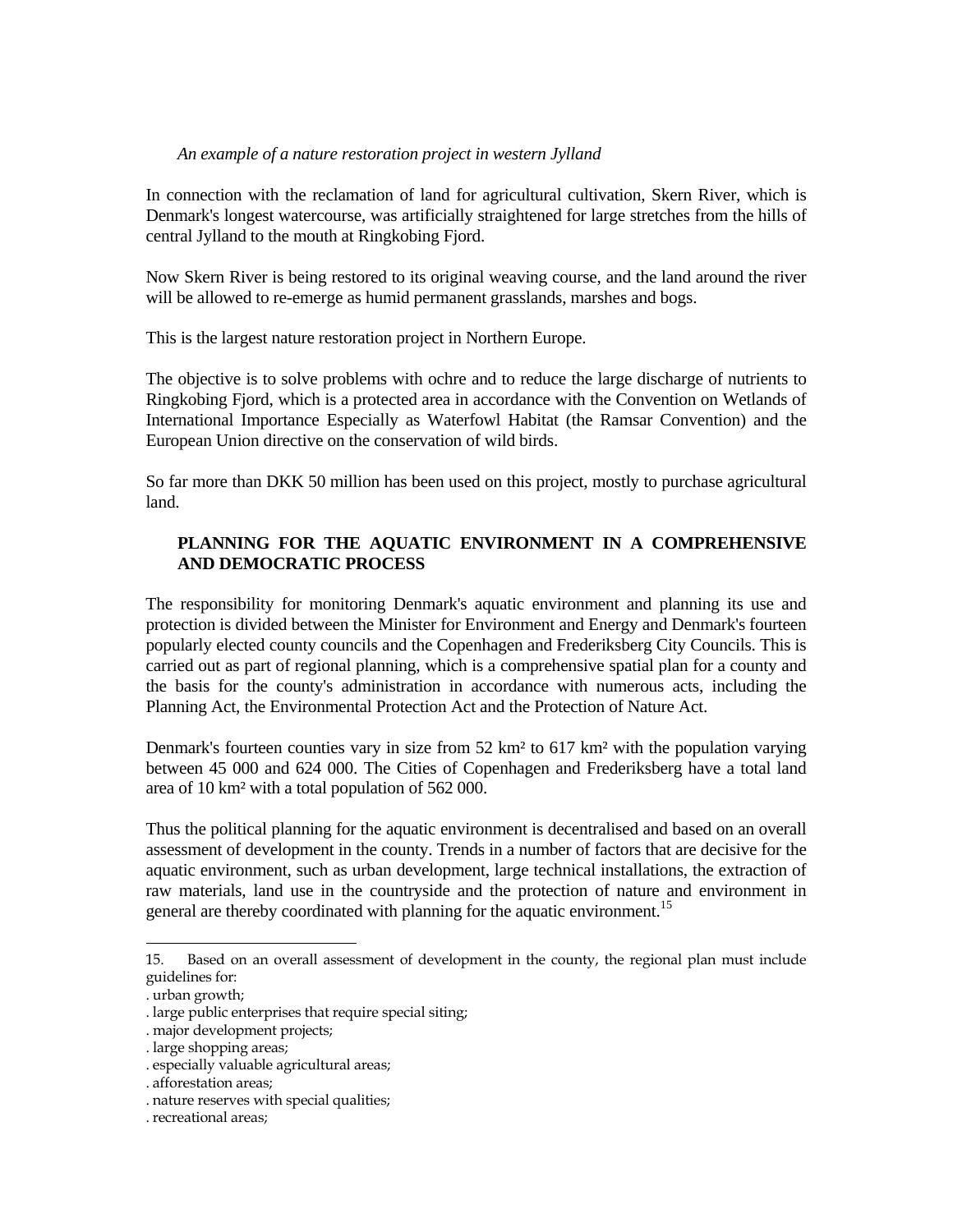#### *An example of a nature restoration project in western Jylland*

In connection with the reclamation of land for agricultural cultivation, Skern River, which is Denmark's longest watercourse, was artificially straightened for large stretches from the hills of central Jylland to the mouth at Ringkobing Fjord.

Now Skern River is being restored to its original weaving course, and the land around the river will be allowed to re-emerge as humid permanent grasslands, marshes and bogs.

This is the largest nature restoration project in Northern Europe.

The objective is to solve problems with ochre and to reduce the large discharge of nutrients to Ringkobing Fjord, which is a protected area in accordance with the Convention on Wetlands of International Importance Especially as Waterfowl Habitat (the Ramsar Convention) and the European Union directive on the conservation of wild birds.

So far more than DKK 50 million has been used on this project, mostly to purchase agricultural land.

# **PLANNING FOR THE AQUATIC ENVIRONMENT IN A COMPREHENSIVE AND DEMOCRATIC PROCESS**

The responsibility for monitoring Denmark's aquatic environment and planning its use and protection is divided between the Minister for Environment and Energy and Denmark's fourteen popularly elected county councils and the Copenhagen and Frederiksberg City Councils. This is carried out as part of regional planning, which is a comprehensive spatial plan for a county and the basis for the county's administration in accordance with numerous acts, including the Planning Act, the Environmental Protection Act and the Protection of Nature Act.

Denmark's fourteen counties vary in size from 52 km² to 617 km² with the population varying between 45 000 and 624 000. The Cities of Copenhagen and Frederiksberg have a total land area of 10 km² with a total population of 562 000.

Thus the political planning for the aquatic environment is decentralised and based on an overall assessment of development in the county. Trends in a number of factors that are decisive for the aquatic environment, such as urban development, large technical installations, the extraction of raw materials, land use in the countryside and the protection of nature and environment in general are thereby coordinated with planning for the aquatic environment.<sup>15</sup>

÷

<sup>15.</sup> Based on an overall assessment of development in the county, the regional plan must include guidelines for:

<sup>.</sup> urban growth;

<sup>.</sup> large public enterprises that require special siting;

<sup>.</sup> major development projects;

<sup>.</sup> large shopping areas;

<sup>.</sup> especially valuable agricultural areas;

<sup>.</sup> afforestation areas;

<sup>.</sup> nature reserves with special qualities;

<sup>.</sup> recreational areas;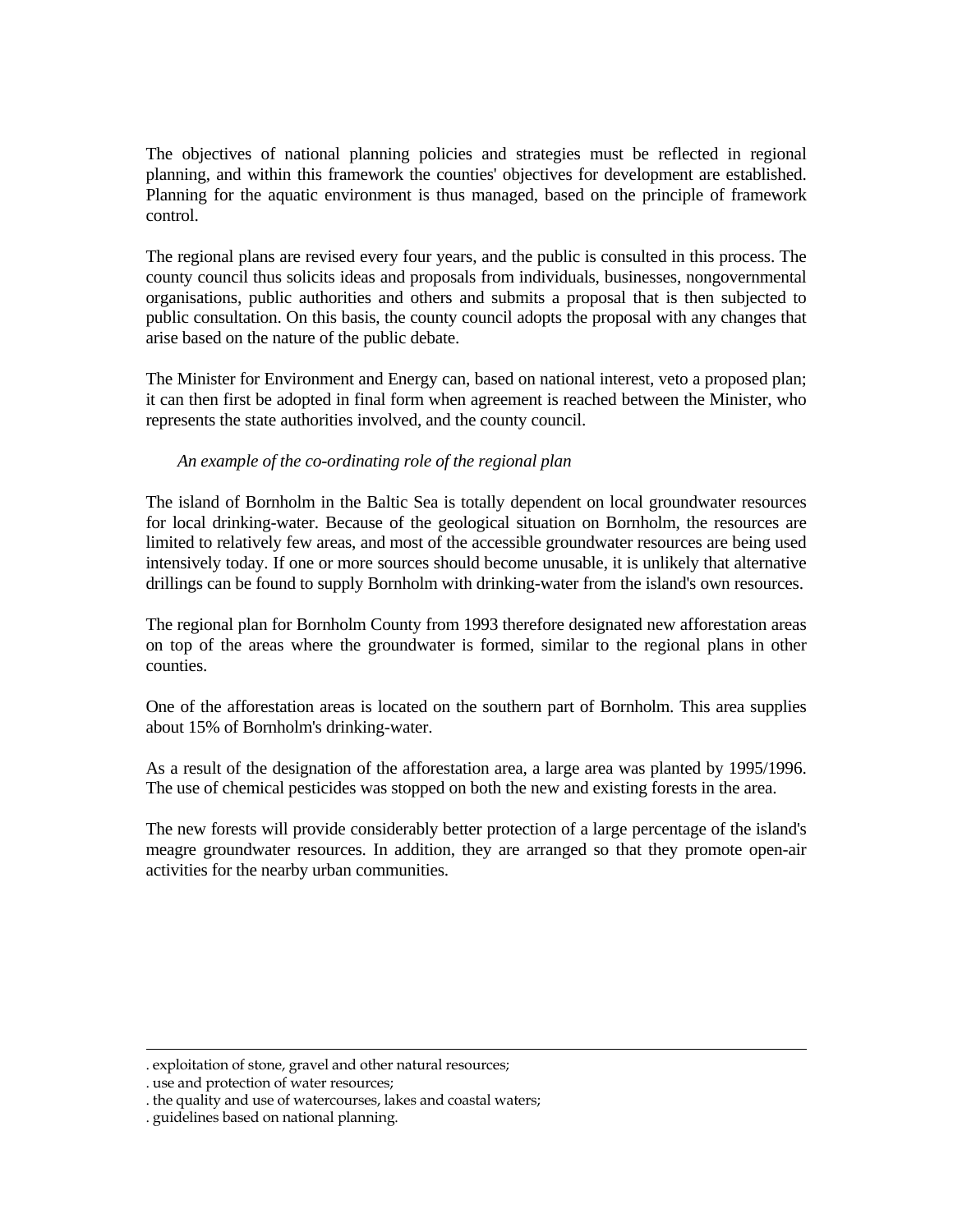The objectives of national planning policies and strategies must be reflected in regional planning, and within this framework the counties' objectives for development are established. Planning for the aquatic environment is thus managed, based on the principle of framework control.

The regional plans are revised every four years, and the public is consulted in this process. The county council thus solicits ideas and proposals from individuals, businesses, nongovernmental organisations, public authorities and others and submits a proposal that is then subjected to public consultation. On this basis, the county council adopts the proposal with any changes that arise based on the nature of the public debate.

The Minister for Environment and Energy can, based on national interest, veto a proposed plan; it can then first be adopted in final form when agreement is reached between the Minister, who represents the state authorities involved, and the county council.

### *An example of the co-ordinating role of the regional plan*

The island of Bornholm in the Baltic Sea is totally dependent on local groundwater resources for local drinking-water. Because of the geological situation on Bornholm, the resources are limited to relatively few areas, and most of the accessible groundwater resources are being used intensively today. If one or more sources should become unusable, it is unlikely that alternative drillings can be found to supply Bornholm with drinking-water from the island's own resources.

The regional plan for Bornholm County from 1993 therefore designated new afforestation areas on top of the areas where the groundwater is formed, similar to the regional plans in other counties.

One of the afforestation areas is located on the southern part of Bornholm. This area supplies about 15% of Bornholm's drinking-water.

As a result of the designation of the afforestation area, a large area was planted by 1995/1996. The use of chemical pesticides was stopped on both the new and existing forests in the area.

The new forests will provide considerably better protection of a large percentage of the island's meagre groundwater resources. In addition, they are arranged so that they promote open-air activities for the nearby urban communities.

÷

<sup>.</sup> exploitation of stone, gravel and other natural resources;

<sup>.</sup> use and protection of water resources;

<sup>.</sup> the quality and use of watercourses, lakes and coastal waters;

<sup>.</sup> guidelines based on national planning.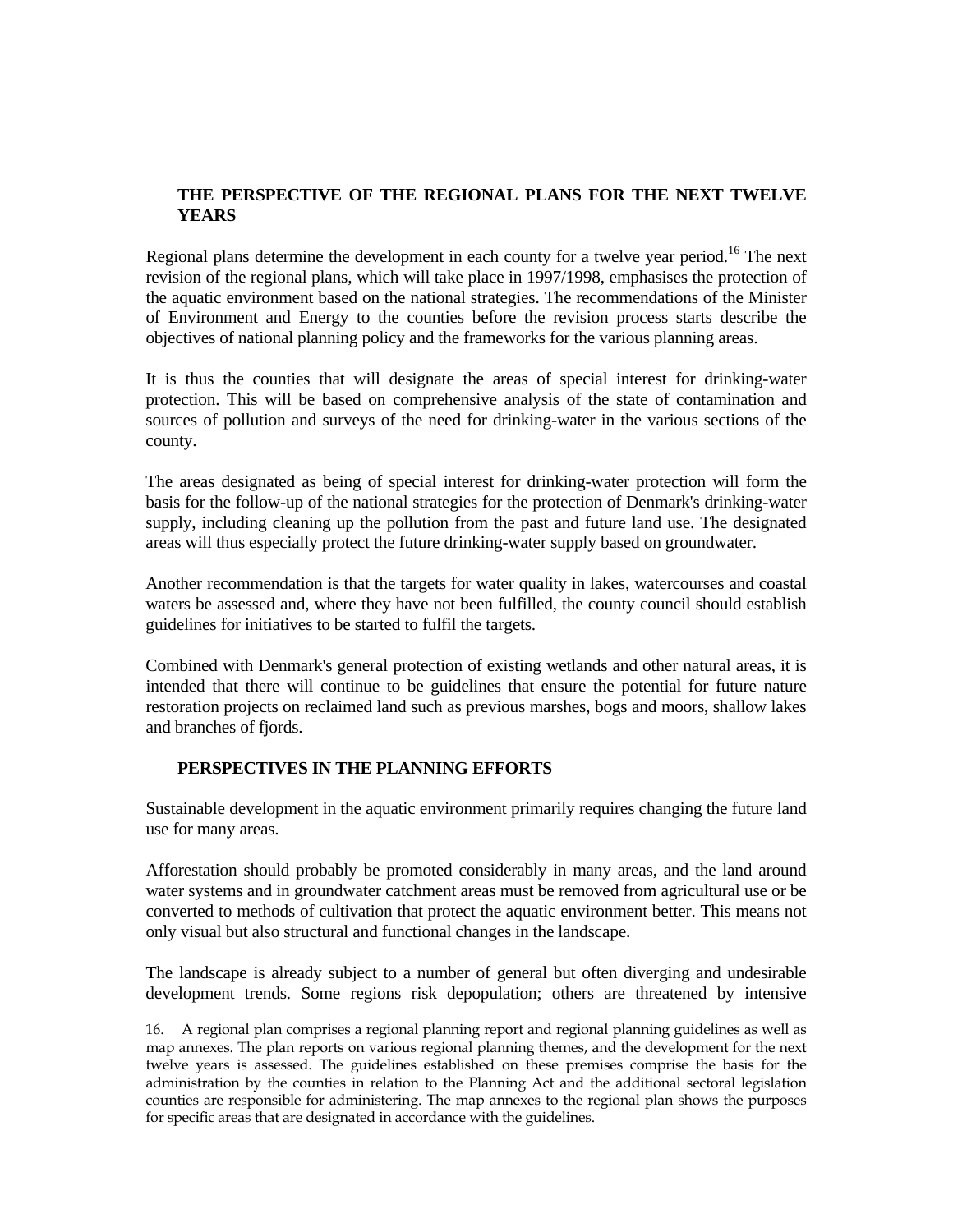# **THE PERSPECTIVE OF THE REGIONAL PLANS FOR THE NEXT TWELVE YEARS**

Regional plans determine the development in each county for a twelve year period.<sup>16</sup> The next revision of the regional plans, which will take place in 1997/1998, emphasises the protection of the aquatic environment based on the national strategies. The recommendations of the Minister of Environment and Energy to the counties before the revision process starts describe the objectives of national planning policy and the frameworks for the various planning areas.

It is thus the counties that will designate the areas of special interest for drinking-water protection. This will be based on comprehensive analysis of the state of contamination and sources of pollution and surveys of the need for drinking-water in the various sections of the county.

The areas designated as being of special interest for drinking-water protection will form the basis for the follow-up of the national strategies for the protection of Denmark's drinking-water supply, including cleaning up the pollution from the past and future land use. The designated areas will thus especially protect the future drinking-water supply based on groundwater.

Another recommendation is that the targets for water quality in lakes, watercourses and coastal waters be assessed and, where they have not been fulfilled, the county council should establish guidelines for initiatives to be started to fulfil the targets.

Combined with Denmark's general protection of existing wetlands and other natural areas, it is intended that there will continue to be guidelines that ensure the potential for future nature restoration projects on reclaimed land such as previous marshes, bogs and moors, shallow lakes and branches of fjords.

### **PERSPECTIVES IN THE PLANNING EFFORTS**

÷

Sustainable development in the aquatic environment primarily requires changing the future land use for many areas.

Afforestation should probably be promoted considerably in many areas, and the land around water systems and in groundwater catchment areas must be removed from agricultural use or be converted to methods of cultivation that protect the aquatic environment better. This means not only visual but also structural and functional changes in the landscape.

The landscape is already subject to a number of general but often diverging and undesirable development trends. Some regions risk depopulation; others are threatened by intensive

<sup>16.</sup> A regional plan comprises a regional planning report and regional planning guidelines as well as map annexes. The plan reports on various regional planning themes, and the development for the next twelve years is assessed. The guidelines established on these premises comprise the basis for the administration by the counties in relation to the Planning Act and the additional sectoral legislation counties are responsible for administering. The map annexes to the regional plan shows the purposes for specific areas that are designated in accordance with the guidelines.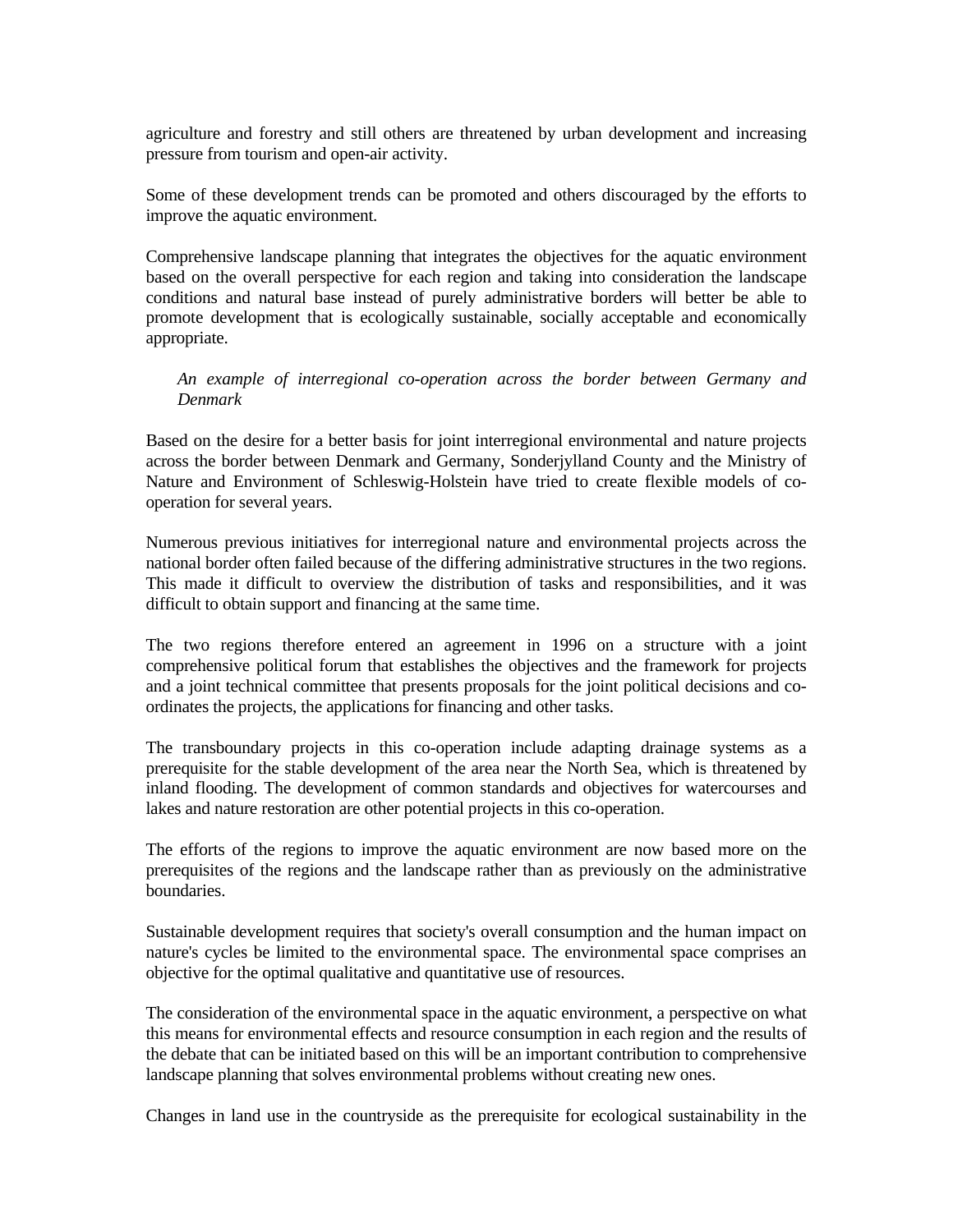agriculture and forestry and still others are threatened by urban development and increasing pressure from tourism and open-air activity.

Some of these development trends can be promoted and others discouraged by the efforts to improve the aquatic environment.

Comprehensive landscape planning that integrates the objectives for the aquatic environment based on the overall perspective for each region and taking into consideration the landscape conditions and natural base instead of purely administrative borders will better be able to promote development that is ecologically sustainable, socially acceptable and economically appropriate.

 *An example of interregional co-operation across the border between Germany and Denmark*

Based on the desire for a better basis for joint interregional environmental and nature projects across the border between Denmark and Germany, Sonderjylland County and the Ministry of Nature and Environment of Schleswig-Holstein have tried to create flexible models of cooperation for several years.

Numerous previous initiatives for interregional nature and environmental projects across the national border often failed because of the differing administrative structures in the two regions. This made it difficult to overview the distribution of tasks and responsibilities, and it was difficult to obtain support and financing at the same time.

The two regions therefore entered an agreement in 1996 on a structure with a joint comprehensive political forum that establishes the objectives and the framework for projects and a joint technical committee that presents proposals for the joint political decisions and coordinates the projects, the applications for financing and other tasks.

The transboundary projects in this co-operation include adapting drainage systems as a prerequisite for the stable development of the area near the North Sea, which is threatened by inland flooding. The development of common standards and objectives for watercourses and lakes and nature restoration are other potential projects in this co-operation.

The efforts of the regions to improve the aquatic environment are now based more on the prerequisites of the regions and the landscape rather than as previously on the administrative boundaries.

Sustainable development requires that society's overall consumption and the human impact on nature's cycles be limited to the environmental space. The environmental space comprises an objective for the optimal qualitative and quantitative use of resources.

The consideration of the environmental space in the aquatic environment, a perspective on what this means for environmental effects and resource consumption in each region and the results of the debate that can be initiated based on this will be an important contribution to comprehensive landscape planning that solves environmental problems without creating new ones.

Changes in land use in the countryside as the prerequisite for ecological sustainability in the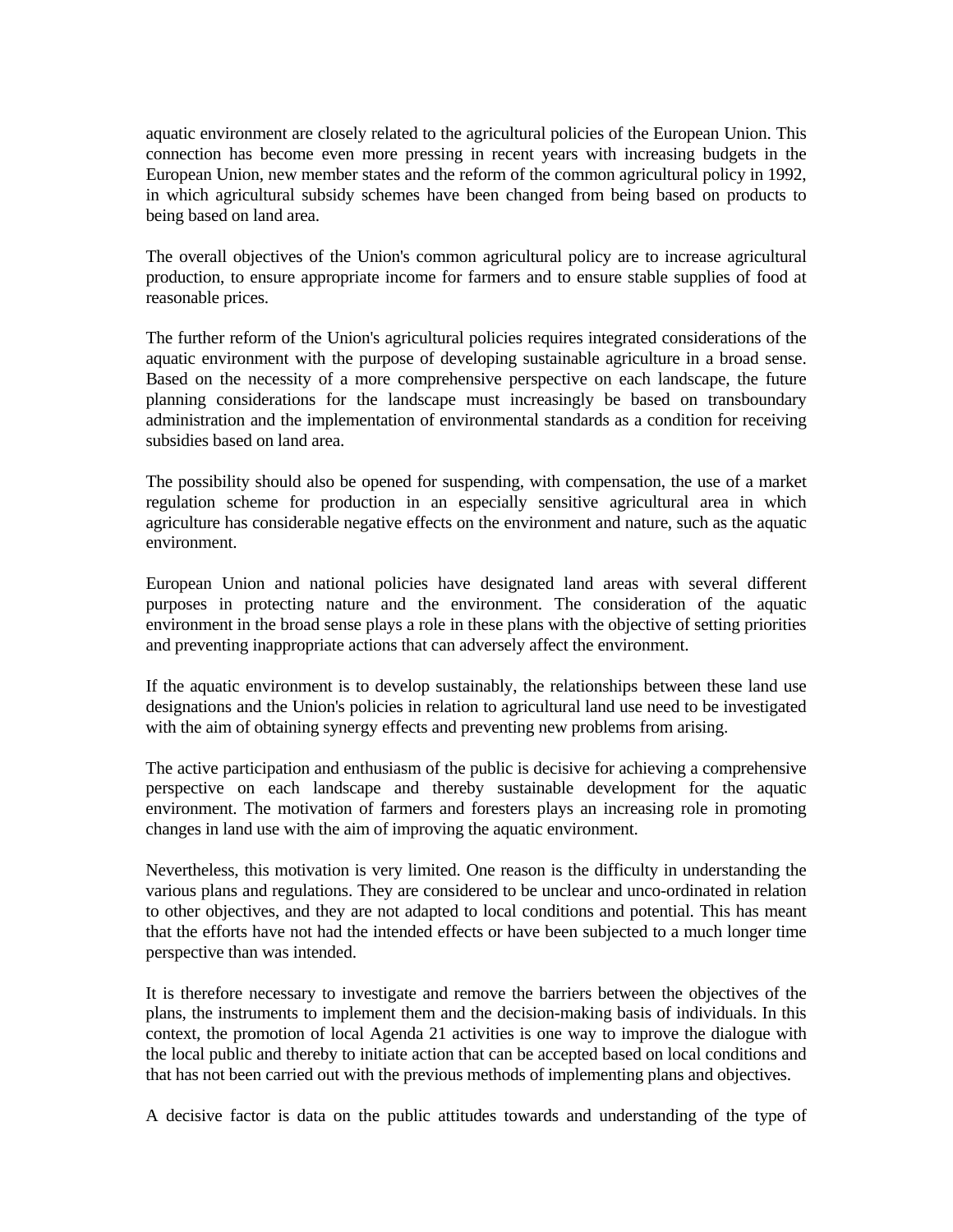aquatic environment are closely related to the agricultural policies of the European Union. This connection has become even more pressing in recent years with increasing budgets in the European Union, new member states and the reform of the common agricultural policy in 1992, in which agricultural subsidy schemes have been changed from being based on products to being based on land area.

The overall objectives of the Union's common agricultural policy are to increase agricultural production, to ensure appropriate income for farmers and to ensure stable supplies of food at reasonable prices.

The further reform of the Union's agricultural policies requires integrated considerations of the aquatic environment with the purpose of developing sustainable agriculture in a broad sense. Based on the necessity of a more comprehensive perspective on each landscape, the future planning considerations for the landscape must increasingly be based on transboundary administration and the implementation of environmental standards as a condition for receiving subsidies based on land area.

The possibility should also be opened for suspending, with compensation, the use of a market regulation scheme for production in an especially sensitive agricultural area in which agriculture has considerable negative effects on the environment and nature, such as the aquatic environment.

European Union and national policies have designated land areas with several different purposes in protecting nature and the environment. The consideration of the aquatic environment in the broad sense plays a role in these plans with the objective of setting priorities and preventing inappropriate actions that can adversely affect the environment.

If the aquatic environment is to develop sustainably, the relationships between these land use designations and the Union's policies in relation to agricultural land use need to be investigated with the aim of obtaining synergy effects and preventing new problems from arising.

The active participation and enthusiasm of the public is decisive for achieving a comprehensive perspective on each landscape and thereby sustainable development for the aquatic environment. The motivation of farmers and foresters plays an increasing role in promoting changes in land use with the aim of improving the aquatic environment.

Nevertheless, this motivation is very limited. One reason is the difficulty in understanding the various plans and regulations. They are considered to be unclear and unco-ordinated in relation to other objectives, and they are not adapted to local conditions and potential. This has meant that the efforts have not had the intended effects or have been subjected to a much longer time perspective than was intended.

It is therefore necessary to investigate and remove the barriers between the objectives of the plans, the instruments to implement them and the decision-making basis of individuals. In this context, the promotion of local Agenda 21 activities is one way to improve the dialogue with the local public and thereby to initiate action that can be accepted based on local conditions and that has not been carried out with the previous methods of implementing plans and objectives.

A decisive factor is data on the public attitudes towards and understanding of the type of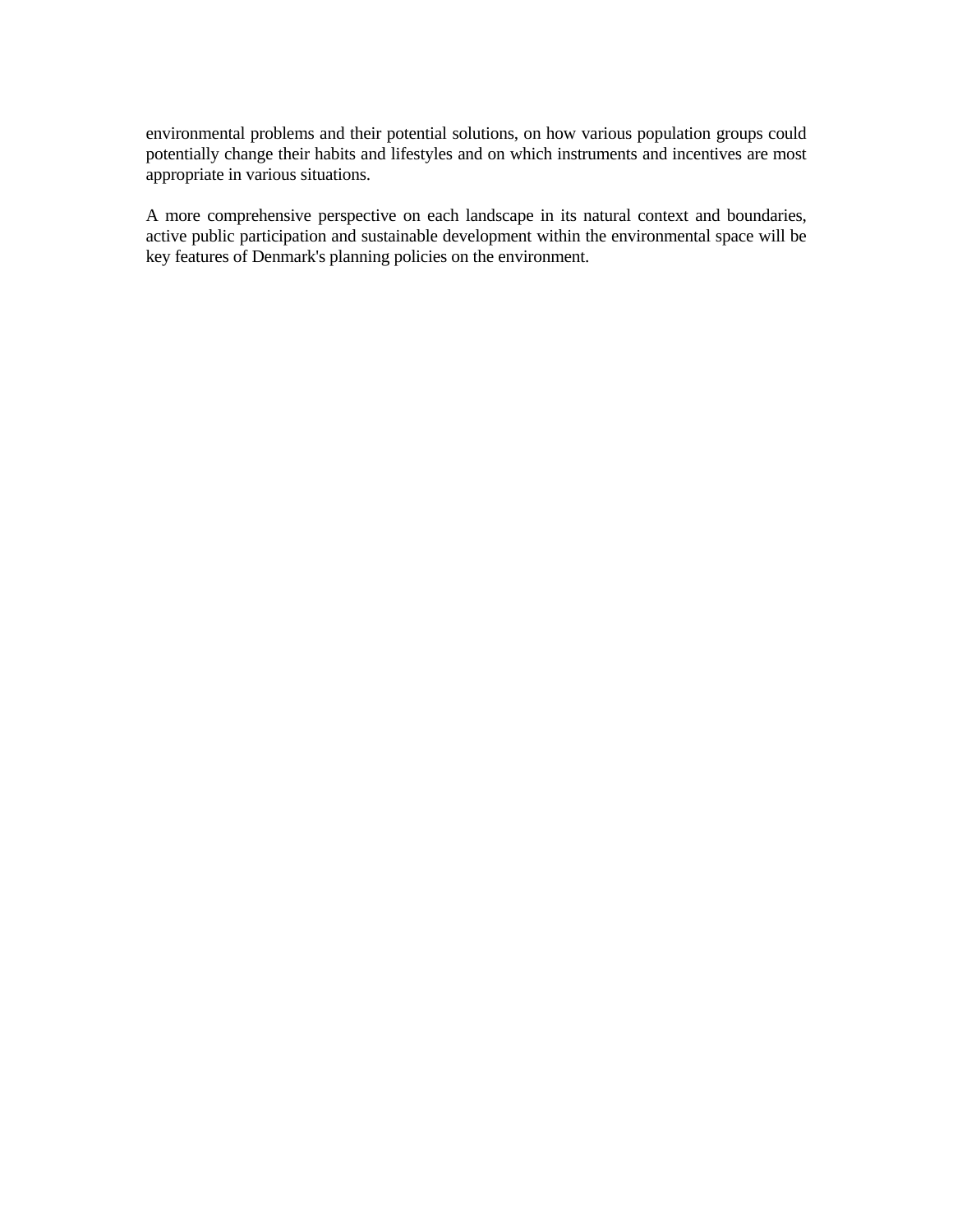environmental problems and their potential solutions, on how various population groups could potentially change their habits and lifestyles and on which instruments and incentives are most appropriate in various situations.

A more comprehensive perspective on each landscape in its natural context and boundaries, active public participation and sustainable development within the environmental space will be key features of Denmark's planning policies on the environment.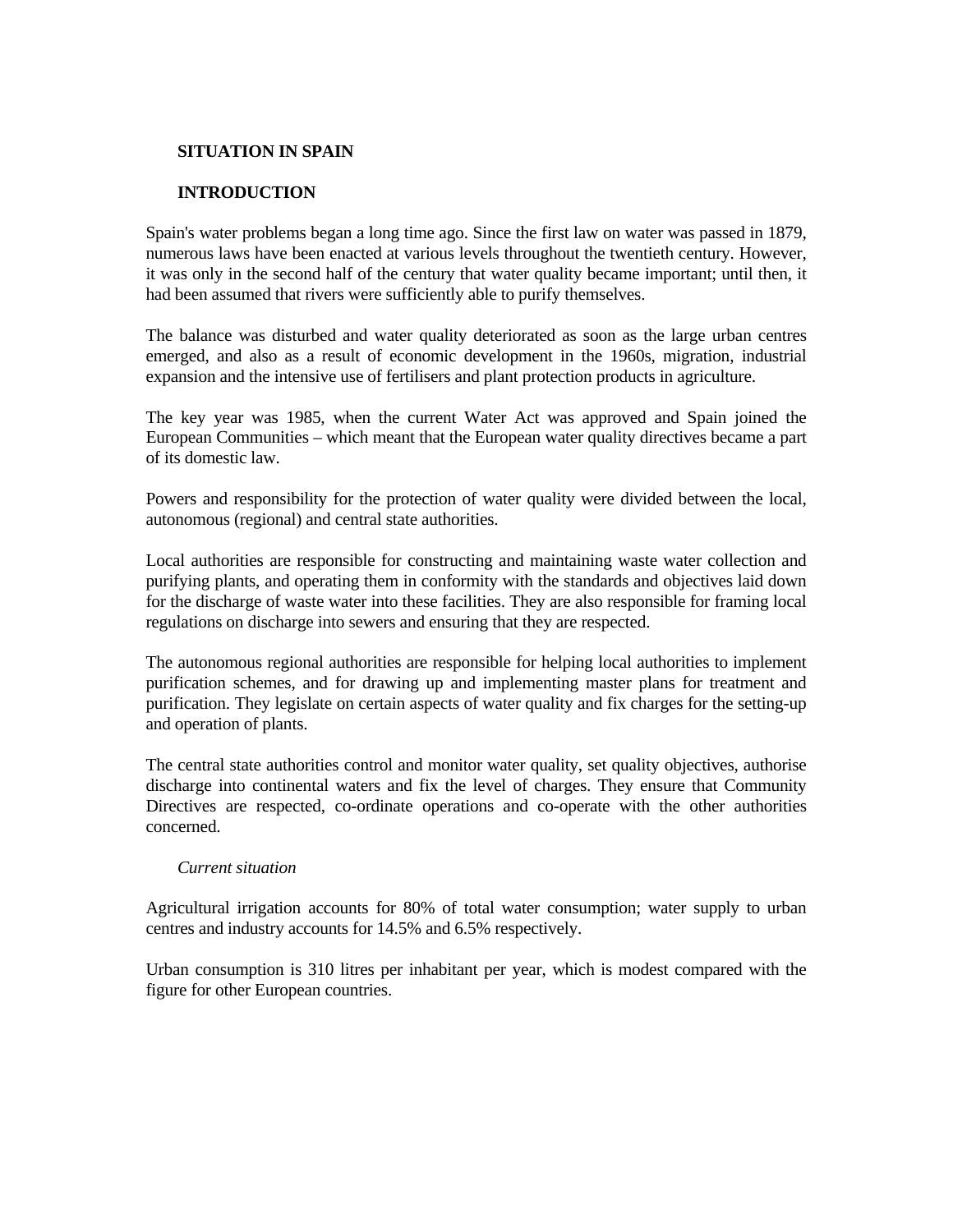#### **SITUATION IN SPAIN**

### **INTRODUCTION**

Spain's water problems began a long time ago. Since the first law on water was passed in 1879, numerous laws have been enacted at various levels throughout the twentieth century. However, it was only in the second half of the century that water quality became important; until then, it had been assumed that rivers were sufficiently able to purify themselves.

The balance was disturbed and water quality deteriorated as soon as the large urban centres emerged, and also as a result of economic development in the 1960s, migration, industrial expansion and the intensive use of fertilisers and plant protection products in agriculture.

The key year was 1985, when the current Water Act was approved and Spain joined the European Communities – which meant that the European water quality directives became a part of its domestic law.

Powers and responsibility for the protection of water quality were divided between the local, autonomous (regional) and central state authorities.

Local authorities are responsible for constructing and maintaining waste water collection and purifying plants, and operating them in conformity with the standards and objectives laid down for the discharge of waste water into these facilities. They are also responsible for framing local regulations on discharge into sewers and ensuring that they are respected.

The autonomous regional authorities are responsible for helping local authorities to implement purification schemes, and for drawing up and implementing master plans for treatment and purification. They legislate on certain aspects of water quality and fix charges for the setting-up and operation of plants.

The central state authorities control and monitor water quality, set quality objectives, authorise discharge into continental waters and fix the level of charges. They ensure that Community Directives are respected, co-ordinate operations and co-operate with the other authorities concerned.

#### *Current situation*

Agricultural irrigation accounts for 80% of total water consumption; water supply to urban centres and industry accounts for 14.5% and 6.5% respectively.

Urban consumption is 310 litres per inhabitant per year, which is modest compared with the figure for other European countries.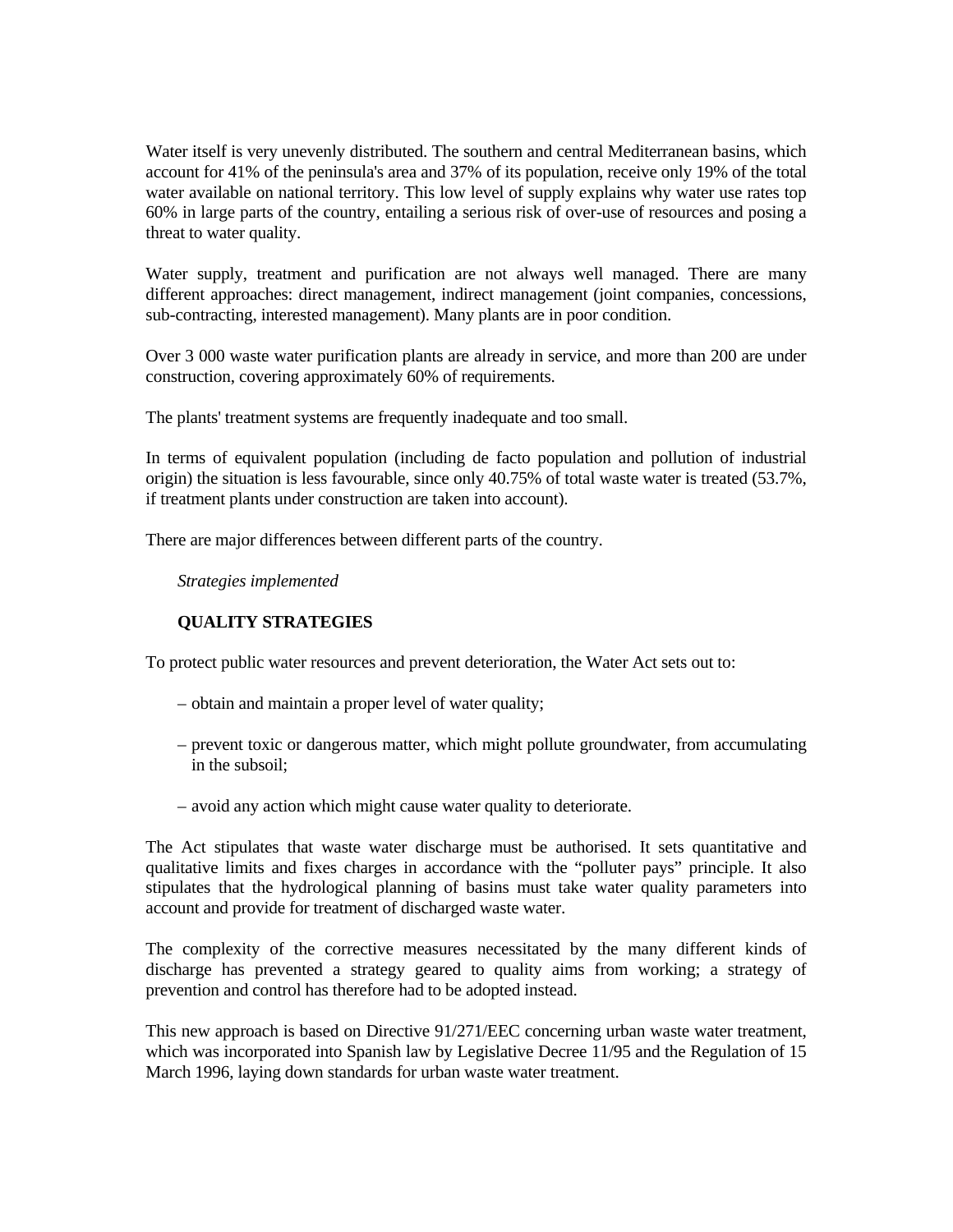Water itself is very unevenly distributed. The southern and central Mediterranean basins, which account for 41% of the peninsula's area and 37% of its population, receive only 19% of the total water available on national territory. This low level of supply explains why water use rates top 60% in large parts of the country, entailing a serious risk of over-use of resources and posing a threat to water quality.

Water supply, treatment and purification are not always well managed. There are many different approaches: direct management, indirect management (joint companies, concessions, sub-contracting, interested management). Many plants are in poor condition.

Over 3 000 waste water purification plants are already in service, and more than 200 are under construction, covering approximately 60% of requirements.

The plants' treatment systems are frequently inadequate and too small.

In terms of equivalent population (including de facto population and pollution of industrial origin) the situation is less favourable, since only 40.75% of total waste water is treated (53.7%, if treatment plants under construction are taken into account).

There are major differences between different parts of the country.

 *Strategies implemented*

## **QUALITY STRATEGIES**

To protect public water resources and prevent deterioration, the Water Act sets out to:

- obtain and maintain a proper level of water quality;
- prevent toxic or dangerous matter, which might pollute groundwater, from accumulating in the subsoil;
- avoid any action which might cause water quality to deteriorate.

The Act stipulates that waste water discharge must be authorised. It sets quantitative and qualitative limits and fixes charges in accordance with the "polluter pays" principle. It also stipulates that the hydrological planning of basins must take water quality parameters into account and provide for treatment of discharged waste water.

The complexity of the corrective measures necessitated by the many different kinds of discharge has prevented a strategy geared to quality aims from working; a strategy of prevention and control has therefore had to be adopted instead.

This new approach is based on Directive 91/271/EEC concerning urban waste water treatment, which was incorporated into Spanish law by Legislative Decree 11/95 and the Regulation of 15 March 1996, laying down standards for urban waste water treatment.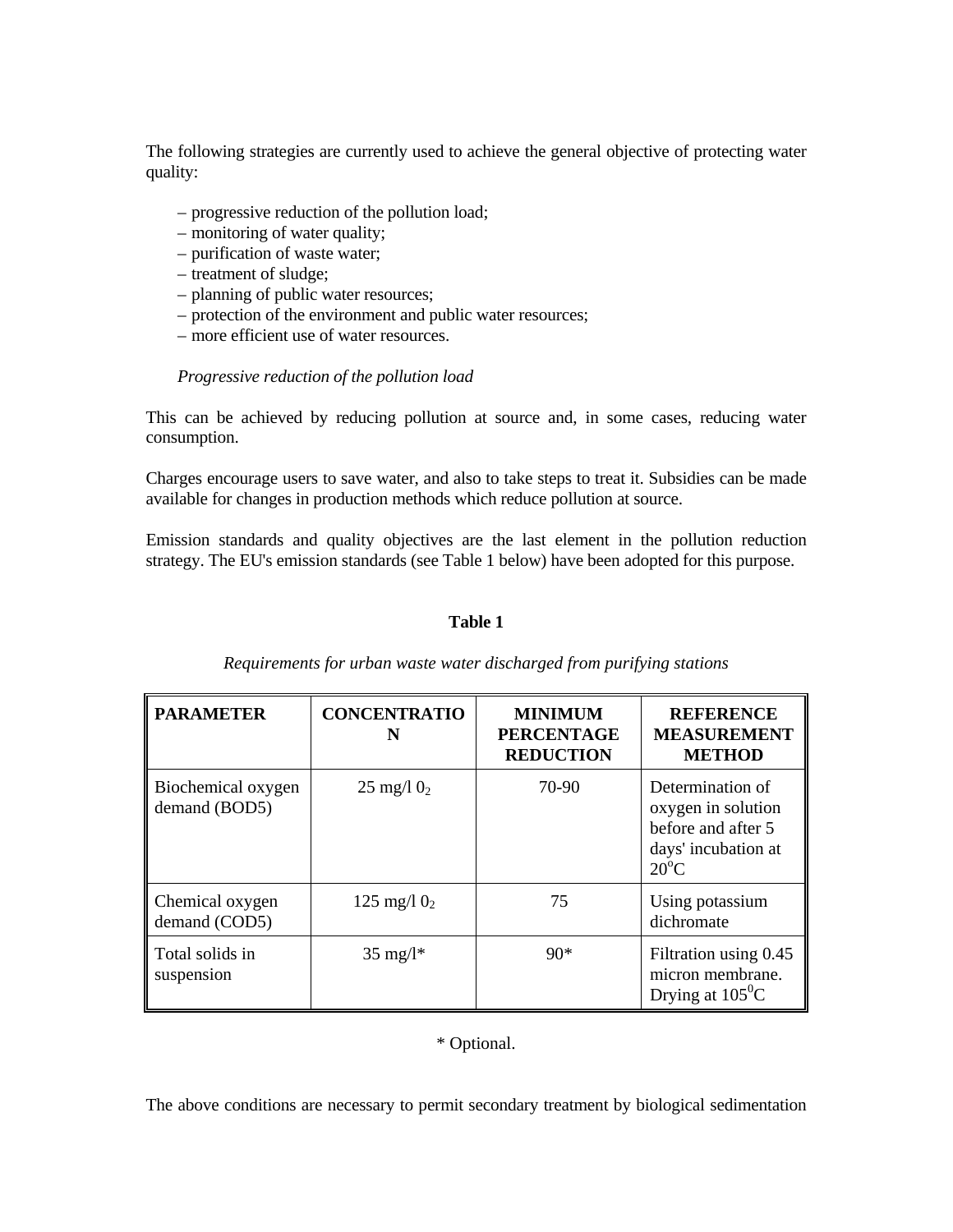The following strategies are currently used to achieve the general objective of protecting water quality:

- progressive reduction of the pollution load;
- monitoring of water quality;
- purification of waste water;
- treatment of sludge;
- planning of public water resources;
- protection of the environment and public water resources;
- more efficient use of water resources.

## *Progressive reduction of the pollution load*

This can be achieved by reducing pollution at source and, in some cases, reducing water consumption.

Charges encourage users to save water, and also to take steps to treat it. Subsidies can be made available for changes in production methods which reduce pollution at source.

Emission standards and quality objectives are the last element in the pollution reduction strategy. The EU's emission standards (see Table 1 below) have been adopted for this purpose.

### **Table 1**

| <b>PARAMETER</b>                    | <b>CONCENTRATIO</b><br>N | <b>MINIMUM</b><br><b>PERCENTAGE</b><br><b>REDUCTION</b> | <b>REFERENCE</b><br><b>MEASUREMENT</b><br><b>METHOD</b>                                               |
|-------------------------------------|--------------------------|---------------------------------------------------------|-------------------------------------------------------------------------------------------------------|
| Biochemical oxygen<br>demand (BOD5) | 25 mg/l $0_2$            | 70-90                                                   | Determination of<br>oxygen in solution<br>before and after 5<br>days' incubation at<br>$20^{\circ}$ C |
| Chemical oxygen<br>demand (COD5)    | 125 mg/l $0_2$           | 75                                                      | Using potassium<br>dichromate                                                                         |
| Total solids in<br>suspension       | $35 \text{ mg}/l^*$      | $90*$                                                   | Filtration using 0.45<br>micron membrane.<br>Drying at $105^{\circ}$ C                                |

### *Requirements for urban waste water discharged from purifying stations*

\* Optional.

The above conditions are necessary to permit secondary treatment by biological sedimentation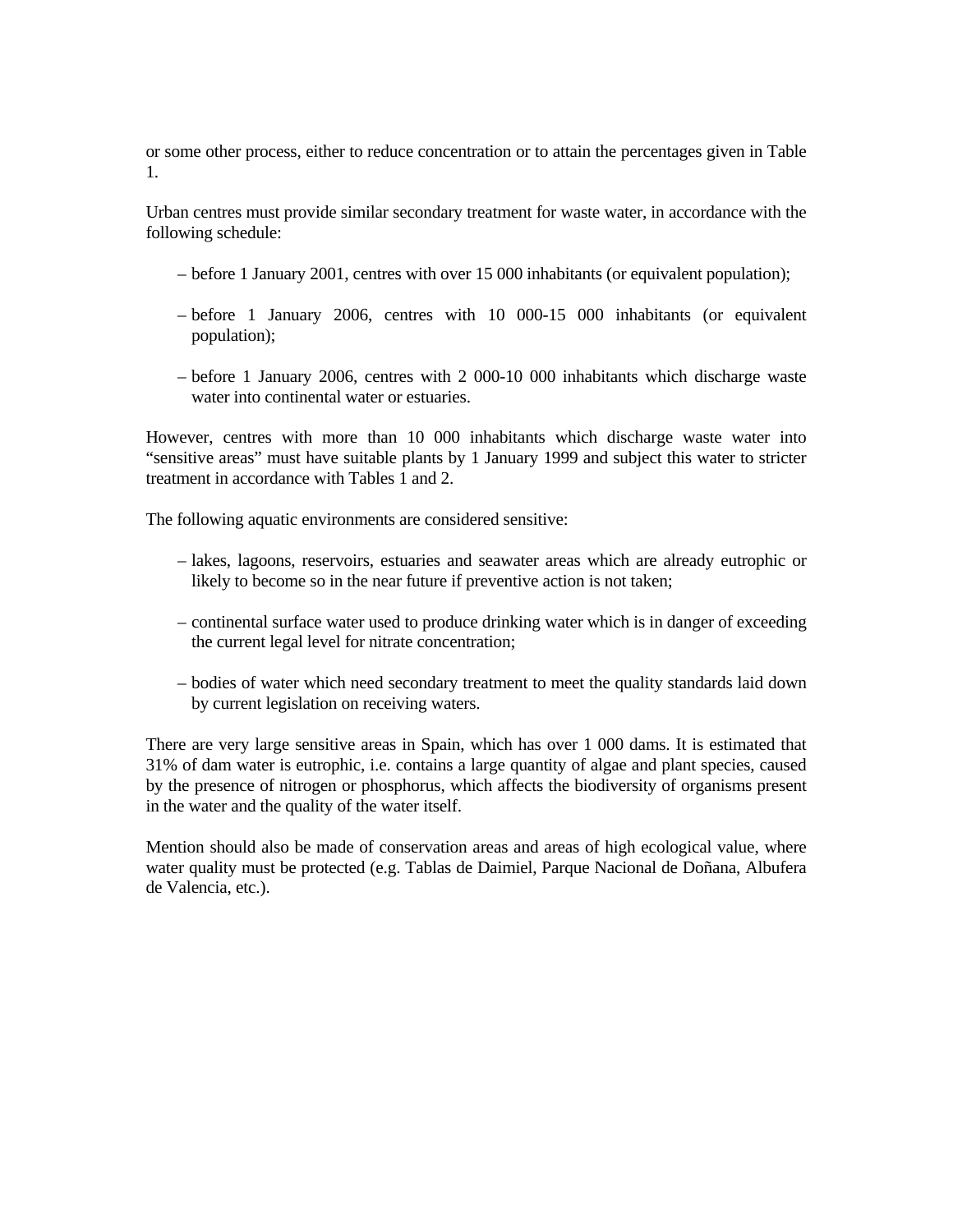or some other process, either to reduce concentration or to attain the percentages given in Table 1.

Urban centres must provide similar secondary treatment for waste water, in accordance with the following schedule:

- before 1 January 2001, centres with over 15 000 inhabitants (or equivalent population);
- before 1 January 2006, centres with 10 000-15 000 inhabitants (or equivalent population);
- before 1 January 2006, centres with 2 000-10 000 inhabitants which discharge waste water into continental water or estuaries.

However, centres with more than 10 000 inhabitants which discharge waste water into "sensitive areas" must have suitable plants by 1 January 1999 and subject this water to stricter treatment in accordance with Tables 1 and 2.

The following aquatic environments are considered sensitive:

- lakes, lagoons, reservoirs, estuaries and seawater areas which are already eutrophic or likely to become so in the near future if preventive action is not taken;
- continental surface water used to produce drinking water which is in danger of exceeding the current legal level for nitrate concentration;
- bodies of water which need secondary treatment to meet the quality standards laid down by current legislation on receiving waters.

There are very large sensitive areas in Spain, which has over 1 000 dams. It is estimated that 31% of dam water is eutrophic, i.e. contains a large quantity of algae and plant species, caused by the presence of nitrogen or phosphorus, which affects the biodiversity of organisms present in the water and the quality of the water itself.

Mention should also be made of conservation areas and areas of high ecological value, where water quality must be protected (e.g. Tablas de Daimiel, Parque Nacional de Doñana, Albufera de Valencia, etc.).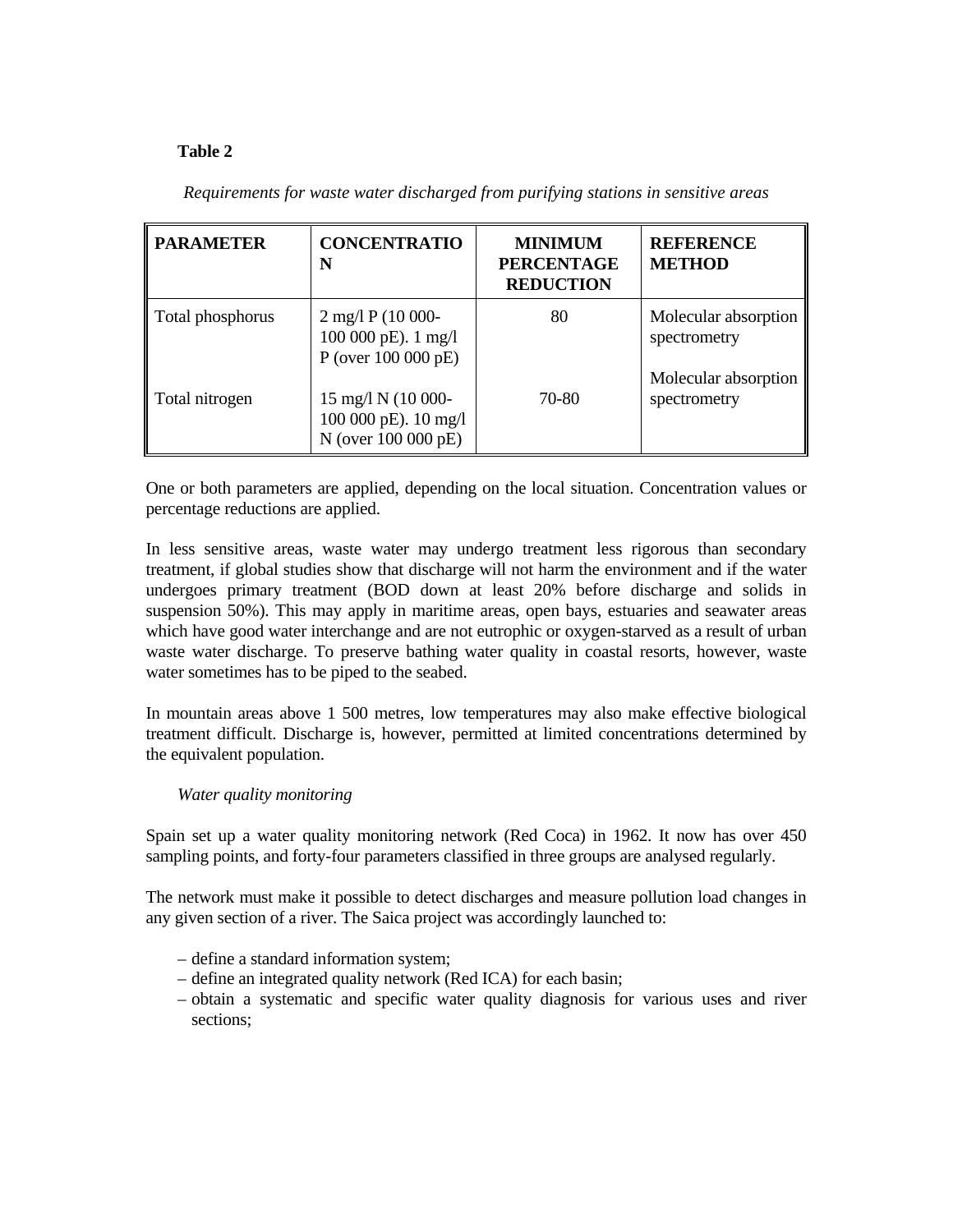# **Table 2**

| <b>PARAMETER</b> | <b>CONCENTRATIO</b><br>N                                                                      | <b>MINIMUM</b><br><b>PERCENTAGE</b><br><b>REDUCTION</b> | <b>REFERENCE</b><br><b>METHOD</b>    |
|------------------|-----------------------------------------------------------------------------------------------|---------------------------------------------------------|--------------------------------------|
| Total phosphorus | $2 \text{ mg}/1 \text{ P}$ (10 000-<br>100 000 pE). 1 mg/l<br>P (over $100\,000\,\text{pE}$ ) | 80                                                      | Molecular absorption<br>spectrometry |
| Total nitrogen   | 15 mg/l N (10 000-<br>100 000 pE). 10 mg/l<br>N (over 100 000 pE)                             | 70-80                                                   | Molecular absorption<br>spectrometry |

*Requirements for waste water discharged from purifying stations in sensitive areas* 

One or both parameters are applied, depending on the local situation. Concentration values or percentage reductions are applied.

In less sensitive areas, waste water may undergo treatment less rigorous than secondary treatment, if global studies show that discharge will not harm the environment and if the water undergoes primary treatment (BOD down at least 20% before discharge and solids in suspension 50%). This may apply in maritime areas, open bays, estuaries and seawater areas which have good water interchange and are not eutrophic or oxygen-starved as a result of urban waste water discharge. To preserve bathing water quality in coastal resorts, however, waste water sometimes has to be piped to the seabed.

In mountain areas above 1 500 metres, low temperatures may also make effective biological treatment difficult. Discharge is, however, permitted at limited concentrations determined by the equivalent population.

### *Water quality monitoring*

Spain set up a water quality monitoring network (Red Coca) in 1962. It now has over 450 sampling points, and forty-four parameters classified in three groups are analysed regularly.

The network must make it possible to detect discharges and measure pollution load changes in any given section of a river. The Saica project was accordingly launched to:

- define a standard information system;
- define an integrated quality network (Red ICA) for each basin;
- obtain a systematic and specific water quality diagnosis for various uses and river sections;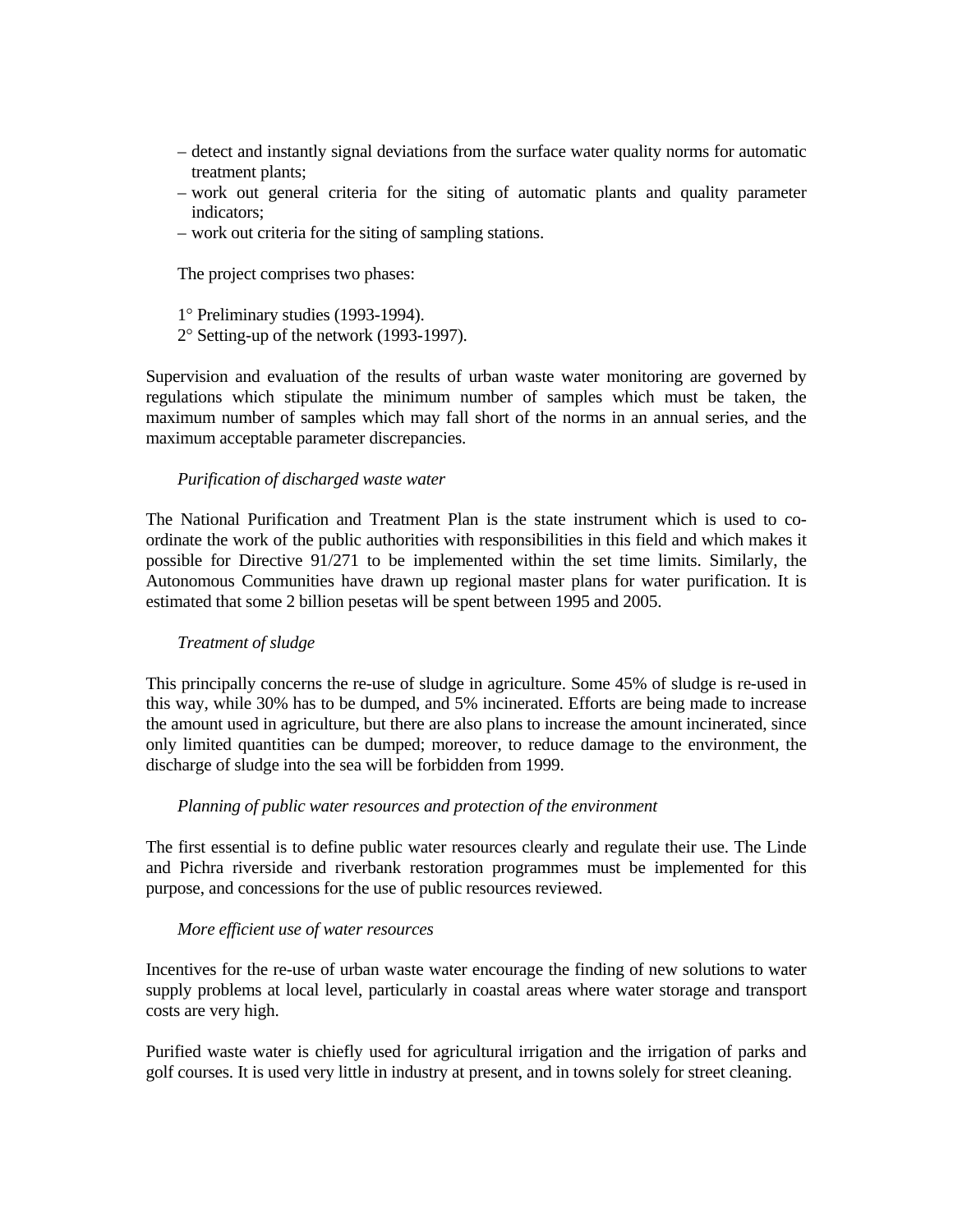- detect and instantly signal deviations from the surface water quality norms for automatic treatment plants;
- work out general criteria for the siting of automatic plants and quality parameter indicators;
- work out criteria for the siting of sampling stations.

The project comprises two phases:

1° Preliminary studies (1993-1994).

2° Setting-up of the network (1993-1997).

Supervision and evaluation of the results of urban waste water monitoring are governed by regulations which stipulate the minimum number of samples which must be taken, the maximum number of samples which may fall short of the norms in an annual series, and the maximum acceptable parameter discrepancies.

#### *Purification of discharged waste water*

The National Purification and Treatment Plan is the state instrument which is used to coordinate the work of the public authorities with responsibilities in this field and which makes it possible for Directive 91/271 to be implemented within the set time limits. Similarly, the Autonomous Communities have drawn up regional master plans for water purification. It is estimated that some 2 billion pesetas will be spent between 1995 and 2005.

#### *Treatment of sludge*

This principally concerns the re-use of sludge in agriculture. Some 45% of sludge is re-used in this way, while 30% has to be dumped, and 5% incinerated. Efforts are being made to increase the amount used in agriculture, but there are also plans to increase the amount incinerated, since only limited quantities can be dumped; moreover, to reduce damage to the environment, the discharge of sludge into the sea will be forbidden from 1999.

#### *Planning of public water resources and protection of the environment*

The first essential is to define public water resources clearly and regulate their use. The Linde and Pichra riverside and riverbank restoration programmes must be implemented for this purpose, and concessions for the use of public resources reviewed.

#### *More efficient use of water resources*

Incentives for the re-use of urban waste water encourage the finding of new solutions to water supply problems at local level, particularly in coastal areas where water storage and transport costs are very high.

Purified waste water is chiefly used for agricultural irrigation and the irrigation of parks and golf courses. It is used very little in industry at present, and in towns solely for street cleaning.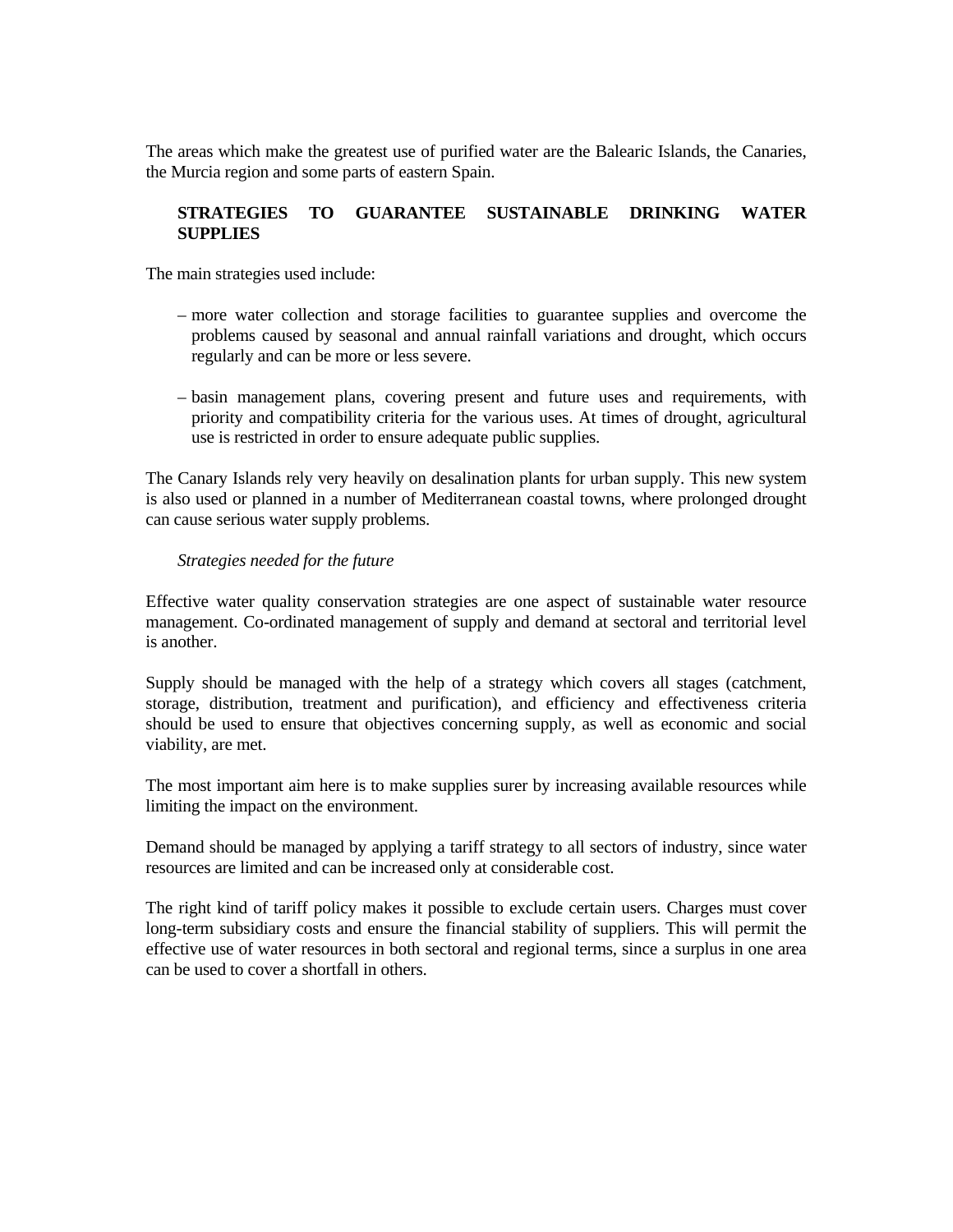The areas which make the greatest use of purified water are the Balearic Islands, the Canaries, the Murcia region and some parts of eastern Spain.

## **STRATEGIES TO GUARANTEE SUSTAINABLE DRINKING WATER SUPPLIES**

The main strategies used include:

- more water collection and storage facilities to guarantee supplies and overcome the problems caused by seasonal and annual rainfall variations and drought, which occurs regularly and can be more or less severe.
- basin management plans, covering present and future uses and requirements, with priority and compatibility criteria for the various uses. At times of drought, agricultural use is restricted in order to ensure adequate public supplies.

The Canary Islands rely very heavily on desalination plants for urban supply. This new system is also used or planned in a number of Mediterranean coastal towns, where prolonged drought can cause serious water supply problems.

## *Strategies needed for the future*

Effective water quality conservation strategies are one aspect of sustainable water resource management. Co-ordinated management of supply and demand at sectoral and territorial level is another.

Supply should be managed with the help of a strategy which covers all stages (catchment, storage, distribution, treatment and purification), and efficiency and effectiveness criteria should be used to ensure that objectives concerning supply, as well as economic and social viability, are met.

The most important aim here is to make supplies surer by increasing available resources while limiting the impact on the environment.

Demand should be managed by applying a tariff strategy to all sectors of industry, since water resources are limited and can be increased only at considerable cost.

The right kind of tariff policy makes it possible to exclude certain users. Charges must cover long-term subsidiary costs and ensure the financial stability of suppliers. This will permit the effective use of water resources in both sectoral and regional terms, since a surplus in one area can be used to cover a shortfall in others.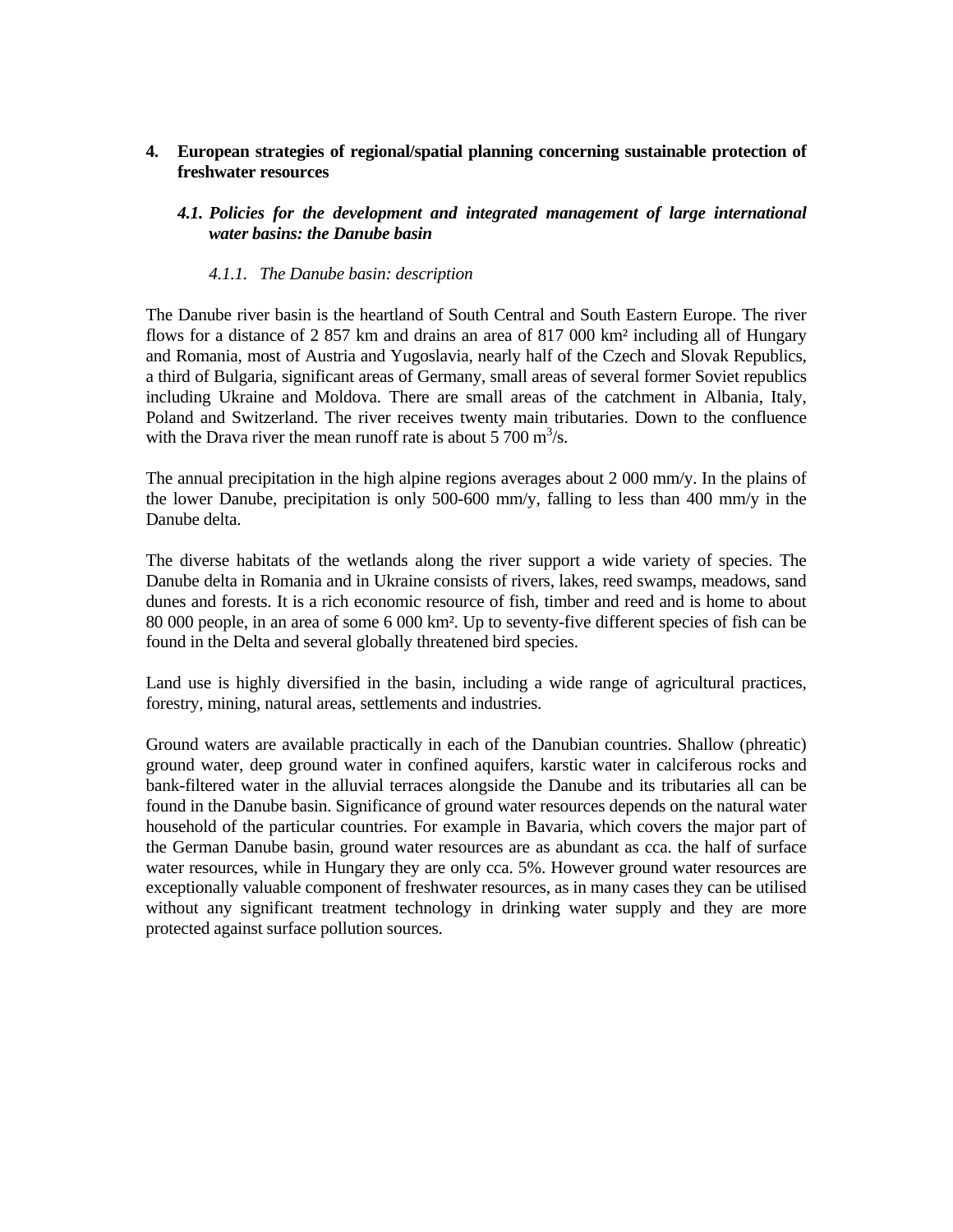**4. European strategies of regional/spatial planning concerning sustainable protection of freshwater resources** 

## *4.1. Policies for the development and integrated management of large international water basins: the Danube basin*

#### *4.1.1. The Danube basin: description*

The Danube river basin is the heartland of South Central and South Eastern Europe. The river flows for a distance of 2 857 km and drains an area of 817 000 km<sup>2</sup> including all of Hungary and Romania, most of Austria and Yugoslavia, nearly half of the Czech and Slovak Republics, a third of Bulgaria, significant areas of Germany, small areas of several former Soviet republics including Ukraine and Moldova. There are small areas of the catchment in Albania, Italy, Poland and Switzerland. The river receives twenty main tributaries. Down to the confluence with the Drava river the mean runoff rate is about  $5700 \text{ m}^3/\text{s}$ .

The annual precipitation in the high alpine regions averages about 2 000 mm/y. In the plains of the lower Danube, precipitation is only 500-600 mm/y, falling to less than 400 mm/y in the Danube delta.

The diverse habitats of the wetlands along the river support a wide variety of species. The Danube delta in Romania and in Ukraine consists of rivers, lakes, reed swamps, meadows, sand dunes and forests. It is a rich economic resource of fish, timber and reed and is home to about 80 000 people, in an area of some 6 000 km². Up to seventy-five different species of fish can be found in the Delta and several globally threatened bird species.

Land use is highly diversified in the basin, including a wide range of agricultural practices, forestry, mining, natural areas, settlements and industries.

Ground waters are available practically in each of the Danubian countries. Shallow (phreatic) ground water, deep ground water in confined aquifers, karstic water in calciferous rocks and bank-filtered water in the alluvial terraces alongside the Danube and its tributaries all can be found in the Danube basin. Significance of ground water resources depends on the natural water household of the particular countries. For example in Bavaria, which covers the major part of the German Danube basin, ground water resources are as abundant as cca. the half of surface water resources, while in Hungary they are only cca. 5%. However ground water resources are exceptionally valuable component of freshwater resources, as in many cases they can be utilised without any significant treatment technology in drinking water supply and they are more protected against surface pollution sources.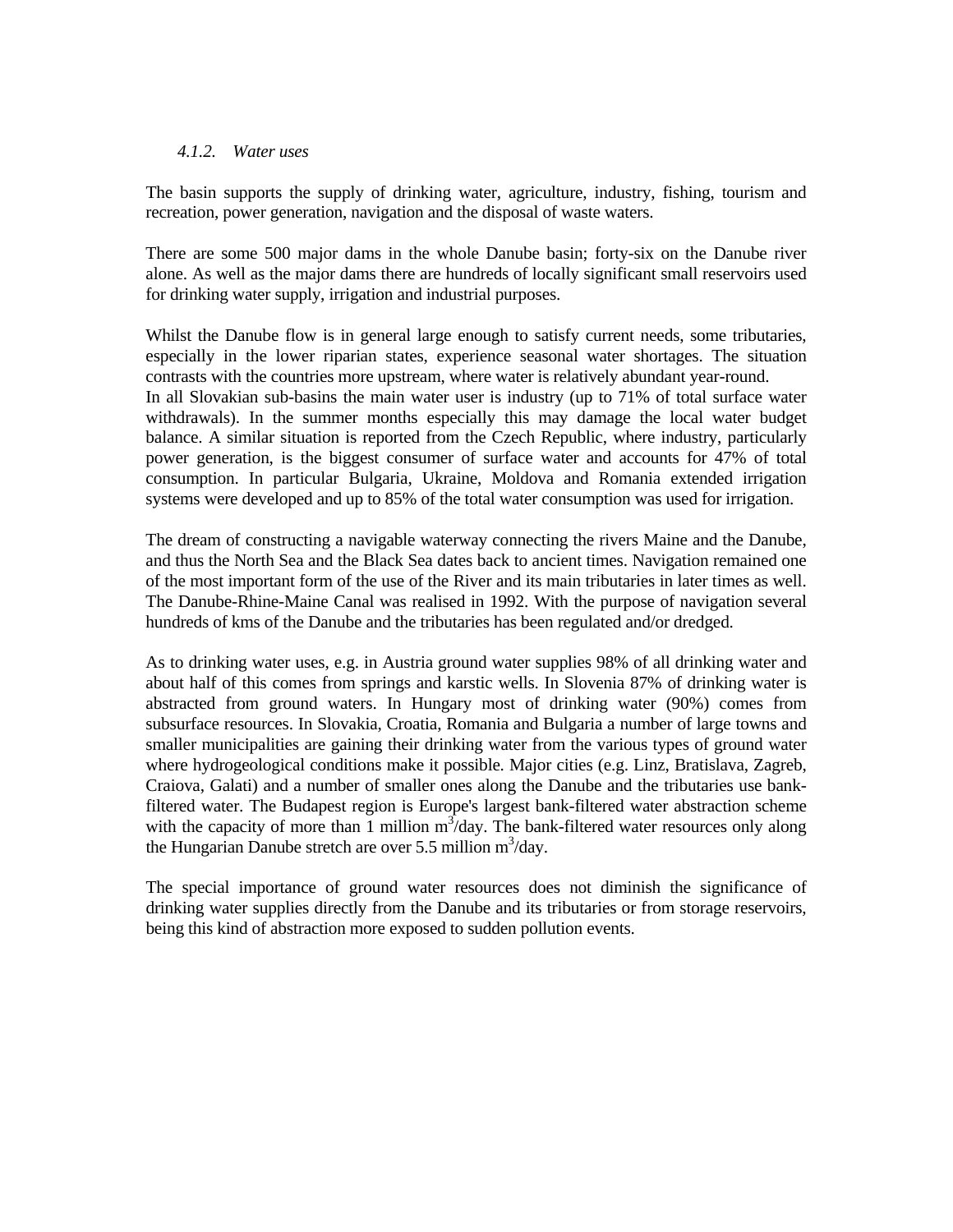#### *4.1.2. Water uses*

The basin supports the supply of drinking water, agriculture, industry, fishing, tourism and recreation, power generation, navigation and the disposal of waste waters.

There are some 500 major dams in the whole Danube basin; forty-six on the Danube river alone. As well as the major dams there are hundreds of locally significant small reservoirs used for drinking water supply, irrigation and industrial purposes.

Whilst the Danube flow is in general large enough to satisfy current needs, some tributaries, especially in the lower riparian states, experience seasonal water shortages. The situation contrasts with the countries more upstream, where water is relatively abundant year-round. In all Slovakian sub-basins the main water user is industry (up to 71% of total surface water withdrawals). In the summer months especially this may damage the local water budget balance. A similar situation is reported from the Czech Republic, where industry, particularly power generation, is the biggest consumer of surface water and accounts for 47% of total consumption. In particular Bulgaria, Ukraine, Moldova and Romania extended irrigation systems were developed and up to 85% of the total water consumption was used for irrigation.

The dream of constructing a navigable waterway connecting the rivers Maine and the Danube, and thus the North Sea and the Black Sea dates back to ancient times. Navigation remained one of the most important form of the use of the River and its main tributaries in later times as well. The Danube-Rhine-Maine Canal was realised in 1992. With the purpose of navigation several hundreds of kms of the Danube and the tributaries has been regulated and/or dredged.

As to drinking water uses, e.g. in Austria ground water supplies 98% of all drinking water and about half of this comes from springs and karstic wells. In Slovenia 87% of drinking water is abstracted from ground waters. In Hungary most of drinking water (90%) comes from subsurface resources. In Slovakia, Croatia, Romania and Bulgaria a number of large towns and smaller municipalities are gaining their drinking water from the various types of ground water where hydrogeological conditions make it possible. Major cities (e.g. Linz, Bratislava, Zagreb, Craiova, Galati) and a number of smaller ones along the Danube and the tributaries use bankfiltered water. The Budapest region is Europe's largest bank-filtered water abstraction scheme with the capacity of more than 1 million  $m^3$ /day. The bank-filtered water resources only along the Hungarian Danube stretch are over 5.5 million  $m^3$ /day.

The special importance of ground water resources does not diminish the significance of drinking water supplies directly from the Danube and its tributaries or from storage reservoirs, being this kind of abstraction more exposed to sudden pollution events.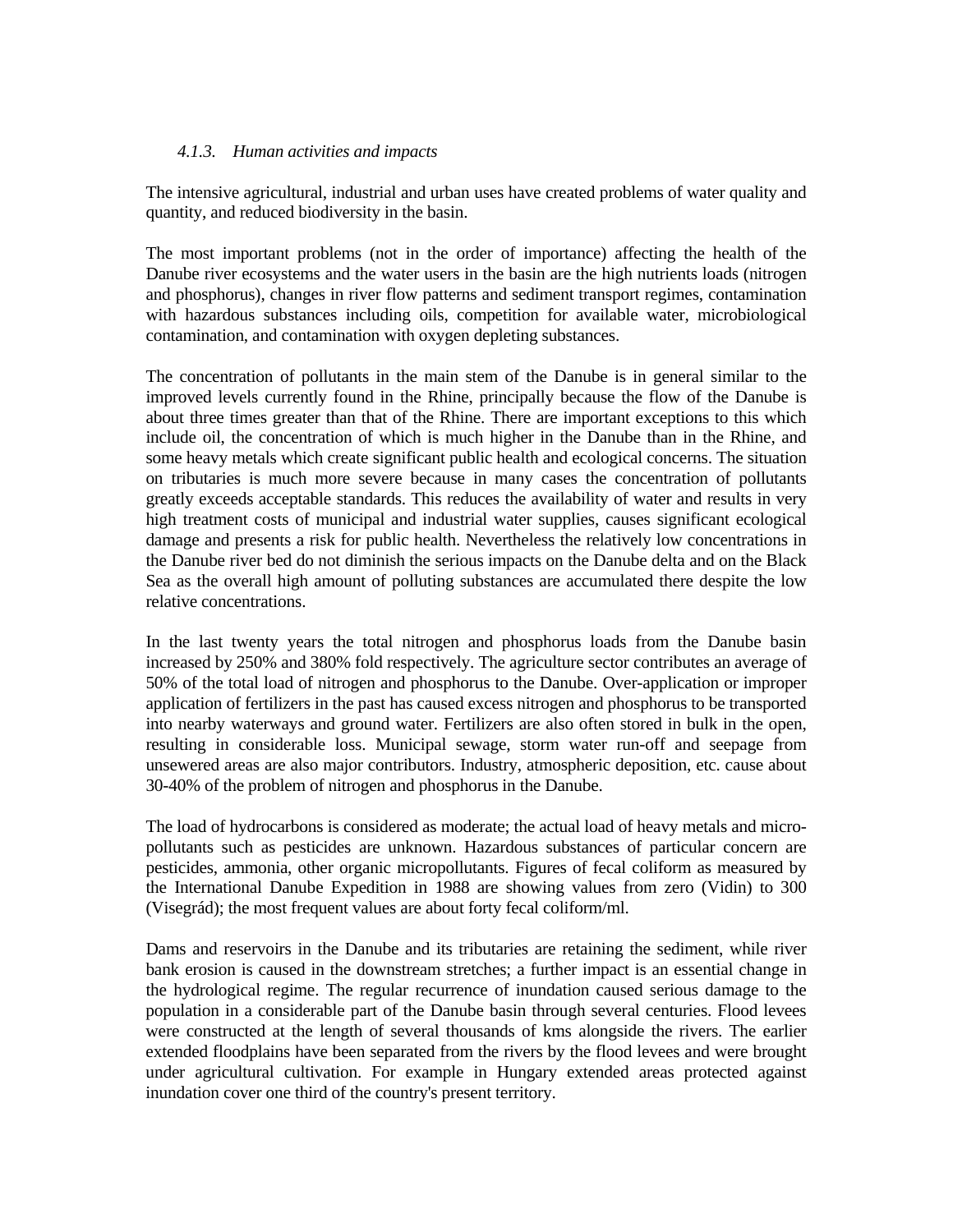### *4.1.3. Human activities and impacts*

The intensive agricultural, industrial and urban uses have created problems of water quality and quantity, and reduced biodiversity in the basin.

The most important problems (not in the order of importance) affecting the health of the Danube river ecosystems and the water users in the basin are the high nutrients loads (nitrogen and phosphorus), changes in river flow patterns and sediment transport regimes, contamination with hazardous substances including oils, competition for available water, microbiological contamination, and contamination with oxygen depleting substances.

The concentration of pollutants in the main stem of the Danube is in general similar to the improved levels currently found in the Rhine, principally because the flow of the Danube is about three times greater than that of the Rhine. There are important exceptions to this which include oil, the concentration of which is much higher in the Danube than in the Rhine, and some heavy metals which create significant public health and ecological concerns. The situation on tributaries is much more severe because in many cases the concentration of pollutants greatly exceeds acceptable standards. This reduces the availability of water and results in very high treatment costs of municipal and industrial water supplies, causes significant ecological damage and presents a risk for public health. Nevertheless the relatively low concentrations in the Danube river bed do not diminish the serious impacts on the Danube delta and on the Black Sea as the overall high amount of polluting substances are accumulated there despite the low relative concentrations.

In the last twenty years the total nitrogen and phosphorus loads from the Danube basin increased by 250% and 380% fold respectively. The agriculture sector contributes an average of 50% of the total load of nitrogen and phosphorus to the Danube. Over-application or improper application of fertilizers in the past has caused excess nitrogen and phosphorus to be transported into nearby waterways and ground water. Fertilizers are also often stored in bulk in the open, resulting in considerable loss. Municipal sewage, storm water run-off and seepage from unsewered areas are also major contributors. Industry, atmospheric deposition, etc. cause about 30-40% of the problem of nitrogen and phosphorus in the Danube.

The load of hydrocarbons is considered as moderate; the actual load of heavy metals and micropollutants such as pesticides are unknown. Hazardous substances of particular concern are pesticides, ammonia, other organic micropollutants. Figures of fecal coliform as measured by the International Danube Expedition in 1988 are showing values from zero (Vidin) to 300 (Visegrád); the most frequent values are about forty fecal coliform/ml.

Dams and reservoirs in the Danube and its tributaries are retaining the sediment, while river bank erosion is caused in the downstream stretches; a further impact is an essential change in the hydrological regime. The regular recurrence of inundation caused serious damage to the population in a considerable part of the Danube basin through several centuries. Flood levees were constructed at the length of several thousands of kms alongside the rivers. The earlier extended floodplains have been separated from the rivers by the flood levees and were brought under agricultural cultivation. For example in Hungary extended areas protected against inundation cover one third of the country's present territory.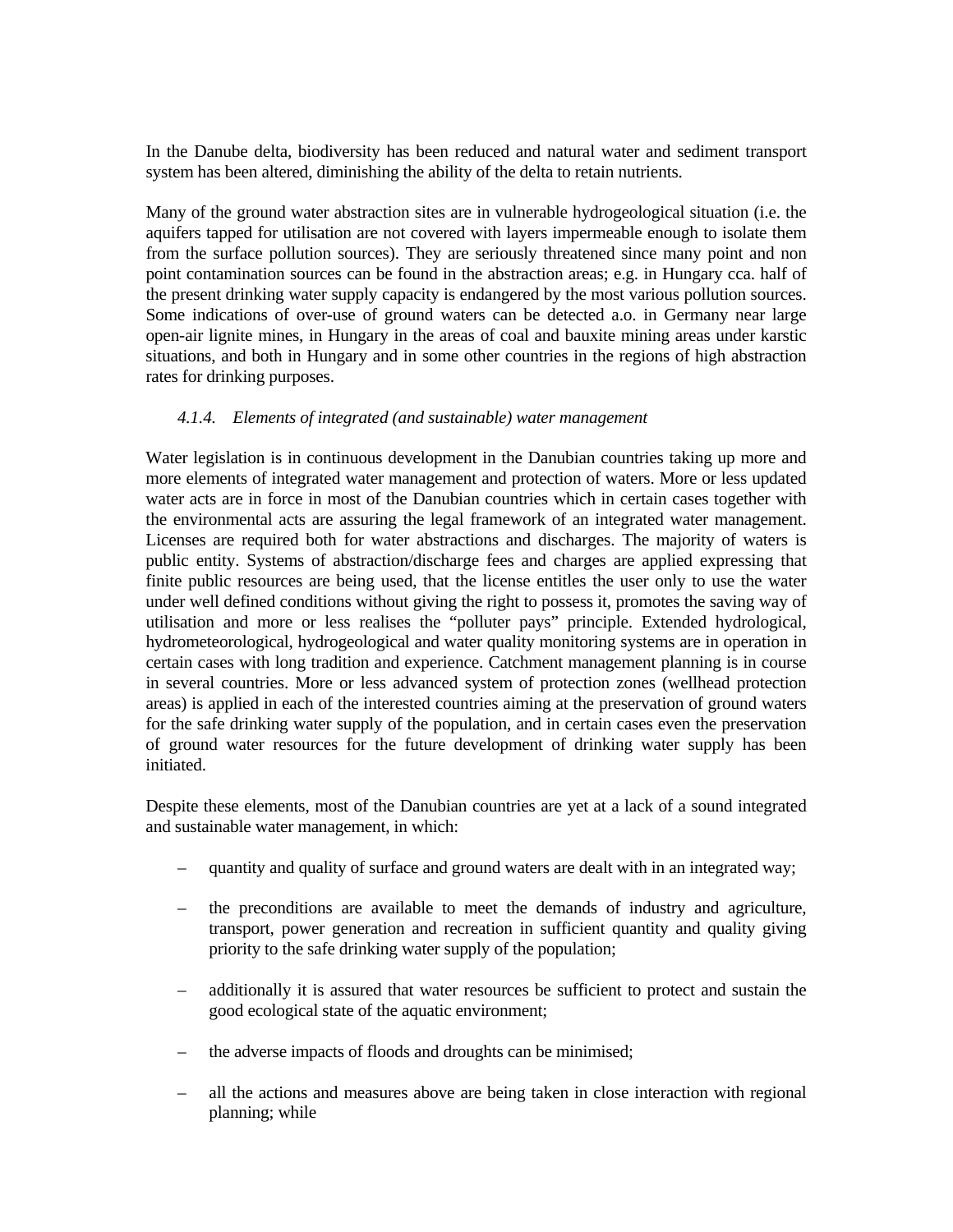In the Danube delta, biodiversity has been reduced and natural water and sediment transport system has been altered, diminishing the ability of the delta to retain nutrients.

Many of the ground water abstraction sites are in vulnerable hydrogeological situation (i.e. the aquifers tapped for utilisation are not covered with layers impermeable enough to isolate them from the surface pollution sources). They are seriously threatened since many point and non point contamination sources can be found in the abstraction areas; e.g. in Hungary cca. half of the present drinking water supply capacity is endangered by the most various pollution sources. Some indications of over-use of ground waters can be detected a.o. in Germany near large open-air lignite mines, in Hungary in the areas of coal and bauxite mining areas under karstic situations, and both in Hungary and in some other countries in the regions of high abstraction rates for drinking purposes.

### *4.1.4. Elements of integrated (and sustainable) water management*

Water legislation is in continuous development in the Danubian countries taking up more and more elements of integrated water management and protection of waters. More or less updated water acts are in force in most of the Danubian countries which in certain cases together with the environmental acts are assuring the legal framework of an integrated water management. Licenses are required both for water abstractions and discharges. The majority of waters is public entity. Systems of abstraction/discharge fees and charges are applied expressing that finite public resources are being used, that the license entitles the user only to use the water under well defined conditions without giving the right to possess it, promotes the saving way of utilisation and more or less realises the "polluter pays" principle. Extended hydrological, hydrometeorological, hydrogeological and water quality monitoring systems are in operation in certain cases with long tradition and experience. Catchment management planning is in course in several countries. More or less advanced system of protection zones (wellhead protection areas) is applied in each of the interested countries aiming at the preservation of ground waters for the safe drinking water supply of the population, and in certain cases even the preservation of ground water resources for the future development of drinking water supply has been initiated.

Despite these elements, most of the Danubian countries are yet at a lack of a sound integrated and sustainable water management, in which:

- quantity and quality of surface and ground waters are dealt with in an integrated way;
- the preconditions are available to meet the demands of industry and agriculture, transport, power generation and recreation in sufficient quantity and quality giving priority to the safe drinking water supply of the population;
- additionally it is assured that water resources be sufficient to protect and sustain the good ecological state of the aquatic environment;
- the adverse impacts of floods and droughts can be minimised;
- all the actions and measures above are being taken in close interaction with regional planning; while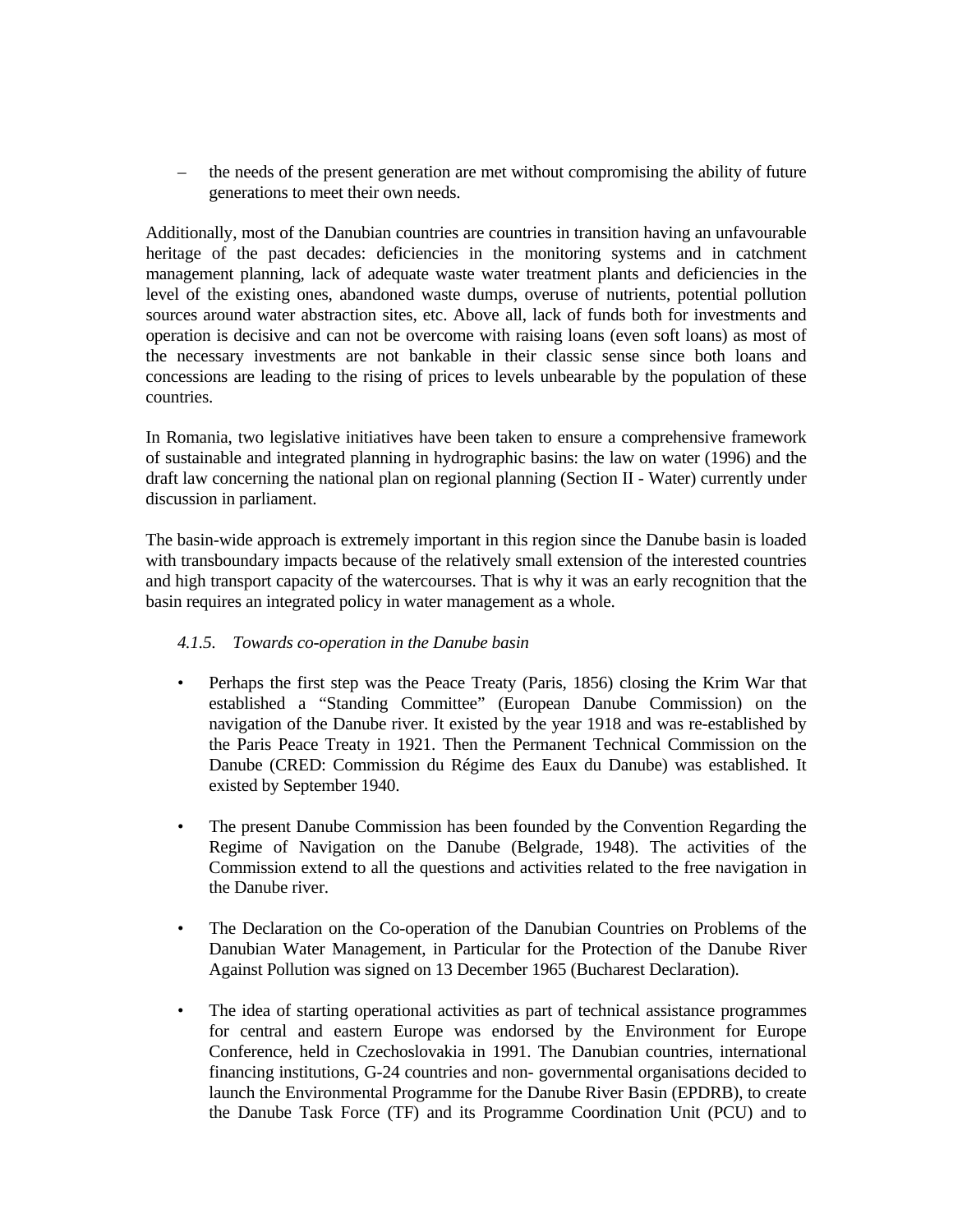– the needs of the present generation are met without compromising the ability of future generations to meet their own needs.

Additionally, most of the Danubian countries are countries in transition having an unfavourable heritage of the past decades: deficiencies in the monitoring systems and in catchment management planning, lack of adequate waste water treatment plants and deficiencies in the level of the existing ones, abandoned waste dumps, overuse of nutrients, potential pollution sources around water abstraction sites, etc. Above all, lack of funds both for investments and operation is decisive and can not be overcome with raising loans (even soft loans) as most of the necessary investments are not bankable in their classic sense since both loans and concessions are leading to the rising of prices to levels unbearable by the population of these countries.

In Romania, two legislative initiatives have been taken to ensure a comprehensive framework of sustainable and integrated planning in hydrographic basins: the law on water (1996) and the draft law concerning the national plan on regional planning (Section II - Water) currently under discussion in parliament.

The basin-wide approach is extremely important in this region since the Danube basin is loaded with transboundary impacts because of the relatively small extension of the interested countries and high transport capacity of the watercourses. That is why it was an early recognition that the basin requires an integrated policy in water management as a whole.

# *4.1.5. Towards co-operation in the Danube basin*

- Perhaps the first step was the Peace Treaty (Paris, 1856) closing the Krim War that established a "Standing Committee" (European Danube Commission) on the navigation of the Danube river. It existed by the year 1918 and was re-established by the Paris Peace Treaty in 1921. Then the Permanent Technical Commission on the Danube (CRED: Commission du Régime des Eaux du Danube) was established. It existed by September 1940.
- The present Danube Commission has been founded by the Convention Regarding the Regime of Navigation on the Danube (Belgrade, 1948). The activities of the Commission extend to all the questions and activities related to the free navigation in the Danube river.
- The Declaration on the Co-operation of the Danubian Countries on Problems of the Danubian Water Management, in Particular for the Protection of the Danube River Against Pollution was signed on 13 December 1965 (Bucharest Declaration).
- The idea of starting operational activities as part of technical assistance programmes for central and eastern Europe was endorsed by the Environment for Europe Conference, held in Czechoslovakia in 1991. The Danubian countries, international financing institutions, G-24 countries and non- governmental organisations decided to launch the Environmental Programme for the Danube River Basin (EPDRB), to create the Danube Task Force (TF) and its Programme Coordination Unit (PCU) and to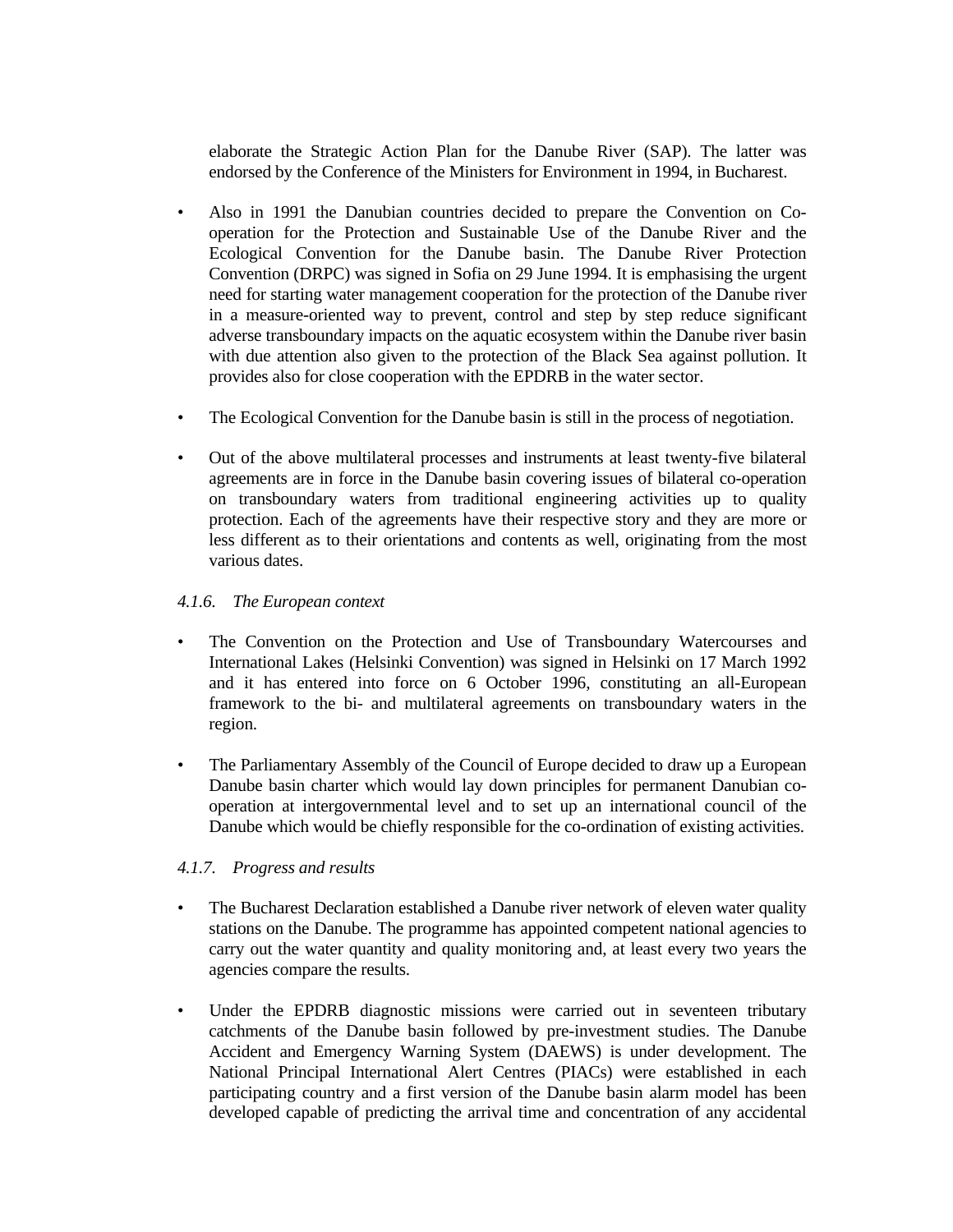elaborate the Strategic Action Plan for the Danube River (SAP). The latter was endorsed by the Conference of the Ministers for Environment in 1994, in Bucharest.

- Also in 1991 the Danubian countries decided to prepare the Convention on Cooperation for the Protection and Sustainable Use of the Danube River and the Ecological Convention for the Danube basin. The Danube River Protection Convention (DRPC) was signed in Sofia on 29 June 1994. It is emphasising the urgent need for starting water management cooperation for the protection of the Danube river in a measure-oriented way to prevent, control and step by step reduce significant adverse transboundary impacts on the aquatic ecosystem within the Danube river basin with due attention also given to the protection of the Black Sea against pollution. It provides also for close cooperation with the EPDRB in the water sector.
- The Ecological Convention for the Danube basin is still in the process of negotiation.
- Out of the above multilateral processes and instruments at least twenty-five bilateral agreements are in force in the Danube basin covering issues of bilateral co-operation on transboundary waters from traditional engineering activities up to quality protection. Each of the agreements have their respective story and they are more or less different as to their orientations and contents as well, originating from the most various dates.

### *4.1.6. The European context*

- The Convention on the Protection and Use of Transboundary Watercourses and International Lakes (Helsinki Convention) was signed in Helsinki on 17 March 1992 and it has entered into force on 6 October 1996, constituting an all-European framework to the bi- and multilateral agreements on transboundary waters in the region.
- The Parliamentary Assembly of the Council of Europe decided to draw up a European Danube basin charter which would lay down principles for permanent Danubian cooperation at intergovernmental level and to set up an international council of the Danube which would be chiefly responsible for the co-ordination of existing activities.

### *4.1.7. Progress and results*

- The Bucharest Declaration established a Danube river network of eleven water quality stations on the Danube. The programme has appointed competent national agencies to carry out the water quantity and quality monitoring and, at least every two years the agencies compare the results.
- Under the EPDRB diagnostic missions were carried out in seventeen tributary catchments of the Danube basin followed by pre-investment studies. The Danube Accident and Emergency Warning System (DAEWS) is under development. The National Principal International Alert Centres (PIACs) were established in each participating country and a first version of the Danube basin alarm model has been developed capable of predicting the arrival time and concentration of any accidental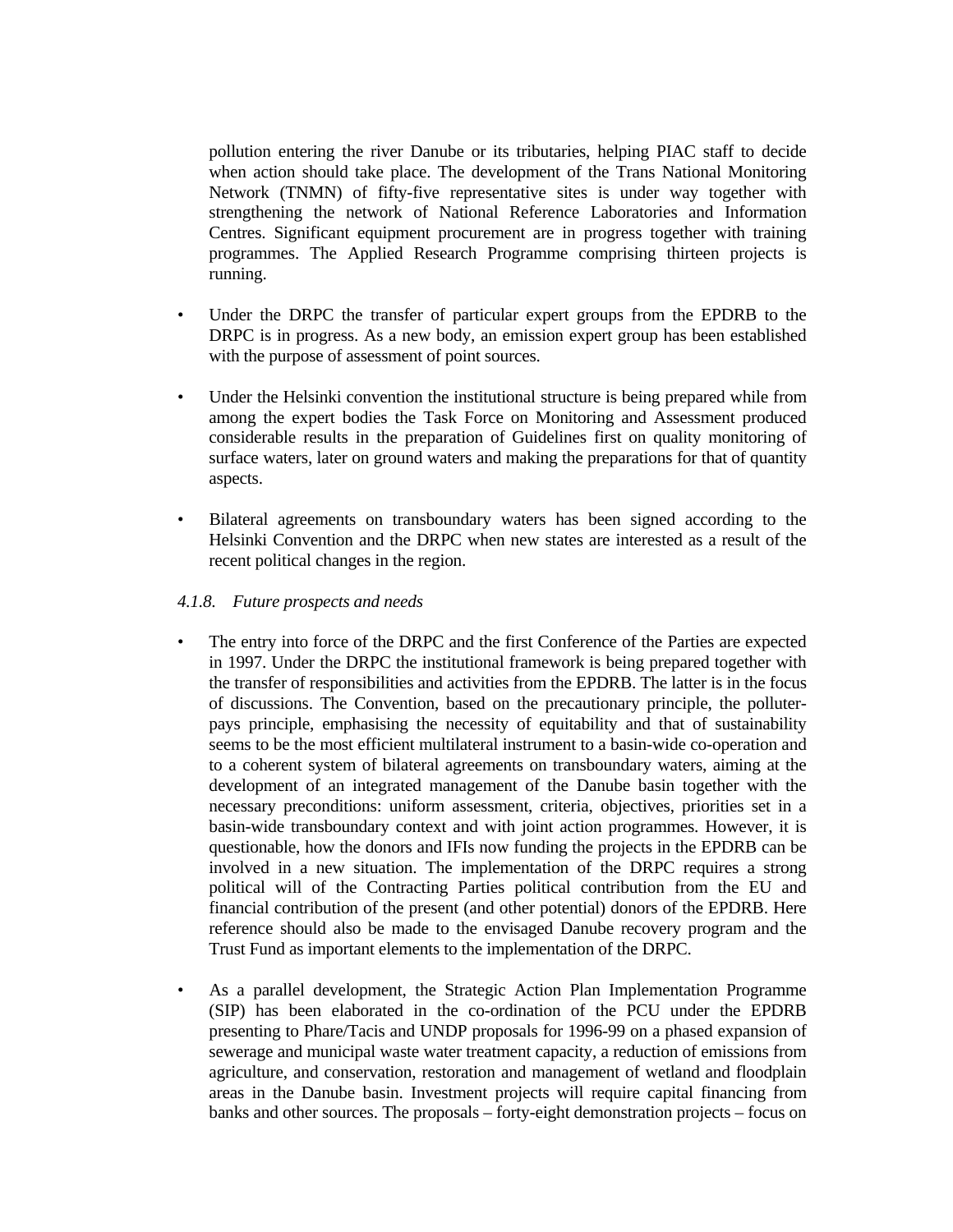pollution entering the river Danube or its tributaries, helping PIAC staff to decide when action should take place. The development of the Trans National Monitoring Network (TNMN) of fifty-five representative sites is under way together with strengthening the network of National Reference Laboratories and Information Centres. Significant equipment procurement are in progress together with training programmes. The Applied Research Programme comprising thirteen projects is running.

- Under the DRPC the transfer of particular expert groups from the EPDRB to the DRPC is in progress. As a new body, an emission expert group has been established with the purpose of assessment of point sources.
- Under the Helsinki convention the institutional structure is being prepared while from among the expert bodies the Task Force on Monitoring and Assessment produced considerable results in the preparation of Guidelines first on quality monitoring of surface waters, later on ground waters and making the preparations for that of quantity aspects.
- Bilateral agreements on transboundary waters has been signed according to the Helsinki Convention and the DRPC when new states are interested as a result of the recent political changes in the region.

#### *4.1.8. Future prospects and needs*

- The entry into force of the DRPC and the first Conference of the Parties are expected in 1997. Under the DRPC the institutional framework is being prepared together with the transfer of responsibilities and activities from the EPDRB. The latter is in the focus of discussions. The Convention, based on the precautionary principle, the polluterpays principle, emphasising the necessity of equitability and that of sustainability seems to be the most efficient multilateral instrument to a basin-wide co-operation and to a coherent system of bilateral agreements on transboundary waters, aiming at the development of an integrated management of the Danube basin together with the necessary preconditions: uniform assessment, criteria, objectives, priorities set in a basin-wide transboundary context and with joint action programmes. However, it is questionable, how the donors and IFIs now funding the projects in the EPDRB can be involved in a new situation. The implementation of the DRPC requires a strong political will of the Contracting Parties political contribution from the EU and financial contribution of the present (and other potential) donors of the EPDRB. Here reference should also be made to the envisaged Danube recovery program and the Trust Fund as important elements to the implementation of the DRPC.
- As a parallel development, the Strategic Action Plan Implementation Programme (SIP) has been elaborated in the co-ordination of the PCU under the EPDRB presenting to Phare/Tacis and UNDP proposals for 1996-99 on a phased expansion of sewerage and municipal waste water treatment capacity, a reduction of emissions from agriculture, and conservation, restoration and management of wetland and floodplain areas in the Danube basin. Investment projects will require capital financing from banks and other sources. The proposals – forty-eight demonstration projects – focus on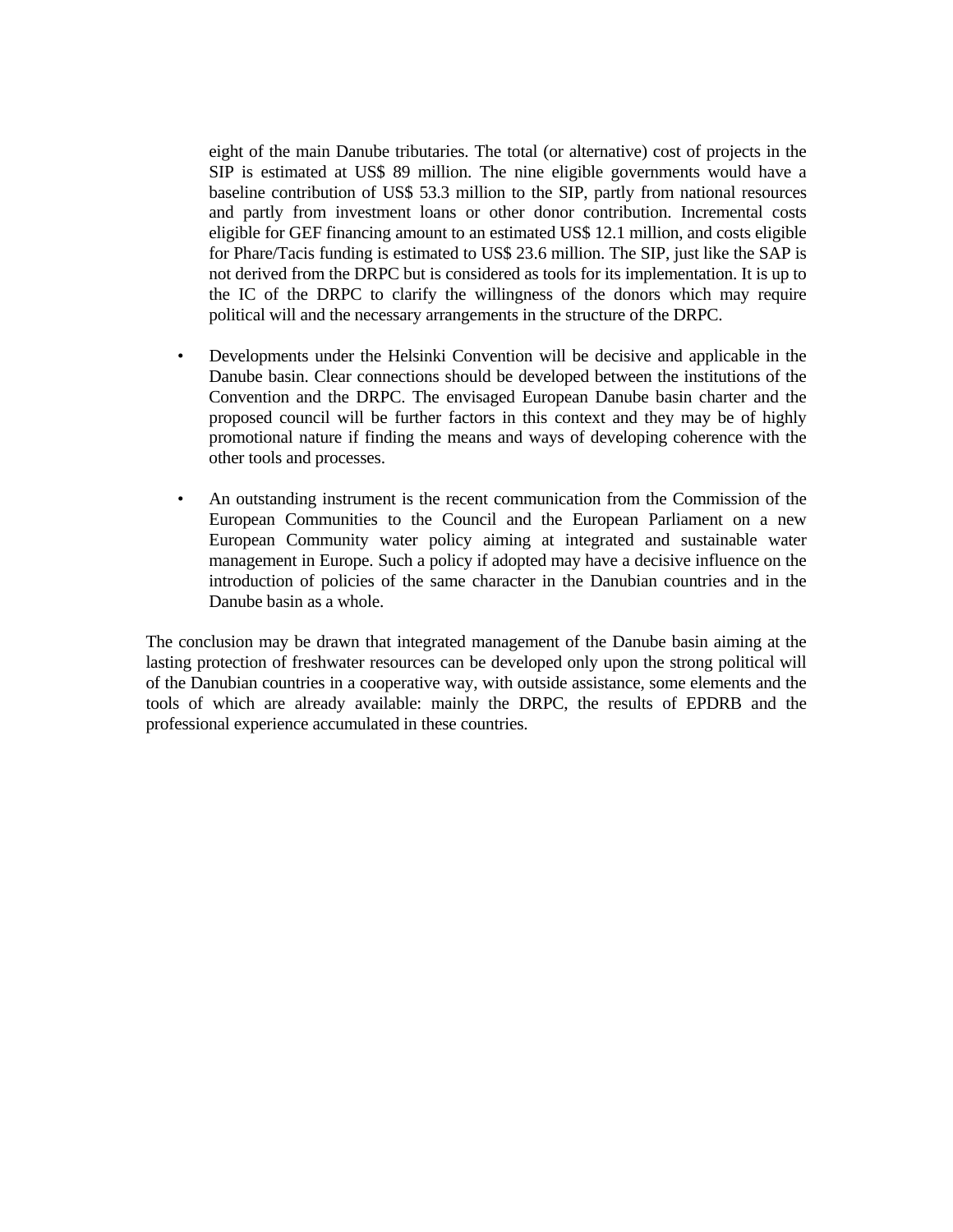eight of the main Danube tributaries. The total (or alternative) cost of projects in the SIP is estimated at US\$ 89 million. The nine eligible governments would have a baseline contribution of US\$ 53.3 million to the SIP, partly from national resources and partly from investment loans or other donor contribution. Incremental costs eligible for GEF financing amount to an estimated US\$ 12.1 million, and costs eligible for Phare/Tacis funding is estimated to US\$ 23.6 million. The SIP, just like the SAP is not derived from the DRPC but is considered as tools for its implementation. It is up to the IC of the DRPC to clarify the willingness of the donors which may require political will and the necessary arrangements in the structure of the DRPC.

- Developments under the Helsinki Convention will be decisive and applicable in the Danube basin. Clear connections should be developed between the institutions of the Convention and the DRPC. The envisaged European Danube basin charter and the proposed council will be further factors in this context and they may be of highly promotional nature if finding the means and ways of developing coherence with the other tools and processes.
- An outstanding instrument is the recent communication from the Commission of the European Communities to the Council and the European Parliament on a new European Community water policy aiming at integrated and sustainable water management in Europe. Such a policy if adopted may have a decisive influence on the introduction of policies of the same character in the Danubian countries and in the Danube basin as a whole.

The conclusion may be drawn that integrated management of the Danube basin aiming at the lasting protection of freshwater resources can be developed only upon the strong political will of the Danubian countries in a cooperative way, with outside assistance, some elements and the tools of which are already available: mainly the DRPC, the results of EPDRB and the professional experience accumulated in these countries.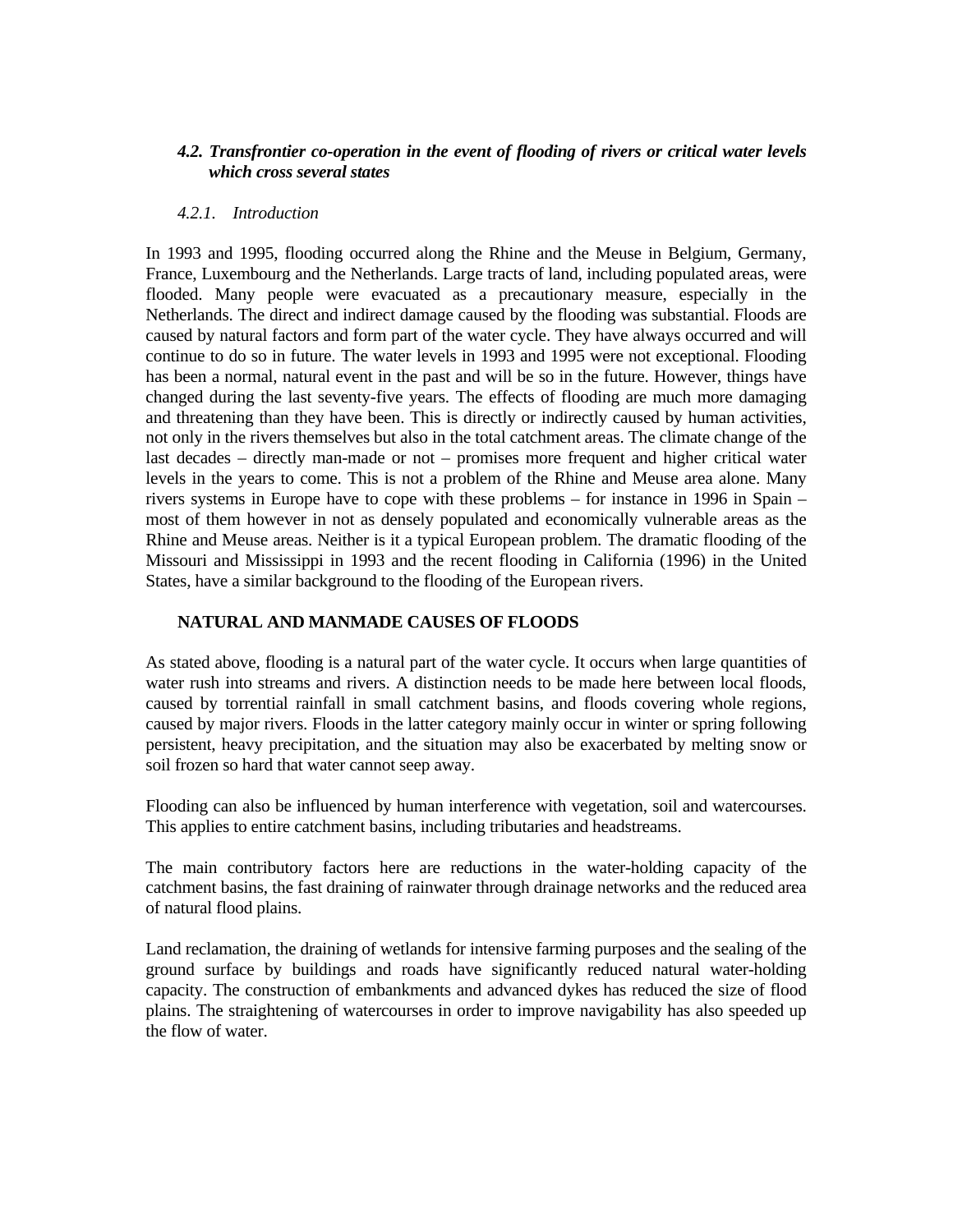### *4.2. Transfrontier co-operation in the event of flooding of rivers or critical water levels which cross several states*

#### *4.2.1. Introduction*

In 1993 and 1995, flooding occurred along the Rhine and the Meuse in Belgium, Germany, France, Luxembourg and the Netherlands. Large tracts of land, including populated areas, were flooded. Many people were evacuated as a precautionary measure, especially in the Netherlands. The direct and indirect damage caused by the flooding was substantial. Floods are caused by natural factors and form part of the water cycle. They have always occurred and will continue to do so in future. The water levels in 1993 and 1995 were not exceptional. Flooding has been a normal, natural event in the past and will be so in the future. However, things have changed during the last seventy-five years. The effects of flooding are much more damaging and threatening than they have been. This is directly or indirectly caused by human activities, not only in the rivers themselves but also in the total catchment areas. The climate change of the last decades – directly man-made or not – promises more frequent and higher critical water levels in the years to come. This is not a problem of the Rhine and Meuse area alone. Many rivers systems in Europe have to cope with these problems – for instance in 1996 in Spain – most of them however in not as densely populated and economically vulnerable areas as the Rhine and Meuse areas. Neither is it a typical European problem. The dramatic flooding of the Missouri and Mississippi in 1993 and the recent flooding in California (1996) in the United States, have a similar background to the flooding of the European rivers.

### **NATURAL AND MANMADE CAUSES OF FLOODS**

As stated above, flooding is a natural part of the water cycle. It occurs when large quantities of water rush into streams and rivers. A distinction needs to be made here between local floods, caused by torrential rainfall in small catchment basins, and floods covering whole regions, caused by major rivers. Floods in the latter category mainly occur in winter or spring following persistent, heavy precipitation, and the situation may also be exacerbated by melting snow or soil frozen so hard that water cannot seep away.

Flooding can also be influenced by human interference with vegetation, soil and watercourses. This applies to entire catchment basins, including tributaries and headstreams.

The main contributory factors here are reductions in the water-holding capacity of the catchment basins, the fast draining of rainwater through drainage networks and the reduced area of natural flood plains.

Land reclamation, the draining of wetlands for intensive farming purposes and the sealing of the ground surface by buildings and roads have significantly reduced natural water-holding capacity. The construction of embankments and advanced dykes has reduced the size of flood plains. The straightening of watercourses in order to improve navigability has also speeded up the flow of water.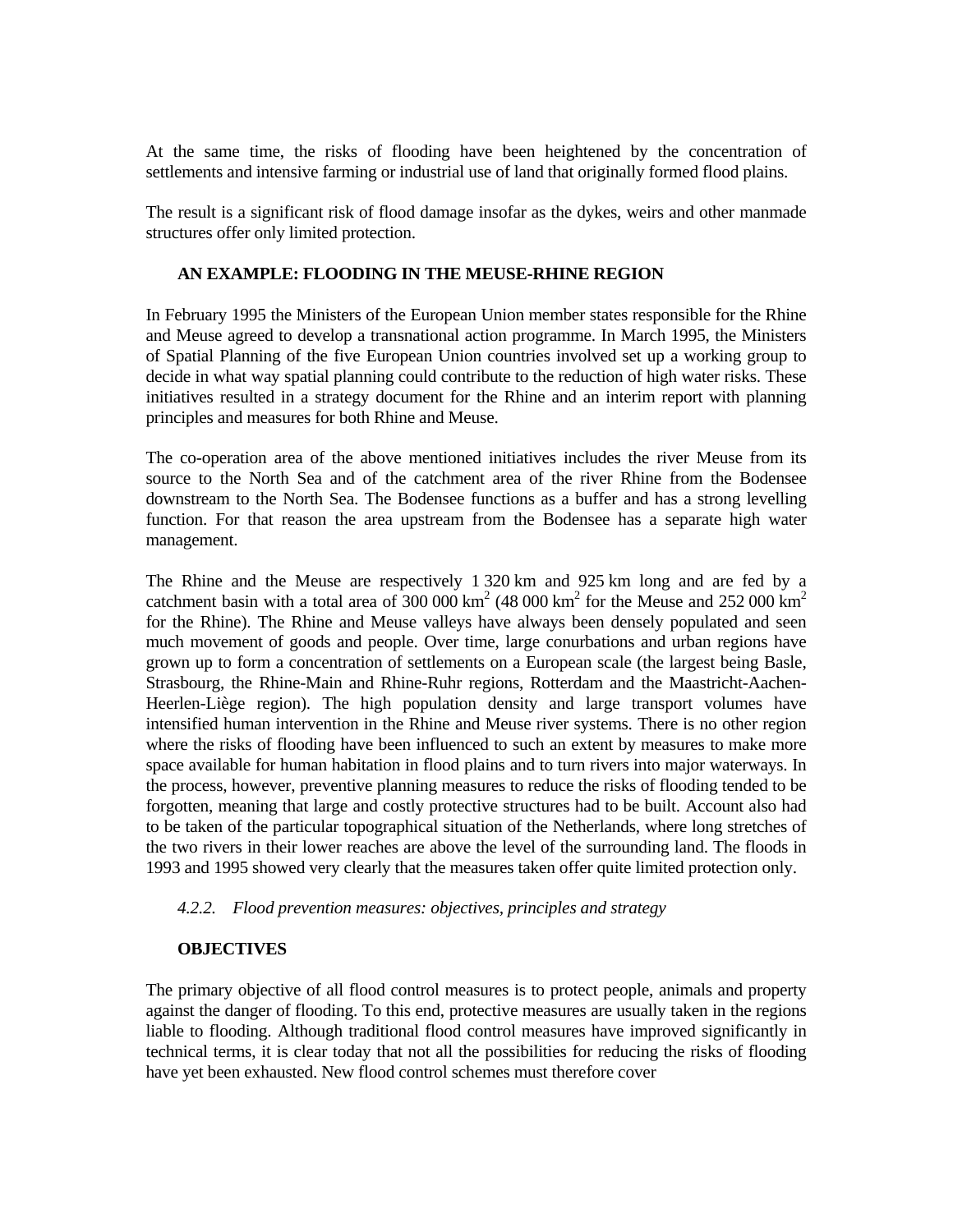At the same time, the risks of flooding have been heightened by the concentration of settlements and intensive farming or industrial use of land that originally formed flood plains.

The result is a significant risk of flood damage insofar as the dykes, weirs and other manmade structures offer only limited protection.

#### **AN EXAMPLE: FLOODING IN THE MEUSE-RHINE REGION**

In February 1995 the Ministers of the European Union member states responsible for the Rhine and Meuse agreed to develop a transnational action programme. In March 1995, the Ministers of Spatial Planning of the five European Union countries involved set up a working group to decide in what way spatial planning could contribute to the reduction of high water risks. These initiatives resulted in a strategy document for the Rhine and an interim report with planning principles and measures for both Rhine and Meuse.

The co-operation area of the above mentioned initiatives includes the river Meuse from its source to the North Sea and of the catchment area of the river Rhine from the Bodensee downstream to the North Sea. The Bodensee functions as a buffer and has a strong levelling function. For that reason the area upstream from the Bodensee has a separate high water management.

The Rhine and the Meuse are respectively 1 320 km and 925 km long and are fed by a catchment basin with a total area of  $300\,000\,\text{km}^2$  (48 000 km<sup>2</sup> for the Meuse and 252 000 km<sup>2</sup> for the Rhine). The Rhine and Meuse valleys have always been densely populated and seen much movement of goods and people. Over time, large conurbations and urban regions have grown up to form a concentration of settlements on a European scale (the largest being Basle, Strasbourg, the Rhine-Main and Rhine-Ruhr regions, Rotterdam and the Maastricht-Aachen-Heerlen-Liège region). The high population density and large transport volumes have intensified human intervention in the Rhine and Meuse river systems. There is no other region where the risks of flooding have been influenced to such an extent by measures to make more space available for human habitation in flood plains and to turn rivers into major waterways. In the process, however, preventive planning measures to reduce the risks of flooding tended to be forgotten, meaning that large and costly protective structures had to be built. Account also had to be taken of the particular topographical situation of the Netherlands, where long stretches of the two rivers in their lower reaches are above the level of the surrounding land. The floods in 1993 and 1995 showed very clearly that the measures taken offer quite limited protection only.

#### *4.2.2. Flood prevention measures: objectives, principles and strategy*

#### **OBJECTIVES**

The primary objective of all flood control measures is to protect people, animals and property against the danger of flooding. To this end, protective measures are usually taken in the regions liable to flooding. Although traditional flood control measures have improved significantly in technical terms, it is clear today that not all the possibilities for reducing the risks of flooding have yet been exhausted. New flood control schemes must therefore cover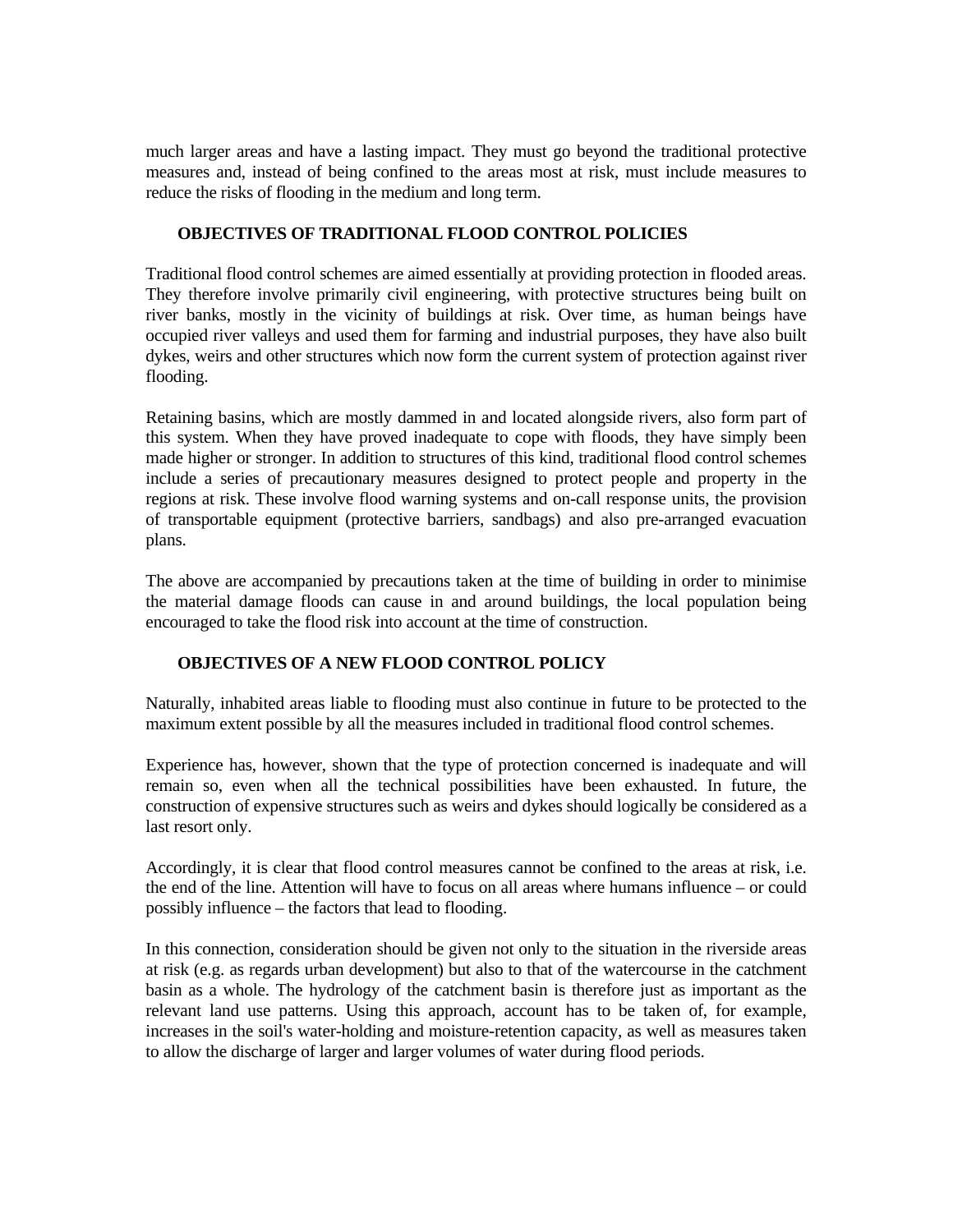much larger areas and have a lasting impact. They must go beyond the traditional protective measures and, instead of being confined to the areas most at risk, must include measures to reduce the risks of flooding in the medium and long term.

## **OBJECTIVES OF TRADITIONAL FLOOD CONTROL POLICIES**

Traditional flood control schemes are aimed essentially at providing protection in flooded areas. They therefore involve primarily civil engineering, with protective structures being built on river banks, mostly in the vicinity of buildings at risk. Over time, as human beings have occupied river valleys and used them for farming and industrial purposes, they have also built dykes, weirs and other structures which now form the current system of protection against river flooding.

Retaining basins, which are mostly dammed in and located alongside rivers, also form part of this system. When they have proved inadequate to cope with floods, they have simply been made higher or stronger. In addition to structures of this kind, traditional flood control schemes include a series of precautionary measures designed to protect people and property in the regions at risk. These involve flood warning systems and on-call response units, the provision of transportable equipment (protective barriers, sandbags) and also pre-arranged evacuation plans.

The above are accompanied by precautions taken at the time of building in order to minimise the material damage floods can cause in and around buildings, the local population being encouraged to take the flood risk into account at the time of construction.

# **OBJECTIVES OF A NEW FLOOD CONTROL POLICY**

Naturally, inhabited areas liable to flooding must also continue in future to be protected to the maximum extent possible by all the measures included in traditional flood control schemes.

Experience has, however, shown that the type of protection concerned is inadequate and will remain so, even when all the technical possibilities have been exhausted. In future, the construction of expensive structures such as weirs and dykes should logically be considered as a last resort only.

Accordingly, it is clear that flood control measures cannot be confined to the areas at risk, i.e. the end of the line. Attention will have to focus on all areas where humans influence – or could possibly influence – the factors that lead to flooding.

In this connection, consideration should be given not only to the situation in the riverside areas at risk (e.g. as regards urban development) but also to that of the watercourse in the catchment basin as a whole. The hydrology of the catchment basin is therefore just as important as the relevant land use patterns. Using this approach, account has to be taken of, for example, increases in the soil's water-holding and moisture-retention capacity, as well as measures taken to allow the discharge of larger and larger volumes of water during flood periods.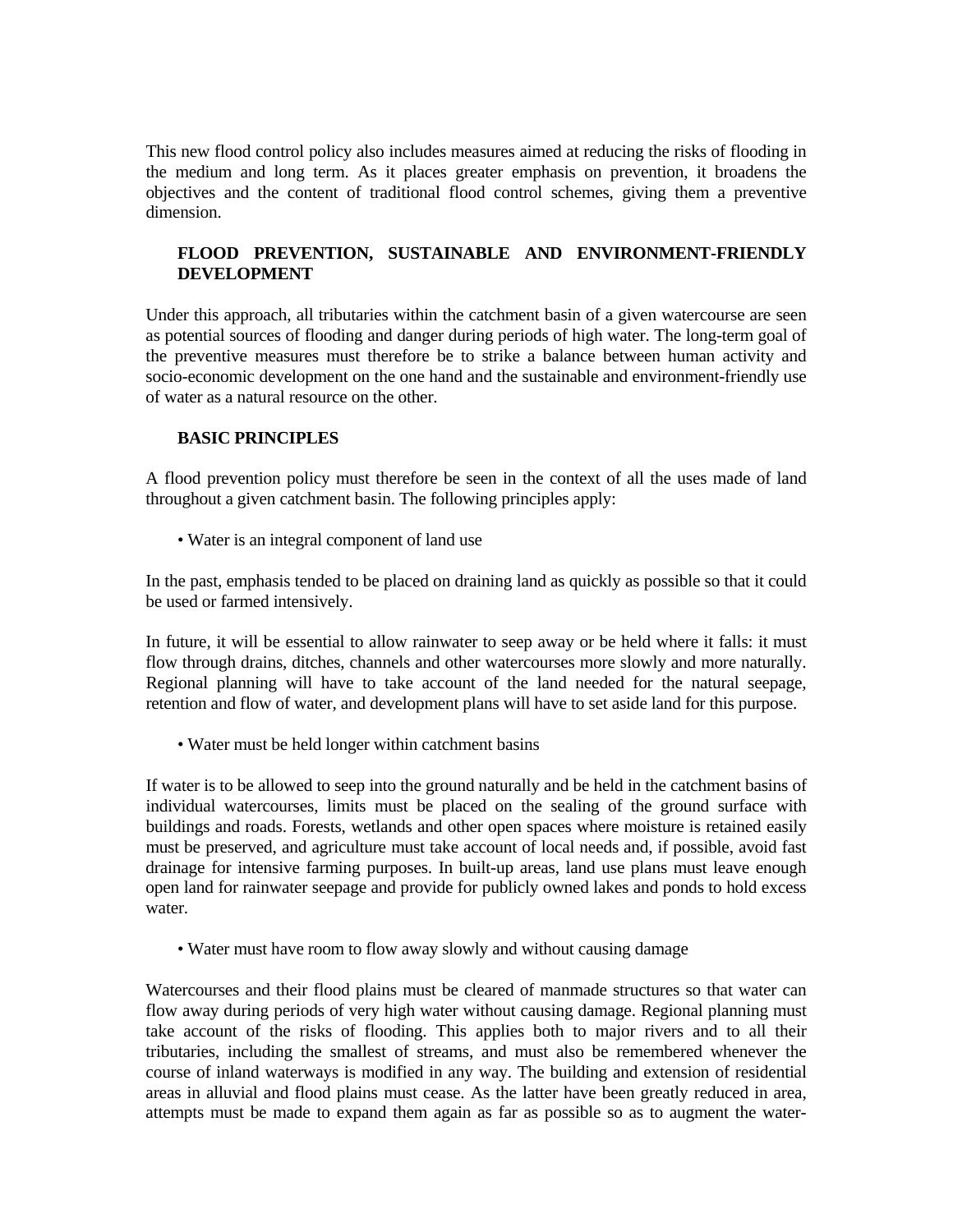This new flood control policy also includes measures aimed at reducing the risks of flooding in the medium and long term. As it places greater emphasis on prevention, it broadens the objectives and the content of traditional flood control schemes, giving them a preventive dimension.

# **FLOOD PREVENTION, SUSTAINABLE AND ENVIRONMENT-FRIENDLY DEVELOPMENT**

Under this approach, all tributaries within the catchment basin of a given watercourse are seen as potential sources of flooding and danger during periods of high water. The long-term goal of the preventive measures must therefore be to strike a balance between human activity and socio-economic development on the one hand and the sustainable and environment-friendly use of water as a natural resource on the other.

## **BASIC PRINCIPLES**

A flood prevention policy must therefore be seen in the context of all the uses made of land throughout a given catchment basin. The following principles apply:

• Water is an integral component of land use

In the past, emphasis tended to be placed on draining land as quickly as possible so that it could be used or farmed intensively.

In future, it will be essential to allow rainwater to seep away or be held where it falls: it must flow through drains, ditches, channels and other watercourses more slowly and more naturally. Regional planning will have to take account of the land needed for the natural seepage, retention and flow of water, and development plans will have to set aside land for this purpose.

• Water must be held longer within catchment basins

If water is to be allowed to seep into the ground naturally and be held in the catchment basins of individual watercourses, limits must be placed on the sealing of the ground surface with buildings and roads. Forests, wetlands and other open spaces where moisture is retained easily must be preserved, and agriculture must take account of local needs and, if possible, avoid fast drainage for intensive farming purposes. In built-up areas, land use plans must leave enough open land for rainwater seepage and provide for publicly owned lakes and ponds to hold excess water.

• Water must have room to flow away slowly and without causing damage

Watercourses and their flood plains must be cleared of manmade structures so that water can flow away during periods of very high water without causing damage. Regional planning must take account of the risks of flooding. This applies both to major rivers and to all their tributaries, including the smallest of streams, and must also be remembered whenever the course of inland waterways is modified in any way. The building and extension of residential areas in alluvial and flood plains must cease. As the latter have been greatly reduced in area, attempts must be made to expand them again as far as possible so as to augment the water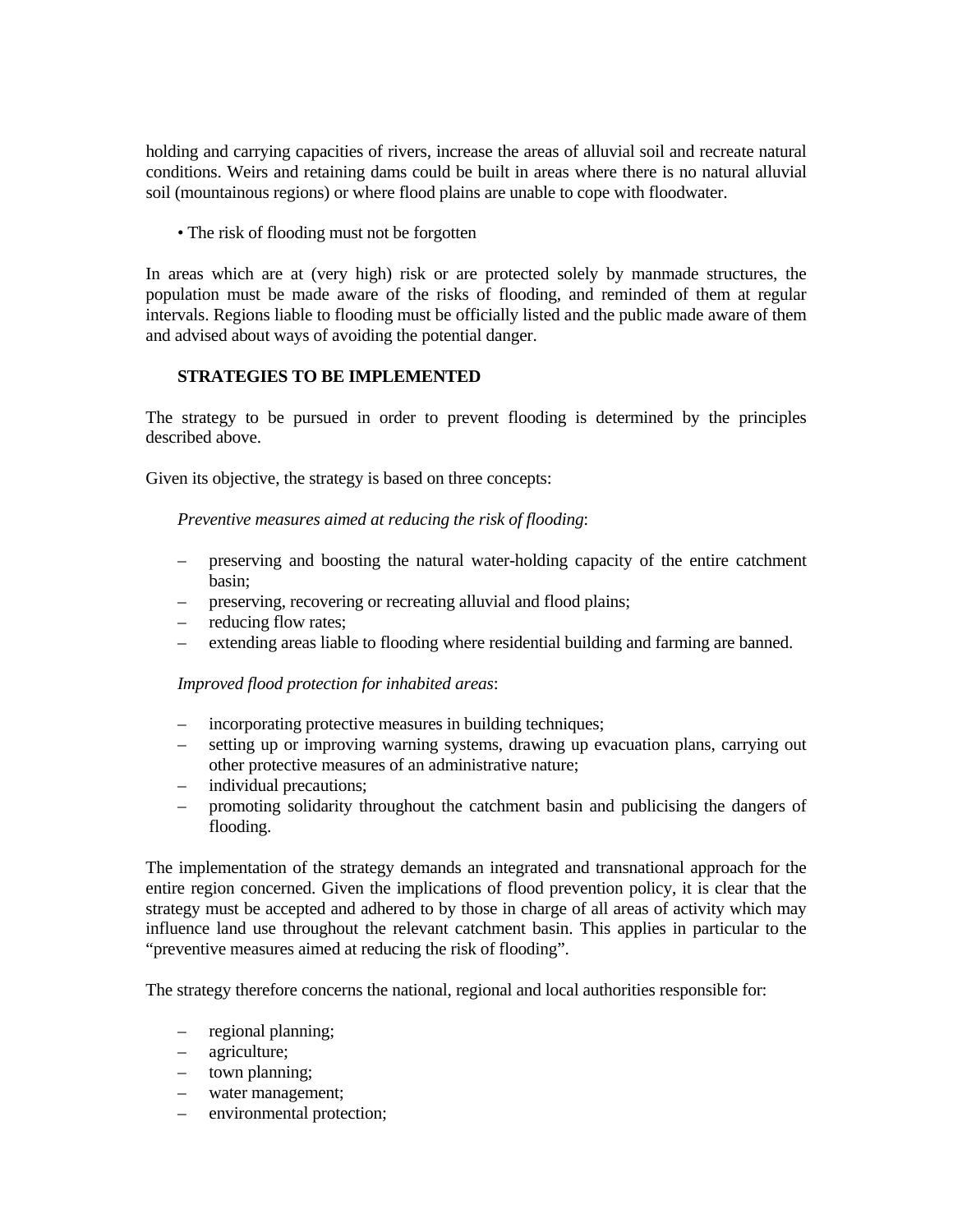holding and carrying capacities of rivers, increase the areas of alluvial soil and recreate natural conditions. Weirs and retaining dams could be built in areas where there is no natural alluvial soil (mountainous regions) or where flood plains are unable to cope with floodwater.

• The risk of flooding must not be forgotten

In areas which are at (very high) risk or are protected solely by manmade structures, the population must be made aware of the risks of flooding, and reminded of them at regular intervals. Regions liable to flooding must be officially listed and the public made aware of them and advised about ways of avoiding the potential danger.

## **STRATEGIES TO BE IMPLEMENTED**

The strategy to be pursued in order to prevent flooding is determined by the principles described above.

Given its objective, the strategy is based on three concepts:

 *Preventive measures aimed at reducing the risk of flooding*:

- preserving and boosting the natural water-holding capacity of the entire catchment basin;
- preserving, recovering or recreating alluvial and flood plains;
- reducing flow rates;
- extending areas liable to flooding where residential building and farming are banned.

 *Improved flood protection for inhabited areas*:

- incorporating protective measures in building techniques;
- setting up or improving warning systems, drawing up evacuation plans, carrying out other protective measures of an administrative nature;
- individual precautions;
- promoting solidarity throughout the catchment basin and publicising the dangers of flooding.

The implementation of the strategy demands an integrated and transnational approach for the entire region concerned. Given the implications of flood prevention policy, it is clear that the strategy must be accepted and adhered to by those in charge of all areas of activity which may influence land use throughout the relevant catchment basin. This applies in particular to the "preventive measures aimed at reducing the risk of flooding".

The strategy therefore concerns the national, regional and local authorities responsible for:

- regional planning;
- agriculture;
- town planning;
- water management;
- environmental protection;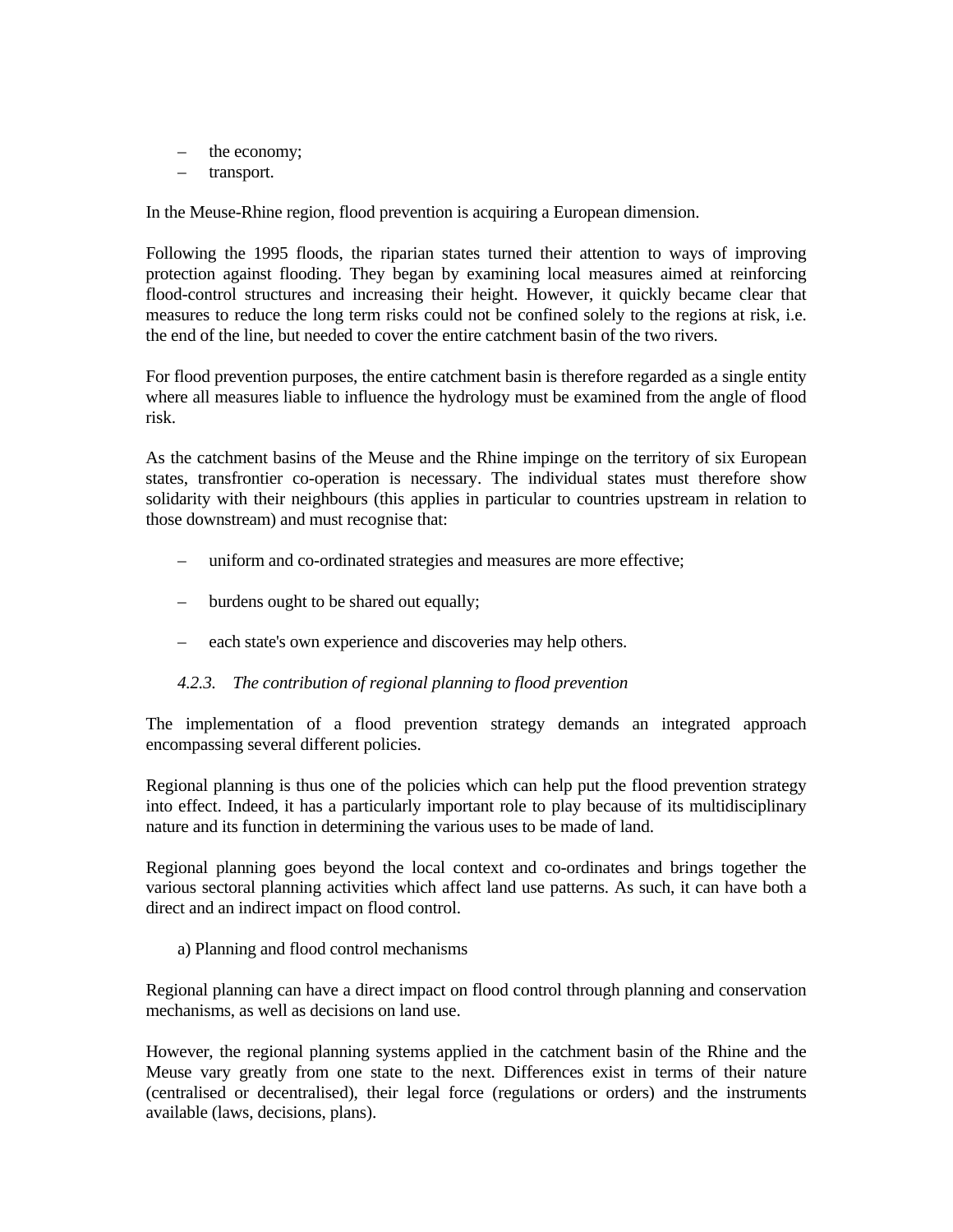- the economy;
- transport.

In the Meuse-Rhine region, flood prevention is acquiring a European dimension.

Following the 1995 floods, the riparian states turned their attention to ways of improving protection against flooding. They began by examining local measures aimed at reinforcing flood-control structures and increasing their height. However, it quickly became clear that measures to reduce the long term risks could not be confined solely to the regions at risk, i.e. the end of the line, but needed to cover the entire catchment basin of the two rivers.

For flood prevention purposes, the entire catchment basin is therefore regarded as a single entity where all measures liable to influence the hydrology must be examined from the angle of flood risk.

As the catchment basins of the Meuse and the Rhine impinge on the territory of six European states, transfrontier co-operation is necessary. The individual states must therefore show solidarity with their neighbours (this applies in particular to countries upstream in relation to those downstream) and must recognise that:

- uniform and co-ordinated strategies and measures are more effective;
- burdens ought to be shared out equally;
- each state's own experience and discoveries may help others.

### *4.2.3. The contribution of regional planning to flood prevention*

The implementation of a flood prevention strategy demands an integrated approach encompassing several different policies.

Regional planning is thus one of the policies which can help put the flood prevention strategy into effect. Indeed, it has a particularly important role to play because of its multidisciplinary nature and its function in determining the various uses to be made of land.

Regional planning goes beyond the local context and co-ordinates and brings together the various sectoral planning activities which affect land use patterns. As such, it can have both a direct and an indirect impact on flood control.

a) Planning and flood control mechanisms

Regional planning can have a direct impact on flood control through planning and conservation mechanisms, as well as decisions on land use.

However, the regional planning systems applied in the catchment basin of the Rhine and the Meuse vary greatly from one state to the next. Differences exist in terms of their nature (centralised or decentralised), their legal force (regulations or orders) and the instruments available (laws, decisions, plans).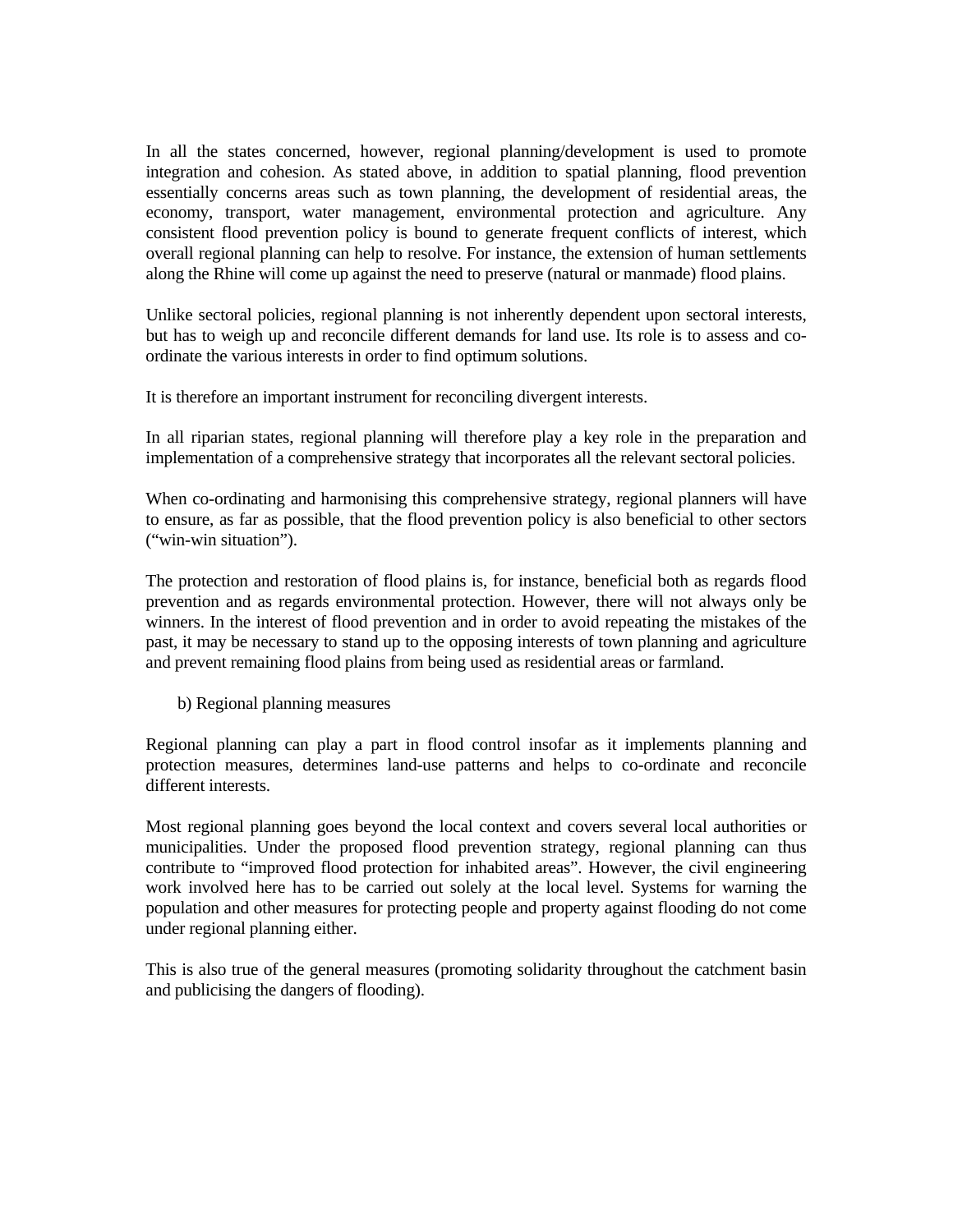In all the states concerned, however, regional planning/development is used to promote integration and cohesion. As stated above, in addition to spatial planning, flood prevention essentially concerns areas such as town planning, the development of residential areas, the economy, transport, water management, environmental protection and agriculture. Any consistent flood prevention policy is bound to generate frequent conflicts of interest, which overall regional planning can help to resolve. For instance, the extension of human settlements along the Rhine will come up against the need to preserve (natural or manmade) flood plains.

Unlike sectoral policies, regional planning is not inherently dependent upon sectoral interests, but has to weigh up and reconcile different demands for land use. Its role is to assess and coordinate the various interests in order to find optimum solutions.

It is therefore an important instrument for reconciling divergent interests.

In all riparian states, regional planning will therefore play a key role in the preparation and implementation of a comprehensive strategy that incorporates all the relevant sectoral policies.

When co-ordinating and harmonising this comprehensive strategy, regional planners will have to ensure, as far as possible, that the flood prevention policy is also beneficial to other sectors ("win-win situation").

The protection and restoration of flood plains is, for instance, beneficial both as regards flood prevention and as regards environmental protection. However, there will not always only be winners. In the interest of flood prevention and in order to avoid repeating the mistakes of the past, it may be necessary to stand up to the opposing interests of town planning and agriculture and prevent remaining flood plains from being used as residential areas or farmland.

b) Regional planning measures

Regional planning can play a part in flood control insofar as it implements planning and protection measures, determines land-use patterns and helps to co-ordinate and reconcile different interests.

Most regional planning goes beyond the local context and covers several local authorities or municipalities. Under the proposed flood prevention strategy, regional planning can thus contribute to "improved flood protection for inhabited areas". However, the civil engineering work involved here has to be carried out solely at the local level. Systems for warning the population and other measures for protecting people and property against flooding do not come under regional planning either.

This is also true of the general measures (promoting solidarity throughout the catchment basin and publicising the dangers of flooding).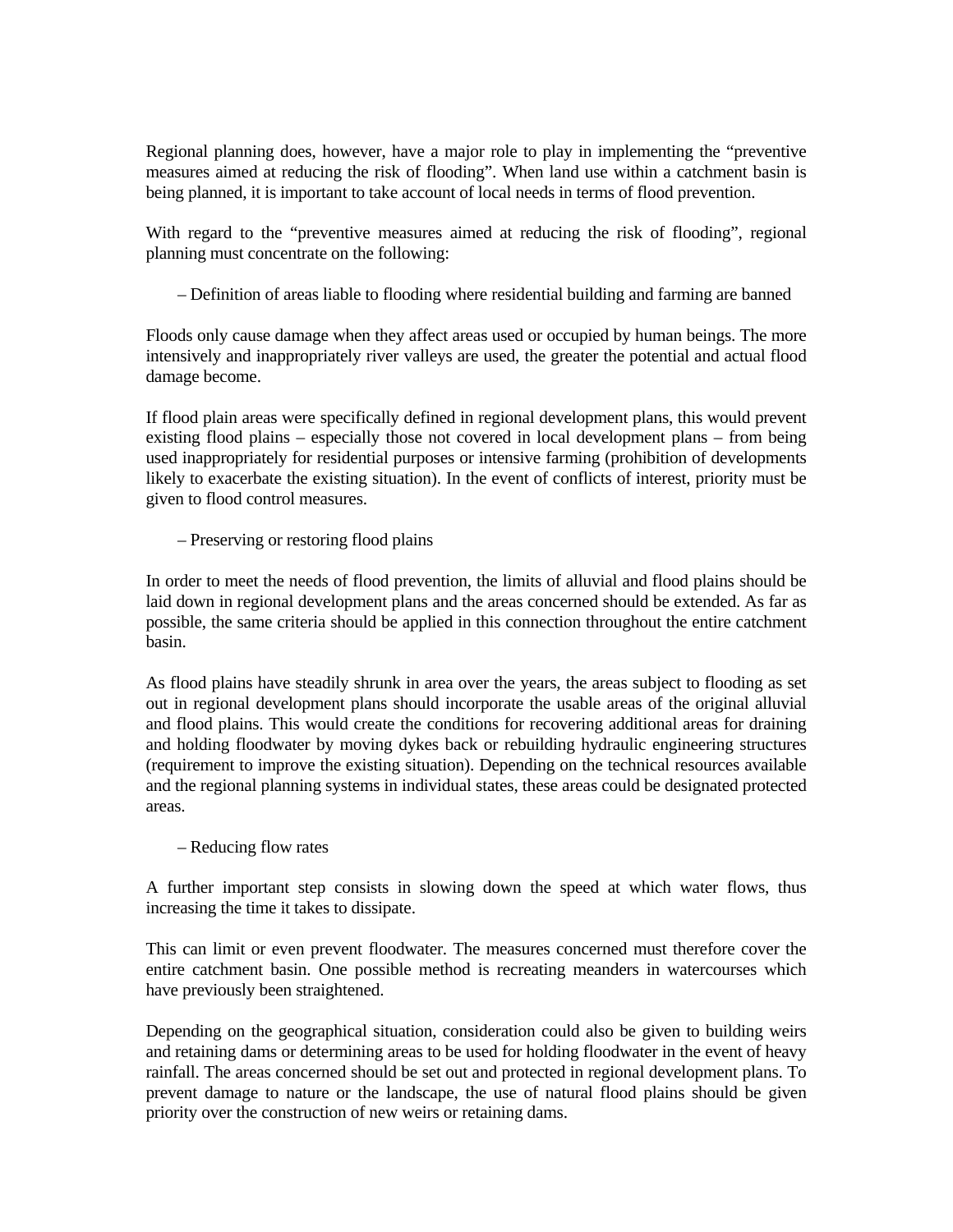Regional planning does, however, have a major role to play in implementing the "preventive measures aimed at reducing the risk of flooding". When land use within a catchment basin is being planned, it is important to take account of local needs in terms of flood prevention.

With regard to the "preventive measures aimed at reducing the risk of flooding", regional planning must concentrate on the following:

– Definition of areas liable to flooding where residential building and farming are banned

Floods only cause damage when they affect areas used or occupied by human beings. The more intensively and inappropriately river valleys are used, the greater the potential and actual flood damage become.

If flood plain areas were specifically defined in regional development plans, this would prevent existing flood plains – especially those not covered in local development plans – from being used inappropriately for residential purposes or intensive farming (prohibition of developments likely to exacerbate the existing situation). In the event of conflicts of interest, priority must be given to flood control measures.

– Preserving or restoring flood plains

In order to meet the needs of flood prevention, the limits of alluvial and flood plains should be laid down in regional development plans and the areas concerned should be extended. As far as possible, the same criteria should be applied in this connection throughout the entire catchment basin.

As flood plains have steadily shrunk in area over the years, the areas subject to flooding as set out in regional development plans should incorporate the usable areas of the original alluvial and flood plains. This would create the conditions for recovering additional areas for draining and holding floodwater by moving dykes back or rebuilding hydraulic engineering structures (requirement to improve the existing situation). Depending on the technical resources available and the regional planning systems in individual states, these areas could be designated protected areas.

– Reducing flow rates

A further important step consists in slowing down the speed at which water flows, thus increasing the time it takes to dissipate.

This can limit or even prevent floodwater. The measures concerned must therefore cover the entire catchment basin. One possible method is recreating meanders in watercourses which have previously been straightened.

Depending on the geographical situation, consideration could also be given to building weirs and retaining dams or determining areas to be used for holding floodwater in the event of heavy rainfall. The areas concerned should be set out and protected in regional development plans. To prevent damage to nature or the landscape, the use of natural flood plains should be given priority over the construction of new weirs or retaining dams.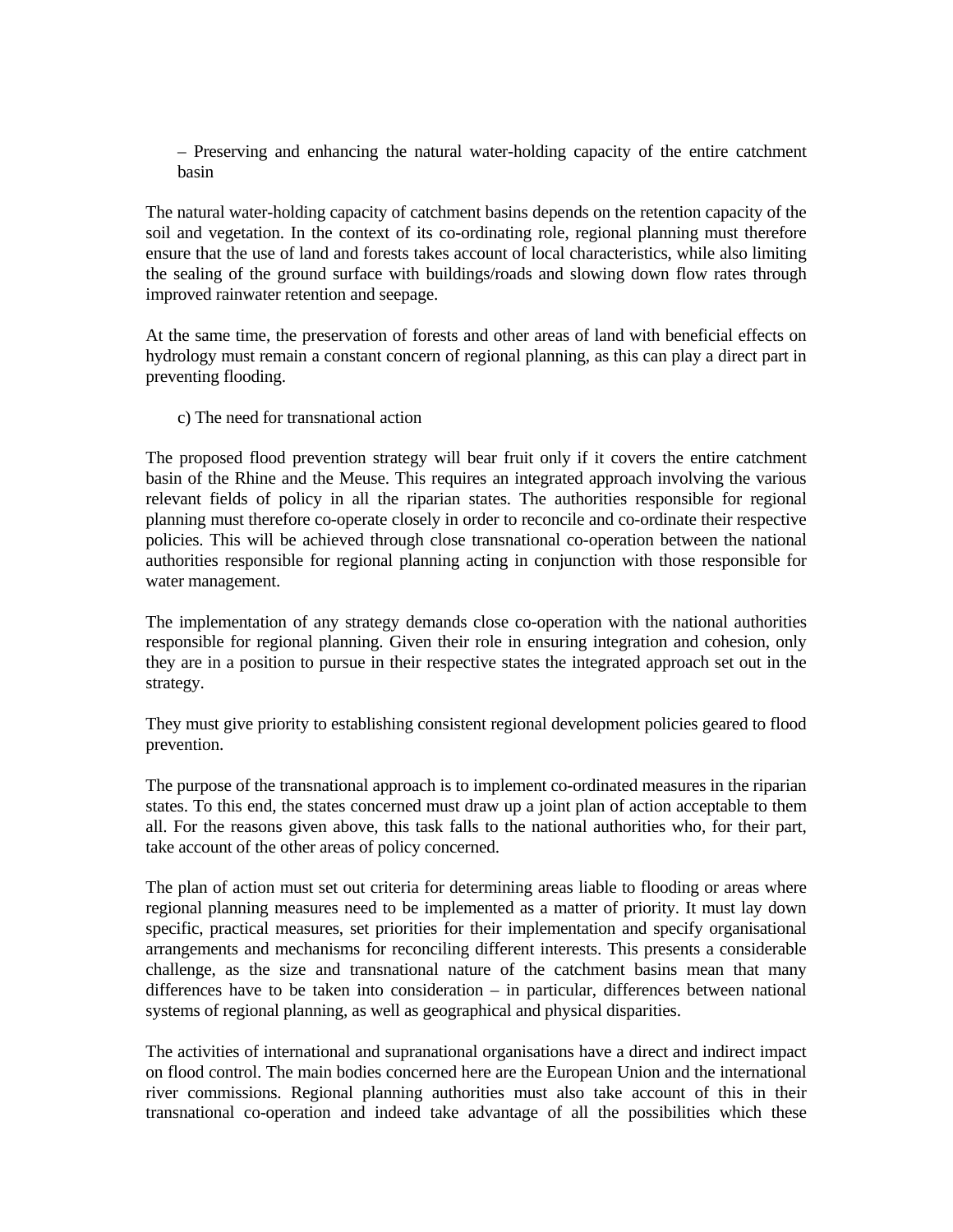– Preserving and enhancing the natural water-holding capacity of the entire catchment basin

The natural water-holding capacity of catchment basins depends on the retention capacity of the soil and vegetation. In the context of its co-ordinating role, regional planning must therefore ensure that the use of land and forests takes account of local characteristics, while also limiting the sealing of the ground surface with buildings/roads and slowing down flow rates through improved rainwater retention and seepage.

At the same time, the preservation of forests and other areas of land with beneficial effects on hydrology must remain a constant concern of regional planning, as this can play a direct part in preventing flooding.

c) The need for transnational action

The proposed flood prevention strategy will bear fruit only if it covers the entire catchment basin of the Rhine and the Meuse. This requires an integrated approach involving the various relevant fields of policy in all the riparian states. The authorities responsible for regional planning must therefore co-operate closely in order to reconcile and co-ordinate their respective policies. This will be achieved through close transnational co-operation between the national authorities responsible for regional planning acting in conjunction with those responsible for water management.

The implementation of any strategy demands close co-operation with the national authorities responsible for regional planning. Given their role in ensuring integration and cohesion, only they are in a position to pursue in their respective states the integrated approach set out in the strategy.

They must give priority to establishing consistent regional development policies geared to flood prevention.

The purpose of the transnational approach is to implement co-ordinated measures in the riparian states. To this end, the states concerned must draw up a joint plan of action acceptable to them all. For the reasons given above, this task falls to the national authorities who, for their part, take account of the other areas of policy concerned.

The plan of action must set out criteria for determining areas liable to flooding or areas where regional planning measures need to be implemented as a matter of priority. It must lay down specific, practical measures, set priorities for their implementation and specify organisational arrangements and mechanisms for reconciling different interests. This presents a considerable challenge, as the size and transnational nature of the catchment basins mean that many differences have to be taken into consideration – in particular, differences between national systems of regional planning, as well as geographical and physical disparities.

The activities of international and supranational organisations have a direct and indirect impact on flood control. The main bodies concerned here are the European Union and the international river commissions. Regional planning authorities must also take account of this in their transnational co-operation and indeed take advantage of all the possibilities which these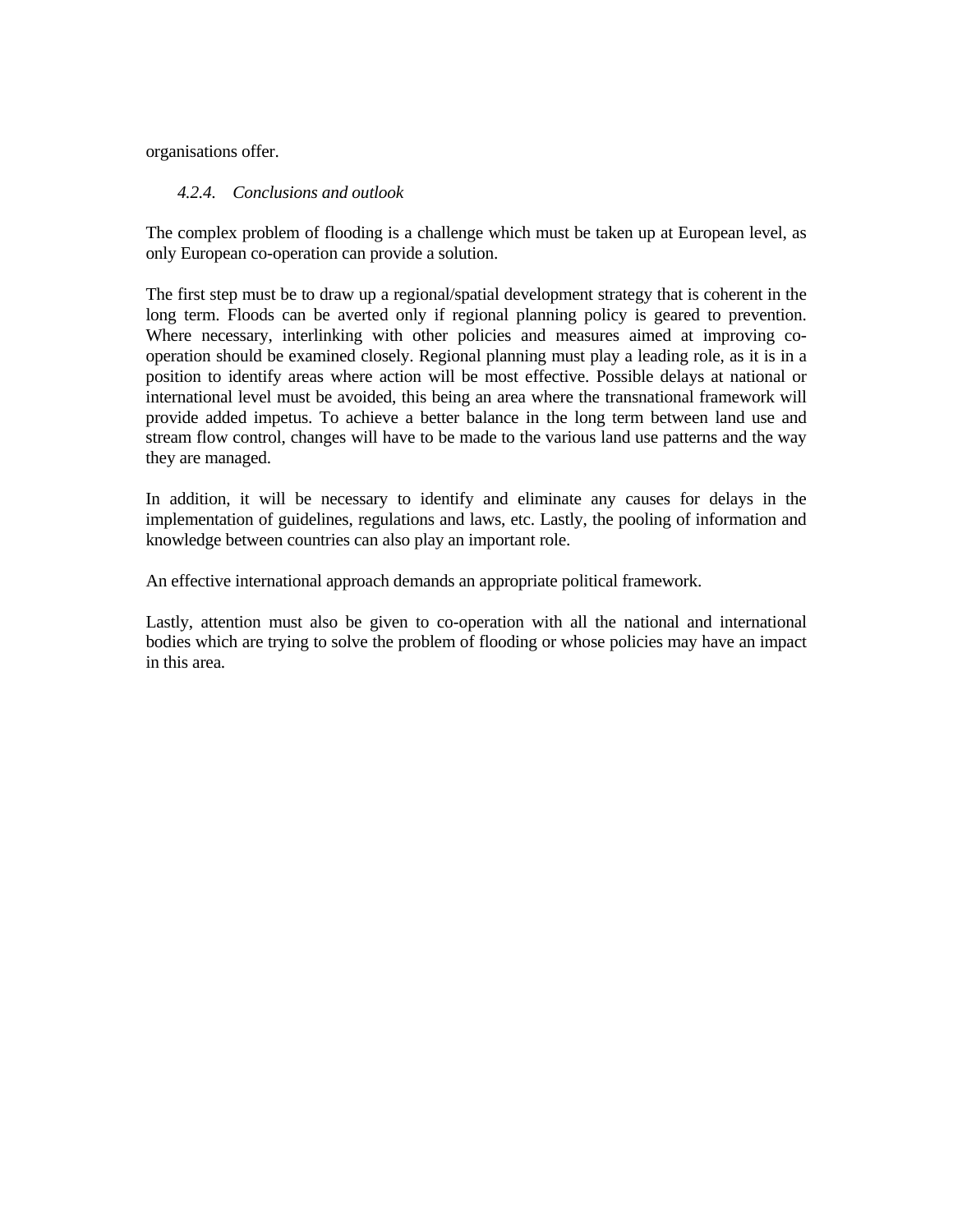organisations offer.

## *4.2.4. Conclusions and outlook*

The complex problem of flooding is a challenge which must be taken up at European level, as only European co-operation can provide a solution.

The first step must be to draw up a regional/spatial development strategy that is coherent in the long term. Floods can be averted only if regional planning policy is geared to prevention. Where necessary, interlinking with other policies and measures aimed at improving cooperation should be examined closely. Regional planning must play a leading role, as it is in a position to identify areas where action will be most effective. Possible delays at national or international level must be avoided, this being an area where the transnational framework will provide added impetus. To achieve a better balance in the long term between land use and stream flow control, changes will have to be made to the various land use patterns and the way they are managed.

In addition, it will be necessary to identify and eliminate any causes for delays in the implementation of guidelines, regulations and laws, etc. Lastly, the pooling of information and knowledge between countries can also play an important role.

An effective international approach demands an appropriate political framework.

Lastly, attention must also be given to co-operation with all the national and international bodies which are trying to solve the problem of flooding or whose policies may have an impact in this area.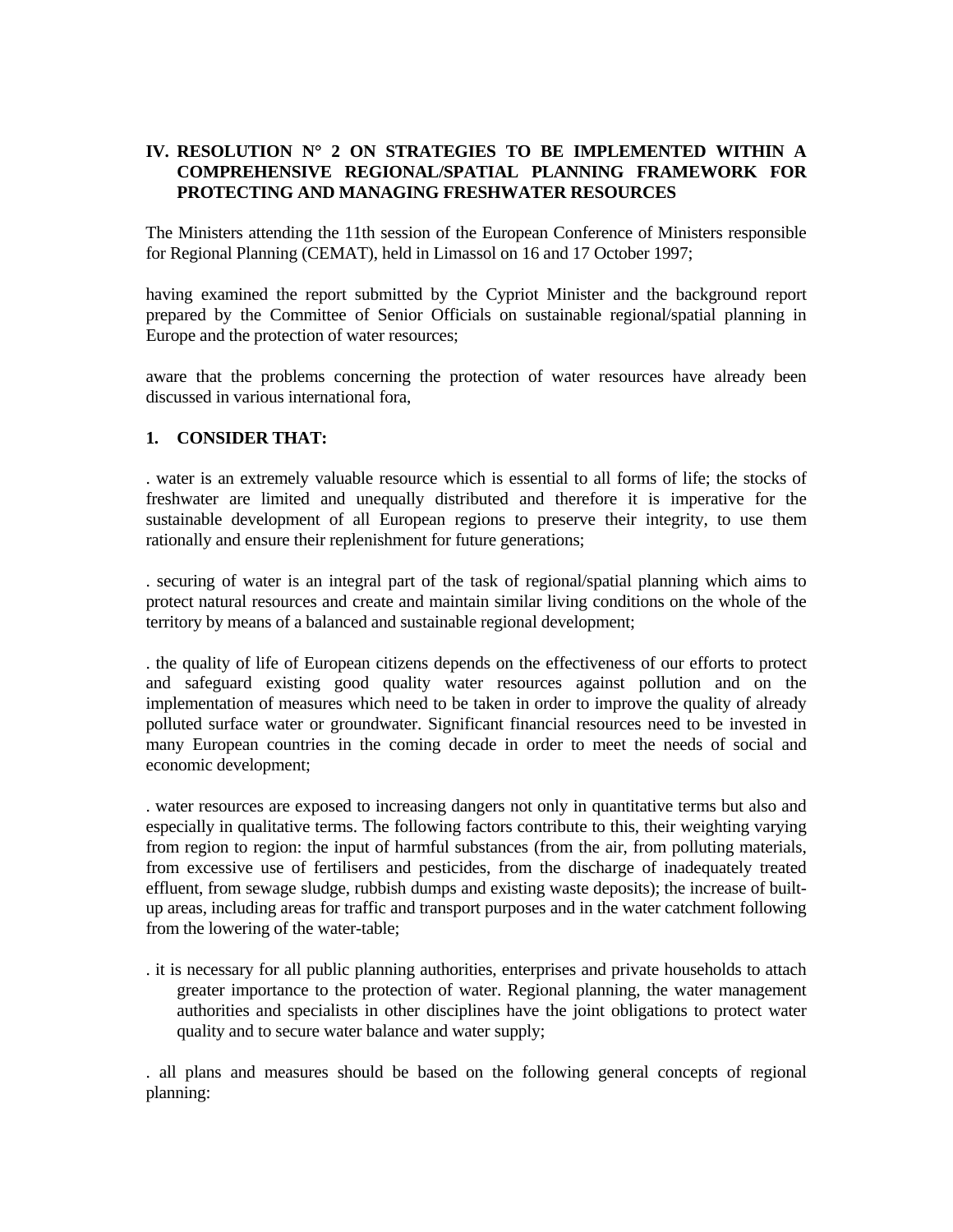# **IV. RESOLUTION N**° **2 ON STRATEGIES TO BE IMPLEMENTED WITHIN A COMPREHENSIVE REGIONAL/SPATIAL PLANNING FRAMEWORK FOR PROTECTING AND MANAGING FRESHWATER RESOURCES**

The Ministers attending the 11th session of the European Conference of Ministers responsible for Regional Planning (CEMAT), held in Limassol on 16 and 17 October 1997;

having examined the report submitted by the Cypriot Minister and the background report prepared by the Committee of Senior Officials on sustainable regional/spatial planning in Europe and the protection of water resources;

aware that the problems concerning the protection of water resources have already been discussed in various international fora,

### **1. CONSIDER THAT:**

. water is an extremely valuable resource which is essential to all forms of life; the stocks of freshwater are limited and unequally distributed and therefore it is imperative for the sustainable development of all European regions to preserve their integrity, to use them rationally and ensure their replenishment for future generations;

. securing of water is an integral part of the task of regional/spatial planning which aims to protect natural resources and create and maintain similar living conditions on the whole of the territory by means of a balanced and sustainable regional development;

. the quality of life of European citizens depends on the effectiveness of our efforts to protect and safeguard existing good quality water resources against pollution and on the implementation of measures which need to be taken in order to improve the quality of already polluted surface water or groundwater. Significant financial resources need to be invested in many European countries in the coming decade in order to meet the needs of social and economic development;

. water resources are exposed to increasing dangers not only in quantitative terms but also and especially in qualitative terms. The following factors contribute to this, their weighting varying from region to region: the input of harmful substances (from the air, from polluting materials, from excessive use of fertilisers and pesticides, from the discharge of inadequately treated effluent, from sewage sludge, rubbish dumps and existing waste deposits); the increase of builtup areas, including areas for traffic and transport purposes and in the water catchment following from the lowering of the water-table;

. it is necessary for all public planning authorities, enterprises and private households to attach greater importance to the protection of water. Regional planning, the water management authorities and specialists in other disciplines have the joint obligations to protect water quality and to secure water balance and water supply;

. all plans and measures should be based on the following general concepts of regional planning: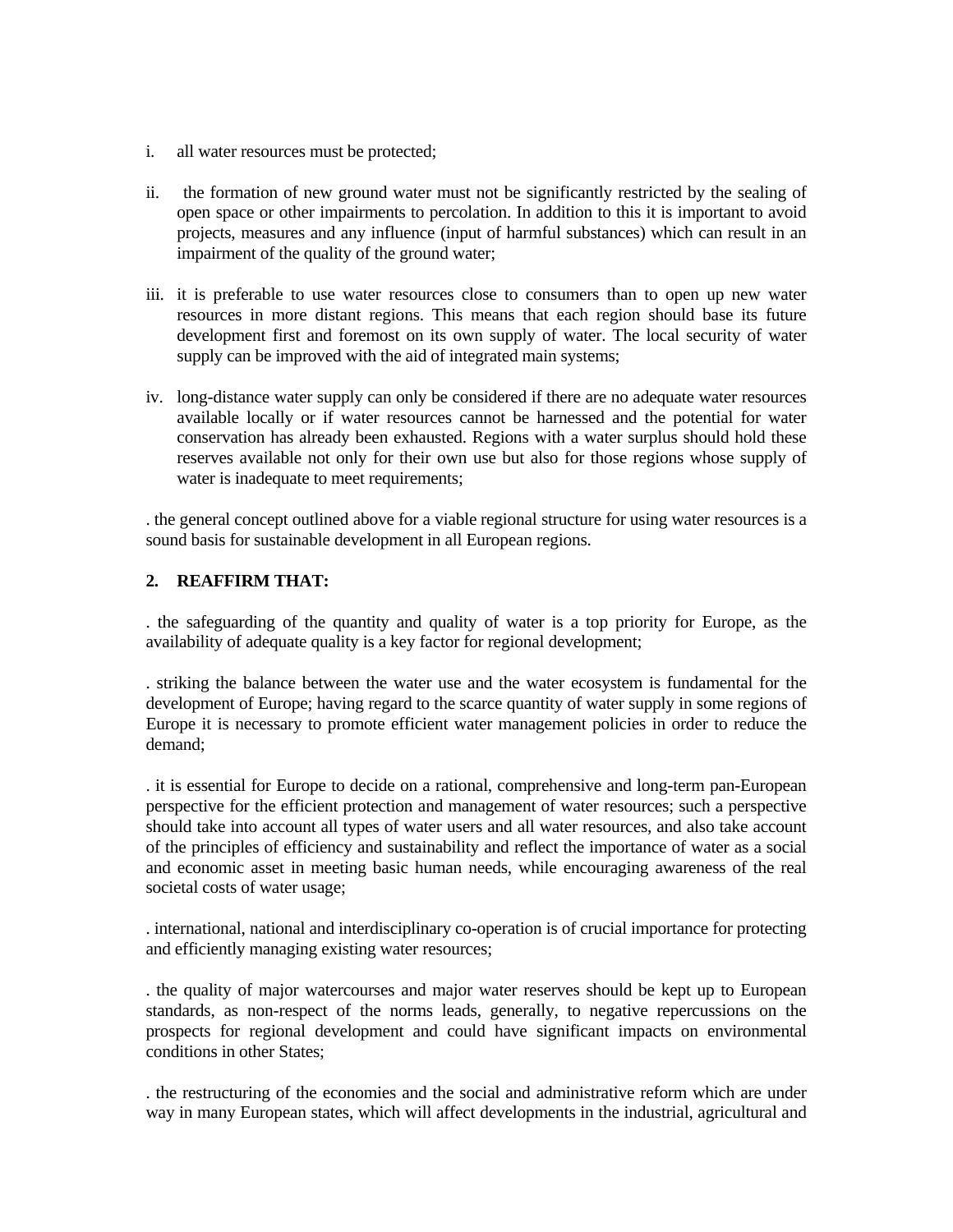- i. all water resources must be protected;
- ii. the formation of new ground water must not be significantly restricted by the sealing of open space or other impairments to percolation. In addition to this it is important to avoid projects, measures and any influence (input of harmful substances) which can result in an impairment of the quality of the ground water;
- iii. it is preferable to use water resources close to consumers than to open up new water resources in more distant regions. This means that each region should base its future development first and foremost on its own supply of water. The local security of water supply can be improved with the aid of integrated main systems;
- iv. long-distance water supply can only be considered if there are no adequate water resources available locally or if water resources cannot be harnessed and the potential for water conservation has already been exhausted. Regions with a water surplus should hold these reserves available not only for their own use but also for those regions whose supply of water is inadequate to meet requirements;

. the general concept outlined above for a viable regional structure for using water resources is a sound basis for sustainable development in all European regions.

# **2. REAFFIRM THAT:**

. the safeguarding of the quantity and quality of water is a top priority for Europe, as the availability of adequate quality is a key factor for regional development;

. striking the balance between the water use and the water ecosystem is fundamental for the development of Europe; having regard to the scarce quantity of water supply in some regions of Europe it is necessary to promote efficient water management policies in order to reduce the demand;

. it is essential for Europe to decide on a rational, comprehensive and long-term pan-European perspective for the efficient protection and management of water resources; such a perspective should take into account all types of water users and all water resources, and also take account of the principles of efficiency and sustainability and reflect the importance of water as a social and economic asset in meeting basic human needs, while encouraging awareness of the real societal costs of water usage;

. international, national and interdisciplinary co-operation is of crucial importance for protecting and efficiently managing existing water resources;

. the quality of major watercourses and major water reserves should be kept up to European standards, as non-respect of the norms leads, generally, to negative repercussions on the prospects for regional development and could have significant impacts on environmental conditions in other States;

. the restructuring of the economies and the social and administrative reform which are under way in many European states, which will affect developments in the industrial, agricultural and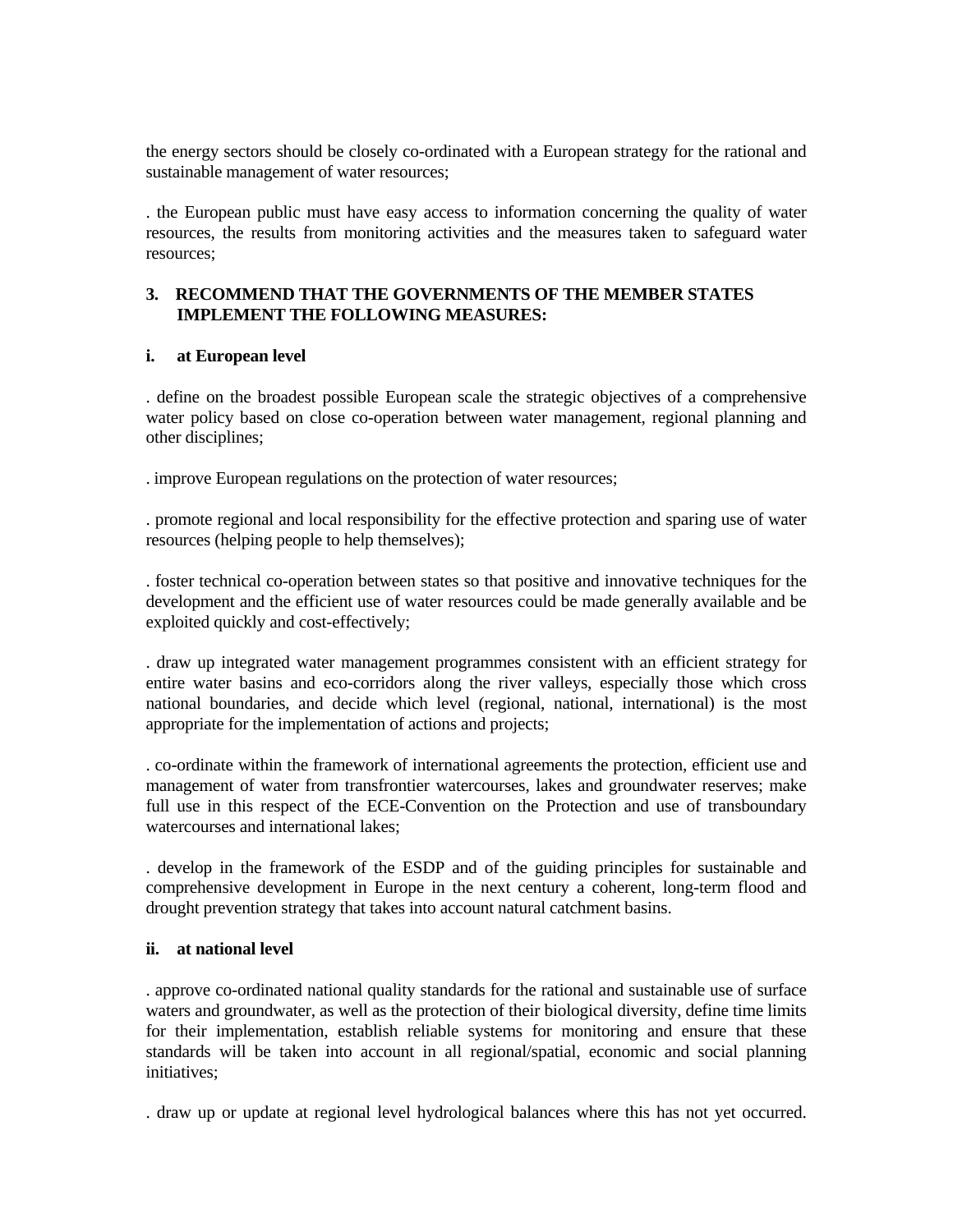the energy sectors should be closely co-ordinated with a European strategy for the rational and sustainable management of water resources;

. the European public must have easy access to information concerning the quality of water resources, the results from monitoring activities and the measures taken to safeguard water resources;

### **3. RECOMMEND THAT THE GOVERNMENTS OF THE MEMBER STATES IMPLEMENT THE FOLLOWING MEASURES:**

#### **i. at European level**

. define on the broadest possible European scale the strategic objectives of a comprehensive water policy based on close co-operation between water management, regional planning and other disciplines;

. improve European regulations on the protection of water resources;

. promote regional and local responsibility for the effective protection and sparing use of water resources (helping people to help themselves);

. foster technical co-operation between states so that positive and innovative techniques for the development and the efficient use of water resources could be made generally available and be exploited quickly and cost-effectively;

. draw up integrated water management programmes consistent with an efficient strategy for entire water basins and eco-corridors along the river valleys, especially those which cross national boundaries, and decide which level (regional, national, international) is the most appropriate for the implementation of actions and projects;

. co-ordinate within the framework of international agreements the protection, efficient use and management of water from transfrontier watercourses, lakes and groundwater reserves; make full use in this respect of the ECE-Convention on the Protection and use of transboundary watercourses and international lakes;

. develop in the framework of the ESDP and of the guiding principles for sustainable and comprehensive development in Europe in the next century a coherent, long-term flood and drought prevention strategy that takes into account natural catchment basins.

#### **ii. at national level**

. approve co-ordinated national quality standards for the rational and sustainable use of surface waters and groundwater, as well as the protection of their biological diversity, define time limits for their implementation, establish reliable systems for monitoring and ensure that these standards will be taken into account in all regional/spatial, economic and social planning initiatives;

. draw up or update at regional level hydrological balances where this has not yet occurred.